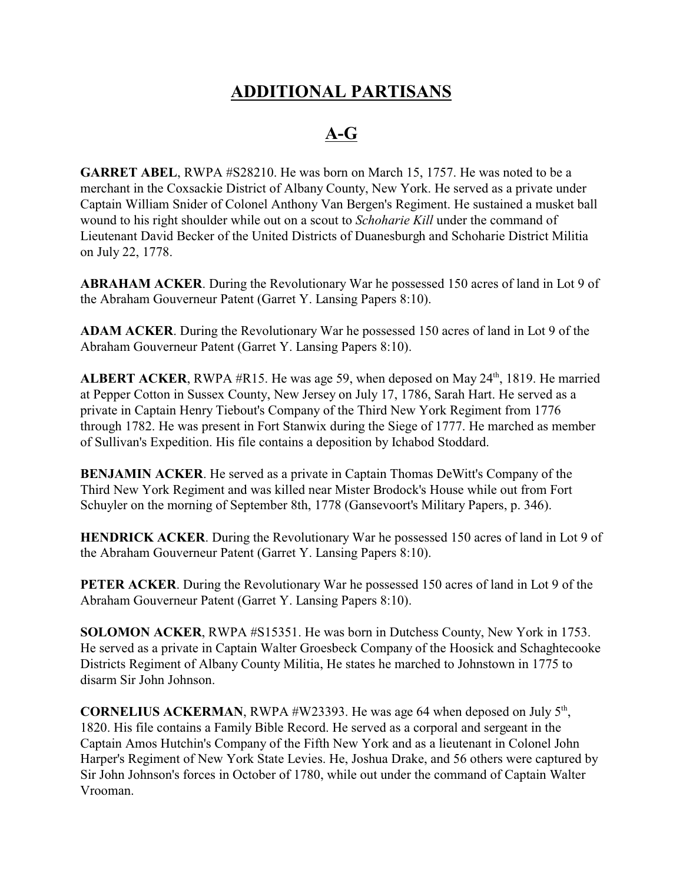## **ADDITIONAL PARTISANS**

## **A-G**

**GARRET ABEL**, RWPA #S28210. He was born on March 15, 1757. He was noted to be a merchant in the Coxsackie District of Albany County, New York. He served as a private under Captain William Snider of Colonel Anthony Van Bergen's Regiment. He sustained a musket ball wound to his right shoulder while out on a scout to *Schoharie Kill* under the command of Lieutenant David Becker of the United Districts of Duanesburgh and Schoharie District Militia on July 22, 1778.

**ABRAHAM ACKER**. During the Revolutionary War he possessed 150 acres of land in Lot 9 of the Abraham Gouverneur Patent (Garret Y. Lansing Papers 8:10).

**ADAM ACKER**. During the Revolutionary War he possessed 150 acres of land in Lot 9 of the Abraham Gouverneur Patent (Garret Y. Lansing Papers 8:10).

ALBERT ACKER, RWPA #R15. He was age 59, when deposed on May 24<sup>th</sup>, 1819. He married at Pepper Cotton in Sussex County, New Jersey on July 17, 1786, Sarah Hart. He served as a private in Captain Henry Tiebout's Company of the Third New York Regiment from 1776 through 1782. He was present in Fort Stanwix during the Siege of 1777. He marched as member of Sullivan's Expedition. His file contains a deposition by Ichabod Stoddard.

**BENJAMIN ACKER**. He served as a private in Captain Thomas DeWitt's Company of the Third New York Regiment and was killed near Mister Brodock's House while out from Fort Schuyler on the morning of September 8th, 1778 (Gansevoort's Military Papers, p. 346).

**HENDRICK ACKER**. During the Revolutionary War he possessed 150 acres of land in Lot 9 of the Abraham Gouverneur Patent (Garret Y. Lansing Papers 8:10).

**PETER ACKER**. During the Revolutionary War he possessed 150 acres of land in Lot 9 of the Abraham Gouverneur Patent (Garret Y. Lansing Papers 8:10).

**SOLOMON ACKER**, RWPA #S15351. He was born in Dutchess County, New York in 1753. He served as a private in Captain Walter Groesbeck Company of the Hoosick and Schaghtecooke Districts Regiment of Albany County Militia, He states he marched to Johnstown in 1775 to disarm Sir John Johnson.

**CORNELIUS ACKERMAN**, RWPA  $#W23393$ . He was age 64 when deposed on July  $5<sup>th</sup>$ , 1820. His file contains a Family Bible Record. He served as a corporal and sergeant in the Captain Amos Hutchin's Company of the Fifth New York and as a lieutenant in Colonel John Harper's Regiment of New York State Levies. He, Joshua Drake, and 56 others were captured by Sir John Johnson's forces in October of 1780, while out under the command of Captain Walter Vrooman.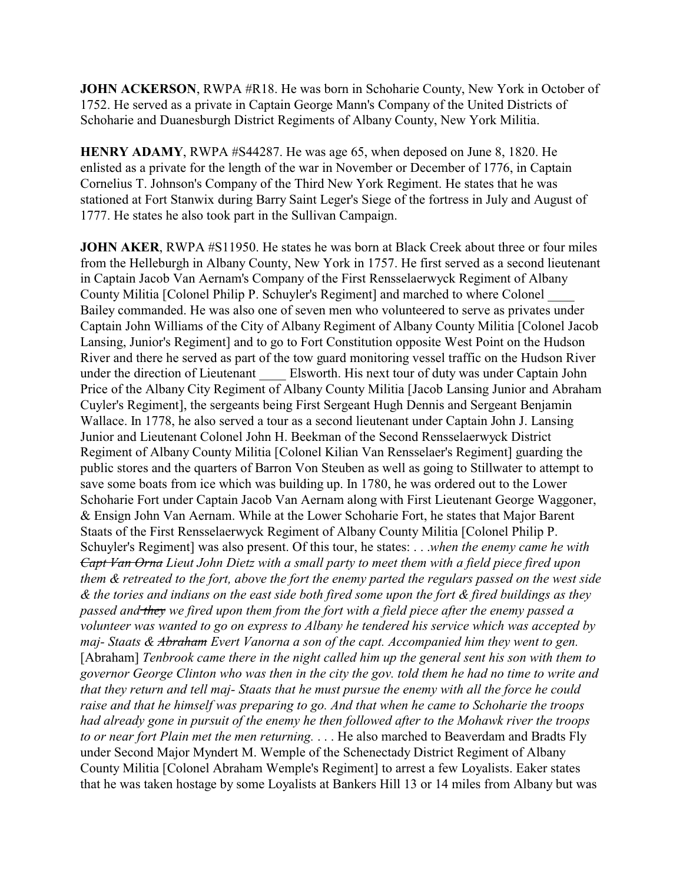**JOHN ACKERSON**, RWPA #R18. He was born in Schoharie County, New York in October of 1752. He served as a private in Captain George Mann's Company of the United Districts of Schoharie and Duanesburgh District Regiments of Albany County, New York Militia.

**HENRY ADAMY**, RWPA #S44287. He was age 65, when deposed on June 8, 1820. He enlisted as a private for the length of the war in November or December of 1776, in Captain Cornelius T. Johnson's Company of the Third New York Regiment. He states that he was stationed at Fort Stanwix during Barry Saint Leger's Siege of the fortress in July and August of 1777. He states he also took part in the Sullivan Campaign.

**JOHN AKER, RWPA #S11950. He states he was born at Black Creek about three or four miles** from the Helleburgh in Albany County, New York in 1757. He first served as a second lieutenant in Captain Jacob Van Aernam's Company of the First Rensselaerwyck Regiment of Albany County Militia [Colonel Philip P. Schuyler's Regiment] and marched to where Colonel \_\_\_\_ Bailey commanded. He was also one of seven men who volunteered to serve as privates under Captain John Williams of the City of Albany Regiment of Albany County Militia [Colonel Jacob Lansing, Junior's Regiment] and to go to Fort Constitution opposite West Point on the Hudson River and there he served as part of the tow guard monitoring vessel traffic on the Hudson River under the direction of Lieutenant Elsworth. His next tour of duty was under Captain John Price of the Albany City Regiment of Albany County Militia [Jacob Lansing Junior and Abraham Cuyler's Regiment], the sergeants being First Sergeant Hugh Dennis and Sergeant Benjamin Wallace. In 1778, he also served a tour as a second lieutenant under Captain John J. Lansing Junior and Lieutenant Colonel John H. Beekman of the Second Rensselaerwyck District Regiment of Albany County Militia [Colonel Kilian Van Rensselaer's Regiment] guarding the public stores and the quarters of Barron Von Steuben as well as going to Stillwater to attempt to save some boats from ice which was building up. In 1780, he was ordered out to the Lower Schoharie Fort under Captain Jacob Van Aernam along with First Lieutenant George Waggoner, & Ensign John Van Aernam. While at the Lower Schoharie Fort, he states that Major Barent Staats of the First Rensselaerwyck Regiment of Albany County Militia [Colonel Philip P. Schuyler's Regiment] was also present. Of this tour, he states: . . .*when the enemy came he with Capt Van Orna Lieut John Dietz with a small party to meet them with a field piece fired upon them & retreated to the fort, above the fort the enemy parted the regulars passed on the west side & the tories and indians on the east side both fired some upon the fort & fired buildings as they passed and they we fired upon them from the fort with a field piece after the enemy passed a volunteer was wanted to go on express to Albany he tendered his service which was accepted by maj- Staats & Abraham Evert Vanorna a son of the capt. Accompanied him they went to gen.* [Abraham] *Tenbrook came there in the night called him up the general sent his son with them to governor George Clinton who was then in the city the gov. told them he had no time to write and that they return and tell maj- Staats that he must pursue the enemy with all the force he could raise and that he himself was preparing to go. And that when he came to Schoharie the troops had already gone in pursuit of the enemy he then followed after to the Mohawk river the troops to or near fort Plain met the men returning.* . . . He also marched to Beaverdam and Bradts Fly under Second Major Myndert M. Wemple of the Schenectady District Regiment of Albany County Militia [Colonel Abraham Wemple's Regiment] to arrest a few Loyalists. Eaker states that he was taken hostage by some Loyalists at Bankers Hill 13 or 14 miles from Albany but was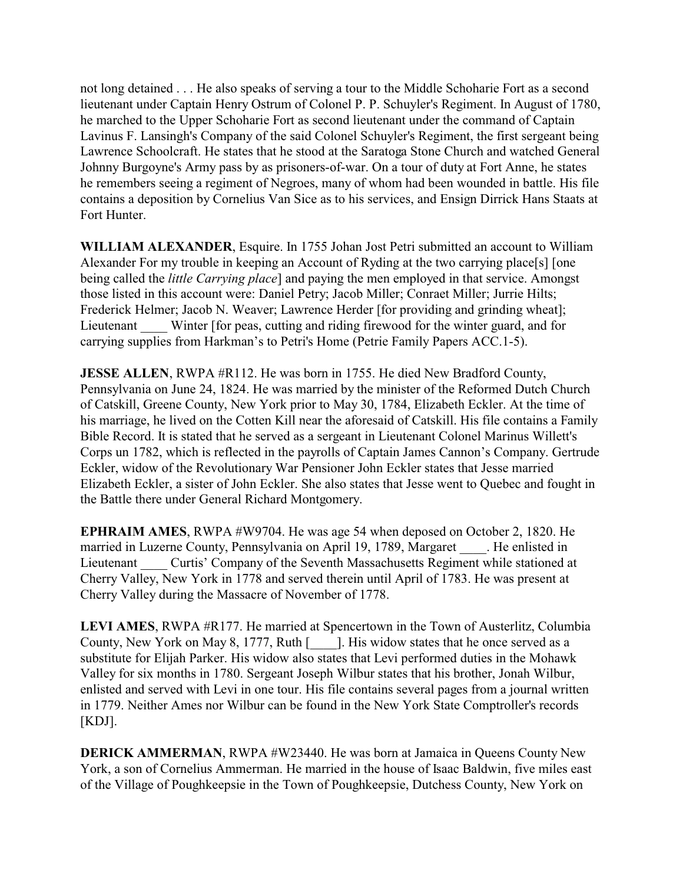not long detained . . . He also speaks of serving a tour to the Middle Schoharie Fort as a second lieutenant under Captain Henry Ostrum of Colonel P. P. Schuyler's Regiment. In August of 1780, he marched to the Upper Schoharie Fort as second lieutenant under the command of Captain Lavinus F. Lansingh's Company of the said Colonel Schuyler's Regiment, the first sergeant being Lawrence Schoolcraft. He states that he stood at the Saratoga Stone Church and watched General Johnny Burgoyne's Army pass by as prisoners-of-war. On a tour of duty at Fort Anne, he states he remembers seeing a regiment of Negroes, many of whom had been wounded in battle. His file contains a deposition by Cornelius Van Sice as to his services, and Ensign Dirrick Hans Staats at Fort Hunter.

**WILLIAM ALEXANDER**, Esquire. In 1755 Johan Jost Petri submitted an account to William Alexander For my trouble in keeping an Account of Ryding at the two carrying place[s] [one being called the *little Carrying place*] and paying the men employed in that service. Amongst those listed in this account were: Daniel Petry; Jacob Miller; Conraet Miller; Jurrie Hilts; Frederick Helmer; Jacob N. Weaver; Lawrence Herder [for providing and grinding wheat]; Lieutenant Winter [for peas, cutting and riding firewood for the winter guard, and for carrying supplies from Harkman's to Petri's Home (Petrie Family Papers ACC.1-5).

**JESSE ALLEN, RWPA #R112. He was born in 1755. He died New Bradford County,** Pennsylvania on June 24, 1824. He was married by the minister of the Reformed Dutch Church of Catskill, Greene County, New York prior to May 30, 1784, Elizabeth Eckler. At the time of his marriage, he lived on the Cotten Kill near the aforesaid of Catskill. His file contains a Family Bible Record. It is stated that he served as a sergeant in Lieutenant Colonel Marinus Willett's Corps un 1782, which is reflected in the payrolls of Captain James Cannon's Company. Gertrude Eckler, widow of the Revolutionary War Pensioner John Eckler states that Jesse married Elizabeth Eckler, a sister of John Eckler. She also states that Jesse went to Quebec and fought in the Battle there under General Richard Montgomery.

**EPHRAIM AMES**, RWPA #W9704. He was age 54 when deposed on October 2, 1820. He married in Luzerne County, Pennsylvania on April 19, 1789, Margaret Full enlisted in Lieutenant Curtis' Company of the Seventh Massachusetts Regiment while stationed at Cherry Valley, New York in 1778 and served therein until April of 1783. He was present at Cherry Valley during the Massacre of November of 1778.

**LEVI AMES**, RWPA #R177. He married at Spencertown in the Town of Austerlitz, Columbia County, New York on May 8, 1777, Ruth [....]. His widow states that he once served as a substitute for Elijah Parker. His widow also states that Levi performed duties in the Mohawk Valley for six months in 1780. Sergeant Joseph Wilbur states that his brother, Jonah Wilbur, enlisted and served with Levi in one tour. His file contains several pages from a journal written in 1779. Neither Ames nor Wilbur can be found in the New York State Comptroller's records [KDJ].

**DERICK AMMERMAN, RWPA #W23440. He was born at Jamaica in Queens County New** York, a son of Cornelius Ammerman. He married in the house of Isaac Baldwin, five miles east of the Village of Poughkeepsie in the Town of Poughkeepsie, Dutchess County, New York on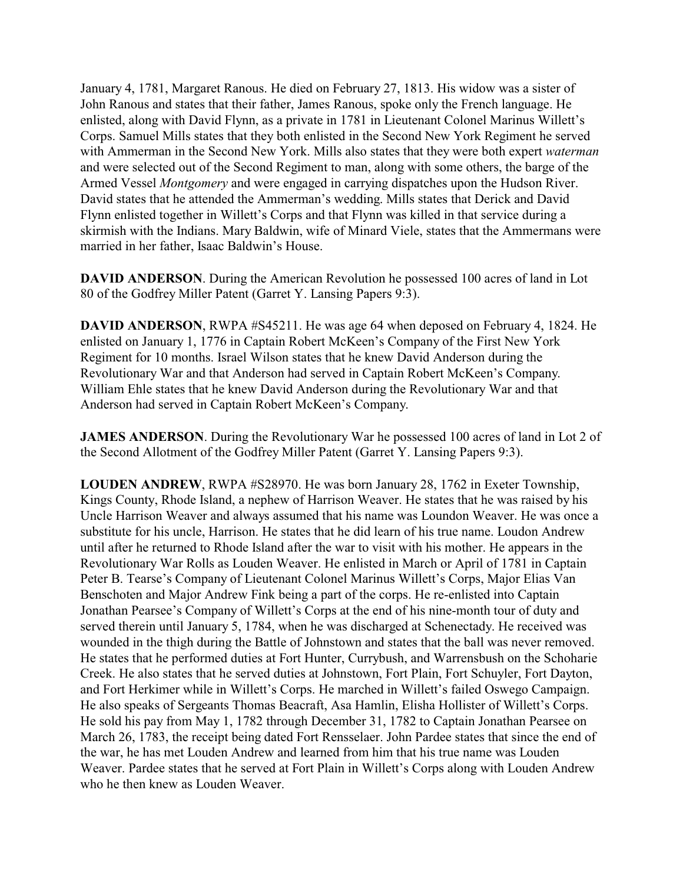January 4, 1781, Margaret Ranous. He died on February 27, 1813. His widow was a sister of John Ranous and states that their father, James Ranous, spoke only the French language. He enlisted, along with David Flynn, as a private in 1781 in Lieutenant Colonel Marinus Willett's Corps. Samuel Mills states that they both enlisted in the Second New York Regiment he served with Ammerman in the Second New York. Mills also states that they were both expert *waterman* and were selected out of the Second Regiment to man, along with some others, the barge of the Armed Vessel *Montgomery* and were engaged in carrying dispatches upon the Hudson River. David states that he attended the Ammerman's wedding. Mills states that Derick and David Flynn enlisted together in Willett's Corps and that Flynn was killed in that service during a skirmish with the Indians. Mary Baldwin, wife of Minard Viele, states that the Ammermans were married in her father, Isaac Baldwin's House.

**DAVID ANDERSON**. During the American Revolution he possessed 100 acres of land in Lot 80 of the Godfrey Miller Patent (Garret Y. Lansing Papers 9:3).

**DAVID ANDERSON**, RWPA #S45211. He was age 64 when deposed on February 4, 1824. He enlisted on January 1, 1776 in Captain Robert McKeen's Company of the First New York Regiment for 10 months. Israel Wilson states that he knew David Anderson during the Revolutionary War and that Anderson had served in Captain Robert McKeen's Company. William Ehle states that he knew David Anderson during the Revolutionary War and that Anderson had served in Captain Robert McKeen's Company.

**JAMES ANDERSON.** During the Revolutionary War he possessed 100 acres of land in Lot 2 of the Second Allotment of the Godfrey Miller Patent (Garret Y. Lansing Papers 9:3).

**LOUDEN ANDREW**, RWPA #S28970. He was born January 28, 1762 in Exeter Township, Kings County, Rhode Island, a nephew of Harrison Weaver. He states that he was raised by his Uncle Harrison Weaver and always assumed that his name was Loundon Weaver. He was once a substitute for his uncle, Harrison. He states that he did learn of his true name. Loudon Andrew until after he returned to Rhode Island after the war to visit with his mother. He appears in the Revolutionary War Rolls as Louden Weaver. He enlisted in March or April of 1781 in Captain Peter B. Tearse's Company of Lieutenant Colonel Marinus Willett's Corps, Major Elias Van Benschoten and Major Andrew Fink being a part of the corps. He re-enlisted into Captain Jonathan Pearsee's Company of Willett's Corps at the end of his nine-month tour of duty and served therein until January 5, 1784, when he was discharged at Schenectady. He received was wounded in the thigh during the Battle of Johnstown and states that the ball was never removed. He states that he performed duties at Fort Hunter, Currybush, and Warrensbush on the Schoharie Creek. He also states that he served duties at Johnstown, Fort Plain, Fort Schuyler, Fort Dayton, and Fort Herkimer while in Willett's Corps. He marched in Willett's failed Oswego Campaign. He also speaks of Sergeants Thomas Beacraft, Asa Hamlin, Elisha Hollister of Willett's Corps. He sold his pay from May 1, 1782 through December 31, 1782 to Captain Jonathan Pearsee on March 26, 1783, the receipt being dated Fort Rensselaer. John Pardee states that since the end of the war, he has met Louden Andrew and learned from him that his true name was Louden Weaver. Pardee states that he served at Fort Plain in Willett's Corps along with Louden Andrew who he then knew as Louden Weaver.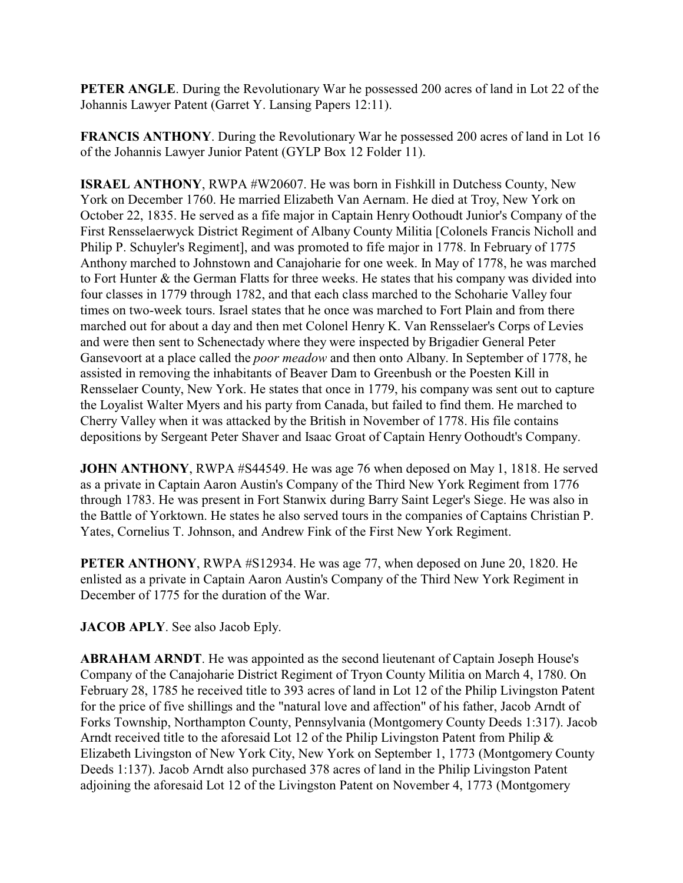**PETER ANGLE**. During the Revolutionary War he possessed 200 acres of land in Lot 22 of the Johannis Lawyer Patent (Garret Y. Lansing Papers 12:11).

**FRANCIS ANTHONY**. During the Revolutionary War he possessed 200 acres of land in Lot 16 of the Johannis Lawyer Junior Patent (GYLP Box 12 Folder 11).

**ISRAEL ANTHONY**, RWPA #W20607. He was born in Fishkill in Dutchess County, New York on December 1760. He married Elizabeth Van Aernam. He died at Troy, New York on October 22, 1835. He served as a fife major in Captain Henry Oothoudt Junior's Company of the First Rensselaerwyck District Regiment of Albany County Militia [Colonels Francis Nicholl and Philip P. Schuyler's Regiment], and was promoted to fife major in 1778. In February of 1775 Anthony marched to Johnstown and Canajoharie for one week. In May of 1778, he was marched to Fort Hunter & the German Flatts for three weeks. He states that his company was divided into four classes in 1779 through 1782, and that each class marched to the Schoharie Valley four times on two-week tours. Israel states that he once was marched to Fort Plain and from there marched out for about a day and then met Colonel Henry K. Van Rensselaer's Corps of Levies and were then sent to Schenectady where they were inspected by Brigadier General Peter Gansevoort at a place called the *poor meadow* and then onto Albany. In September of 1778, he assisted in removing the inhabitants of Beaver Dam to Greenbush or the Poesten Kill in Rensselaer County, New York. He states that once in 1779, his company was sent out to capture the Loyalist Walter Myers and his party from Canada, but failed to find them. He marched to Cherry Valley when it was attacked by the British in November of 1778. His file contains depositions by Sergeant Peter Shaver and Isaac Groat of Captain Henry Oothoudt's Company.

**JOHN ANTHONY**, RWPA #S44549. He was age 76 when deposed on May 1, 1818. He served as a private in Captain Aaron Austin's Company of the Third New York Regiment from 1776 through 1783. He was present in Fort Stanwix during Barry Saint Leger's Siege. He was also in the Battle of Yorktown. He states he also served tours in the companies of Captains Christian P. Yates, Cornelius T. Johnson, and Andrew Fink of the First New York Regiment.

**PETER ANTHONY**, RWPA #S12934. He was age 77, when deposed on June 20, 1820. He enlisted as a private in Captain Aaron Austin's Company of the Third New York Regiment in December of 1775 for the duration of the War.

## **JACOB APLY**. See also Jacob Eply.

**ABRAHAM ARNDT**. He was appointed as the second lieutenant of Captain Joseph House's Company of the Canajoharie District Regiment of Tryon County Militia on March 4, 1780. On February 28, 1785 he received title to 393 acres of land in Lot 12 of the Philip Livingston Patent for the price of five shillings and the "natural love and affection" of his father, Jacob Arndt of Forks Township, Northampton County, Pennsylvania (Montgomery County Deeds 1:317). Jacob Arndt received title to the aforesaid Lot 12 of the Philip Livingston Patent from Philip & Elizabeth Livingston of New York City, New York on September 1, 1773 (Montgomery County Deeds 1:137). Jacob Arndt also purchased 378 acres of land in the Philip Livingston Patent adjoining the aforesaid Lot 12 of the Livingston Patent on November 4, 1773 (Montgomery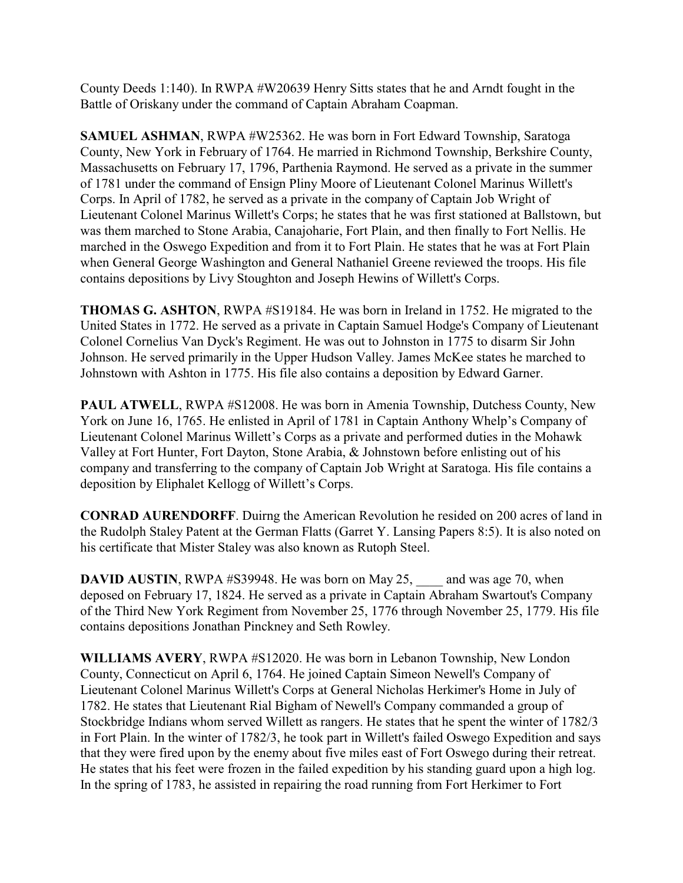County Deeds 1:140). In RWPA #W20639 Henry Sitts states that he and Arndt fought in the Battle of Oriskany under the command of Captain Abraham Coapman.

**SAMUEL ASHMAN**, RWPA #W25362. He was born in Fort Edward Township, Saratoga County, New York in February of 1764. He married in Richmond Township, Berkshire County, Massachusetts on February 17, 1796, Parthenia Raymond. He served as a private in the summer of 1781 under the command of Ensign Pliny Moore of Lieutenant Colonel Marinus Willett's Corps. In April of 1782, he served as a private in the company of Captain Job Wright of Lieutenant Colonel Marinus Willett's Corps; he states that he was first stationed at Ballstown, but was them marched to Stone Arabia, Canajoharie, Fort Plain, and then finally to Fort Nellis. He marched in the Oswego Expedition and from it to Fort Plain. He states that he was at Fort Plain when General George Washington and General Nathaniel Greene reviewed the troops. His file contains depositions by Livy Stoughton and Joseph Hewins of Willett's Corps.

**THOMAS G. ASHTON**, RWPA #S19184. He was born in Ireland in 1752. He migrated to the United States in 1772. He served as a private in Captain Samuel Hodge's Company of Lieutenant Colonel Cornelius Van Dyck's Regiment. He was out to Johnston in 1775 to disarm Sir John Johnson. He served primarily in the Upper Hudson Valley. James McKee states he marched to Johnstown with Ashton in 1775. His file also contains a deposition by Edward Garner.

**PAUL ATWELL**, RWPA #S12008. He was born in Amenia Township, Dutchess County, New York on June 16, 1765. He enlisted in April of 1781 in Captain Anthony Whelp's Company of Lieutenant Colonel Marinus Willett's Corps as a private and performed duties in the Mohawk Valley at Fort Hunter, Fort Dayton, Stone Arabia, & Johnstown before enlisting out of his company and transferring to the company of Captain Job Wright at Saratoga. His file contains a deposition by Eliphalet Kellogg of Willett's Corps.

**CONRAD AURENDORFF**. Duirng the American Revolution he resided on 200 acres of land in the Rudolph Staley Patent at the German Flatts (Garret Y. Lansing Papers 8:5). It is also noted on his certificate that Mister Staley was also known as Rutoph Steel.

**DAVID AUSTIN, RWPA #S39948. He was born on May 25, and was age 70, when** deposed on February 17, 1824. He served as a private in Captain Abraham Swartout's Company of the Third New York Regiment from November 25, 1776 through November 25, 1779. His file contains depositions Jonathan Pinckney and Seth Rowley.

**WILLIAMS AVERY**, RWPA #S12020. He was born in Lebanon Township, New London County, Connecticut on April 6, 1764. He joined Captain Simeon Newell's Company of Lieutenant Colonel Marinus Willett's Corps at General Nicholas Herkimer's Home in July of 1782. He states that Lieutenant Rial Bigham of Newell's Company commanded a group of Stockbridge Indians whom served Willett as rangers. He states that he spent the winter of 1782/3 in Fort Plain. In the winter of 1782/3, he took part in Willett's failed Oswego Expedition and says that they were fired upon by the enemy about five miles east of Fort Oswego during their retreat. He states that his feet were frozen in the failed expedition by his standing guard upon a high log. In the spring of 1783, he assisted in repairing the road running from Fort Herkimer to Fort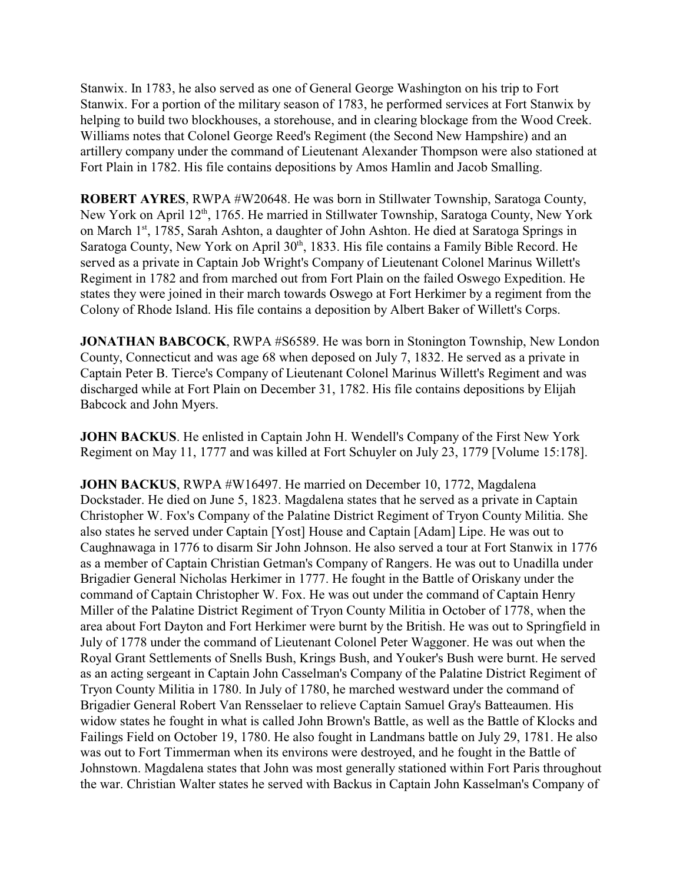Stanwix. In 1783, he also served as one of General George Washington on his trip to Fort Stanwix. For a portion of the military season of 1783, he performed services at Fort Stanwix by helping to build two blockhouses, a storehouse, and in clearing blockage from the Wood Creek. Williams notes that Colonel George Reed's Regiment (the Second New Hampshire) and an artillery company under the command of Lieutenant Alexander Thompson were also stationed at Fort Plain in 1782. His file contains depositions by Amos Hamlin and Jacob Smalling.

**ROBERT AYRES**, RWPA #W20648. He was born in Stillwater Township, Saratoga County, New York on April 12<sup>th</sup>, 1765. He married in Stillwater Township, Saratoga County, New York on March 1st, 1785, Sarah Ashton, a daughter of John Ashton. He died at Saratoga Springs in Saratoga County, New York on April 30<sup>th</sup>, 1833. His file contains a Family Bible Record. He served as a private in Captain Job Wright's Company of Lieutenant Colonel Marinus Willett's Regiment in 1782 and from marched out from Fort Plain on the failed Oswego Expedition. He states they were joined in their march towards Oswego at Fort Herkimer by a regiment from the Colony of Rhode Island. His file contains a deposition by Albert Baker of Willett's Corps.

**JONATHAN BABCOCK**, RWPA #S6589. He was born in Stonington Township, New London County, Connecticut and was age 68 when deposed on July 7, 1832. He served as a private in Captain Peter B. Tierce's Company of Lieutenant Colonel Marinus Willett's Regiment and was discharged while at Fort Plain on December 31, 1782. His file contains depositions by Elijah Babcock and John Myers.

**JOHN BACKUS**. He enlisted in Captain John H. Wendell's Company of the First New York Regiment on May 11, 1777 and was killed at Fort Schuyler on July 23, 1779 [Volume 15:178].

**JOHN BACKUS**, RWPA #W16497. He married on December 10, 1772, Magdalena Dockstader. He died on June 5, 1823. Magdalena states that he served as a private in Captain Christopher W. Fox's Company of the Palatine District Regiment of Tryon County Militia. She also states he served under Captain [Yost] House and Captain [Adam] Lipe. He was out to Caughnawaga in 1776 to disarm Sir John Johnson. He also served a tour at Fort Stanwix in 1776 as a member of Captain Christian Getman's Company of Rangers. He was out to Unadilla under Brigadier General Nicholas Herkimer in 1777. He fought in the Battle of Oriskany under the command of Captain Christopher W. Fox. He was out under the command of Captain Henry Miller of the Palatine District Regiment of Tryon County Militia in October of 1778, when the area about Fort Dayton and Fort Herkimer were burnt by the British. He was out to Springfield in July of 1778 under the command of Lieutenant Colonel Peter Waggoner. He was out when the Royal Grant Settlements of Snells Bush, Krings Bush, and Youker's Bush were burnt. He served as an acting sergeant in Captain John Casselman's Company of the Palatine District Regiment of Tryon County Militia in 1780. In July of 1780, he marched westward under the command of Brigadier General Robert Van Rensselaer to relieve Captain Samuel Gray's Batteaumen. His widow states he fought in what is called John Brown's Battle, as well as the Battle of Klocks and Failings Field on October 19, 1780. He also fought in Landmans battle on July 29, 1781. He also was out to Fort Timmerman when its environs were destroyed, and he fought in the Battle of Johnstown. Magdalena states that John was most generally stationed within Fort Paris throughout the war. Christian Walter states he served with Backus in Captain John Kasselman's Company of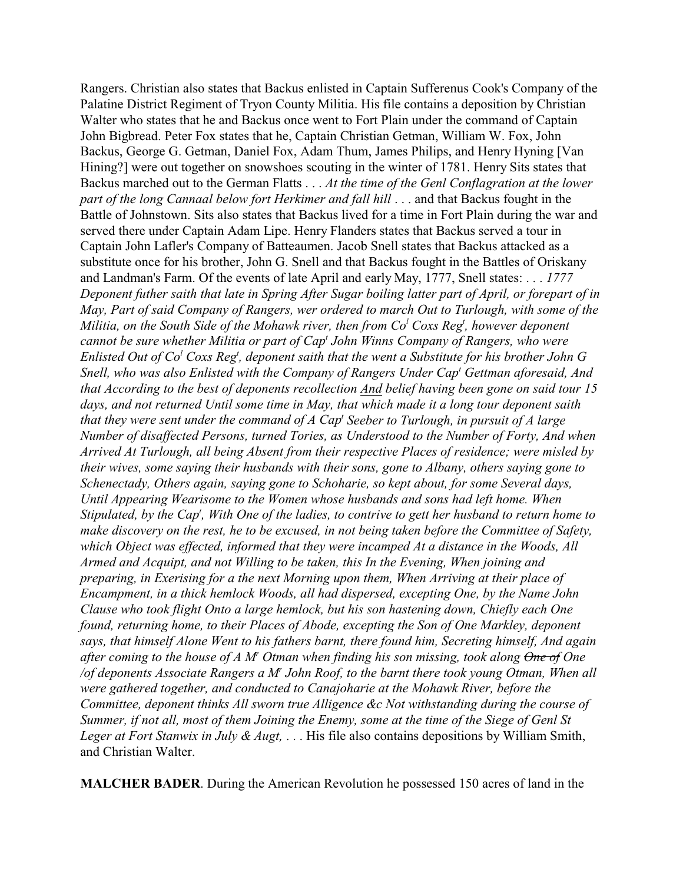Rangers. Christian also states that Backus enlisted in Captain Sufferenus Cook's Company of the Palatine District Regiment of Tryon County Militia. His file contains a deposition by Christian Walter who states that he and Backus once went to Fort Plain under the command of Captain John Bigbread. Peter Fox states that he, Captain Christian Getman, William W. Fox, John Backus, George G. Getman, Daniel Fox, Adam Thum, James Philips, and Henry Hyning [Van Hining?] were out together on snowshoes scouting in the winter of 1781. Henry Sits states that Backus marched out to the German Flatts . . . *At the time of the Genl Conflagration at the lower part of the long Cannaal below fort Herkimer and fall hill* . . . and that Backus fought in the Battle of Johnstown. Sits also states that Backus lived for a time in Fort Plain during the war and served there under Captain Adam Lipe. Henry Flanders states that Backus served a tour in Captain John Lafler's Company of Batteaumen. Jacob Snell states that Backus attacked as a substitute once for his brother, John G. Snell and that Backus fought in the Battles of Oriskany and Landman's Farm. Of the events of late April and early May, 1777, Snell states: . . . *1777 Deponent futher saith that late in Spring After Sugar boiling latter part of April, or forepart of in May, Part of said Company of Rangers, wer ordered to march Out to Turlough, with some of the Militia, on the South Side of the Mohawk river, then from Co<sup>l</sup> Coxs Reg<sup>t</sup> , however deponent cannot be sure whether Militia or part of Cap<sup>t</sup> John Winns Company of Rangers, who were Enlisted Out of Co<sup>l</sup> Coxs Reg<sup>t</sup> , deponent saith that the went a Substitute for his brother John G Snell, who was also Enlisted with the Company of Rangers Under Cap<sup>t</sup> Gettman aforesaid, And that According to the best of deponents recollection And belief having been gone on said tour 15 days, and not returned Until some time in May, that which made it a long tour deponent saith that they were sent under the command of A Cap<sup>t</sup> Seeber to Turlough, in pursuit of A large Number of disaffected Persons, turned Tories, as Understood to the Number of Forty, And when Arrived At Turlough, all being Absent from their respective Places of residence; were misled by their wives, some saying their husbands with their sons, gone to Albany, others saying gone to Schenectady, Others again, saying gone to Schoharie, so kept about, for some Several days, Until Appearing Wearisome to the Women whose husbands and sons had left home. When Stipulated, by the Cap<sup>t</sup>, With One of the ladies, to contrive to gett her husband to return home to make discovery on the rest, he to be excused, in not being taken before the Committee of Safety, which Object was effected, informed that they were incamped At a distance in the Woods, All Armed and Acquipt, and not Willing to be taken, this In the Evening, When joining and preparing, in Exerising for a the next Morning upon them, When Arriving at their place of Encampment, in a thick hemlock Woods, all had dispersed, excepting One, by the Name John Clause who took flight Onto a large hemlock, but his son hastening down, Chiefly each One found, returning home, to their Places of Abode, excepting the Son of One Markley, deponent says, that himself Alone Went to his fathers barnt, there found him, Secreting himself, And again* after coming to the house of A M<sup>*r*</sup> Otman when finding his son missing, took along <del>One of</del> One */of deponents Associate Rangers a M<sup>r</sup> John Roof, to the barnt there took young Otman, When all were gathered together, and conducted to Canajoharie at the Mohawk River, before the Committee, deponent thinks All sworn true Alligence &c Not withstanding during the course of Summer, if not all, most of them Joining the Enemy, some at the time of the Siege of Genl St Leger at Fort Stanwix in July & Augt,* . . . His file also contains depositions by William Smith, and Christian Walter.

**MALCHER BADER**. During the American Revolution he possessed 150 acres of land in the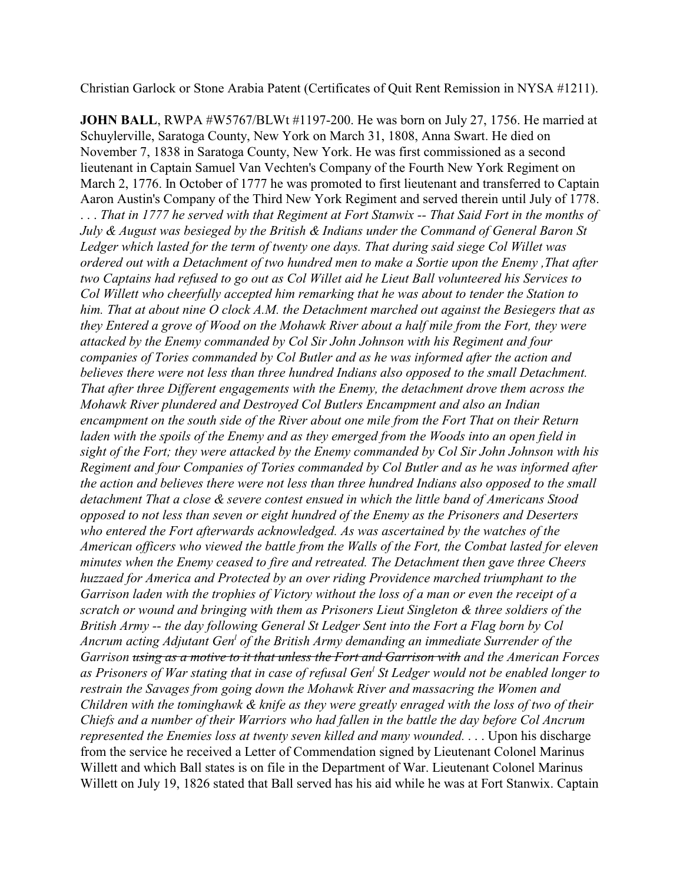Christian Garlock or Stone Arabia Patent (Certificates of Quit Rent Remission in NYSA #1211).

**JOHN BALL**, RWPA #W5767/BLWt #1197-200. He was born on July 27, 1756. He married at Schuylerville, Saratoga County, New York on March 31, 1808, Anna Swart. He died on November 7, 1838 in Saratoga County, New York. He was first commissioned as a second lieutenant in Captain Samuel Van Vechten's Company of the Fourth New York Regiment on March 2, 1776. In October of 1777 he was promoted to first lieutenant and transferred to Captain Aaron Austin's Company of the Third New York Regiment and served therein until July of 1778. . . . *That in 1777 he served with that Regiment at Fort Stanwix -- That Said Fort in the months of July & August was besieged by the British & Indians under the Command of General Baron St Ledger which lasted for the term of twenty one days. That during said siege Col Willet was ordered out with a Detachment of two hundred men to make a Sortie upon the Enemy ,That after two Captains had refused to go out as Col Willet aid he Lieut Ball volunteered his Services to Col Willett who cheerfully accepted him remarking that he was about to tender the Station to him. That at about nine O clock A.M. the Detachment marched out against the Besiegers that as they Entered a grove of Wood on the Mohawk River about a half mile from the Fort, they were attacked by the Enemy commanded by Col Sir John Johnson with his Regiment and four companies of Tories commanded by Col Butler and as he was informed after the action and believes there were not less than three hundred Indians also opposed to the small Detachment. That after three Different engagements with the Enemy, the detachment drove them across the Mohawk River plundered and Destroyed Col Butlers Encampment and also an Indian encampment on the south side of the River about one mile from the Fort That on their Return laden with the spoils of the Enemy and as they emerged from the Woods into an open field in sight of the Fort; they were attacked by the Enemy commanded by Col Sir John Johnson with his Regiment and four Companies of Tories commanded by Col Butler and as he was informed after the action and believes there were not less than three hundred Indians also opposed to the small detachment That a close & severe contest ensued in which the little band of Americans Stood opposed to not less than seven or eight hundred of the Enemy as the Prisoners and Deserters who entered the Fort afterwards acknowledged. As was ascertained by the watches of the American officers who viewed the battle from the Walls of the Fort, the Combat lasted for eleven minutes when the Enemy ceased to fire and retreated. The Detachment then gave three Cheers huzzaed for America and Protected by an over riding Providence marched triumphant to the Garrison laden with the trophies of Victory without the loss of a man or even the receipt of a scratch or wound and bringing with them as Prisoners Lieut Singleton & three soldiers of the British Army -- the day following General St Ledger Sent into the Fort a Flag born by Col Ancrum acting Adjutant Gen<sup>l</sup> of the British Army demanding an immediate Surrender of the Garrison using as a motive to it that unless the Fort and Garrison with and the American Forces as Prisoners of War stating that in case of refusal Gen<sup>l</sup> St Ledger would not be enabled longer to restrain the Savages from going down the Mohawk River and massacring the Women and Children with the tominghawk & knife as they were greatly enraged with the loss of two of their Chiefs and a number of their Warriors who had fallen in the battle the day before Col Ancrum represented the Enemies loss at twenty seven killed and many wounded.* . . . Upon his discharge from the service he received a Letter of Commendation signed by Lieutenant Colonel Marinus Willett and which Ball states is on file in the Department of War. Lieutenant Colonel Marinus Willett on July 19, 1826 stated that Ball served has his aid while he was at Fort Stanwix. Captain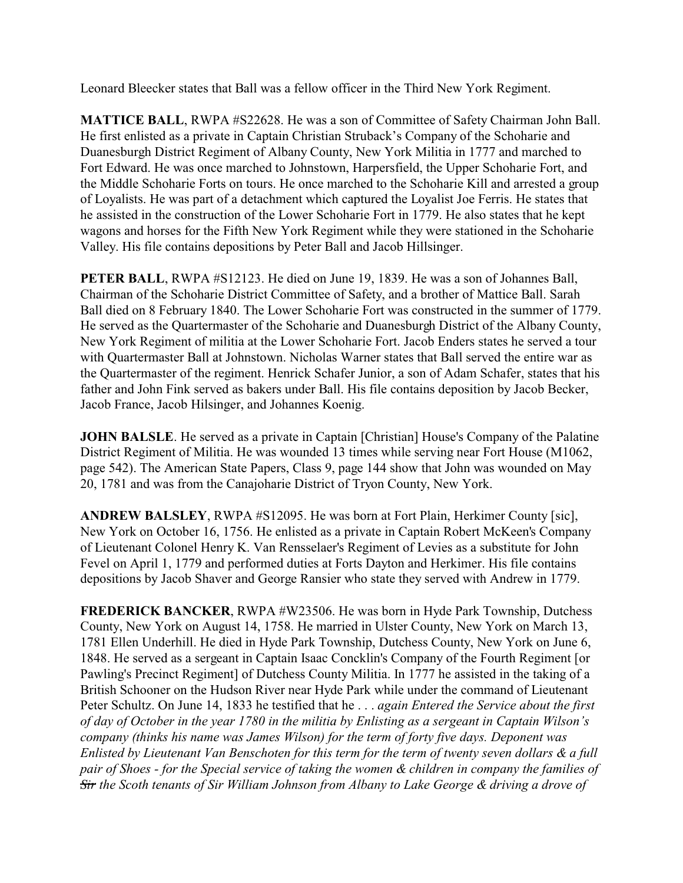Leonard Bleecker states that Ball was a fellow officer in the Third New York Regiment.

**MATTICE BALL**, RWPA #S22628. He was a son of Committee of Safety Chairman John Ball. He first enlisted as a private in Captain Christian Struback's Company of the Schoharie and Duanesburgh District Regiment of Albany County, New York Militia in 1777 and marched to Fort Edward. He was once marched to Johnstown, Harpersfield, the Upper Schoharie Fort, and the Middle Schoharie Forts on tours. He once marched to the Schoharie Kill and arrested a group of Loyalists. He was part of a detachment which captured the Loyalist Joe Ferris. He states that he assisted in the construction of the Lower Schoharie Fort in 1779. He also states that he kept wagons and horses for the Fifth New York Regiment while they were stationed in the Schoharie Valley. His file contains depositions by Peter Ball and Jacob Hillsinger.

**PETER BALL**, RWPA #S12123. He died on June 19, 1839. He was a son of Johannes Ball, Chairman of the Schoharie District Committee of Safety, and a brother of Mattice Ball. Sarah Ball died on 8 February 1840. The Lower Schoharie Fort was constructed in the summer of 1779. He served as the Quartermaster of the Schoharie and Duanesburgh District of the Albany County, New York Regiment of militia at the Lower Schoharie Fort. Jacob Enders states he served a tour with Quartermaster Ball at Johnstown. Nicholas Warner states that Ball served the entire war as the Quartermaster of the regiment. Henrick Schafer Junior, a son of Adam Schafer, states that his father and John Fink served as bakers under Ball. His file contains deposition by Jacob Becker, Jacob France, Jacob Hilsinger, and Johannes Koenig.

**JOHN BALSLE**. He served as a private in Captain [Christian] House's Company of the Palatine District Regiment of Militia. He was wounded 13 times while serving near Fort House (M1062, page 542). The American State Papers, Class 9, page 144 show that John was wounded on May 20, 1781 and was from the Canajoharie District of Tryon County, New York.

**ANDREW BALSLEY**, RWPA #S12095. He was born at Fort Plain, Herkimer County [sic], New York on October 16, 1756. He enlisted as a private in Captain Robert McKeen's Company of Lieutenant Colonel Henry K. Van Rensselaer's Regiment of Levies as a substitute for John Fevel on April 1, 1779 and performed duties at Forts Dayton and Herkimer. His file contains depositions by Jacob Shaver and George Ransier who state they served with Andrew in 1779.

**FREDERICK BANCKER**, RWPA #W23506. He was born in Hyde Park Township, Dutchess County, New York on August 14, 1758. He married in Ulster County, New York on March 13, 1781 Ellen Underhill. He died in Hyde Park Township, Dutchess County, New York on June 6, 1848. He served as a sergeant in Captain Isaac Concklin's Company of the Fourth Regiment [or Pawling's Precinct Regiment] of Dutchess County Militia. In 1777 he assisted in the taking of a British Schooner on the Hudson River near Hyde Park while under the command of Lieutenant Peter Schultz. On June 14, 1833 he testified that he . . . *again Entered the Service about the first of day of October in the year 1780 in the militia by Enlisting as a sergeant in Captain Wilson's company (thinks his name was James Wilson) for the term of forty five days. Deponent was Enlisted by Lieutenant Van Benschoten for this term for the term of twenty seven dollars & a full pair of Shoes - for the Special service of taking the women & children in company the families of Sir the Scoth tenants of Sir William Johnson from Albany to Lake George & driving a drove of*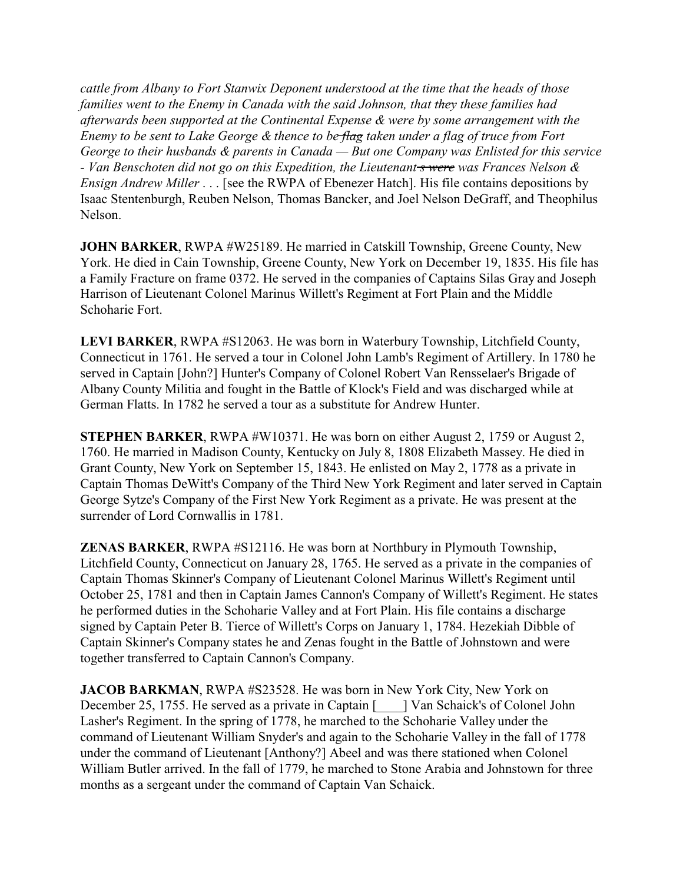*cattle from Albany to Fort Stanwix Deponent understood at the time that the heads of those families went to the Enemy in Canada with the said Johnson, that they these families had afterwards been supported at the Continental Expense & were by some arrangement with the Enemy to be sent to Lake George & thence to be flag taken under a flag of truce from Fort George to their husbands & parents in Canada — But one Company was Enlisted for this service - Van Benschoten did not go on this Expedition, the Lieutenant s were was Frances Nelson & Ensign Andrew Miller* . . . [see the RWPA of Ebenezer Hatch]. His file contains depositions by Isaac Stentenburgh, Reuben Nelson, Thomas Bancker, and Joel Nelson DeGraff, and Theophilus Nelson.

**JOHN BARKER, RWPA #W25189. He married in Catskill Township, Greene County, New** York. He died in Cain Township, Greene County, New York on December 19, 1835. His file has a Family Fracture on frame 0372. He served in the companies of Captains Silas Gray and Joseph Harrison of Lieutenant Colonel Marinus Willett's Regiment at Fort Plain and the Middle Schoharie Fort.

**LEVI BARKER**, RWPA #S12063. He was born in Waterbury Township, Litchfield County, Connecticut in 1761. He served a tour in Colonel John Lamb's Regiment of Artillery. In 1780 he served in Captain [John?] Hunter's Company of Colonel Robert Van Rensselaer's Brigade of Albany County Militia and fought in the Battle of Klock's Field and was discharged while at German Flatts. In 1782 he served a tour as a substitute for Andrew Hunter.

**STEPHEN BARKER**, RWPA #W10371. He was born on either August 2, 1759 or August 2, 1760. He married in Madison County, Kentucky on July 8, 1808 Elizabeth Massey. He died in Grant County, New York on September 15, 1843. He enlisted on May 2, 1778 as a private in Captain Thomas DeWitt's Company of the Third New York Regiment and later served in Captain George Sytze's Company of the First New York Regiment as a private. He was present at the surrender of Lord Cornwallis in 1781.

**ZENAS BARKER**, RWPA #S12116. He was born at Northbury in Plymouth Township, Litchfield County, Connecticut on January 28, 1765. He served as a private in the companies of Captain Thomas Skinner's Company of Lieutenant Colonel Marinus Willett's Regiment until October 25, 1781 and then in Captain James Cannon's Company of Willett's Regiment. He states he performed duties in the Schoharie Valley and at Fort Plain. His file contains a discharge signed by Captain Peter B. Tierce of Willett's Corps on January 1, 1784. Hezekiah Dibble of Captain Skinner's Company states he and Zenas fought in the Battle of Johnstown and were together transferred to Captain Cannon's Company.

**JACOB BARKMAN**, RWPA #S23528. He was born in New York City, New York on December 25, 1755. He served as a private in Captain [  $\Box$  ] Van Schaick's of Colonel John Lasher's Regiment. In the spring of 1778, he marched to the Schoharie Valley under the command of Lieutenant William Snyder's and again to the Schoharie Valley in the fall of 1778 under the command of Lieutenant [Anthony?] Abeel and was there stationed when Colonel William Butler arrived. In the fall of 1779, he marched to Stone Arabia and Johnstown for three months as a sergeant under the command of Captain Van Schaick.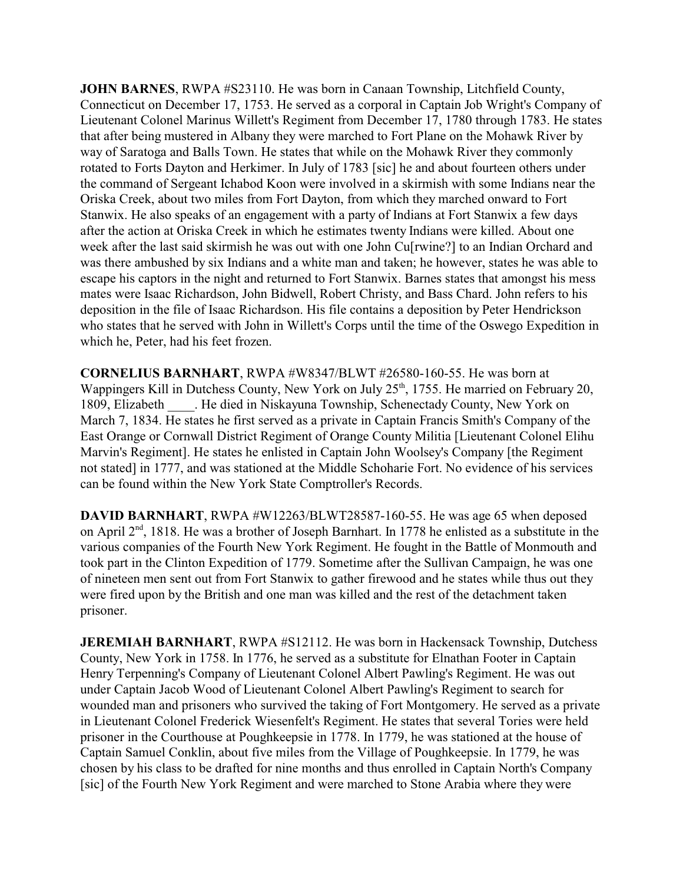**JOHN BARNES**, RWPA #S23110. He was born in Canaan Township, Litchfield County, Connecticut on December 17, 1753. He served as a corporal in Captain Job Wright's Company of Lieutenant Colonel Marinus Willett's Regiment from December 17, 1780 through 1783. He states that after being mustered in Albany they were marched to Fort Plane on the Mohawk River by way of Saratoga and Balls Town. He states that while on the Mohawk River they commonly rotated to Forts Dayton and Herkimer. In July of 1783 [sic] he and about fourteen others under the command of Sergeant Ichabod Koon were involved in a skirmish with some Indians near the Oriska Creek, about two miles from Fort Dayton, from which they marched onward to Fort Stanwix. He also speaks of an engagement with a party of Indians at Fort Stanwix a few days after the action at Oriska Creek in which he estimates twenty Indians were killed. About one week after the last said skirmish he was out with one John Cu[rwine?] to an Indian Orchard and was there ambushed by six Indians and a white man and taken; he however, states he was able to escape his captors in the night and returned to Fort Stanwix. Barnes states that amongst his mess mates were Isaac Richardson, John Bidwell, Robert Christy, and Bass Chard. John refers to his deposition in the file of Isaac Richardson. His file contains a deposition by Peter Hendrickson who states that he served with John in Willett's Corps until the time of the Oswego Expedition in which he, Peter, had his feet frozen.

**CORNELIUS BARNHART**, RWPA #W8347/BLWT #26580-160-55. He was born at Wappingers Kill in Dutchess County, New York on July 25<sup>th</sup>, 1755. He married on February 20, 1809, Elizabeth \_\_\_\_. He died in Niskayuna Township, Schenectady County, New York on March 7, 1834. He states he first served as a private in Captain Francis Smith's Company of the East Orange or Cornwall District Regiment of Orange County Militia [Lieutenant Colonel Elihu Marvin's Regiment]. He states he enlisted in Captain John Woolsey's Company [the Regiment not stated] in 1777, and was stationed at the Middle Schoharie Fort. No evidence of his services can be found within the New York State Comptroller's Records.

**DAVID BARNHART**, RWPA #W12263/BLWT28587-160-55. He was age 65 when deposed on April 2<sup>nd</sup>, 1818. He was a brother of Joseph Barnhart. In 1778 he enlisted as a substitute in the various companies of the Fourth New York Regiment. He fought in the Battle of Monmouth and took part in the Clinton Expedition of 1779. Sometime after the Sullivan Campaign, he was one of nineteen men sent out from Fort Stanwix to gather firewood and he states while thus out they were fired upon by the British and one man was killed and the rest of the detachment taken prisoner.

**JEREMIAH BARNHART**, RWPA #S12112. He was born in Hackensack Township, Dutchess County, New York in 1758. In 1776, he served as a substitute for Elnathan Footer in Captain Henry Terpenning's Company of Lieutenant Colonel Albert Pawling's Regiment. He was out under Captain Jacob Wood of Lieutenant Colonel Albert Pawling's Regiment to search for wounded man and prisoners who survived the taking of Fort Montgomery. He served as a private in Lieutenant Colonel Frederick Wiesenfelt's Regiment. He states that several Tories were held prisoner in the Courthouse at Poughkeepsie in 1778. In 1779, he was stationed at the house of Captain Samuel Conklin, about five miles from the Village of Poughkeepsie. In 1779, he was chosen by his class to be drafted for nine months and thus enrolled in Captain North's Company [sic] of the Fourth New York Regiment and were marched to Stone Arabia where they were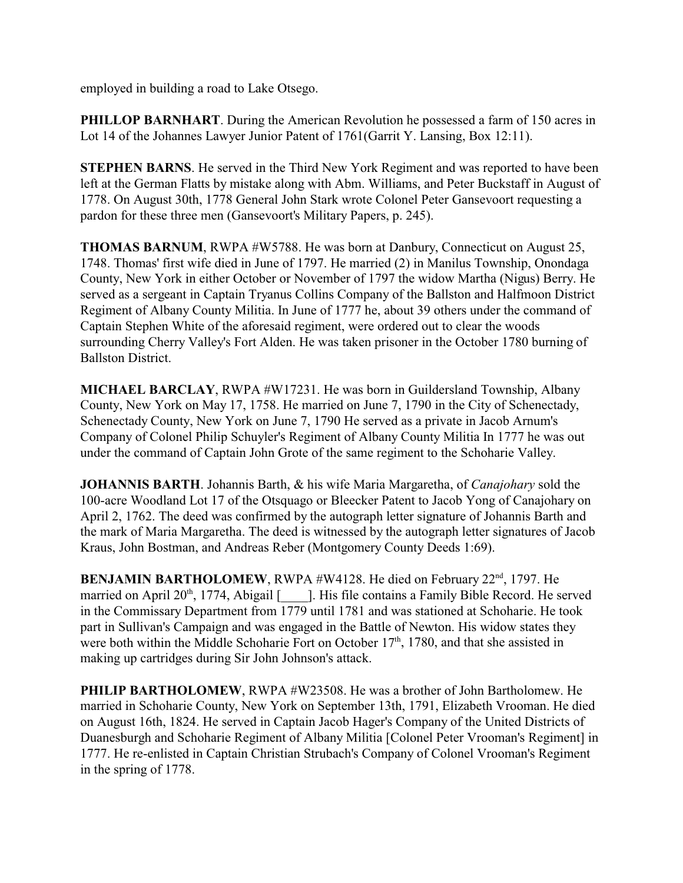employed in building a road to Lake Otsego.

**PHILLOP BARNHART**. During the American Revolution he possessed a farm of 150 acres in Lot 14 of the Johannes Lawyer Junior Patent of 1761(Garrit Y. Lansing, Box 12:11).

**STEPHEN BARNS**. He served in the Third New York Regiment and was reported to have been left at the German Flatts by mistake along with Abm. Williams, and Peter Buckstaff in August of 1778. On August 30th, 1778 General John Stark wrote Colonel Peter Gansevoort requesting a pardon for these three men (Gansevoort's Military Papers, p. 245).

**THOMAS BARNUM**, RWPA #W5788. He was born at Danbury, Connecticut on August 25, 1748. Thomas' first wife died in June of 1797. He married (2) in Manilus Township, Onondaga County, New York in either October or November of 1797 the widow Martha (Nigus) Berry. He served as a sergeant in Captain Tryanus Collins Company of the Ballston and Halfmoon District Regiment of Albany County Militia. In June of 1777 he, about 39 others under the command of Captain Stephen White of the aforesaid regiment, were ordered out to clear the woods surrounding Cherry Valley's Fort Alden. He was taken prisoner in the October 1780 burning of Ballston District.

**MICHAEL BARCLAY**, RWPA #W17231. He was born in Guildersland Township, Albany County, New York on May 17, 1758. He married on June 7, 1790 in the City of Schenectady, Schenectady County, New York on June 7, 1790 He served as a private in Jacob Arnum's Company of Colonel Philip Schuyler's Regiment of Albany County Militia In 1777 he was out under the command of Captain John Grote of the same regiment to the Schoharie Valley.

**JOHANNIS BARTH**. Johannis Barth, & his wife Maria Margaretha, of *Canajohary* sold the 100-acre Woodland Lot 17 of the Otsquago or Bleecker Patent to Jacob Yong of Canajohary on April 2, 1762. The deed was confirmed by the autograph letter signature of Johannis Barth and the mark of Maria Margaretha. The deed is witnessed by the autograph letter signatures of Jacob Kraus, John Bostman, and Andreas Reber (Montgomery County Deeds 1:69).

BENJAMIN BARTHOLOMEW, RWPA #W4128. He died on February 22<sup>nd</sup>, 1797. He married on April 20<sup>th</sup>, 1774, Abigail [\_\_\_\_\_]. His file contains a Family Bible Record. He served in the Commissary Department from 1779 until 1781 and was stationed at Schoharie. He took part in Sullivan's Campaign and was engaged in the Battle of Newton. His widow states they were both within the Middle Schoharie Fort on October 17<sup>th</sup>, 1780, and that she assisted in making up cartridges during Sir John Johnson's attack.

**PHILIP BARTHOLOMEW**, RWPA #W23508. He was a brother of John Bartholomew. He married in Schoharie County, New York on September 13th, 1791, Elizabeth Vrooman. He died on August 16th, 1824. He served in Captain Jacob Hager's Company of the United Districts of Duanesburgh and Schoharie Regiment of Albany Militia [Colonel Peter Vrooman's Regiment] in 1777. He re-enlisted in Captain Christian Strubach's Company of Colonel Vrooman's Regiment in the spring of 1778.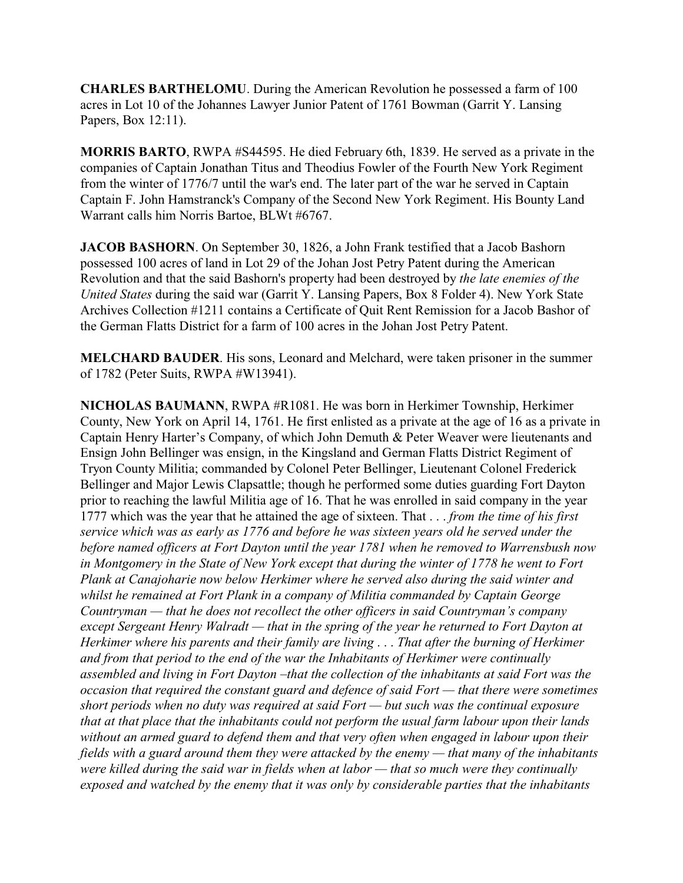**CHARLES BARTHELOMU**. During the American Revolution he possessed a farm of 100 acres in Lot 10 of the Johannes Lawyer Junior Patent of 1761 Bowman (Garrit Y. Lansing Papers, Box 12:11).

**MORRIS BARTO**, RWPA #S44595. He died February 6th, 1839. He served as a private in the companies of Captain Jonathan Titus and Theodius Fowler of the Fourth New York Regiment from the winter of 1776/7 until the war's end. The later part of the war he served in Captain Captain F. John Hamstranck's Company of the Second New York Regiment. His Bounty Land Warrant calls him Norris Bartoe, BLWt #6767.

**JACOB BASHORN**. On September 30, 1826, a John Frank testified that a Jacob Bashorn possessed 100 acres of land in Lot 29 of the Johan Jost Petry Patent during the American Revolution and that the said Bashorn's property had been destroyed by *the late enemies of the United States* during the said war (Garrit Y. Lansing Papers, Box 8 Folder 4). New York State Archives Collection #1211 contains a Certificate of Quit Rent Remission for a Jacob Bashor of the German Flatts District for a farm of 100 acres in the Johan Jost Petry Patent.

**MELCHARD BAUDER**. His sons, Leonard and Melchard, were taken prisoner in the summer of 1782 (Peter Suits, RWPA #W13941).

**NICHOLAS BAUMANN**, RWPA #R1081. He was born in Herkimer Township, Herkimer County, New York on April 14, 1761. He first enlisted as a private at the age of 16 as a private in Captain Henry Harter's Company, of which John Demuth & Peter Weaver were lieutenants and Ensign John Bellinger was ensign, in the Kingsland and German Flatts District Regiment of Tryon County Militia; commanded by Colonel Peter Bellinger, Lieutenant Colonel Frederick Bellinger and Major Lewis Clapsattle; though he performed some duties guarding Fort Dayton prior to reaching the lawful Militia age of 16. That he was enrolled in said company in the year 1777 which was the year that he attained the age of sixteen. That . . . *from the time of his first service which was as early as 1776 and before he was sixteen years old he served under the before named officers at Fort Dayton until the year 1781 when he removed to Warrensbush now in Montgomery in the State of New York except that during the winter of 1778 he went to Fort Plank at Canajoharie now below Herkimer where he served also during the said winter and whilst he remained at Fort Plank in a company of Militia commanded by Captain George Countryman — that he does not recollect the other officers in said Countryman's company except Sergeant Henry Walradt — that in the spring of the year he returned to Fort Dayton at Herkimer where his parents and their family are living* . . . *That after the burning of Herkimer and from that period to the end of the war the Inhabitants of Herkimer were continually assembled and living in Fort Dayton –that the collection of the inhabitants at said Fort was the occasion that required the constant guard and defence of said Fort — that there were sometimes short periods when no duty was required at said Fort — but such was the continual exposure that at that place that the inhabitants could not perform the usual farm labour upon their lands without an armed guard to defend them and that very often when engaged in labour upon their fields with a guard around them they were attacked by the enemy — that many of the inhabitants were killed during the said war in fields when at labor — that so much were they continually exposed and watched by the enemy that it was only by considerable parties that the inhabitants*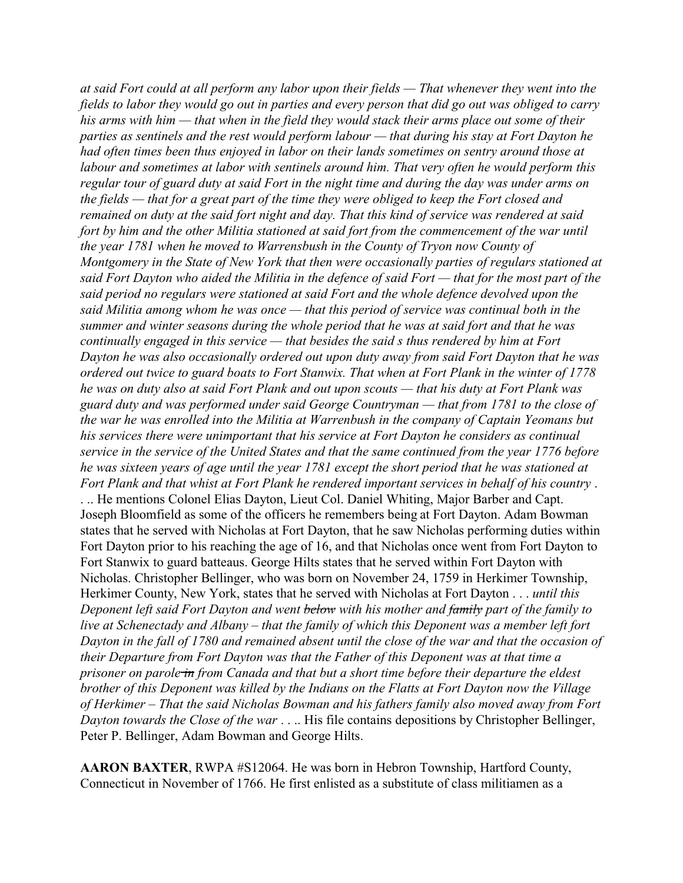*at said Fort could at all perform any labor upon their fields — That whenever they went into the fields to labor they would go out in parties and every person that did go out was obliged to carry his arms with him — that when in the field they would stack their arms place out some of their parties as sentinels and the rest would perform labour — that during his stay at Fort Dayton he had often times been thus enjoyed in labor on their lands sometimes on sentry around those at labour and sometimes at labor with sentinels around him. That very often he would perform this regular tour of guard duty at said Fort in the night time and during the day was under arms on the fields — that for a great part of the time they were obliged to keep the Fort closed and remained on duty at the said fort night and day. That this kind of service was rendered at said fort by him and the other Militia stationed at said fort from the commencement of the war until the year 1781 when he moved to Warrensbush in the County of Tryon now County of Montgomery in the State of New York that then were occasionally parties of regulars stationed at said Fort Dayton who aided the Militia in the defence of said Fort — that for the most part of the said period no regulars were stationed at said Fort and the whole defence devolved upon the said Militia among whom he was once — that this period of service was continual both in the summer and winter seasons during the whole period that he was at said fort and that he was continually engaged in this service — that besides the said s thus rendered by him at Fort Dayton he was also occasionally ordered out upon duty away from said Fort Dayton that he was ordered out twice to guard boats to Fort Stanwix. That when at Fort Plank in the winter of 1778 he was on duty also at said Fort Plank and out upon scouts — that his duty at Fort Plank was guard duty and was performed under said George Countryman — that from 1781 to the close of the war he was enrolled into the Militia at Warrenbush in the company of Captain Yeomans but his services there were unimportant that his service at Fort Dayton he considers as continual service in the service of the United States and that the same continued from the year 1776 before he was sixteen years of age until the year 1781 except the short period that he was stationed at Fort Plank and that whist at Fort Plank he rendered important services in behalf of his country* . . .. He mentions Colonel Elias Dayton, Lieut Col. Daniel Whiting, Major Barber and Capt. Joseph Bloomfield as some of the officers he remembers being at Fort Dayton. Adam Bowman states that he served with Nicholas at Fort Dayton, that he saw Nicholas performing duties within Fort Dayton prior to his reaching the age of 16, and that Nicholas once went from Fort Dayton to Fort Stanwix to guard batteaus. George Hilts states that he served within Fort Dayton with Nicholas. Christopher Bellinger, who was born on November 24, 1759 in Herkimer Township, Herkimer County, New York, states that he served with Nicholas at Fort Dayton . . . *until this Deponent left said Fort Dayton and went below with his mother and family part of the family to live at Schenectady and Albany – that the family of which this Deponent was a member left fort Dayton in the fall of 1780 and remained absent until the close of the war and that the occasion of their Departure from Fort Dayton was that the Father of this Deponent was at that time a prisoner on parole in from Canada and that but a short time before their departure the eldest brother of this Deponent was killed by the Indians on the Flatts at Fort Dayton now the Village of Herkimer – That the said Nicholas Bowman and his fathers family also moved away from Fort Dayton towards the Close of the war* . . .. His file contains depositions by Christopher Bellinger, Peter P. Bellinger, Adam Bowman and George Hilts.

**AARON BAXTER**, RWPA #S12064. He was born in Hebron Township, Hartford County, Connecticut in November of 1766. He first enlisted as a substitute of class militiamen as a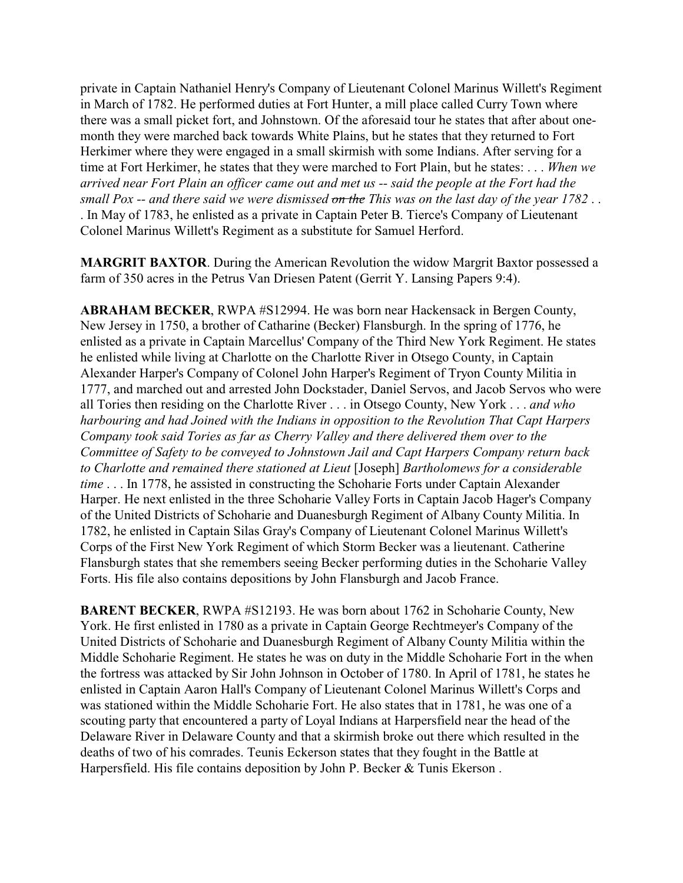private in Captain Nathaniel Henry's Company of Lieutenant Colonel Marinus Willett's Regiment in March of 1782. He performed duties at Fort Hunter, a mill place called Curry Town where there was a small picket fort, and Johnstown. Of the aforesaid tour he states that after about onemonth they were marched back towards White Plains, but he states that they returned to Fort Herkimer where they were engaged in a small skirmish with some Indians. After serving for a time at Fort Herkimer, he states that they were marched to Fort Plain, but he states: . . . *When we arrived near Fort Plain an officer came out and met us -- said the people at the Fort had the small Pox -- and there said we were dismissed on the This was on the last day of the year 1782* . . . In May of 1783, he enlisted as a private in Captain Peter B. Tierce's Company of Lieutenant Colonel Marinus Willett's Regiment as a substitute for Samuel Herford.

**MARGRIT BAXTOR**. During the American Revolution the widow Margrit Baxtor possessed a farm of 350 acres in the Petrus Van Driesen Patent (Gerrit Y. Lansing Papers 9:4).

**ABRAHAM BECKER**, RWPA #S12994. He was born near Hackensack in Bergen County, New Jersey in 1750, a brother of Catharine (Becker) Flansburgh. In the spring of 1776, he enlisted as a private in Captain Marcellus' Company of the Third New York Regiment. He states he enlisted while living at Charlotte on the Charlotte River in Otsego County, in Captain Alexander Harper's Company of Colonel John Harper's Regiment of Tryon County Militia in 1777, and marched out and arrested John Dockstader, Daniel Servos, and Jacob Servos who were all Tories then residing on the Charlotte River . . . in Otsego County, New York . . . *and who harbouring and had Joined with the Indians in opposition to the Revolution That Capt Harpers Company took said Tories as far as Cherry Valley and there delivered them over to the Committee of Safety to be conveyed to Johnstown Jail and Capt Harpers Company return back to Charlotte and remained there stationed at Lieut* [Joseph] *Bartholomews for a considerable time* . . . In 1778, he assisted in constructing the Schoharie Forts under Captain Alexander Harper. He next enlisted in the three Schoharie Valley Forts in Captain Jacob Hager's Company of the United Districts of Schoharie and Duanesburgh Regiment of Albany County Militia. In 1782, he enlisted in Captain Silas Gray's Company of Lieutenant Colonel Marinus Willett's Corps of the First New York Regiment of which Storm Becker was a lieutenant. Catherine Flansburgh states that she remembers seeing Becker performing duties in the Schoharie Valley Forts. His file also contains depositions by John Flansburgh and Jacob France.

**BARENT BECKER**, RWPA #S12193. He was born about 1762 in Schoharie County, New York. He first enlisted in 1780 as a private in Captain George Rechtmeyer's Company of the United Districts of Schoharie and Duanesburgh Regiment of Albany County Militia within the Middle Schoharie Regiment. He states he was on duty in the Middle Schoharie Fort in the when the fortress was attacked by Sir John Johnson in October of 1780. In April of 1781, he states he enlisted in Captain Aaron Hall's Company of Lieutenant Colonel Marinus Willett's Corps and was stationed within the Middle Schoharie Fort. He also states that in 1781, he was one of a scouting party that encountered a party of Loyal Indians at Harpersfield near the head of the Delaware River in Delaware County and that a skirmish broke out there which resulted in the deaths of two of his comrades. Teunis Eckerson states that they fought in the Battle at Harpersfield. His file contains deposition by John P. Becker & Tunis Ekerson .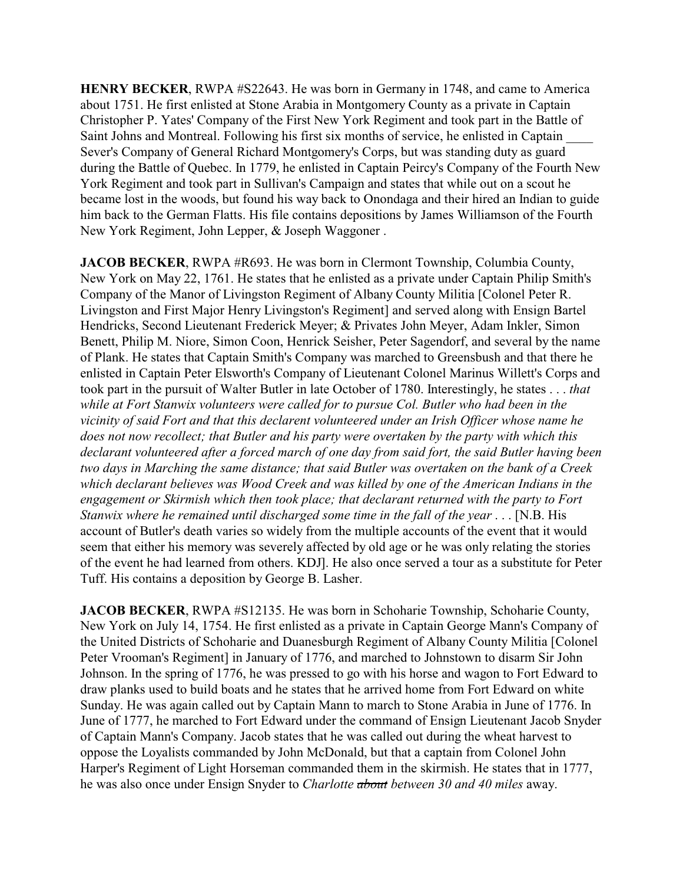**HENRY BECKER**, RWPA #S22643. He was born in Germany in 1748, and came to America about 1751. He first enlisted at Stone Arabia in Montgomery County as a private in Captain Christopher P. Yates' Company of the First New York Regiment and took part in the Battle of Saint Johns and Montreal. Following his first six months of service, he enlisted in Captain \_\_\_\_ Sever's Company of General Richard Montgomery's Corps, but was standing duty as guard during the Battle of Quebec. In 1779, he enlisted in Captain Peircy's Company of the Fourth New York Regiment and took part in Sullivan's Campaign and states that while out on a scout he became lost in the woods, but found his way back to Onondaga and their hired an Indian to guide him back to the German Flatts. His file contains depositions by James Williamson of the Fourth New York Regiment, John Lepper, & Joseph Waggoner .

**JACOB BECKER**, RWPA #R693. He was born in Clermont Township, Columbia County, New York on May 22, 1761. He states that he enlisted as a private under Captain Philip Smith's Company of the Manor of Livingston Regiment of Albany County Militia [Colonel Peter R. Livingston and First Major Henry Livingston's Regiment] and served along with Ensign Bartel Hendricks, Second Lieutenant Frederick Meyer; & Privates John Meyer, Adam Inkler, Simon Benett, Philip M. Niore, Simon Coon, Henrick Seisher, Peter Sagendorf, and several by the name of Plank. He states that Captain Smith's Company was marched to Greensbush and that there he enlisted in Captain Peter Elsworth's Company of Lieutenant Colonel Marinus Willett's Corps and took part in the pursuit of Walter Butler in late October of 1780. Interestingly, he states . . . *that while at Fort Stanwix volunteers were called for to pursue Col. Butler who had been in the vicinity of said Fort and that this declarent volunteered under an Irish Officer whose name he does not now recollect; that Butler and his party were overtaken by the party with which this declarant volunteered after a forced march of one day from said fort, the said Butler having been two days in Marching the same distance; that said Butler was overtaken on the bank of a Creek which declarant believes was Wood Creek and was killed by one of the American Indians in the engagement or Skirmish which then took place; that declarant returned with the party to Fort Stanwix where he remained until discharged some time in the fall of the year* . . . [N.B. His account of Butler's death varies so widely from the multiple accounts of the event that it would seem that either his memory was severely affected by old age or he was only relating the stories of the event he had learned from others. KDJ]. He also once served a tour as a substitute for Peter Tuff. His contains a deposition by George B. Lasher.

**JACOB BECKER**, RWPA #S12135. He was born in Schoharie Township, Schoharie County, New York on July 14, 1754. He first enlisted as a private in Captain George Mann's Company of the United Districts of Schoharie and Duanesburgh Regiment of Albany County Militia [Colonel Peter Vrooman's Regiment] in January of 1776, and marched to Johnstown to disarm Sir John Johnson. In the spring of 1776, he was pressed to go with his horse and wagon to Fort Edward to draw planks used to build boats and he states that he arrived home from Fort Edward on white Sunday. He was again called out by Captain Mann to march to Stone Arabia in June of 1776. In June of 1777, he marched to Fort Edward under the command of Ensign Lieutenant Jacob Snyder of Captain Mann's Company. Jacob states that he was called out during the wheat harvest to oppose the Loyalists commanded by John McDonald, but that a captain from Colonel John Harper's Regiment of Light Horseman commanded them in the skirmish. He states that in 1777, he was also once under Ensign Snyder to *Charlotte about between 30 and 40 miles* away.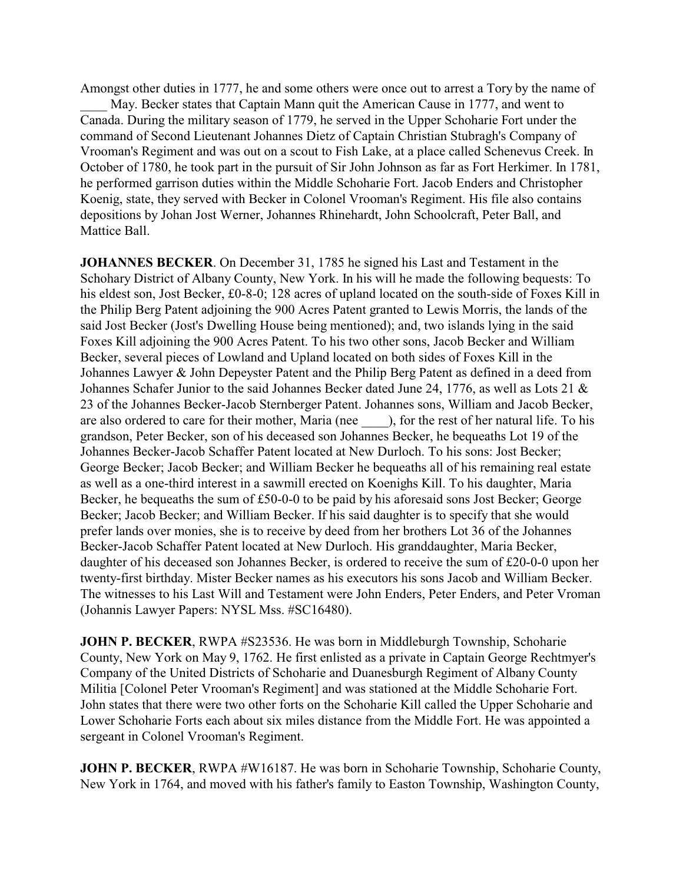Amongst other duties in 1777, he and some others were once out to arrest a Tory by the name of May. Becker states that Captain Mann quit the American Cause in 1777, and went to Canada. During the military season of 1779, he served in the Upper Schoharie Fort under the command of Second Lieutenant Johannes Dietz of Captain Christian Stubragh's Company of Vrooman's Regiment and was out on a scout to Fish Lake, at a place called Schenevus Creek. In October of 1780, he took part in the pursuit of Sir John Johnson as far as Fort Herkimer. In 1781, he performed garrison duties within the Middle Schoharie Fort. Jacob Enders and Christopher Koenig, state, they served with Becker in Colonel Vrooman's Regiment. His file also contains depositions by Johan Jost Werner, Johannes Rhinehardt, John Schoolcraft, Peter Ball, and Mattice Ball.

**JOHANNES BECKER**. On December 31, 1785 he signed his Last and Testament in the Schohary District of Albany County, New York. In his will he made the following bequests: To his eldest son, Jost Becker, £0-8-0; 128 acres of upland located on the south-side of Foxes Kill in the Philip Berg Patent adjoining the 900 Acres Patent granted to Lewis Morris, the lands of the said Jost Becker (Jost's Dwelling House being mentioned); and, two islands lying in the said Foxes Kill adjoining the 900 Acres Patent. To his two other sons, Jacob Becker and William Becker, several pieces of Lowland and Upland located on both sides of Foxes Kill in the Johannes Lawyer & John Depeyster Patent and the Philip Berg Patent as defined in a deed from Johannes Schafer Junior to the said Johannes Becker dated June 24, 1776, as well as Lots 21 & 23 of the Johannes Becker-Jacob Sternberger Patent. Johannes sons, William and Jacob Becker, are also ordered to care for their mother, Maria (nee  $\qquad$ ), for the rest of her natural life. To his grandson, Peter Becker, son of his deceased son Johannes Becker, he bequeaths Lot 19 of the Johannes Becker-Jacob Schaffer Patent located at New Durloch. To his sons: Jost Becker; George Becker; Jacob Becker; and William Becker he bequeaths all of his remaining real estate as well as a one-third interest in a sawmill erected on Koenighs Kill. To his daughter, Maria Becker, he bequeaths the sum of £50-0-0 to be paid by his aforesaid sons Jost Becker; George Becker; Jacob Becker; and William Becker. If his said daughter is to specify that she would prefer lands over monies, she is to receive by deed from her brothers Lot 36 of the Johannes Becker-Jacob Schaffer Patent located at New Durloch. His granddaughter, Maria Becker, daughter of his deceased son Johannes Becker, is ordered to receive the sum of £20-0-0 upon her twenty-first birthday. Mister Becker names as his executors his sons Jacob and William Becker. The witnesses to his Last Will and Testament were John Enders, Peter Enders, and Peter Vroman (Johannis Lawyer Papers: NYSL Mss. #SC16480).

**JOHN P. BECKER**, RWPA #S23536. He was born in Middleburgh Township, Schoharie County, New York on May 9, 1762. He first enlisted as a private in Captain George Rechtmyer's Company of the United Districts of Schoharie and Duanesburgh Regiment of Albany County Militia [Colonel Peter Vrooman's Regiment] and was stationed at the Middle Schoharie Fort. John states that there were two other forts on the Schoharie Kill called the Upper Schoharie and Lower Schoharie Forts each about six miles distance from the Middle Fort. He was appointed a sergeant in Colonel Vrooman's Regiment.

**JOHN P. BECKER, RWPA #W16187. He was born in Schoharie Township, Schoharie County,** New York in 1764, and moved with his father's family to Easton Township, Washington County,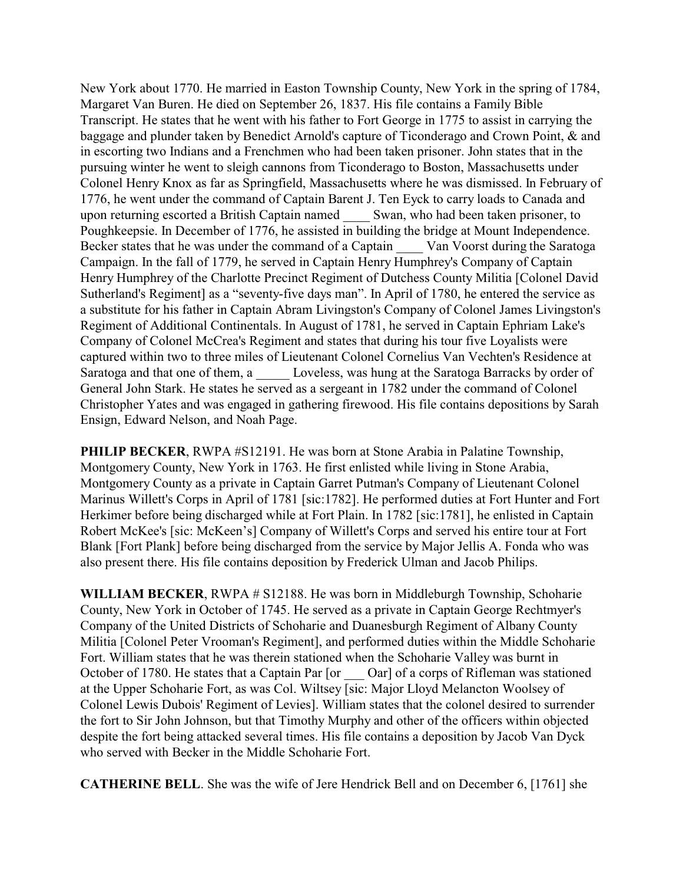New York about 1770. He married in Easton Township County, New York in the spring of 1784, Margaret Van Buren. He died on September 26, 1837. His file contains a Family Bible Transcript. He states that he went with his father to Fort George in 1775 to assist in carrying the baggage and plunder taken by Benedict Arnold's capture of Ticonderago and Crown Point, & and in escorting two Indians and a Frenchmen who had been taken prisoner. John states that in the pursuing winter he went to sleigh cannons from Ticonderago to Boston, Massachusetts under Colonel Henry Knox as far as Springfield, Massachusetts where he was dismissed. In February of 1776, he went under the command of Captain Barent J. Ten Eyck to carry loads to Canada and upon returning escorted a British Captain named \_\_\_\_ Swan, who had been taken prisoner, to Poughkeepsie. In December of 1776, he assisted in building the bridge at Mount Independence. Becker states that he was under the command of a Captain Van Voorst during the Saratoga Campaign. In the fall of 1779, he served in Captain Henry Humphrey's Company of Captain Henry Humphrey of the Charlotte Precinct Regiment of Dutchess County Militia [Colonel David Sutherland's Regiment] as a "seventy-five days man". In April of 1780, he entered the service as a substitute for his father in Captain Abram Livingston's Company of Colonel James Livingston's Regiment of Additional Continentals. In August of 1781, he served in Captain Ephriam Lake's Company of Colonel McCrea's Regiment and states that during his tour five Loyalists were captured within two to three miles of Lieutenant Colonel Cornelius Van Vechten's Residence at Saratoga and that one of them, a Loveless, was hung at the Saratoga Barracks by order of General John Stark. He states he served as a sergeant in 1782 under the command of Colonel Christopher Yates and was engaged in gathering firewood. His file contains depositions by Sarah Ensign, Edward Nelson, and Noah Page.

**PHILIP BECKER**, RWPA #S12191. He was born at Stone Arabia in Palatine Township, Montgomery County, New York in 1763. He first enlisted while living in Stone Arabia, Montgomery County as a private in Captain Garret Putman's Company of Lieutenant Colonel Marinus Willett's Corps in April of 1781 [sic:1782]. He performed duties at Fort Hunter and Fort Herkimer before being discharged while at Fort Plain. In 1782 [sic:1781], he enlisted in Captain Robert McKee's [sic: McKeen's] Company of Willett's Corps and served his entire tour at Fort Blank [Fort Plank] before being discharged from the service by Major Jellis A. Fonda who was also present there. His file contains deposition by Frederick Ulman and Jacob Philips.

**WILLIAM BECKER**, RWPA # S12188. He was born in Middleburgh Township, Schoharie County, New York in October of 1745. He served as a private in Captain George Rechtmyer's Company of the United Districts of Schoharie and Duanesburgh Regiment of Albany County Militia [Colonel Peter Vrooman's Regiment], and performed duties within the Middle Schoharie Fort. William states that he was therein stationed when the Schoharie Valley was burnt in October of 1780. He states that a Captain Par [or  $\qquad$  Oar] of a corps of Rifleman was stationed at the Upper Schoharie Fort, as was Col. Wiltsey [sic: Major Lloyd Melancton Woolsey of Colonel Lewis Dubois' Regiment of Levies]. William states that the colonel desired to surrender the fort to Sir John Johnson, but that Timothy Murphy and other of the officers within objected despite the fort being attacked several times. His file contains a deposition by Jacob Van Dyck who served with Becker in the Middle Schoharie Fort.

**CATHERINE BELL**. She was the wife of Jere Hendrick Bell and on December 6, [1761] she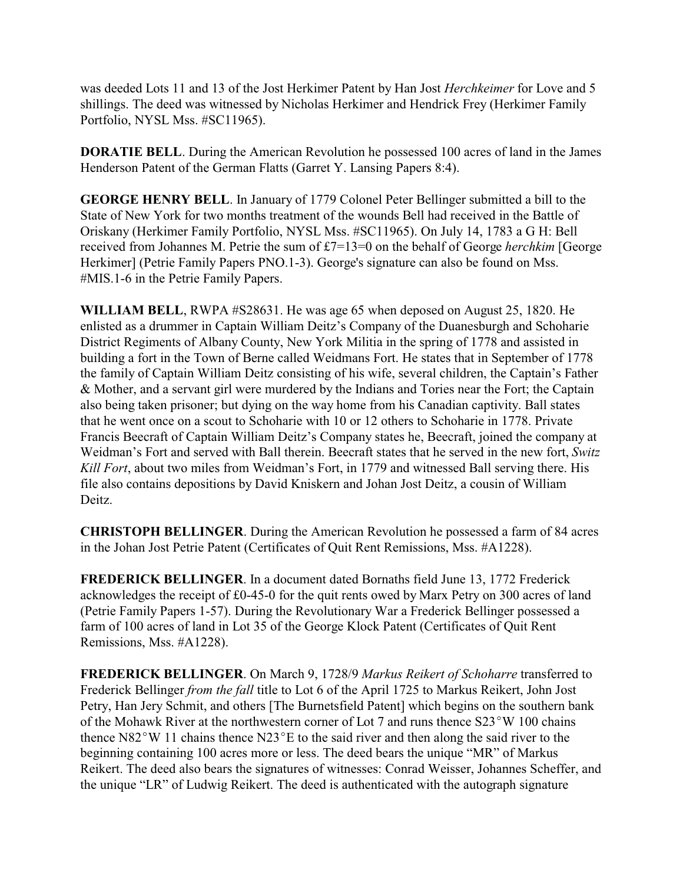was deeded Lots 11 and 13 of the Jost Herkimer Patent by Han Jost *Herchkeimer* for Love and 5 shillings. The deed was witnessed by Nicholas Herkimer and Hendrick Frey (Herkimer Family Portfolio, NYSL Mss. #SC11965).

**DORATIE BELL**. During the American Revolution he possessed 100 acres of land in the James Henderson Patent of the German Flatts (Garret Y. Lansing Papers 8:4).

**GEORGE HENRY BELL**. In January of 1779 Colonel Peter Bellinger submitted a bill to the State of New York for two months treatment of the wounds Bell had received in the Battle of Oriskany (Herkimer Family Portfolio, NYSL Mss. #SC11965). On July 14, 1783 a G H: Bell received from Johannes M. Petrie the sum of £7=13=0 on the behalf of George *herchkim* [George Herkimer] (Petrie Family Papers PNO.1-3). George's signature can also be found on Mss. #MIS.1-6 in the Petrie Family Papers.

**WILLIAM BELL**, RWPA #S28631. He was age 65 when deposed on August 25, 1820. He enlisted as a drummer in Captain William Deitz's Company of the Duanesburgh and Schoharie District Regiments of Albany County, New York Militia in the spring of 1778 and assisted in building a fort in the Town of Berne called Weidmans Fort. He states that in September of 1778 the family of Captain William Deitz consisting of his wife, several children, the Captain's Father & Mother, and a servant girl were murdered by the Indians and Tories near the Fort; the Captain also being taken prisoner; but dying on the way home from his Canadian captivity. Ball states that he went once on a scout to Schoharie with 10 or 12 others to Schoharie in 1778. Private Francis Beecraft of Captain William Deitz's Company states he, Beecraft, joined the company at Weidman's Fort and served with Ball therein. Beecraft states that he served in the new fort, *Switz Kill Fort*, about two miles from Weidman's Fort, in 1779 and witnessed Ball serving there. His file also contains depositions by David Kniskern and Johan Jost Deitz, a cousin of William Deitz.

**CHRISTOPH BELLINGER**. During the American Revolution he possessed a farm of 84 acres in the Johan Jost Petrie Patent (Certificates of Quit Rent Remissions, Mss. #A1228).

**FREDERICK BELLINGER**. In a document dated Bornaths field June 13, 1772 Frederick acknowledges the receipt of £0-45-0 for the quit rents owed by Marx Petry on 300 acres of land (Petrie Family Papers 1-57). During the Revolutionary War a Frederick Bellinger possessed a farm of 100 acres of land in Lot 35 of the George Klock Patent (Certificates of Quit Rent Remissions, Mss. #A1228).

**FREDERICK BELLINGER**. On March 9, 1728/9 *Markus Reikert of Schoharre* transferred to Frederick Bellinger *from the fall* title to Lot 6 of the April 1725 to Markus Reikert, John Jost Petry, Han Jery Schmit, and others [The Burnetsfield Patent] which begins on the southern bank of the Mohawk River at the northwestern corner of Lot 7 and runs thence  $S23^{\circ}W$  100 chains thence  $N82^{\circ}W$  11 chains thence  $N23^{\circ}E$  to the said river and then along the said river to the beginning containing 100 acres more or less. The deed bears the unique "MR" of Markus Reikert. The deed also bears the signatures of witnesses: Conrad Weisser, Johannes Scheffer, and the unique "LR" of Ludwig Reikert. The deed is authenticated with the autograph signature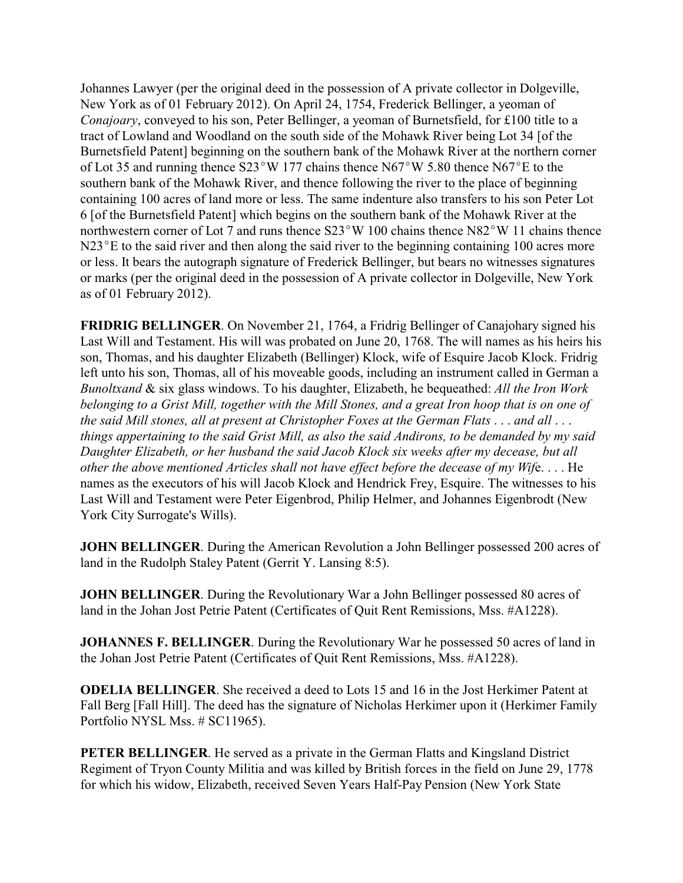Johannes Lawyer (per the original deed in the possession of A private collector in Dolgeville, New York as of 01 February 2012). On April 24, 1754, Frederick Bellinger, a yeoman of *Conajoary*, conveyed to his son, Peter Bellinger, a yeoman of Burnetsfield, for £100 title to a tract of Lowland and Woodland on the south side of the Mohawk River being Lot 34 [of the Burnetsfield Patent] beginning on the southern bank of the Mohawk River at the northern corner of Lot 35 and running thence  $S23^{\circ}W$  177 chains thence N67°W 5.80 thence N67°E to the southern bank of the Mohawk River, and thence following the river to the place of beginning containing 100 acres of land more or less. The same indenture also transfers to his son Peter Lot 6 [of the Burnetsfield Patent] which begins on the southern bank of the Mohawk River at the northwestern corner of Lot 7 and runs thence  $S23^{\circ}W$  100 chains thence N82°W 11 chains thence  $N23^{\circ}E$  to the said river and then along the said river to the beginning containing 100 acres more or less. It bears the autograph signature of Frederick Bellinger, but bears no witnesses signatures or marks (per the original deed in the possession of A private collector in Dolgeville, New York as of 01 February 2012).

**FRIDRIG BELLINGER**. On November 21, 1764, a Fridrig Bellinger of Canajohary signed his Last Will and Testament. His will was probated on June 20, 1768. The will names as his heirs his son, Thomas, and his daughter Elizabeth (Bellinger) Klock, wife of Esquire Jacob Klock. Fridrig left unto his son, Thomas, all of his moveable goods, including an instrument called in German a *Bunoltxand* & six glass windows. To his daughter, Elizabeth, he bequeathed: *All the Iron Work belonging to a Grist Mill, together with the Mill Stones, and a great Iron hoop that is on one of the said Mill stones, all at present at Christopher Foxes at the German Flats* . . . *and all* . . . *things appertaining to the said Grist Mill, as also the said Andirons, to be demanded by my said Daughter Elizabeth, or her husband the said Jacob Klock six weeks after my decease, but all other the above mentioned Articles shall not have effect before the decease of my Wif*e. . . . He names as the executors of his will Jacob Klock and Hendrick Frey, Esquire. The witnesses to his Last Will and Testament were Peter Eigenbrod, Philip Helmer, and Johannes Eigenbrodt (New York City Surrogate's Wills).

**JOHN BELLINGER**. During the American Revolution a John Bellinger possessed 200 acres of land in the Rudolph Staley Patent (Gerrit Y. Lansing 8:5).

**JOHN BELLINGER**. During the Revolutionary War a John Bellinger possessed 80 acres of land in the Johan Jost Petrie Patent (Certificates of Quit Rent Remissions, Mss. #A1228).

**JOHANNES F. BELLINGER**. During the Revolutionary War he possessed 50 acres of land in the Johan Jost Petrie Patent (Certificates of Quit Rent Remissions, Mss. #A1228).

**ODELIA BELLINGER**. She received a deed to Lots 15 and 16 in the Jost Herkimer Patent at Fall Berg [Fall Hill]. The deed has the signature of Nicholas Herkimer upon it (Herkimer Family Portfolio NYSL Mss. # SC11965).

**PETER BELLINGER.** He served as a private in the German Flatts and Kingsland District Regiment of Tryon County Militia and was killed by British forces in the field on June 29, 1778 for which his widow, Elizabeth, received Seven Years Half-Pay Pension (New York State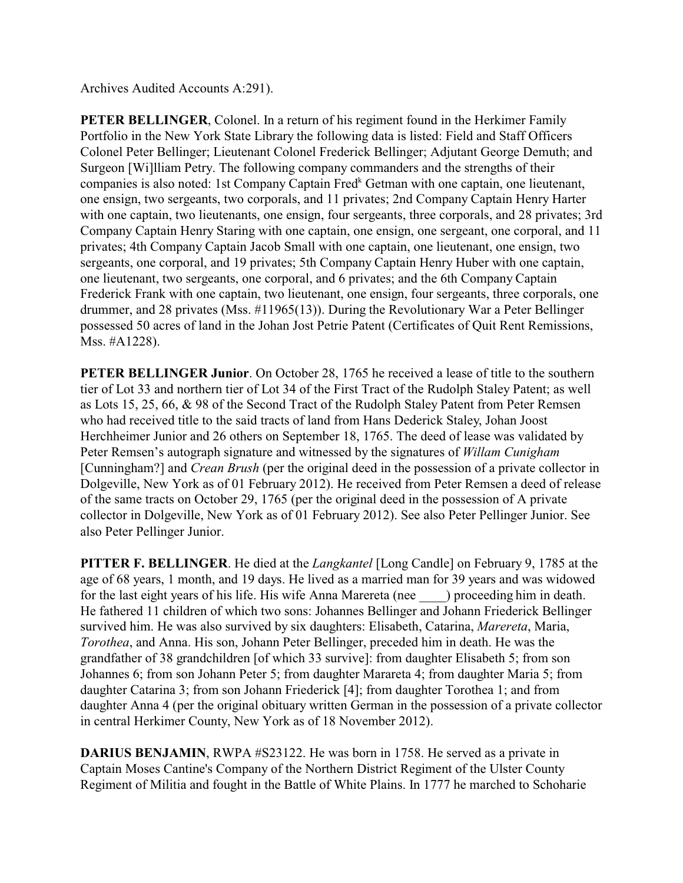Archives Audited Accounts A:291).

**PETER BELLINGER, Colonel.** In a return of his regiment found in the Herkimer Family Portfolio in the New York State Library the following data is listed: Field and Staff Officers Colonel Peter Bellinger; Lieutenant Colonel Frederick Bellinger; Adjutant George Demuth; and Surgeon [Wi]lliam Petry. The following company commanders and the strengths of their companies is also noted: 1st Company Captain Fred<sup>k</sup> Getman with one captain, one lieutenant, one ensign, two sergeants, two corporals, and 11 privates; 2nd Company Captain Henry Harter with one captain, two lieutenants, one ensign, four sergeants, three corporals, and 28 privates; 3rd Company Captain Henry Staring with one captain, one ensign, one sergeant, one corporal, and 11 privates; 4th Company Captain Jacob Small with one captain, one lieutenant, one ensign, two sergeants, one corporal, and 19 privates; 5th Company Captain Henry Huber with one captain, one lieutenant, two sergeants, one corporal, and 6 privates; and the 6th Company Captain Frederick Frank with one captain, two lieutenant, one ensign, four sergeants, three corporals, one drummer, and 28 privates (Mss. #11965(13)). During the Revolutionary War a Peter Bellinger possessed 50 acres of land in the Johan Jost Petrie Patent (Certificates of Quit Rent Remissions, Mss. #A1228).

**PETER BELLINGER Junior.** On October 28, 1765 he received a lease of title to the southern tier of Lot 33 and northern tier of Lot 34 of the First Tract of the Rudolph Staley Patent; as well as Lots 15, 25, 66, & 98 of the Second Tract of the Rudolph Staley Patent from Peter Remsen who had received title to the said tracts of land from Hans Dederick Staley, Johan Joost Herchheimer Junior and 26 others on September 18, 1765. The deed of lease was validated by Peter Remsen's autograph signature and witnessed by the signatures of *Willam Cunigham* [Cunningham?] and *Crean Brush* (per the original deed in the possession of a private collector in Dolgeville, New York as of 01 February 2012). He received from Peter Remsen a deed of release of the same tracts on October 29, 1765 (per the original deed in the possession of A private collector in Dolgeville, New York as of 01 February 2012). See also Peter Pellinger Junior. See also Peter Pellinger Junior.

**PITTER F. BELLINGER**. He died at the *Langkantel* [Long Candle] on February 9, 1785 at the age of 68 years, 1 month, and 19 days. He lived as a married man for 39 years and was widowed for the last eight years of his life. His wife Anna Marereta (nee \_\_\_\_) proceeding him in death. He fathered 11 children of which two sons: Johannes Bellinger and Johann Friederick Bellinger survived him. He was also survived by six daughters: Elisabeth, Catarina, *Marereta*, Maria, *Torothea*, and Anna. His son, Johann Peter Bellinger, preceded him in death. He was the grandfather of 38 grandchildren [of which 33 survive]: from daughter Elisabeth 5; from son Johannes 6; from son Johann Peter 5; from daughter Marareta 4; from daughter Maria 5; from daughter Catarina 3; from son Johann Friederick [4]; from daughter Torothea 1; and from daughter Anna 4 (per the original obituary written German in the possession of a private collector in central Herkimer County, New York as of 18 November 2012).

**DARIUS BENJAMIN**, RWPA #S23122. He was born in 1758. He served as a private in Captain Moses Cantine's Company of the Northern District Regiment of the Ulster County Regiment of Militia and fought in the Battle of White Plains. In 1777 he marched to Schoharie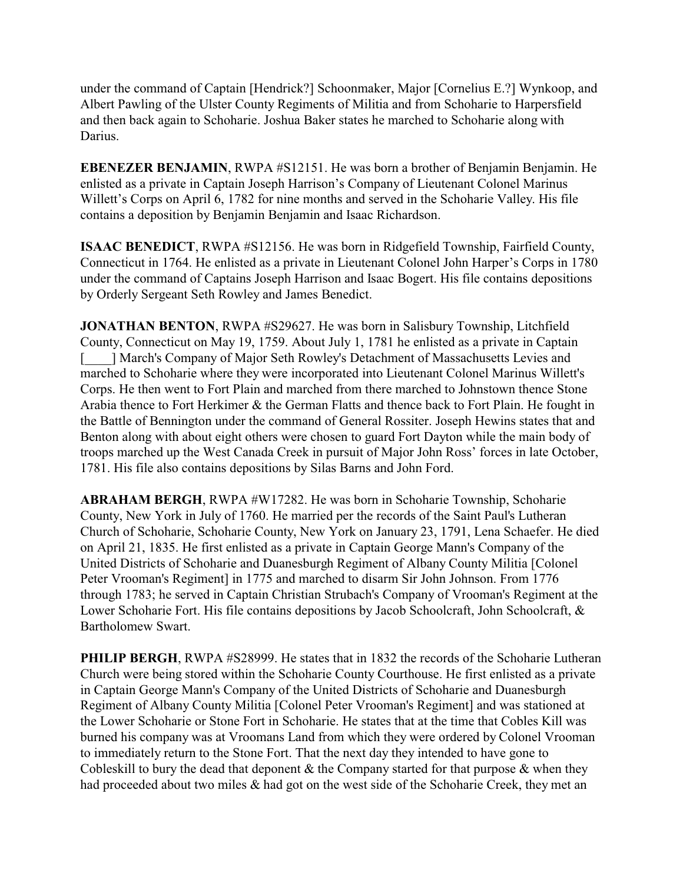under the command of Captain [Hendrick?] Schoonmaker, Major [Cornelius E.?] Wynkoop, and Albert Pawling of the Ulster County Regiments of Militia and from Schoharie to Harpersfield and then back again to Schoharie. Joshua Baker states he marched to Schoharie along with Darius.

**EBENEZER BENJAMIN, RWPA #S12151. He was born a brother of Benjamin Benjamin. He** enlisted as a private in Captain Joseph Harrison's Company of Lieutenant Colonel Marinus Willett's Corps on April 6, 1782 for nine months and served in the Schoharie Valley. His file contains a deposition by Benjamin Benjamin and Isaac Richardson.

**ISAAC BENEDICT**, RWPA #S12156. He was born in Ridgefield Township, Fairfield County, Connecticut in 1764. He enlisted as a private in Lieutenant Colonel John Harper's Corps in 1780 under the command of Captains Joseph Harrison and Isaac Bogert. His file contains depositions by Orderly Sergeant Seth Rowley and James Benedict.

**JONATHAN BENTON**, RWPA #S29627. He was born in Salisbury Township, Litchfield County, Connecticut on May 19, 1759. About July 1, 1781 he enlisted as a private in Captain [\_\_\_\_] March's Company of Major Seth Rowley's Detachment of Massachusetts Levies and marched to Schoharie where they were incorporated into Lieutenant Colonel Marinus Willett's Corps. He then went to Fort Plain and marched from there marched to Johnstown thence Stone Arabia thence to Fort Herkimer & the German Flatts and thence back to Fort Plain. He fought in the Battle of Bennington under the command of General Rossiter. Joseph Hewins states that and Benton along with about eight others were chosen to guard Fort Dayton while the main body of troops marched up the West Canada Creek in pursuit of Major John Ross' forces in late October, 1781. His file also contains depositions by Silas Barns and John Ford.

**ABRAHAM BERGH**, RWPA #W17282. He was born in Schoharie Township, Schoharie County, New York in July of 1760. He married per the records of the Saint Paul's Lutheran Church of Schoharie, Schoharie County, New York on January 23, 1791, Lena Schaefer. He died on April 21, 1835. He first enlisted as a private in Captain George Mann's Company of the United Districts of Schoharie and Duanesburgh Regiment of Albany County Militia [Colonel Peter Vrooman's Regiment] in 1775 and marched to disarm Sir John Johnson. From 1776 through 1783; he served in Captain Christian Strubach's Company of Vrooman's Regiment at the Lower Schoharie Fort. His file contains depositions by Jacob Schoolcraft, John Schoolcraft, & Bartholomew Swart.

**PHILIP BERGH**, RWPA #S28999. He states that in 1832 the records of the Schoharie Lutheran Church were being stored within the Schoharie County Courthouse. He first enlisted as a private in Captain George Mann's Company of the United Districts of Schoharie and Duanesburgh Regiment of Albany County Militia [Colonel Peter Vrooman's Regiment] and was stationed at the Lower Schoharie or Stone Fort in Schoharie. He states that at the time that Cobles Kill was burned his company was at Vroomans Land from which they were ordered by Colonel Vrooman to immediately return to the Stone Fort. That the next day they intended to have gone to Cobleskill to bury the dead that deponent  $\&$  the Company started for that purpose  $\&$  when they had proceeded about two miles & had got on the west side of the Schoharie Creek, they met an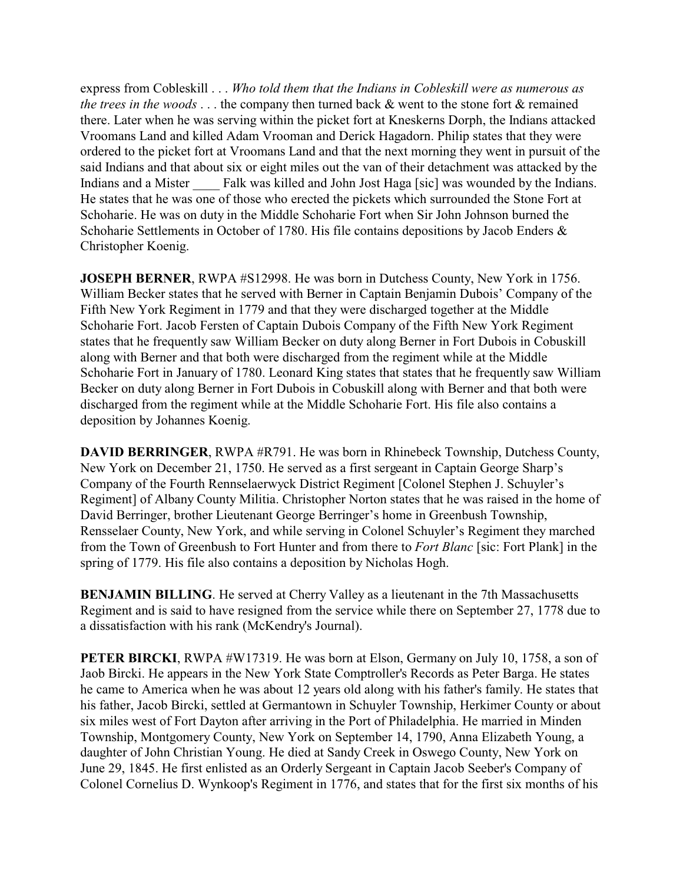express from Cobleskill . . . *Who told them that the Indians in Cobleskill were as numerous as the trees in the woods* . . . the company then turned back & went to the stone fort & remained there. Later when he was serving within the picket fort at Kneskerns Dorph, the Indians attacked Vroomans Land and killed Adam Vrooman and Derick Hagadorn. Philip states that they were ordered to the picket fort at Vroomans Land and that the next morning they went in pursuit of the said Indians and that about six or eight miles out the van of their detachment was attacked by the Indians and a Mister Falk was killed and John Jost Haga [sic] was wounded by the Indians. He states that he was one of those who erected the pickets which surrounded the Stone Fort at Schoharie. He was on duty in the Middle Schoharie Fort when Sir John Johnson burned the Schoharie Settlements in October of 1780. His file contains depositions by Jacob Enders & Christopher Koenig.

**JOSEPH BERNER**, RWPA #S12998. He was born in Dutchess County, New York in 1756. William Becker states that he served with Berner in Captain Benjamin Dubois' Company of the Fifth New York Regiment in 1779 and that they were discharged together at the Middle Schoharie Fort. Jacob Fersten of Captain Dubois Company of the Fifth New York Regiment states that he frequently saw William Becker on duty along Berner in Fort Dubois in Cobuskill along with Berner and that both were discharged from the regiment while at the Middle Schoharie Fort in January of 1780. Leonard King states that states that he frequently saw William Becker on duty along Berner in Fort Dubois in Cobuskill along with Berner and that both were discharged from the regiment while at the Middle Schoharie Fort. His file also contains a deposition by Johannes Koenig.

**DAVID BERRINGER**, RWPA #R791. He was born in Rhinebeck Township, Dutchess County, New York on December 21, 1750. He served as a first sergeant in Captain George Sharp's Company of the Fourth Rennselaerwyck District Regiment [Colonel Stephen J. Schuyler's Regiment] of Albany County Militia. Christopher Norton states that he was raised in the home of David Berringer, brother Lieutenant George Berringer's home in Greenbush Township, Rensselaer County, New York, and while serving in Colonel Schuyler's Regiment they marched from the Town of Greenbush to Fort Hunter and from there to *Fort Blanc* [sic: Fort Plank] in the spring of 1779. His file also contains a deposition by Nicholas Hogh.

**BENJAMIN BILLING**. He served at Cherry Valley as a lieutenant in the 7th Massachusetts Regiment and is said to have resigned from the service while there on September 27, 1778 due to a dissatisfaction with his rank (McKendry's Journal).

**PETER BIRCKI**, RWPA #W17319. He was born at Elson, Germany on July 10, 1758, a son of Jaob Bircki. He appears in the New York State Comptroller's Records as Peter Barga. He states he came to America when he was about 12 years old along with his father's family. He states that his father, Jacob Bircki, settled at Germantown in Schuyler Township, Herkimer County or about six miles west of Fort Dayton after arriving in the Port of Philadelphia. He married in Minden Township, Montgomery County, New York on September 14, 1790, Anna Elizabeth Young, a daughter of John Christian Young. He died at Sandy Creek in Oswego County, New York on June 29, 1845. He first enlisted as an Orderly Sergeant in Captain Jacob Seeber's Company of Colonel Cornelius D. Wynkoop's Regiment in 1776, and states that for the first six months of his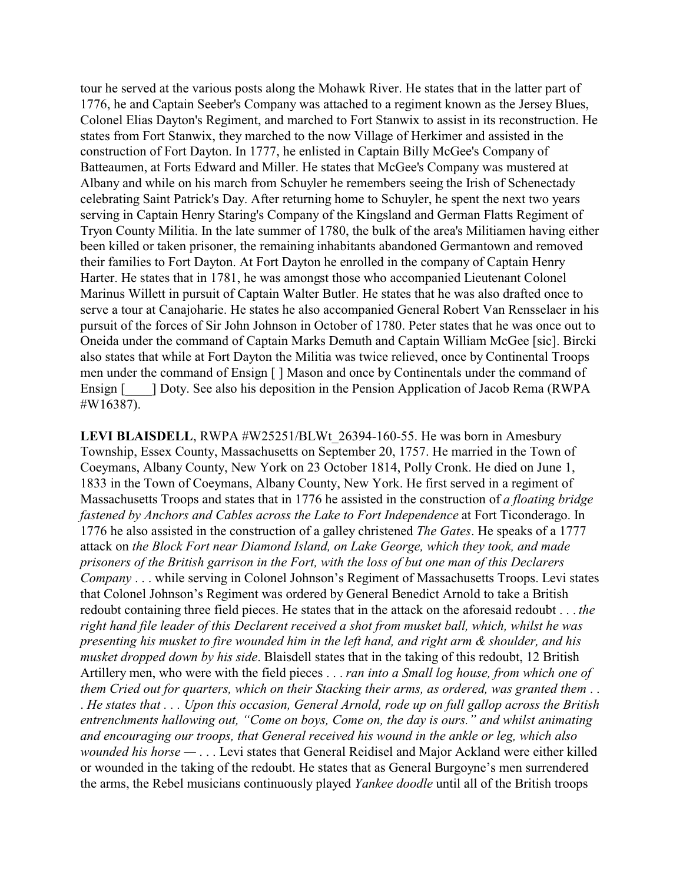tour he served at the various posts along the Mohawk River. He states that in the latter part of 1776, he and Captain Seeber's Company was attached to a regiment known as the Jersey Blues, Colonel Elias Dayton's Regiment, and marched to Fort Stanwix to assist in its reconstruction. He states from Fort Stanwix, they marched to the now Village of Herkimer and assisted in the construction of Fort Dayton. In 1777, he enlisted in Captain Billy McGee's Company of Batteaumen, at Forts Edward and Miller. He states that McGee's Company was mustered at Albany and while on his march from Schuyler he remembers seeing the Irish of Schenectady celebrating Saint Patrick's Day. After returning home to Schuyler, he spent the next two years serving in Captain Henry Staring's Company of the Kingsland and German Flatts Regiment of Tryon County Militia. In the late summer of 1780, the bulk of the area's Militiamen having either been killed or taken prisoner, the remaining inhabitants abandoned Germantown and removed their families to Fort Dayton. At Fort Dayton he enrolled in the company of Captain Henry Harter. He states that in 1781, he was amongst those who accompanied Lieutenant Colonel Marinus Willett in pursuit of Captain Walter Butler. He states that he was also drafted once to serve a tour at Canajoharie. He states he also accompanied General Robert Van Rensselaer in his pursuit of the forces of Sir John Johnson in October of 1780. Peter states that he was once out to Oneida under the command of Captain Marks Demuth and Captain William McGee [sic]. Bircki also states that while at Fort Dayton the Militia was twice relieved, once by Continental Troops men under the command of Ensign [ ] Mason and once by Continentals under the command of Ensign [  $\Box$  ] Doty. See also his deposition in the Pension Application of Jacob Rema (RWPA) #W16387).

LEVI BLAISDELL, RWPA #W25251/BLWt 26394-160-55. He was born in Amesbury Township, Essex County, Massachusetts on September 20, 1757. He married in the Town of Coeymans, Albany County, New York on 23 October 1814, Polly Cronk. He died on June 1, 1833 in the Town of Coeymans, Albany County, New York. He first served in a regiment of Massachusetts Troops and states that in 1776 he assisted in the construction of *a floating bridge fastened by Anchors and Cables across the Lake to Fort Independence* at Fort Ticonderago. In 1776 he also assisted in the construction of a galley christened *The Gates*. He speaks of a 1777 attack on *the Block Fort near Diamond Island, on Lake George, which they took, and made prisoners of the British garrison in the Fort, with the loss of but one man of this Declarers Company* . . . while serving in Colonel Johnson's Regiment of Massachusetts Troops. Levi states that Colonel Johnson's Regiment was ordered by General Benedict Arnold to take a British redoubt containing three field pieces. He states that in the attack on the aforesaid redoubt . . . *the right hand file leader of this Declarent received a shot from musket ball, which, whilst he was presenting his musket to fire wounded him in the left hand, and right arm & shoulder, and his musket dropped down by his side*. Blaisdell states that in the taking of this redoubt, 12 British Artillery men, who were with the field pieces . . . *ran into a Small log house, from which one of them Cried out for quarters, which on their Stacking their arms, as ordered, was granted them* . . . *He states that . . . Upon this occasion, General Arnold, rode up on full gallop across the British entrenchments hallowing out, "Come on boys, Come on, the day is ours." and whilst animating and encouraging our troops, that General received his wound in the ankle or leg, which also wounded his horse —* . . . Levi states that General Reidisel and Major Ackland were either killed or wounded in the taking of the redoubt. He states that as General Burgoyne's men surrendered the arms, the Rebel musicians continuously played *Yankee doodle* until all of the British troops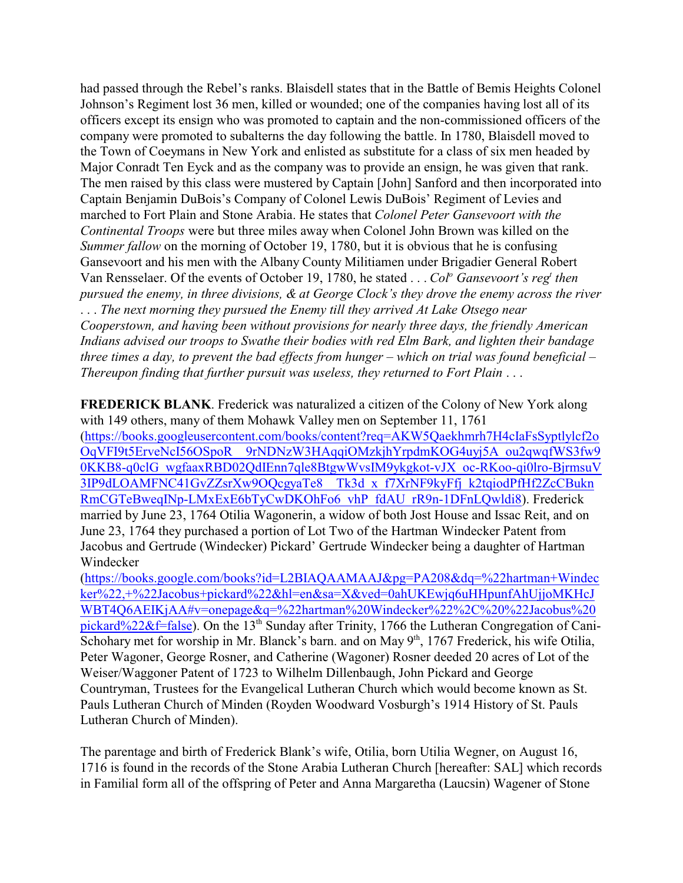had passed through the Rebel's ranks. Blaisdell states that in the Battle of Bemis Heights Colonel Johnson's Regiment lost 36 men, killed or wounded; one of the companies having lost all of its officers except its ensign who was promoted to captain and the non-commissioned officers of the company were promoted to subalterns the day following the battle. In 1780, Blaisdell moved to the Town of Coeymans in New York and enlisted as substitute for a class of six men headed by Major Conradt Ten Eyck and as the company was to provide an ensign, he was given that rank. The men raised by this class were mustered by Captain [John] Sanford and then incorporated into Captain Benjamin DuBois's Company of Colonel Lewis DuBois' Regiment of Levies and marched to Fort Plain and Stone Arabia. He states that *Colonel Peter Gansevoort with the Continental Troops* were but three miles away when Colonel John Brown was killed on the *Summer fallow* on the morning of October 19, 1780, but it is obvious that he is confusing Gansevoort and his men with the Albany County Militiamen under Brigadier General Robert Van Rensselaer. Of the events of October 19, 1780, he stated . . . *Col<sup>o</sup>* Gansevoort's reg<sup>t</sup> then *pursued the enemy, in three divisions, & at George Clock's they drove the enemy across the river* . . . *The next morning they pursued the Enemy till they arrived At Lake Otsego near Cooperstown, and having been without provisions for nearly three days, the friendly American Indians advised our troops to Swathe their bodies with red Elm Bark, and lighten their bandage three times a day, to prevent the bad effects from hunger – which on trial was found beneficial – Thereupon finding that further pursuit was useless, they returned to Fort Plain* . . .

**FREDERICK BLANK**. Frederick was naturalized a citizen of the Colony of New York along with 149 others, many of them Mohawk Valley men on September 11, 1761 (https://books.googleusercontent.com/books/content?req=AKW5Qaekhmrh7H4cIaFsSyptlylcf2o OqVFI9t5ErveNcI56OSpoR\_\_9rNDNzW3HAqqiOMzkjhYrpdmKOG4uyj5A\_ou2qwqfWS3fw9 0KKB8-q0clG\_wgfaaxRBD02QdIEnn7qle8BtgwWvsIM9ykgkot-vJX\_oc-RKoo-qi0lro-BjrmsuV 3IP9dLOAMFNC41GvZZsrXw9OQcgyaTe8\_\_Tk3d\_x\_f7XrNF9kyFfj\_k2tqiodPfHf2ZcCBukn RmCGTeBweqINp-LMxExE6bTyCwDKOhFo6\_vhP\_fdAU\_rR9n-1DFnLQwldi8). Frederick married by June 23, 1764 Otilia Wagonerin, a widow of both Jost House and Issac Reit, and on June 23, 1764 they purchased a portion of Lot Two of the Hartman Windecker Patent from Jacobus and Gertrude (Windecker) Pickard' Gertrude Windecker being a daughter of Hartman Windecker

(https://books.google.com/books?id=L2BIAQAAMAAJ&pg=PA208&dq=%22hartman+Windec ker%22,+%22Jacobus+pickard%22&hl=en&sa=X&ved=0ahUKEwjq6uHHpunfAhUjjoMKHcJ WBT4Q6AEIKjAA#v=onepage&q=%22hartman%20Windecker%22%2C%20%22Jacobus%20 pickard%22&f=false). On the 13<sup>th</sup> Sunday after Trinity, 1766 the Lutheran Congregation of Cani-Schohary met for worship in Mr. Blanck's barn. and on May 9<sup>th</sup>, 1767 Frederick, his wife Otilia, Peter Wagoner, George Rosner, and Catherine (Wagoner) Rosner deeded 20 acres of Lot of the Weiser/Waggoner Patent of 1723 to Wilhelm Dillenbaugh, John Pickard and George Countryman, Trustees for the Evangelical Lutheran Church which would become known as St. Pauls Lutheran Church of Minden (Royden Woodward Vosburgh's 1914 History of St. Pauls Lutheran Church of Minden).

The parentage and birth of Frederick Blank's wife, Otilia, born Utilia Wegner, on August 16, 1716 is found in the records of the Stone Arabia Lutheran Church [hereafter: SAL] which records in Familial form all of the offspring of Peter and Anna Margaretha (Laucsin) Wagener of Stone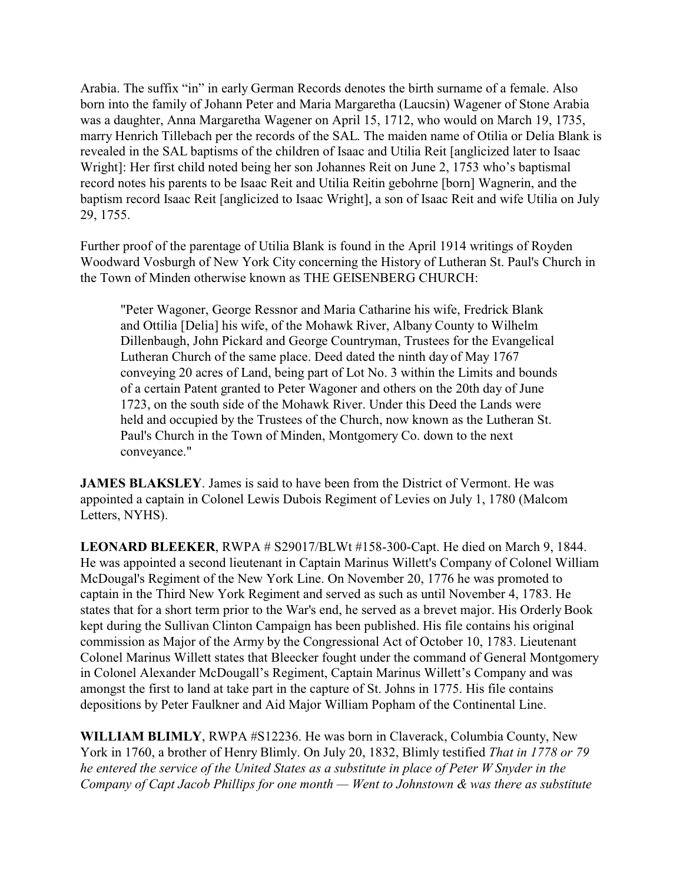Arabia. The suffix "in" in early German Records denotes the birth surname of a female. Also born into the family of Johann Peter and Maria Margaretha (Laucsin) Wagener of Stone Arabia was a daughter, Anna Margaretha Wagener on April 15, 1712, who would on March 19, 1735, marry Henrich Tillebach per the records of the SAL. The maiden name of Otilia or Delia Blank is revealed in the SAL baptisms of the children of Isaac and Utilia Reit [anglicized later to Isaac Wright]: Her first child noted being her son Johannes Reit on June 2, 1753 who's baptismal record notes his parents to be Isaac Reit and Utilia Reitin gebohrne [born] Wagnerin, and the baptism record Isaac Reit [anglicized to Isaac Wright], a son of Isaac Reit and wife Utilia on July 29, 1755.

Further proof of the parentage of Utilia Blank is found in the April 1914 writings of Royden Woodward Vosburgh of New York City concerning the History of Lutheran St. Paul's Church in the Town of Minden otherwise known as THE GEISENBERG CHURCH:

"Peter Wagoner, George Ressnor and Maria Catharine his wife, Fredrick Blank and Ottilia [Delia] his wife, of the Mohawk River, Albany County to Wilhelm Dillenbaugh, John Pickard and George Countryman, Trustees for the Evangelical Lutheran Church of the same place. Deed dated the ninth day of May 1767 conveying 20 acres of Land, being part of Lot No. 3 within the Limits and bounds of a certain Patent granted to Peter Wagoner and others on the 20th day of June 1723, on the south side of the Mohawk River. Under this Deed the Lands were held and occupied by the Trustees of the Church, now known as the Lutheran St. Paul's Church in the Town of Minden, Montgomery Co. down to the next conveyance."

**JAMES BLAKSLEY**. James is said to have been from the District of Vermont. He was appointed a captain in Colonel Lewis Dubois Regiment of Levies on July 1, 1780 (Malcom Letters, NYHS).

**LEONARD BLEEKER**, RWPA # S29017/BLWt #158-300-Capt. He died on March 9, 1844. He was appointed a second lieutenant in Captain Marinus Willett's Company of Colonel William McDougal's Regiment of the New York Line. On November 20, 1776 he was promoted to captain in the Third New York Regiment and served as such as until November 4, 1783. He states that for a short term prior to the War's end, he served as a brevet major. His Orderly Book kept during the Sullivan Clinton Campaign has been published. His file contains his original commission as Major of the Army by the Congressional Act of October 10, 1783. Lieutenant Colonel Marinus Willett states that Bleecker fought under the command of General Montgomery in Colonel Alexander McDougall's Regiment, Captain Marinus Willett's Company and was amongst the first to land at take part in the capture of St. Johns in 1775. His file contains depositions by Peter Faulkner and Aid Major William Popham of the Continental Line.

**WILLIAM BLIMLY**, RWPA #S12236. He was born in Claverack, Columbia County, New York in 1760, a brother of Henry Blimly. On July 20, 1832, Blimly testified *That in 1778 or 79 he entered the service of the United States as a substitute in place of Peter W Snyder in the Company of Capt Jacob Phillips for one month — Went to Johnstown & was there as substitute*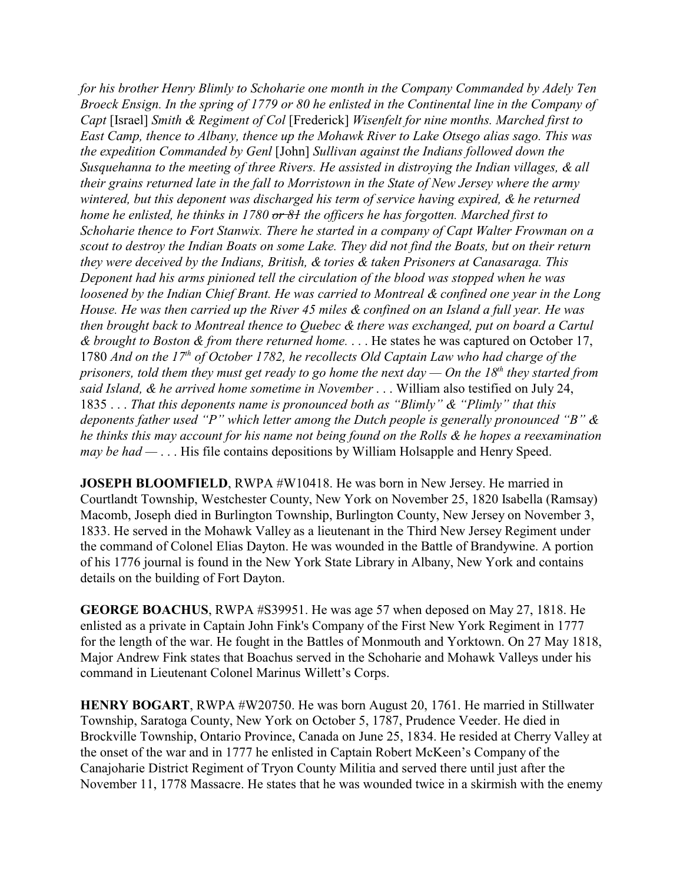*for his brother Henry Blimly to Schoharie one month in the Company Commanded by Adely Ten Broeck Ensign. In the spring of 1779 or 80 he enlisted in the Continental line in the Company of Capt* [Israel] *Smith & Regiment of Col* [Frederick] *Wisenfelt for nine months. Marched first to East Camp, thence to Albany, thence up the Mohawk River to Lake Otsego alias sago. This was the expedition Commanded by Genl* [John] *Sullivan against the Indians followed down the Susquehanna to the meeting of three Rivers. He assisted in distroying the Indian villages, & all their grains returned late in the fall to Morristown in the State of New Jersey where the army wintered, but this deponent was discharged his term of service having expired, & he returned home he enlisted, he thinks in 1780 or 81 the officers he has forgotten. Marched first to Schoharie thence to Fort Stanwix. There he started in a company of Capt Walter Frowman on a scout to destroy the Indian Boats on some Lake. They did not find the Boats, but on their return they were deceived by the Indians, British, & tories & taken Prisoners at Canasaraga. This Deponent had his arms pinioned tell the circulation of the blood was stopped when he was loosened by the Indian Chief Brant. He was carried to Montreal & confined one year in the Long House. He was then carried up the River 45 miles & confined on an Island a full year. He was then brought back to Montreal thence to Quebec & there was exchanged, put on board a Cartul & brought to Boston & from there returned home.* . . . He states he was captured on October 17, 1780 And on the 17<sup>th</sup> of October 1782, he recollects Old Captain Law who had charge of the *prisoners, told them they must get ready to go home the next day — On the 18th they started from said Island, & he arrived home sometime in November* . . . William also testified on July 24, 1835 . . . *That this deponents name is pronounced both as "Blimly" & "Plimly" that this deponents father used "P" which letter among the Dutch people is generally pronounced "B" & he thinks this may account for his name not being found on the Rolls & he hopes a reexamination may be had —* . . . His file contains depositions by William Holsapple and Henry Speed.

**JOSEPH BLOOMFIELD**, RWPA #W10418. He was born in New Jersey. He married in Courtlandt Township, Westchester County, New York on November 25, 1820 Isabella (Ramsay) Macomb, Joseph died in Burlington Township, Burlington County, New Jersey on November 3, 1833. He served in the Mohawk Valley as a lieutenant in the Third New Jersey Regiment under the command of Colonel Elias Dayton. He was wounded in the Battle of Brandywine. A portion of his 1776 journal is found in the New York State Library in Albany, New York and contains details on the building of Fort Dayton.

**GEORGE BOACHUS**, RWPA #S39951. He was age 57 when deposed on May 27, 1818. He enlisted as a private in Captain John Fink's Company of the First New York Regiment in 1777 for the length of the war. He fought in the Battles of Monmouth and Yorktown. On 27 May 1818, Major Andrew Fink states that Boachus served in the Schoharie and Mohawk Valleys under his command in Lieutenant Colonel Marinus Willett's Corps.

**HENRY BOGART**, RWPA #W20750. He was born August 20, 1761. He married in Stillwater Township, Saratoga County, New York on October 5, 1787, Prudence Veeder. He died in Brockville Township, Ontario Province, Canada on June 25, 1834. He resided at Cherry Valley at the onset of the war and in 1777 he enlisted in Captain Robert McKeen's Company of the Canajoharie District Regiment of Tryon County Militia and served there until just after the November 11, 1778 Massacre. He states that he was wounded twice in a skirmish with the enemy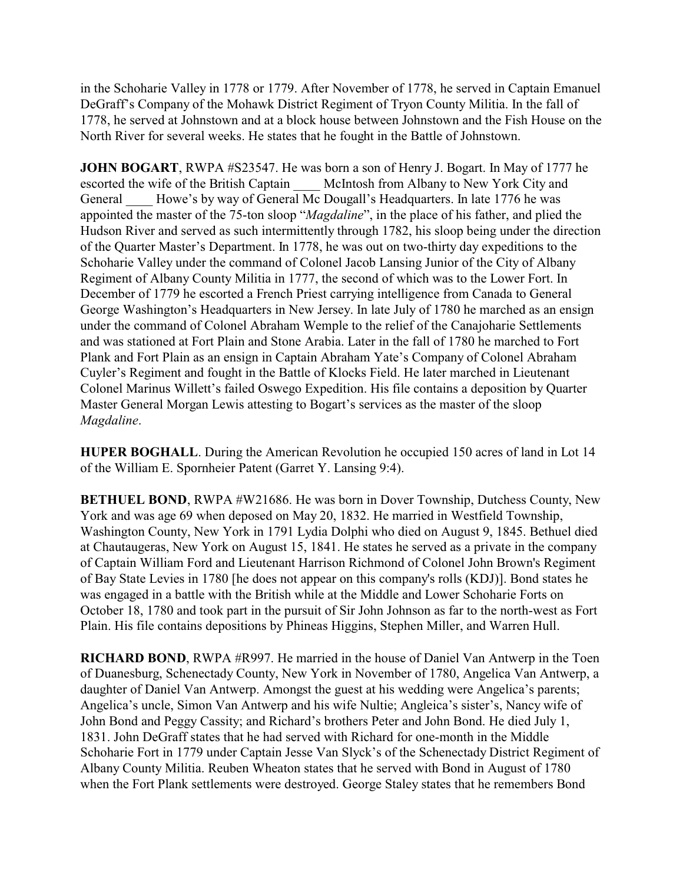in the Schoharie Valley in 1778 or 1779. After November of 1778, he served in Captain Emanuel DeGraff's Company of the Mohawk District Regiment of Tryon County Militia. In the fall of 1778, he served at Johnstown and at a block house between Johnstown and the Fish House on the North River for several weeks. He states that he fought in the Battle of Johnstown.

**JOHN BOGART**, RWPA #S23547. He was born a son of Henry J. Bogart. In May of 1777 he escorted the wife of the British Captain McIntosh from Albany to New York City and General Howe's by way of General Mc Dougall's Headquarters. In late 1776 he was appointed the master of the 75-ton sloop "*Magdaline*", in the place of his father, and plied the Hudson River and served as such intermittently through 1782, his sloop being under the direction of the Quarter Master's Department. In 1778, he was out on two-thirty day expeditions to the Schoharie Valley under the command of Colonel Jacob Lansing Junior of the City of Albany Regiment of Albany County Militia in 1777, the second of which was to the Lower Fort. In December of 1779 he escorted a French Priest carrying intelligence from Canada to General George Washington's Headquarters in New Jersey. In late July of 1780 he marched as an ensign under the command of Colonel Abraham Wemple to the relief of the Canajoharie Settlements and was stationed at Fort Plain and Stone Arabia. Later in the fall of 1780 he marched to Fort Plank and Fort Plain as an ensign in Captain Abraham Yate's Company of Colonel Abraham Cuyler's Regiment and fought in the Battle of Klocks Field. He later marched in Lieutenant Colonel Marinus Willett's failed Oswego Expedition. His file contains a deposition by Quarter Master General Morgan Lewis attesting to Bogart's services as the master of the sloop *Magdaline*.

**HUPER BOGHALL**. During the American Revolution he occupied 150 acres of land in Lot 14 of the William E. Spornheier Patent (Garret Y. Lansing 9:4).

**BETHUEL BOND**, RWPA #W21686. He was born in Dover Township, Dutchess County, New York and was age 69 when deposed on May 20, 1832. He married in Westfield Township, Washington County, New York in 1791 Lydia Dolphi who died on August 9, 1845. Bethuel died at Chautaugeras, New York on August 15, 1841. He states he served as a private in the company of Captain William Ford and Lieutenant Harrison Richmond of Colonel John Brown's Regiment of Bay State Levies in 1780 [he does not appear on this company's rolls (KDJ)]. Bond states he was engaged in a battle with the British while at the Middle and Lower Schoharie Forts on October 18, 1780 and took part in the pursuit of Sir John Johnson as far to the north-west as Fort Plain. His file contains depositions by Phineas Higgins, Stephen Miller, and Warren Hull.

**RICHARD BOND**, RWPA #R997. He married in the house of Daniel Van Antwerp in the Toen of Duanesburg, Schenectady County, New York in November of 1780, Angelica Van Antwerp, a daughter of Daniel Van Antwerp. Amongst the guest at his wedding were Angelica's parents; Angelica's uncle, Simon Van Antwerp and his wife Nultie; Angleica's sister's, Nancy wife of John Bond and Peggy Cassity; and Richard's brothers Peter and John Bond. He died July 1, 1831. John DeGraff states that he had served with Richard for one-month in the Middle Schoharie Fort in 1779 under Captain Jesse Van Slyck's of the Schenectady District Regiment of Albany County Militia. Reuben Wheaton states that he served with Bond in August of 1780 when the Fort Plank settlements were destroyed. George Staley states that he remembers Bond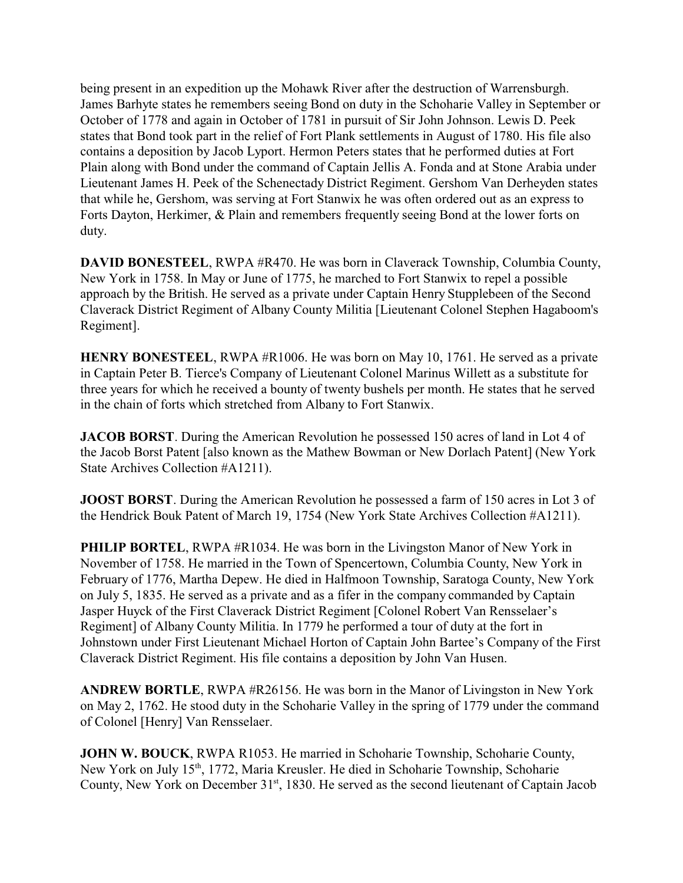being present in an expedition up the Mohawk River after the destruction of Warrensburgh. James Barhyte states he remembers seeing Bond on duty in the Schoharie Valley in September or October of 1778 and again in October of 1781 in pursuit of Sir John Johnson. Lewis D. Peek states that Bond took part in the relief of Fort Plank settlements in August of 1780. His file also contains a deposition by Jacob Lyport. Hermon Peters states that he performed duties at Fort Plain along with Bond under the command of Captain Jellis A. Fonda and at Stone Arabia under Lieutenant James H. Peek of the Schenectady District Regiment. Gershom Van Derheyden states that while he, Gershom, was serving at Fort Stanwix he was often ordered out as an express to Forts Dayton, Herkimer, & Plain and remembers frequently seeing Bond at the lower forts on duty.

**DAVID BONESTEEL**, RWPA #R470. He was born in Claverack Township, Columbia County, New York in 1758. In May or June of 1775, he marched to Fort Stanwix to repel a possible approach by the British. He served as a private under Captain Henry Stupplebeen of the Second Claverack District Regiment of Albany County Militia [Lieutenant Colonel Stephen Hagaboom's Regiment].

**HENRY BONESTEEL**, RWPA #R1006. He was born on May 10, 1761. He served as a private in Captain Peter B. Tierce's Company of Lieutenant Colonel Marinus Willett as a substitute for three years for which he received a bounty of twenty bushels per month. He states that he served in the chain of forts which stretched from Albany to Fort Stanwix.

**JACOB BORST**. During the American Revolution he possessed 150 acres of land in Lot 4 of the Jacob Borst Patent [also known as the Mathew Bowman or New Dorlach Patent] (New York State Archives Collection #A1211).

**JOOST BORST**. During the American Revolution he possessed a farm of 150 acres in Lot 3 of the Hendrick Bouk Patent of March 19, 1754 (New York State Archives Collection #A1211).

**PHILIP BORTEL, RWPA #R1034. He was born in the Livingston Manor of New York in** November of 1758. He married in the Town of Spencertown, Columbia County, New York in February of 1776, Martha Depew. He died in Halfmoon Township, Saratoga County, New York on July 5, 1835. He served as a private and as a fifer in the company commanded by Captain Jasper Huyck of the First Claverack District Regiment [Colonel Robert Van Rensselaer's Regiment] of Albany County Militia. In 1779 he performed a tour of duty at the fort in Johnstown under First Lieutenant Michael Horton of Captain John Bartee's Company of the First Claverack District Regiment. His file contains a deposition by John Van Husen.

**ANDREW BORTLE**, RWPA #R26156. He was born in the Manor of Livingston in New York on May 2, 1762. He stood duty in the Schoharie Valley in the spring of 1779 under the command of Colonel [Henry] Van Rensselaer.

**JOHN W. BOUCK**, RWPA R1053. He married in Schoharie Township, Schoharie County, New York on July 15<sup>th</sup>, 1772, Maria Kreusler. He died in Schoharie Township, Schoharie County, New York on December 31<sup>st</sup>, 1830. He served as the second lieutenant of Captain Jacob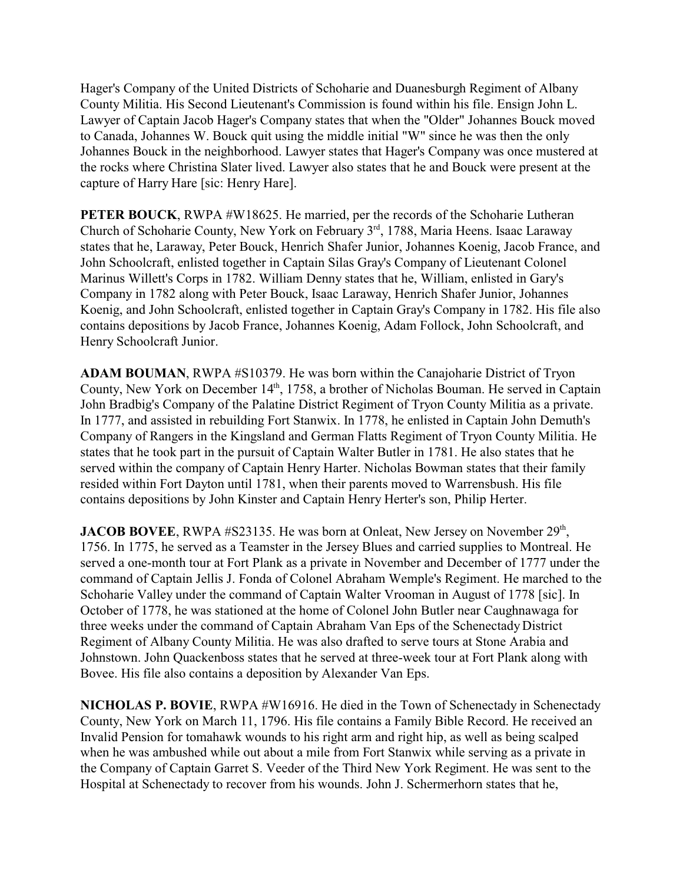Hager's Company of the United Districts of Schoharie and Duanesburgh Regiment of Albany County Militia. His Second Lieutenant's Commission is found within his file. Ensign John L. Lawyer of Captain Jacob Hager's Company states that when the "Older" Johannes Bouck moved to Canada, Johannes W. Bouck quit using the middle initial "W" since he was then the only Johannes Bouck in the neighborhood. Lawyer states that Hager's Company was once mustered at the rocks where Christina Slater lived. Lawyer also states that he and Bouck were present at the capture of Harry Hare [sic: Henry Hare].

**PETER BOUCK, RWPA #W18625. He married, per the records of the Schoharie Lutheran** Church of Schoharie County, New York on February 3<sup>rd</sup>, 1788, Maria Heens. Isaac Laraway states that he, Laraway, Peter Bouck, Henrich Shafer Junior, Johannes Koenig, Jacob France, and John Schoolcraft, enlisted together in Captain Silas Gray's Company of Lieutenant Colonel Marinus Willett's Corps in 1782. William Denny states that he, William, enlisted in Gary's Company in 1782 along with Peter Bouck, Isaac Laraway, Henrich Shafer Junior, Johannes Koenig, and John Schoolcraft, enlisted together in Captain Gray's Company in 1782. His file also contains depositions by Jacob France, Johannes Koenig, Adam Follock, John Schoolcraft, and Henry Schoolcraft Junior.

**ADAM BOUMAN**, RWPA #S10379. He was born within the Canajoharie District of Tryon County, New York on December 14<sup>th</sup>, 1758, a brother of Nicholas Bouman. He served in Captain John Bradbig's Company of the Palatine District Regiment of Tryon County Militia as a private. In 1777, and assisted in rebuilding Fort Stanwix. In 1778, he enlisted in Captain John Demuth's Company of Rangers in the Kingsland and German Flatts Regiment of Tryon County Militia. He states that he took part in the pursuit of Captain Walter Butler in 1781. He also states that he served within the company of Captain Henry Harter. Nicholas Bowman states that their family resided within Fort Dayton until 1781, when their parents moved to Warrensbush. His file contains depositions by John Kinster and Captain Henry Herter's son, Philip Herter.

**JACOB BOVEE**, RWPA #S23135. He was born at Onleat, New Jersey on November 29<sup>th</sup>, 1756. In 1775, he served as a Teamster in the Jersey Blues and carried supplies to Montreal. He served a one-month tour at Fort Plank as a private in November and December of 1777 under the command of Captain Jellis J. Fonda of Colonel Abraham Wemple's Regiment. He marched to the Schoharie Valley under the command of Captain Walter Vrooman in August of 1778 [sic]. In October of 1778, he was stationed at the home of Colonel John Butler near Caughnawaga for three weeks under the command of Captain Abraham Van Eps of the Schenectady District Regiment of Albany County Militia. He was also drafted to serve tours at Stone Arabia and Johnstown. John Quackenboss states that he served at three-week tour at Fort Plank along with Bovee. His file also contains a deposition by Alexander Van Eps.

**NICHOLAS P. BOVIE**, RWPA #W16916. He died in the Town of Schenectady in Schenectady County, New York on March 11, 1796. His file contains a Family Bible Record. He received an Invalid Pension for tomahawk wounds to his right arm and right hip, as well as being scalped when he was ambushed while out about a mile from Fort Stanwix while serving as a private in the Company of Captain Garret S. Veeder of the Third New York Regiment. He was sent to the Hospital at Schenectady to recover from his wounds. John J. Schermerhorn states that he,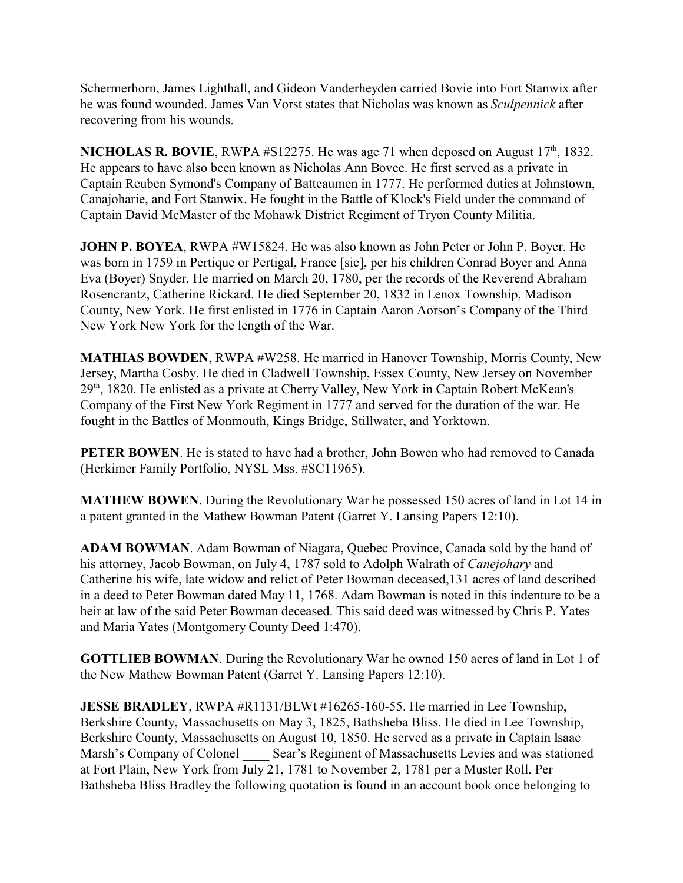Schermerhorn, James Lighthall, and Gideon Vanderheyden carried Bovie into Fort Stanwix after he was found wounded. James Van Vorst states that Nicholas was known as *Sculpennick* after recovering from his wounds.

**NICHOLAS R. BOVIE**, RWPA  $#S12275$ . He was age 71 when deposed on August  $17<sup>th</sup>$ , 1832. He appears to have also been known as Nicholas Ann Bovee. He first served as a private in Captain Reuben Symond's Company of Batteaumen in 1777. He performed duties at Johnstown, Canajoharie, and Fort Stanwix. He fought in the Battle of Klock's Field under the command of Captain David McMaster of the Mohawk District Regiment of Tryon County Militia.

**JOHN P. BOYEA**, RWPA #W15824. He was also known as John Peter or John P. Boyer. He was born in 1759 in Pertique or Pertigal, France [sic], per his children Conrad Boyer and Anna Eva (Boyer) Snyder. He married on March 20, 1780, per the records of the Reverend Abraham Rosencrantz, Catherine Rickard. He died September 20, 1832 in Lenox Township, Madison County, New York. He first enlisted in 1776 in Captain Aaron Aorson's Company of the Third New York New York for the length of the War.

**MATHIAS BOWDEN**, RWPA #W258. He married in Hanover Township, Morris County, New Jersey, Martha Cosby. He died in Cladwell Township, Essex County, New Jersey on November 29<sup>th</sup>, 1820. He enlisted as a private at Cherry Valley, New York in Captain Robert McKean's Company of the First New York Regiment in 1777 and served for the duration of the war. He fought in the Battles of Monmouth, Kings Bridge, Stillwater, and Yorktown.

**PETER BOWEN**. He is stated to have had a brother, John Bowen who had removed to Canada (Herkimer Family Portfolio, NYSL Mss. #SC11965).

**MATHEW BOWEN**. During the Revolutionary War he possessed 150 acres of land in Lot 14 in a patent granted in the Mathew Bowman Patent (Garret Y. Lansing Papers 12:10).

**ADAM BOWMAN**. Adam Bowman of Niagara, Quebec Province, Canada sold by the hand of his attorney, Jacob Bowman, on July 4, 1787 sold to Adolph Walrath of *Canejohary* and Catherine his wife, late widow and relict of Peter Bowman deceased,131 acres of land described in a deed to Peter Bowman dated May 11, 1768. Adam Bowman is noted in this indenture to be a heir at law of the said Peter Bowman deceased. This said deed was witnessed by Chris P. Yates and Maria Yates (Montgomery County Deed 1:470).

**GOTTLIEB BOWMAN**. During the Revolutionary War he owned 150 acres of land in Lot 1 of the New Mathew Bowman Patent (Garret Y. Lansing Papers 12:10).

**JESSE BRADLEY**, RWPA #R1131/BLWt #16265-160-55. He married in Lee Township, Berkshire County, Massachusetts on May 3, 1825, Bathsheba Bliss. He died in Lee Township, Berkshire County, Massachusetts on August 10, 1850. He served as a private in Captain Isaac Marsh's Company of Colonel Sear's Regiment of Massachusetts Levies and was stationed at Fort Plain, New York from July 21, 1781 to November 2, 1781 per a Muster Roll. Per Bathsheba Bliss Bradley the following quotation is found in an account book once belonging to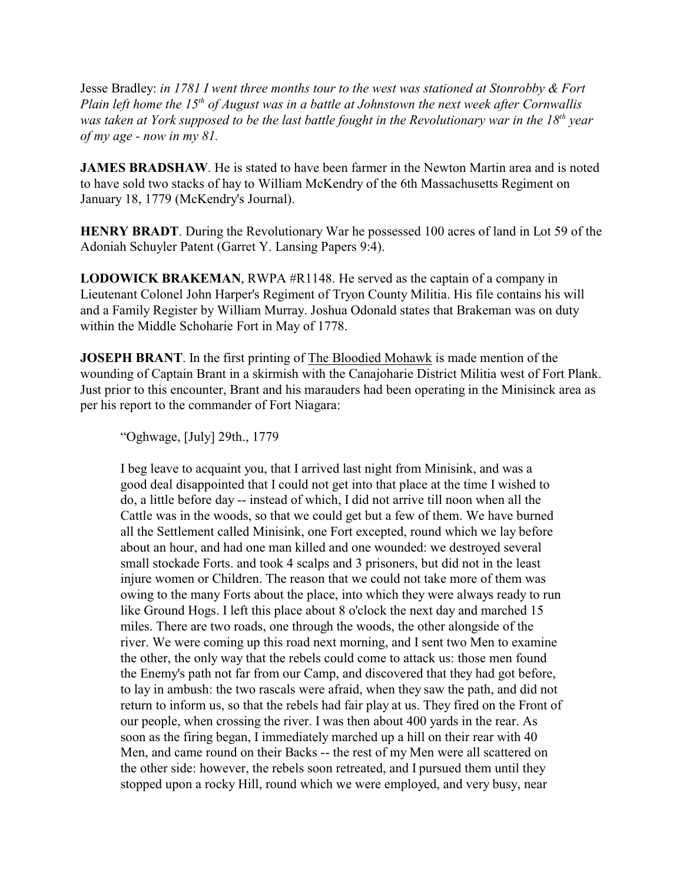Jesse Bradley: *in 1781 I went three months tour to the west was stationed at Stonrobby & Fort* Plain left home the 15<sup>th</sup> of August was in a battle at Johnstown the next week after Cornwallis was taken at York supposed to be the last battle fought in the Revolutionary war in the 18<sup>th</sup> year *of my age - now in my 81.*

**JAMES BRADSHAW**. He is stated to have been farmer in the Newton Martin area and is noted to have sold two stacks of hay to William McKendry of the 6th Massachusetts Regiment on January 18, 1779 (McKendry's Journal).

**HENRY BRADT**. During the Revolutionary War he possessed 100 acres of land in Lot 59 of the Adoniah Schuyler Patent (Garret Y. Lansing Papers 9:4).

**LODOWICK BRAKEMAN**, RWPA #R1148. He served as the captain of a company in Lieutenant Colonel John Harper's Regiment of Tryon County Militia. His file contains his will and a Family Register by William Murray. Joshua Odonald states that Brakeman was on duty within the Middle Schoharie Fort in May of 1778.

**JOSEPH BRANT**. In the first printing of The Bloodied Mohawk is made mention of the wounding of Captain Brant in a skirmish with the Canajoharie District Militia west of Fort Plank. Just prior to this encounter, Brant and his marauders had been operating in the Minisinck area as per his report to the commander of Fort Niagara:

"Oghwage, [July] 29th., 1779

I beg leave to acquaint you, that I arrived last night from Minisink, and was a good deal disappointed that I could not get into that place at the time I wished to do, a little before day -- instead of which, I did not arrive till noon when all the Cattle was in the woods, so that we could get but a few of them. We have burned all the Settlement called Minisink, one Fort excepted, round which we lay before about an hour, and had one man killed and one wounded: we destroyed several small stockade Forts. and took 4 scalps and 3 prisoners, but did not in the least injure women or Children. The reason that we could not take more of them was owing to the many Forts about the place, into which they were always ready to run like Ground Hogs. I left this place about 8 o'clock the next day and marched 15 miles. There are two roads, one through the woods, the other alongside of the river. We were coming up this road next morning, and I sent two Men to examine the other, the only way that the rebels could come to attack us: those men found the Enemy's path not far from our Camp, and discovered that they had got before, to lay in ambush: the two rascals were afraid, when they saw the path, and did not return to inform us, so that the rebels had fair play at us. They fired on the Front of our people, when crossing the river. I was then about 400 yards in the rear. As soon as the firing began, I immediately marched up a hill on their rear with 40 Men, and came round on their Backs -- the rest of my Men were all scattered on the other side: however, the rebels soon retreated, and I pursued them until they stopped upon a rocky Hill, round which we were employed, and very busy, near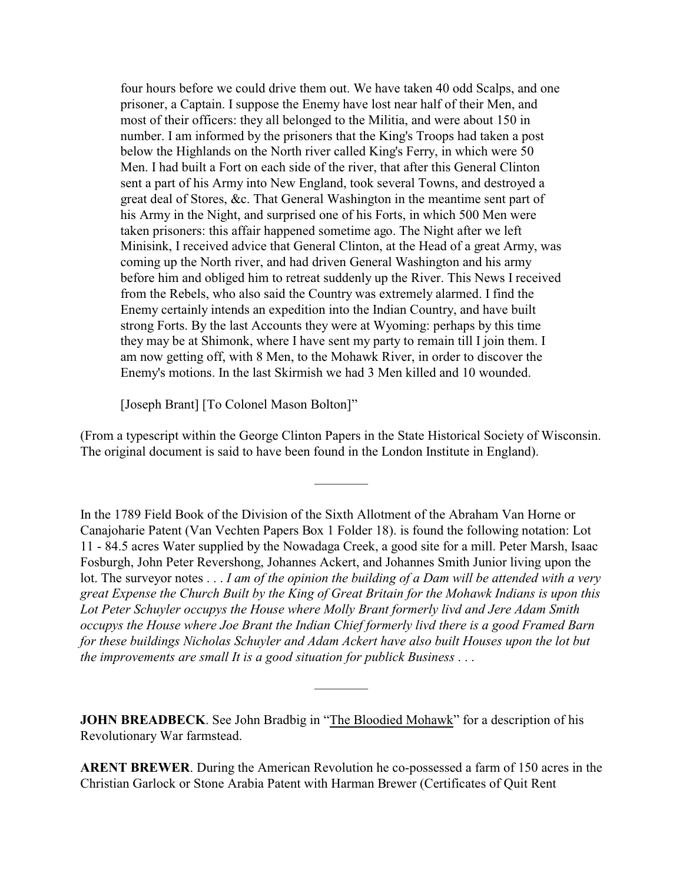four hours before we could drive them out. We have taken 40 odd Scalps, and one prisoner, a Captain. I suppose the Enemy have lost near half of their Men, and most of their officers: they all belonged to the Militia, and were about 150 in number. I am informed by the prisoners that the King's Troops had taken a post below the Highlands on the North river called King's Ferry, in which were 50 Men. I had built a Fort on each side of the river, that after this General Clinton sent a part of his Army into New England, took several Towns, and destroyed a great deal of Stores, &c. That General Washington in the meantime sent part of his Army in the Night, and surprised one of his Forts, in which 500 Men were taken prisoners: this affair happened sometime ago. The Night after we left Minisink, I received advice that General Clinton, at the Head of a great Army, was coming up the North river, and had driven General Washington and his army before him and obliged him to retreat suddenly up the River. This News I received from the Rebels, who also said the Country was extremely alarmed. I find the Enemy certainly intends an expedition into the Indian Country, and have built strong Forts. By the last Accounts they were at Wyoming: perhaps by this time they may be at Shimonk, where I have sent my party to remain till I join them. I am now getting off, with 8 Men, to the Mohawk River, in order to discover the Enemy's motions. In the last Skirmish we had 3 Men killed and 10 wounded.

[Joseph Brant] [To Colonel Mason Bolton]"

(From a typescript within the George Clinton Papers in the State Historical Society of Wisconsin. The original document is said to have been found in the London Institute in England).

————

In the 1789 Field Book of the Division of the Sixth Allotment of the Abraham Van Horne or Canajoharie Patent (Van Vechten Papers Box 1 Folder 18). is found the following notation: Lot 11 - 84.5 acres Water supplied by the Nowadaga Creek, a good site for a mill. Peter Marsh, Isaac Fosburgh, John Peter Revershong, Johannes Ackert, and Johannes Smith Junior living upon the lot. The surveyor notes . . . *I am of the opinion the building of a Dam will be attended with a very great Expense the Church Built by the King of Great Britain for the Mohawk Indians is upon this Lot Peter Schuyler occupys the House where Molly Brant formerly livd and Jere Adam Smith occupys the House where Joe Brant the Indian Chief formerly livd there is a good Framed Barn for these buildings Nicholas Schuyler and Adam Ackert have also built Houses upon the lot but the improvements are small It is a good situation for publick Business* . . .

**JOHN BREADBECK**. See John Bradbig in "The Bloodied Mohawk" for a description of his Revolutionary War farmstead.

————

**ARENT BREWER**. During the American Revolution he co-possessed a farm of 150 acres in the Christian Garlock or Stone Arabia Patent with Harman Brewer (Certificates of Quit Rent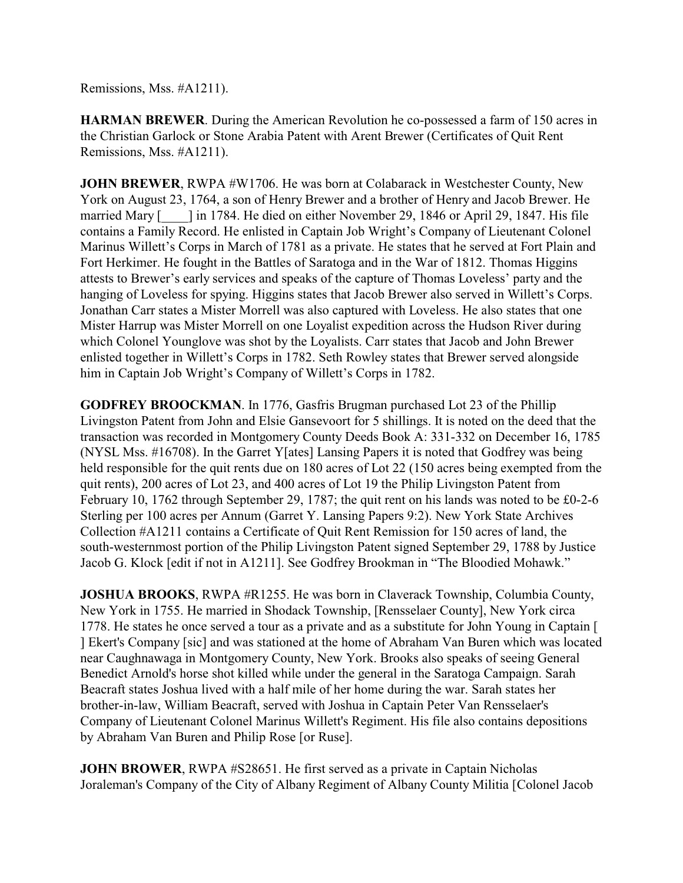Remissions, Mss. #A1211).

**HARMAN BREWER**. During the American Revolution he co-possessed a farm of 150 acres in the Christian Garlock or Stone Arabia Patent with Arent Brewer (Certificates of Quit Rent Remissions, Mss. #A1211).

**JOHN BREWER**, RWPA #W1706. He was born at Colabarack in Westchester County, New York on August 23, 1764, a son of Henry Brewer and a brother of Henry and Jacob Brewer. He married Mary  $\lceil \quad \rceil$  in 1784. He died on either November 29, 1846 or April 29, 1847. His file contains a Family Record. He enlisted in Captain Job Wright's Company of Lieutenant Colonel Marinus Willett's Corps in March of 1781 as a private. He states that he served at Fort Plain and Fort Herkimer. He fought in the Battles of Saratoga and in the War of 1812. Thomas Higgins attests to Brewer's early services and speaks of the capture of Thomas Loveless' party and the hanging of Loveless for spying. Higgins states that Jacob Brewer also served in Willett's Corps. Jonathan Carr states a Mister Morrell was also captured with Loveless. He also states that one Mister Harrup was Mister Morrell on one Loyalist expedition across the Hudson River during which Colonel Younglove was shot by the Loyalists. Carr states that Jacob and John Brewer enlisted together in Willett's Corps in 1782. Seth Rowley states that Brewer served alongside him in Captain Job Wright's Company of Willett's Corps in 1782.

**GODFREY BROOCKMAN**. In 1776, Gasfris Brugman purchased Lot 23 of the Phillip Livingston Patent from John and Elsie Gansevoort for 5 shillings. It is noted on the deed that the transaction was recorded in Montgomery County Deeds Book A: 331-332 on December 16, 1785 (NYSL Mss. #16708). In the Garret Y[ates] Lansing Papers it is noted that Godfrey was being held responsible for the quit rents due on 180 acres of Lot 22 (150 acres being exempted from the quit rents), 200 acres of Lot 23, and 400 acres of Lot 19 the Philip Livingston Patent from February 10, 1762 through September 29, 1787; the quit rent on his lands was noted to be £0-2-6 Sterling per 100 acres per Annum (Garret Y. Lansing Papers 9:2). New York State Archives Collection #A1211 contains a Certificate of Quit Rent Remission for 150 acres of land, the south-westernmost portion of the Philip Livingston Patent signed September 29, 1788 by Justice Jacob G. Klock [edit if not in A1211]. See Godfrey Brookman in "The Bloodied Mohawk."

**JOSHUA BROOKS**, RWPA #R1255. He was born in Claverack Township, Columbia County, New York in 1755. He married in Shodack Township, [Rensselaer County], New York circa 1778. He states he once served a tour as a private and as a substitute for John Young in Captain [ ] Ekert's Company [sic] and was stationed at the home of Abraham Van Buren which was located near Caughnawaga in Montgomery County, New York. Brooks also speaks of seeing General Benedict Arnold's horse shot killed while under the general in the Saratoga Campaign. Sarah Beacraft states Joshua lived with a half mile of her home during the war. Sarah states her brother-in-law, William Beacraft, served with Joshua in Captain Peter Van Rensselaer's Company of Lieutenant Colonel Marinus Willett's Regiment. His file also contains depositions by Abraham Van Buren and Philip Rose [or Ruse].

**JOHN BROWER, RWPA #S28651. He first served as a private in Captain Nicholas** Joraleman's Company of the City of Albany Regiment of Albany County Militia [Colonel Jacob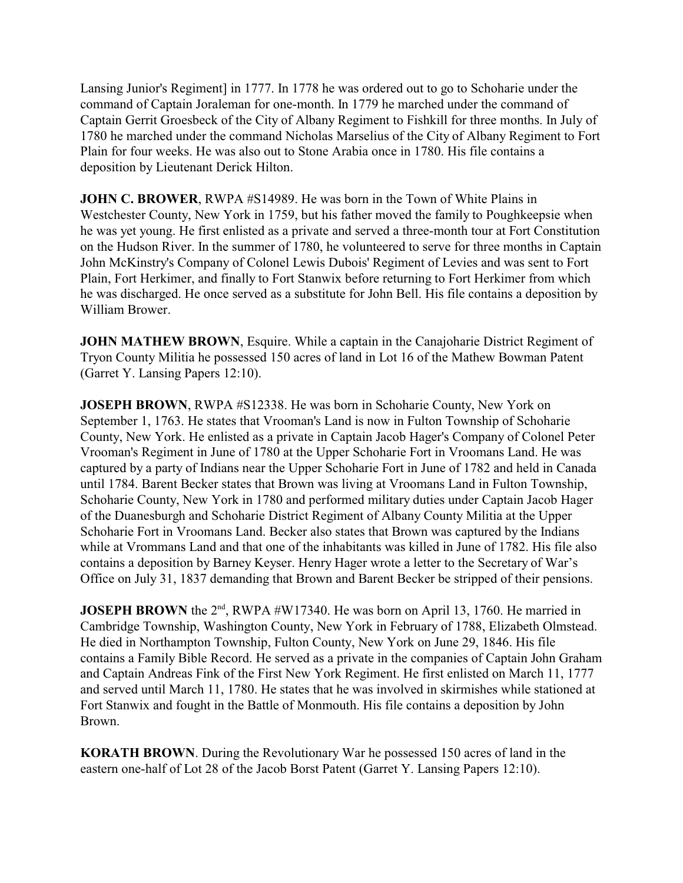Lansing Junior's Regiment] in 1777. In 1778 he was ordered out to go to Schoharie under the command of Captain Joraleman for one-month. In 1779 he marched under the command of Captain Gerrit Groesbeck of the City of Albany Regiment to Fishkill for three months. In July of 1780 he marched under the command Nicholas Marselius of the City of Albany Regiment to Fort Plain for four weeks. He was also out to Stone Arabia once in 1780. His file contains a deposition by Lieutenant Derick Hilton.

**JOHN C. BROWER**, RWPA #S14989. He was born in the Town of White Plains in Westchester County, New York in 1759, but his father moved the family to Poughkeepsie when he was yet young. He first enlisted as a private and served a three-month tour at Fort Constitution on the Hudson River. In the summer of 1780, he volunteered to serve for three months in Captain John McKinstry's Company of Colonel Lewis Dubois' Regiment of Levies and was sent to Fort Plain, Fort Herkimer, and finally to Fort Stanwix before returning to Fort Herkimer from which he was discharged. He once served as a substitute for John Bell. His file contains a deposition by William Brower.

**JOHN MATHEW BROWN, Esquire.** While a captain in the Canajoharie District Regiment of Tryon County Militia he possessed 150 acres of land in Lot 16 of the Mathew Bowman Patent (Garret Y. Lansing Papers 12:10).

**JOSEPH BROWN**, RWPA #S12338. He was born in Schoharie County, New York on September 1, 1763. He states that Vrooman's Land is now in Fulton Township of Schoharie County, New York. He enlisted as a private in Captain Jacob Hager's Company of Colonel Peter Vrooman's Regiment in June of 1780 at the Upper Schoharie Fort in Vroomans Land. He was captured by a party of Indians near the Upper Schoharie Fort in June of 1782 and held in Canada until 1784. Barent Becker states that Brown was living at Vroomans Land in Fulton Township, Schoharie County, New York in 1780 and performed military duties under Captain Jacob Hager of the Duanesburgh and Schoharie District Regiment of Albany County Militia at the Upper Schoharie Fort in Vroomans Land. Becker also states that Brown was captured by the Indians while at Vrommans Land and that one of the inhabitants was killed in June of 1782. His file also contains a deposition by Barney Keyser. Henry Hager wrote a letter to the Secretary of War's Office on July 31, 1837 demanding that Brown and Barent Becker be stripped of their pensions.

**JOSEPH BROWN** the 2<sup>nd</sup>, RWPA #W17340. He was born on April 13, 1760. He married in Cambridge Township, Washington County, New York in February of 1788, Elizabeth Olmstead. He died in Northampton Township, Fulton County, New York on June 29, 1846. His file contains a Family Bible Record. He served as a private in the companies of Captain John Graham and Captain Andreas Fink of the First New York Regiment. He first enlisted on March 11, 1777 and served until March 11, 1780. He states that he was involved in skirmishes while stationed at Fort Stanwix and fought in the Battle of Monmouth. His file contains a deposition by John Brown.

**KORATH BROWN**. During the Revolutionary War he possessed 150 acres of land in the eastern one-half of Lot 28 of the Jacob Borst Patent (Garret Y. Lansing Papers 12:10).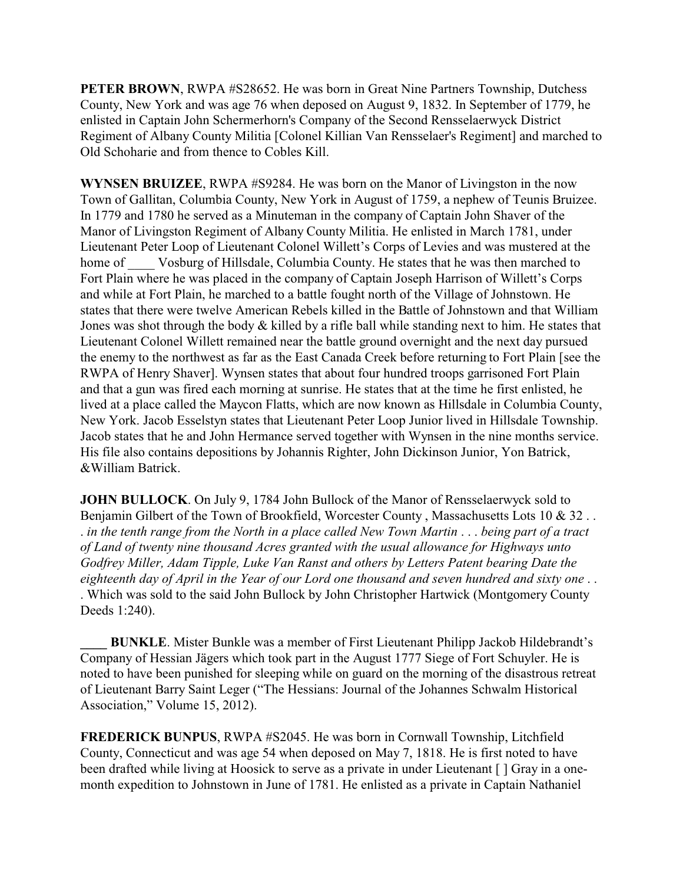**PETER BROWN**, RWPA #S28652. He was born in Great Nine Partners Township, Dutchess County, New York and was age 76 when deposed on August 9, 1832. In September of 1779, he enlisted in Captain John Schermerhorn's Company of the Second Rensselaerwyck District Regiment of Albany County Militia [Colonel Killian Van Rensselaer's Regiment] and marched to Old Schoharie and from thence to Cobles Kill.

**WYNSEN BRUIZEE**, RWPA #S9284. He was born on the Manor of Livingston in the now Town of Gallitan, Columbia County, New York in August of 1759, a nephew of Teunis Bruizee. In 1779 and 1780 he served as a Minuteman in the company of Captain John Shaver of the Manor of Livingston Regiment of Albany County Militia. He enlisted in March 1781, under Lieutenant Peter Loop of Lieutenant Colonel Willett's Corps of Levies and was mustered at the home of Vosburg of Hillsdale, Columbia County. He states that he was then marched to Fort Plain where he was placed in the company of Captain Joseph Harrison of Willett's Corps and while at Fort Plain, he marched to a battle fought north of the Village of Johnstown. He states that there were twelve American Rebels killed in the Battle of Johnstown and that William Jones was shot through the body & killed by a rifle ball while standing next to him. He states that Lieutenant Colonel Willett remained near the battle ground overnight and the next day pursued the enemy to the northwest as far as the East Canada Creek before returning to Fort Plain [see the RWPA of Henry Shaver]. Wynsen states that about four hundred troops garrisoned Fort Plain and that a gun was fired each morning at sunrise. He states that at the time he first enlisted, he lived at a place called the Maycon Flatts, which are now known as Hillsdale in Columbia County, New York. Jacob Esselstyn states that Lieutenant Peter Loop Junior lived in Hillsdale Township. Jacob states that he and John Hermance served together with Wynsen in the nine months service. His file also contains depositions by Johannis Righter, John Dickinson Junior, Yon Batrick, &William Batrick.

**JOHN BULLOCK**. On July 9, 1784 John Bullock of the Manor of Rensselaerwyck sold to Benjamin Gilbert of the Town of Brookfield, Worcester County, Massachusetts Lots 10 & 32. . *in the tenth range from the North in a place called New Town Martin* . . . *being part of a tract of Land of twenty nine thousand Acres granted with the usual allowance for Highways unto Godfrey Miller, Adam Tipple, Luke Van Ranst and others by Letters Patent bearing Date the eighteenth day of April in the Year of our Lord one thousand and seven hundred and sixty one* . . . Which was sold to the said John Bullock by John Christopher Hartwick (Montgomery County Deeds 1:240).

**BUNKLE**. Mister Bunkle was a member of First Lieutenant Philipp Jackob Hildebrandt's Company of Hessian Jägers which took part in the August 1777 Siege of Fort Schuyler. He is noted to have been punished for sleeping while on guard on the morning of the disastrous retreat of Lieutenant Barry Saint Leger ("The Hessians: Journal of the Johannes Schwalm Historical Association," Volume 15, 2012).

**FREDERICK BUNPUS**, RWPA #S2045. He was born in Cornwall Township, Litchfield County, Connecticut and was age 54 when deposed on May 7, 1818. He is first noted to have been drafted while living at Hoosick to serve as a private in under Lieutenant [ ] Gray in a onemonth expedition to Johnstown in June of 1781. He enlisted as a private in Captain Nathaniel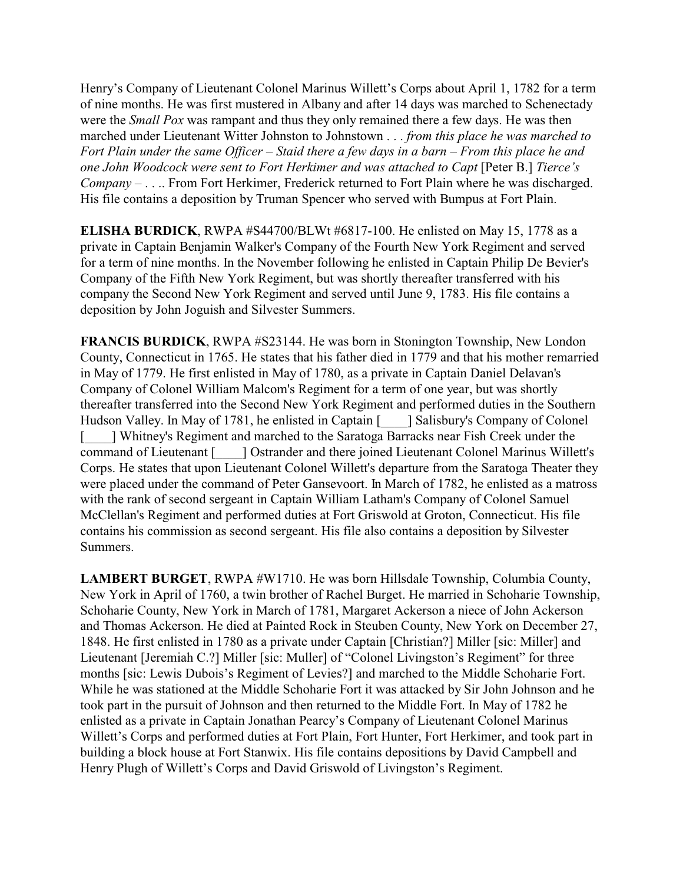Henry's Company of Lieutenant Colonel Marinus Willett's Corps about April 1, 1782 for a term of nine months. He was first mustered in Albany and after 14 days was marched to Schenectady were the *Small Pox* was rampant and thus they only remained there a few days. He was then marched under Lieutenant Witter Johnston to Johnstown . . . *from this place he was marched to Fort Plain under the same Officer – Staid there a few days in a barn – From this place he and one John Woodcock were sent to Fort Herkimer and was attached to Capt* [Peter B.] *Tierce's Company –* . . .. From Fort Herkimer, Frederick returned to Fort Plain where he was discharged. His file contains a deposition by Truman Spencer who served with Bumpus at Fort Plain.

**ELISHA BURDICK**, RWPA #S44700/BLWt #6817-100. He enlisted on May 15, 1778 as a private in Captain Benjamin Walker's Company of the Fourth New York Regiment and served for a term of nine months. In the November following he enlisted in Captain Philip De Bevier's Company of the Fifth New York Regiment, but was shortly thereafter transferred with his company the Second New York Regiment and served until June 9, 1783. His file contains a deposition by John Joguish and Silvester Summers.

**FRANCIS BURDICK**, RWPA #S23144. He was born in Stonington Township, New London County, Connecticut in 1765. He states that his father died in 1779 and that his mother remarried in May of 1779. He first enlisted in May of 1780, as a private in Captain Daniel Delavan's Company of Colonel William Malcom's Regiment for a term of one year, but was shortly thereafter transferred into the Second New York Regiment and performed duties in the Southern Hudson Valley. In May of 1781, he enlisted in Captain [  $\Box$ ] Salisbury's Company of Colonel [\_\_\_\_] Whitney's Regiment and marched to the Saratoga Barracks near Fish Creek under the command of Lieutenant [\_\_\_\_] Ostrander and there joined Lieutenant Colonel Marinus Willett's Corps. He states that upon Lieutenant Colonel Willett's departure from the Saratoga Theater they were placed under the command of Peter Gansevoort. In March of 1782, he enlisted as a matross with the rank of second sergeant in Captain William Latham's Company of Colonel Samuel McClellan's Regiment and performed duties at Fort Griswold at Groton, Connecticut. His file contains his commission as second sergeant. His file also contains a deposition by Silvester Summers.

**LAMBERT BURGET**, RWPA #W1710. He was born Hillsdale Township, Columbia County, New York in April of 1760, a twin brother of Rachel Burget. He married in Schoharie Township, Schoharie County, New York in March of 1781, Margaret Ackerson a niece of John Ackerson and Thomas Ackerson. He died at Painted Rock in Steuben County, New York on December 27, 1848. He first enlisted in 1780 as a private under Captain [Christian?] Miller [sic: Miller] and Lieutenant [Jeremiah C.?] Miller [sic: Muller] of "Colonel Livingston's Regiment" for three months [sic: Lewis Dubois's Regiment of Levies?] and marched to the Middle Schoharie Fort. While he was stationed at the Middle Schoharie Fort it was attacked by Sir John Johnson and he took part in the pursuit of Johnson and then returned to the Middle Fort. In May of 1782 he enlisted as a private in Captain Jonathan Pearcy's Company of Lieutenant Colonel Marinus Willett's Corps and performed duties at Fort Plain, Fort Hunter, Fort Herkimer, and took part in building a block house at Fort Stanwix. His file contains depositions by David Campbell and Henry Plugh of Willett's Corps and David Griswold of Livingston's Regiment.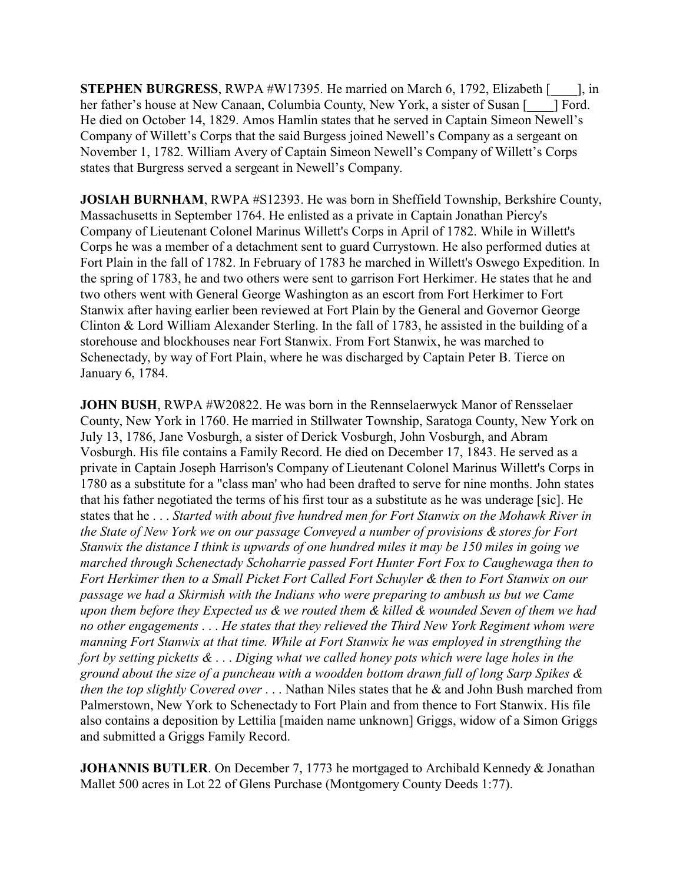**STEPHEN BURGRESS**, RWPA #W17395. He married on March 6, 1792, Elizabeth [\_\_\_\_], in her father's house at New Canaan, Columbia County, New York, a sister of Susan [  $\Box$  Ford. He died on October 14, 1829. Amos Hamlin states that he served in Captain Simeon Newell's Company of Willett's Corps that the said Burgess joined Newell's Company as a sergeant on November 1, 1782. William Avery of Captain Simeon Newell's Company of Willett's Corps states that Burgress served a sergeant in Newell's Company.

**JOSIAH BURNHAM**, RWPA #S12393. He was born in Sheffield Township, Berkshire County, Massachusetts in September 1764. He enlisted as a private in Captain Jonathan Piercy's Company of Lieutenant Colonel Marinus Willett's Corps in April of 1782. While in Willett's Corps he was a member of a detachment sent to guard Currystown. He also performed duties at Fort Plain in the fall of 1782. In February of 1783 he marched in Willett's Oswego Expedition. In the spring of 1783, he and two others were sent to garrison Fort Herkimer. He states that he and two others went with General George Washington as an escort from Fort Herkimer to Fort Stanwix after having earlier been reviewed at Fort Plain by the General and Governor George Clinton & Lord William Alexander Sterling. In the fall of 1783, he assisted in the building of a storehouse and blockhouses near Fort Stanwix. From Fort Stanwix, he was marched to Schenectady, by way of Fort Plain, where he was discharged by Captain Peter B. Tierce on January 6, 1784.

**JOHN BUSH, RWPA #W20822. He was born in the Rennselaerwyck Manor of Rensselaer** County, New York in 1760. He married in Stillwater Township, Saratoga County, New York on July 13, 1786, Jane Vosburgh, a sister of Derick Vosburgh, John Vosburgh, and Abram Vosburgh. His file contains a Family Record. He died on December 17, 1843. He served as a private in Captain Joseph Harrison's Company of Lieutenant Colonel Marinus Willett's Corps in 1780 as a substitute for a "class man' who had been drafted to serve for nine months. John states that his father negotiated the terms of his first tour as a substitute as he was underage [sic]. He states that he . . . *Started with about five hundred men for Fort Stanwix on the Mohawk River in the State of New York we on our passage Conveyed a number of provisions & stores for Fort Stanwix the distance I think is upwards of one hundred miles it may be 150 miles in going we marched through Schenectady Schoharrie passed Fort Hunter Fort Fox to Caughewaga then to Fort Herkimer then to a Small Picket Fort Called Fort Schuyler & then to Fort Stanwix on our passage we had a Skirmish with the Indians who were preparing to ambush us but we Came upon them before they Expected us & we routed them & killed & wounded Seven of them we had no other engagements* . . . *He states that they relieved the Third New York Regiment whom were manning Fort Stanwix at that time. While at Fort Stanwix he was employed in strengthing the fort by setting picketts &* . . . *Diging what we called honey pots which were lage holes in the ground about the size of a puncheau with a woodden bottom drawn full of long Sarp Spikes & then the top slightly Covered over* . . . Nathan Niles states that he & and John Bush marched from Palmerstown, New York to Schenectady to Fort Plain and from thence to Fort Stanwix. His file also contains a deposition by Lettilia [maiden name unknown] Griggs, widow of a Simon Griggs and submitted a Griggs Family Record.

**JOHANNIS BUTLER**. On December 7, 1773 he mortgaged to Archibald Kennedy & Jonathan Mallet 500 acres in Lot 22 of Glens Purchase (Montgomery County Deeds 1:77).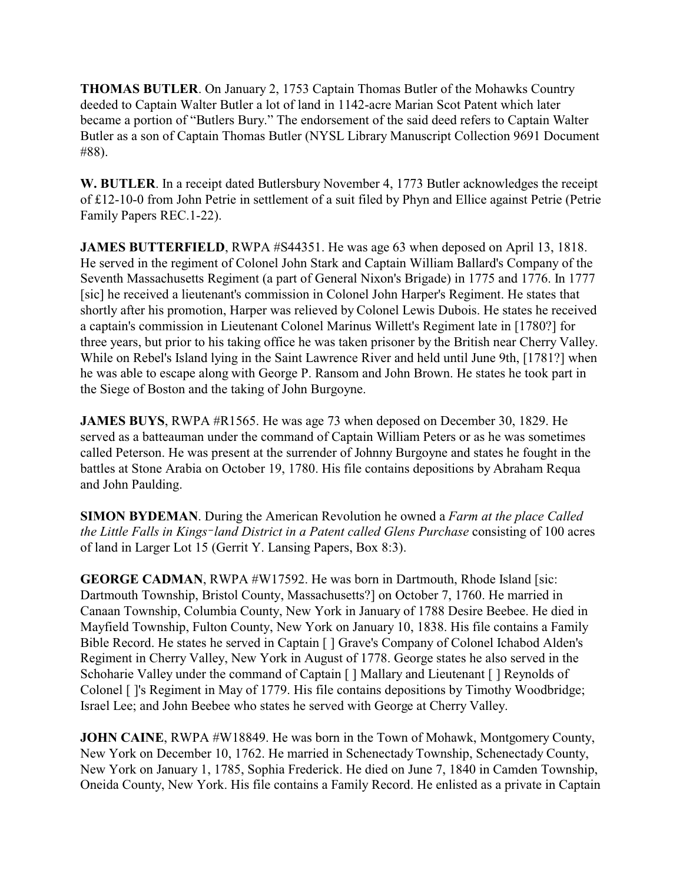**THOMAS BUTLER**. On January 2, 1753 Captain Thomas Butler of the Mohawks Country deeded to Captain Walter Butler a lot of land in 1142-acre Marian Scot Patent which later became a portion of "Butlers Bury." The endorsement of the said deed refers to Captain Walter Butler as a son of Captain Thomas Butler (NYSL Library Manuscript Collection 9691 Document #88).

**W. BUTLER**. In a receipt dated Butlersbury November 4, 1773 Butler acknowledges the receipt of £12-10-0 from John Petrie in settlement of a suit filed by Phyn and Ellice against Petrie (Petrie Family Papers REC.1-22).

**JAMES BUTTERFIELD**, RWPA #S44351. He was age 63 when deposed on April 13, 1818. He served in the regiment of Colonel John Stark and Captain William Ballard's Company of the Seventh Massachusetts Regiment (a part of General Nixon's Brigade) in 1775 and 1776. In 1777 [sic] he received a lieutenant's commission in Colonel John Harper's Regiment. He states that shortly after his promotion, Harper was relieved by Colonel Lewis Dubois. He states he received a captain's commission in Lieutenant Colonel Marinus Willett's Regiment late in [1780?] for three years, but prior to his taking office he was taken prisoner by the British near Cherry Valley. While on Rebel's Island lying in the Saint Lawrence River and held until June 9th, [1781?] when he was able to escape along with George P. Ransom and John Brown. He states he took part in the Siege of Boston and the taking of John Burgoyne.

**JAMES BUYS**, RWPA #R1565. He was age 73 when deposed on December 30, 1829. He served as a batteauman under the command of Captain William Peters or as he was sometimes called Peterson. He was present at the surrender of Johnny Burgoyne and states he fought in the battles at Stone Arabia on October 19, 1780. His file contains depositions by Abraham Requa and John Paulding.

**SIMON BYDEMAN**. During the American Revolution he owned a *Farm at the place Called the Little Falls in Kings%land District in a Patent called Glens Purchase* consisting of 100 acres of land in Larger Lot 15 (Gerrit Y. Lansing Papers, Box 8:3).

**GEORGE CADMAN, RWPA #W17592. He was born in Dartmouth, Rhode Island [sic:** Dartmouth Township, Bristol County, Massachusetts?] on October 7, 1760. He married in Canaan Township, Columbia County, New York in January of 1788 Desire Beebee. He died in Mayfield Township, Fulton County, New York on January 10, 1838. His file contains a Family Bible Record. He states he served in Captain [ ] Grave's Company of Colonel Ichabod Alden's Regiment in Cherry Valley, New York in August of 1778. George states he also served in the Schoharie Valley under the command of Captain [ ] Mallary and Lieutenant [ ] Reynolds of Colonel [ ]'s Regiment in May of 1779. His file contains depositions by Timothy Woodbridge; Israel Lee; and John Beebee who states he served with George at Cherry Valley.

**JOHN CAINE**, RWPA #W18849. He was born in the Town of Mohawk, Montgomery County, New York on December 10, 1762. He married in Schenectady Township, Schenectady County, New York on January 1, 1785, Sophia Frederick. He died on June 7, 1840 in Camden Township, Oneida County, New York. His file contains a Family Record. He enlisted as a private in Captain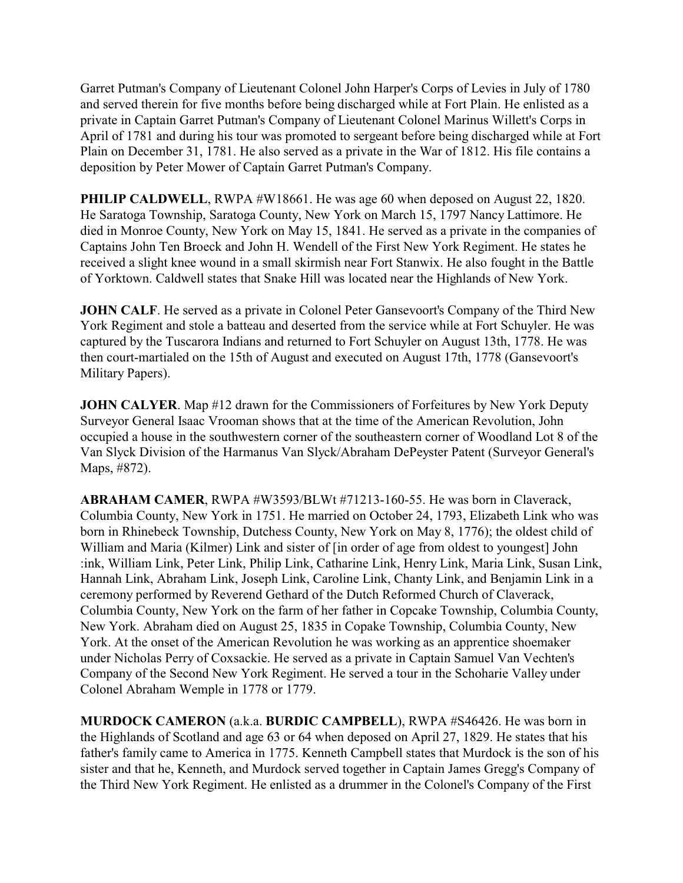Garret Putman's Company of Lieutenant Colonel John Harper's Corps of Levies in July of 1780 and served therein for five months before being discharged while at Fort Plain. He enlisted as a private in Captain Garret Putman's Company of Lieutenant Colonel Marinus Willett's Corps in April of 1781 and during his tour was promoted to sergeant before being discharged while at Fort Plain on December 31, 1781. He also served as a private in the War of 1812. His file contains a deposition by Peter Mower of Captain Garret Putman's Company.

**PHILIP CALDWELL**, RWPA #W18661. He was age 60 when deposed on August 22, 1820. He Saratoga Township, Saratoga County, New York on March 15, 1797 Nancy Lattimore. He died in Monroe County, New York on May 15, 1841. He served as a private in the companies of Captains John Ten Broeck and John H. Wendell of the First New York Regiment. He states he received a slight knee wound in a small skirmish near Fort Stanwix. He also fought in the Battle of Yorktown. Caldwell states that Snake Hill was located near the Highlands of New York.

**JOHN CALF**. He served as a private in Colonel Peter Gansevoort's Company of the Third New York Regiment and stole a batteau and deserted from the service while at Fort Schuyler. He was captured by the Tuscarora Indians and returned to Fort Schuyler on August 13th, 1778. He was then court-martialed on the 15th of August and executed on August 17th, 1778 (Gansevoort's Military Papers).

**JOHN CALYER.** Map #12 drawn for the Commissioners of Forfeitures by New York Deputy Surveyor General Isaac Vrooman shows that at the time of the American Revolution, John occupied a house in the southwestern corner of the southeastern corner of Woodland Lot 8 of the Van Slyck Division of the Harmanus Van Slyck/Abraham DePeyster Patent (Surveyor General's Maps, #872).

**ABRAHAM CAMER**, RWPA #W3593/BLWt #71213-160-55. He was born in Claverack, Columbia County, New York in 1751. He married on October 24, 1793, Elizabeth Link who was born in Rhinebeck Township, Dutchess County, New York on May 8, 1776); the oldest child of William and Maria (Kilmer) Link and sister of [in order of age from oldest to youngest] John :ink, William Link, Peter Link, Philip Link, Catharine Link, Henry Link, Maria Link, Susan Link, Hannah Link, Abraham Link, Joseph Link, Caroline Link, Chanty Link, and Benjamin Link in a ceremony performed by Reverend Gethard of the Dutch Reformed Church of Claverack, Columbia County, New York on the farm of her father in Copcake Township, Columbia County, New York. Abraham died on August 25, 1835 in Copake Township, Columbia County, New York. At the onset of the American Revolution he was working as an apprentice shoemaker under Nicholas Perry of Coxsackie. He served as a private in Captain Samuel Van Vechten's Company of the Second New York Regiment. He served a tour in the Schoharie Valley under Colonel Abraham Wemple in 1778 or 1779.

**MURDOCK CAMERON** (a.k.a. **BURDIC CAMPBELL**), RWPA #S46426. He was born in the Highlands of Scotland and age 63 or 64 when deposed on April 27, 1829. He states that his father's family came to America in 1775. Kenneth Campbell states that Murdock is the son of his sister and that he, Kenneth, and Murdock served together in Captain James Gregg's Company of the Third New York Regiment. He enlisted as a drummer in the Colonel's Company of the First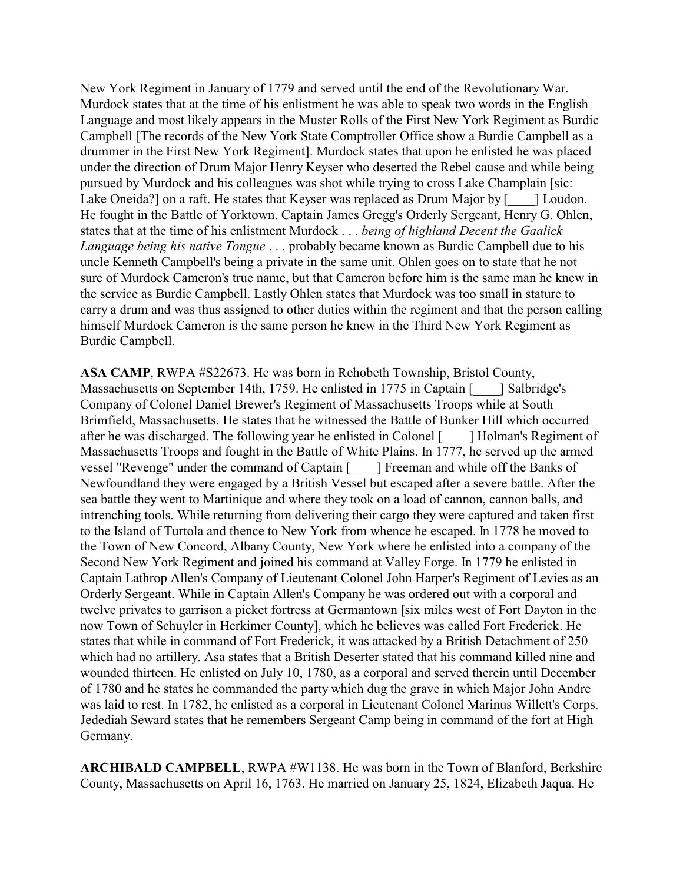New York Regiment in January of 1779 and served until the end of the Revolutionary War. Murdock states that at the time of his enlistment he was able to speak two words in the English Language and most likely appears in the Muster Rolls of the First New York Regiment as Burdic Campbell [The records of the New York State Comptroller Office show a Burdie Campbell as a drummer in the First New York Regiment]. Murdock states that upon he enlisted he was placed under the direction of Drum Major Henry Keyser who deserted the Rebel cause and while being pursued by Murdock and his colleagues was shot while trying to cross Lake Champlain [sic: Lake Oneida?] on a raft. He states that Keyser was replaced as Drum Major by [\_\_\_\_\_] Loudon. He fought in the Battle of Yorktown. Captain James Gregg's Orderly Sergeant, Henry G. Ohlen, states that at the time of his enlistment Murdock . . . *being of highland Decent the Gaalick Language being his native Tongue* . . . probably became known as Burdic Campbell due to his uncle Kenneth Campbell's being a private in the same unit. Ohlen goes on to state that he not sure of Murdock Cameron's true name, but that Cameron before him is the same man he knew in the service as Burdic Campbell. Lastly Ohlen states that Murdock was too small in stature to carry a drum and was thus assigned to other duties within the regiment and that the person calling himself Murdock Cameron is the same person he knew in the Third New York Regiment as Burdic Campbell.

**ASA CAMP**, RWPA #S22673. He was born in Rehobeth Township, Bristol County, Massachusetts on September 14th, 1759. He enlisted in 1775 in Captain [ \_\_\_\_] Salbridge's Company of Colonel Daniel Brewer's Regiment of Massachusetts Troops while at South Brimfield, Massachusetts. He states that he witnessed the Battle of Bunker Hill which occurred after he was discharged. The following year he enlisted in Colonel [\_\_\_\_] Holman's Regiment of Massachusetts Troops and fought in the Battle of White Plains. In 1777, he served up the armed vessel "Revenge" under the command of Captain [\_\_\_\_] Freeman and while off the Banks of Newfoundland they were engaged by a British Vessel but escaped after a severe battle. After the sea battle they went to Martinique and where they took on a load of cannon, cannon balls, and intrenching tools. While returning from delivering their cargo they were captured and taken first to the Island of Turtola and thence to New York from whence he escaped. In 1778 he moved to the Town of New Concord, Albany County, New York where he enlisted into a company of the Second New York Regiment and joined his command at Valley Forge. In 1779 he enlisted in Captain Lathrop Allen's Company of Lieutenant Colonel John Harper's Regiment of Levies as an Orderly Sergeant. While in Captain Allen's Company he was ordered out with a corporal and twelve privates to garrison a picket fortress at Germantown [six miles west of Fort Dayton in the now Town of Schuyler in Herkimer County], which he believes was called Fort Frederick. He states that while in command of Fort Frederick, it was attacked by a British Detachment of 250 which had no artillery. Asa states that a British Deserter stated that his command killed nine and wounded thirteen. He enlisted on July 10, 1780, as a corporal and served therein until December of 1780 and he states he commanded the party which dug the grave in which Major John Andre was laid to rest. In 1782, he enlisted as a corporal in Lieutenant Colonel Marinus Willett's Corps. Jedediah Seward states that he remembers Sergeant Camp being in command of the fort at High Germany.

**ARCHIBALD CAMPBELL**, RWPA #W1138. He was born in the Town of Blanford, Berkshire County, Massachusetts on April 16, 1763. He married on January 25, 1824, Elizabeth Jaqua. He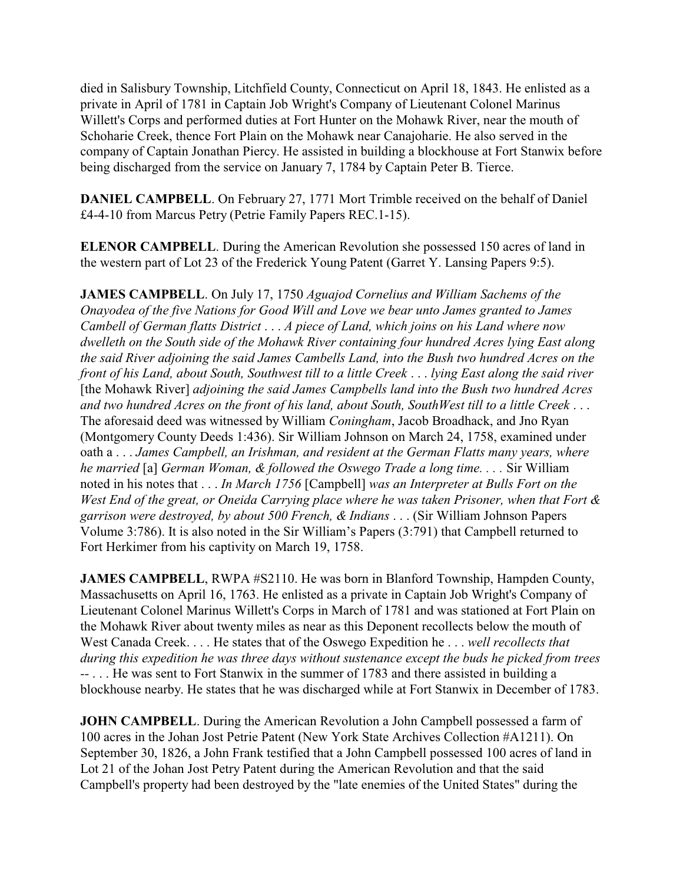died in Salisbury Township, Litchfield County, Connecticut on April 18, 1843. He enlisted as a private in April of 1781 in Captain Job Wright's Company of Lieutenant Colonel Marinus Willett's Corps and performed duties at Fort Hunter on the Mohawk River, near the mouth of Schoharie Creek, thence Fort Plain on the Mohawk near Canajoharie. He also served in the company of Captain Jonathan Piercy. He assisted in building a blockhouse at Fort Stanwix before being discharged from the service on January 7, 1784 by Captain Peter B. Tierce.

**DANIEL CAMPBELL**. On February 27, 1771 Mort Trimble received on the behalf of Daniel £4-4-10 from Marcus Petry (Petrie Family Papers REC.1-15).

**ELENOR CAMPBELL**. During the American Revolution she possessed 150 acres of land in the western part of Lot 23 of the Frederick Young Patent (Garret Y. Lansing Papers 9:5).

**JAMES CAMPBELL**. On July 17, 1750 *Aguajod Cornelius and William Sachems of the Onayodea of the five Nations for Good Will and Love we bear unto James granted to James Cambell of German flatts District* . . . *A piece of Land, which joins on his Land where now dwelleth on the South side of the Mohawk River containing four hundred Acres lying East along the said River adjoining the said James Cambells Land, into the Bush two hundred Acres on the front of his Land, about South, Southwest till to a little Creek* . . . *lying East along the said river* [the Mohawk River] *adjoining the said James Campbells land into the Bush two hundred Acres and two hundred Acres on the front of his land, about South, SouthWest till to a little Creek* . . . The aforesaid deed was witnessed by William *Coningham*, Jacob Broadhack, and Jno Ryan (Montgomery County Deeds 1:436). Sir William Johnson on March 24, 1758, examined under oath a . . . *James Campbell, an Irishman, and resident at the German Flatts many years, where he married* [a] *German Woman, & followed the Oswego Trade a long time. . . .* Sir William noted in his notes that . . . *In March 1756* [Campbell] *was an Interpreter at Bulls Fort on the West End of the great, or Oneida Carrying place where he was taken Prisoner, when that Fort & garrison were destroyed, by about 500 French, & Indians* . . . (Sir William Johnson Papers Volume 3:786). It is also noted in the Sir William's Papers (3:791) that Campbell returned to Fort Herkimer from his captivity on March 19, 1758.

**JAMES CAMPBELL**, RWPA #S2110. He was born in Blanford Township, Hampden County, Massachusetts on April 16, 1763. He enlisted as a private in Captain Job Wright's Company of Lieutenant Colonel Marinus Willett's Corps in March of 1781 and was stationed at Fort Plain on the Mohawk River about twenty miles as near as this Deponent recollects below the mouth of West Canada Creek. . . . He states that of the Oswego Expedition he . . . *well recollects that during this expedition he was three days without sustenance except the buds he picked from trees --* . . . He was sent to Fort Stanwix in the summer of 1783 and there assisted in building a blockhouse nearby. He states that he was discharged while at Fort Stanwix in December of 1783.

**JOHN CAMPBELL.** During the American Revolution a John Campbell possessed a farm of 100 acres in the Johan Jost Petrie Patent (New York State Archives Collection #A1211). On September 30, 1826, a John Frank testified that a John Campbell possessed 100 acres of land in Lot 21 of the Johan Jost Petry Patent during the American Revolution and that the said Campbell's property had been destroyed by the "late enemies of the United States" during the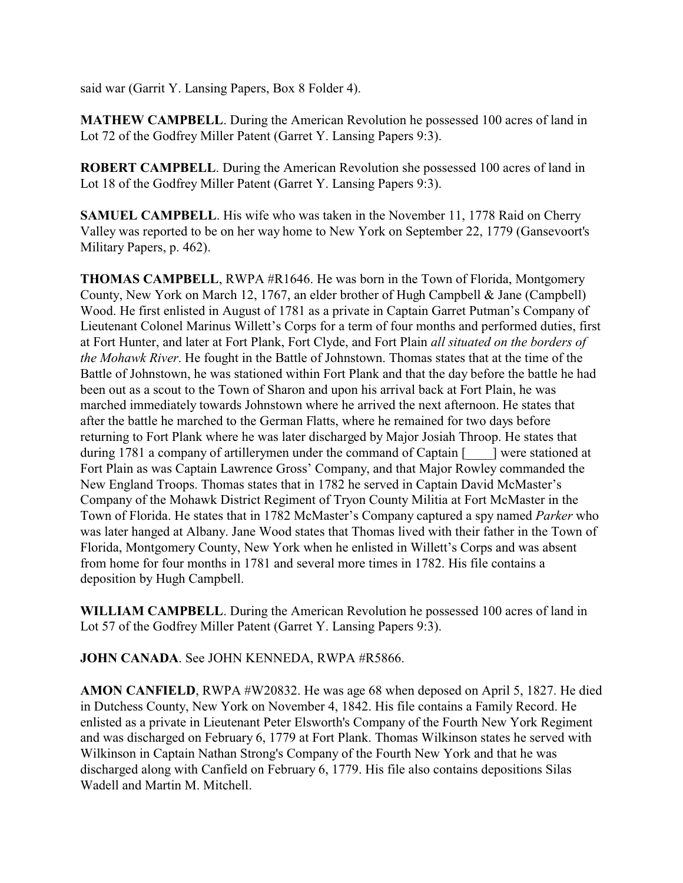said war (Garrit Y. Lansing Papers, Box 8 Folder 4).

**MATHEW CAMPBELL**. During the American Revolution he possessed 100 acres of land in Lot 72 of the Godfrey Miller Patent (Garret Y. Lansing Papers 9:3).

**ROBERT CAMPBELL**. During the American Revolution she possessed 100 acres of land in Lot 18 of the Godfrey Miller Patent (Garret Y. Lansing Papers 9:3).

**SAMUEL CAMPBELL**. His wife who was taken in the November 11, 1778 Raid on Cherry Valley was reported to be on her way home to New York on September 22, 1779 (Gansevoort's Military Papers, p. 462).

**THOMAS CAMPBELL**, RWPA #R1646. He was born in the Town of Florida, Montgomery County, New York on March 12, 1767, an elder brother of Hugh Campbell & Jane (Campbell) Wood. He first enlisted in August of 1781 as a private in Captain Garret Putman's Company of Lieutenant Colonel Marinus Willett's Corps for a term of four months and performed duties, first at Fort Hunter, and later at Fort Plank, Fort Clyde, and Fort Plain *all situated on the borders of the Mohawk River*. He fought in the Battle of Johnstown. Thomas states that at the time of the Battle of Johnstown, he was stationed within Fort Plank and that the day before the battle he had been out as a scout to the Town of Sharon and upon his arrival back at Fort Plain, he was marched immediately towards Johnstown where he arrived the next afternoon. He states that after the battle he marched to the German Flatts, where he remained for two days before returning to Fort Plank where he was later discharged by Major Josiah Throop. He states that during 1781 a company of artillerymen under the command of Captain [  $\Box$ ] were stationed at Fort Plain as was Captain Lawrence Gross' Company, and that Major Rowley commanded the New England Troops. Thomas states that in 1782 he served in Captain David McMaster's Company of the Mohawk District Regiment of Tryon County Militia at Fort McMaster in the Town of Florida. He states that in 1782 McMaster's Company captured a spy named *Parker* who was later hanged at Albany. Jane Wood states that Thomas lived with their father in the Town of Florida, Montgomery County, New York when he enlisted in Willett's Corps and was absent from home for four months in 1781 and several more times in 1782. His file contains a deposition by Hugh Campbell.

**WILLIAM CAMPBELL**. During the American Revolution he possessed 100 acres of land in Lot 57 of the Godfrey Miller Patent (Garret Y. Lansing Papers 9:3).

**JOHN CANADA**. See JOHN KENNEDA, RWPA #R5866.

**AMON CANFIELD**, RWPA #W20832. He was age 68 when deposed on April 5, 1827. He died in Dutchess County, New York on November 4, 1842. His file contains a Family Record. He enlisted as a private in Lieutenant Peter Elsworth's Company of the Fourth New York Regiment and was discharged on February 6, 1779 at Fort Plank. Thomas Wilkinson states he served with Wilkinson in Captain Nathan Strong's Company of the Fourth New York and that he was discharged along with Canfield on February 6, 1779. His file also contains depositions Silas Wadell and Martin M. Mitchell.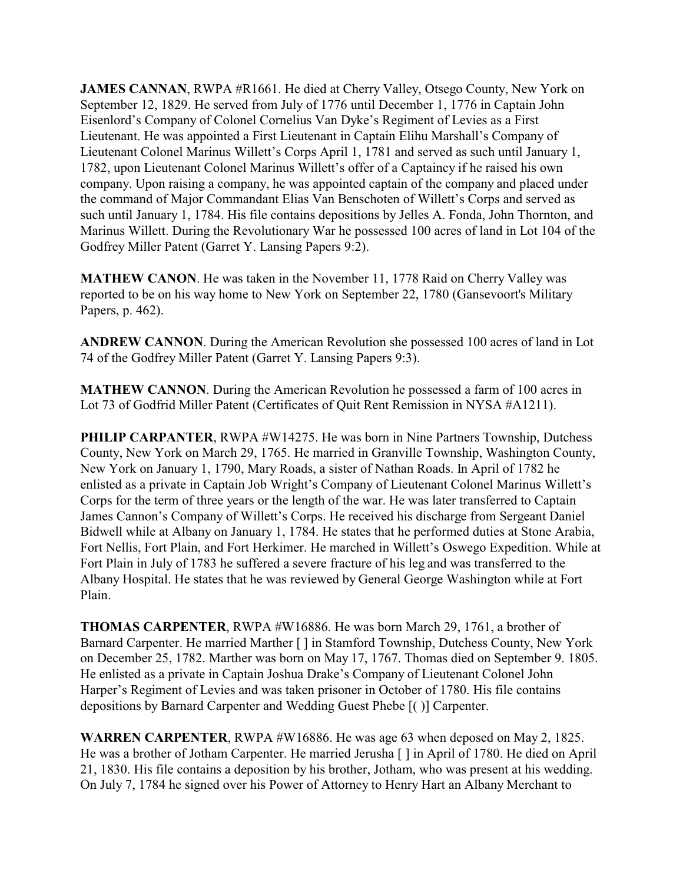**JAMES CANNAN, RWPA #R1661. He died at Cherry Valley, Otsego County, New York on** September 12, 1829. He served from July of 1776 until December 1, 1776 in Captain John Eisenlord's Company of Colonel Cornelius Van Dyke's Regiment of Levies as a First Lieutenant. He was appointed a First Lieutenant in Captain Elihu Marshall's Company of Lieutenant Colonel Marinus Willett's Corps April 1, 1781 and served as such until January 1, 1782, upon Lieutenant Colonel Marinus Willett's offer of a Captaincy if he raised his own company. Upon raising a company, he was appointed captain of the company and placed under the command of Major Commandant Elias Van Benschoten of Willett's Corps and served as such until January 1, 1784. His file contains depositions by Jelles A. Fonda, John Thornton, and Marinus Willett. During the Revolutionary War he possessed 100 acres of land in Lot 104 of the Godfrey Miller Patent (Garret Y. Lansing Papers 9:2).

**MATHEW CANON**. He was taken in the November 11, 1778 Raid on Cherry Valley was reported to be on his way home to New York on September 22, 1780 (Gansevoort's Military Papers, p. 462).

**ANDREW CANNON**. During the American Revolution she possessed 100 acres of land in Lot 74 of the Godfrey Miller Patent (Garret Y. Lansing Papers 9:3).

**MATHEW CANNON**. During the American Revolution he possessed a farm of 100 acres in Lot 73 of Godfrid Miller Patent (Certificates of Quit Rent Remission in NYSA #A1211).

**PHILIP CARPANTER, RWPA #W14275. He was born in Nine Partners Township, Dutchess** County, New York on March 29, 1765. He married in Granville Township, Washington County, New York on January 1, 1790, Mary Roads, a sister of Nathan Roads. In April of 1782 he enlisted as a private in Captain Job Wright's Company of Lieutenant Colonel Marinus Willett's Corps for the term of three years or the length of the war. He was later transferred to Captain James Cannon's Company of Willett's Corps. He received his discharge from Sergeant Daniel Bidwell while at Albany on January 1, 1784. He states that he performed duties at Stone Arabia, Fort Nellis, Fort Plain, and Fort Herkimer. He marched in Willett's Oswego Expedition. While at Fort Plain in July of 1783 he suffered a severe fracture of his leg and was transferred to the Albany Hospital. He states that he was reviewed by General George Washington while at Fort Plain.

**THOMAS CARPENTER**, RWPA #W16886. He was born March 29, 1761, a brother of Barnard Carpenter. He married Marther [ ] in Stamford Township, Dutchess County, New York on December 25, 1782. Marther was born on May 17, 1767. Thomas died on September 9. 1805. He enlisted as a private in Captain Joshua Drake's Company of Lieutenant Colonel John Harper's Regiment of Levies and was taken prisoner in October of 1780. His file contains depositions by Barnard Carpenter and Wedding Guest Phebe [( )] Carpenter.

**WARREN CARPENTER**, RWPA #W16886. He was age 63 when deposed on May 2, 1825. He was a brother of Jotham Carpenter. He married Jerusha [ ] in April of 1780. He died on April 21, 1830. His file contains a deposition by his brother, Jotham, who was present at his wedding. On July 7, 1784 he signed over his Power of Attorney to Henry Hart an Albany Merchant to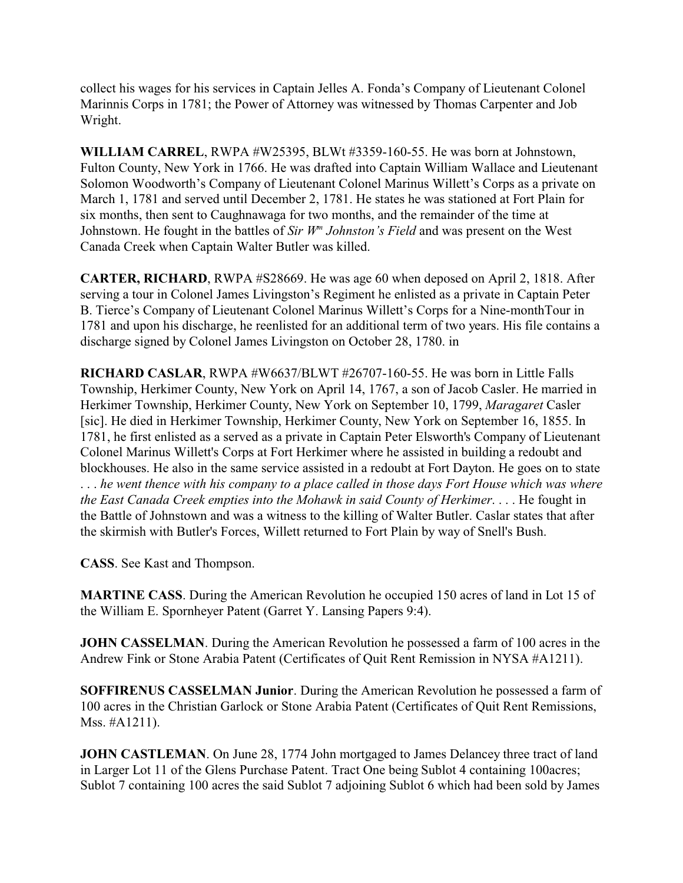collect his wages for his services in Captain Jelles A. Fonda's Company of Lieutenant Colonel Marinnis Corps in 1781; the Power of Attorney was witnessed by Thomas Carpenter and Job Wright.

**WILLIAM CARREL**, RWPA #W25395, BLWt #3359-160-55. He was born at Johnstown, Fulton County, New York in 1766. He was drafted into Captain William Wallace and Lieutenant Solomon Woodworth's Company of Lieutenant Colonel Marinus Willett's Corps as a private on March 1, 1781 and served until December 2, 1781. He states he was stationed at Fort Plain for six months, then sent to Caughnawaga for two months, and the remainder of the time at Johnstown. He fought in the battles of *Sir W<sup>m</sup> Johnston's Field* and was present on the West Canada Creek when Captain Walter Butler was killed.

**CARTER, RICHARD**, RWPA #S28669. He was age 60 when deposed on April 2, 1818. After serving a tour in Colonel James Livingston's Regiment he enlisted as a private in Captain Peter B. Tierce's Company of Lieutenant Colonel Marinus Willett's Corps for a Nine-monthTour in 1781 and upon his discharge, he reenlisted for an additional term of two years. His file contains a discharge signed by Colonel James Livingston on October 28, 1780. in

**RICHARD CASLAR**, RWPA #W6637/BLWT #26707-160-55. He was born in Little Falls Township, Herkimer County, New York on April 14, 1767, a son of Jacob Casler. He married in Herkimer Township, Herkimer County, New York on September 10, 1799, *Maragaret* Casler [sic]. He died in Herkimer Township, Herkimer County, New York on September 16, 1855. In 1781, he first enlisted as a served as a private in Captain Peter Elsworth's Company of Lieutenant Colonel Marinus Willett's Corps at Fort Herkimer where he assisted in building a redoubt and blockhouses. He also in the same service assisted in a redoubt at Fort Dayton. He goes on to state . . . *he went thence with his company to a place called in those days Fort House which was where the East Canada Creek empties into the Mohawk in said County of Herkimer*. . . . He fought in the Battle of Johnstown and was a witness to the killing of Walter Butler. Caslar states that after the skirmish with Butler's Forces, Willett returned to Fort Plain by way of Snell's Bush.

**CASS**. See Kast and Thompson.

**MARTINE CASS**. During the American Revolution he occupied 150 acres of land in Lot 15 of the William E. Spornheyer Patent (Garret Y. Lansing Papers 9:4).

**JOHN CASSELMAN.** During the American Revolution he possessed a farm of 100 acres in the Andrew Fink or Stone Arabia Patent (Certificates of Quit Rent Remission in NYSA #A1211).

**SOFFIRENUS CASSELMAN Junior**. During the American Revolution he possessed a farm of 100 acres in the Christian Garlock or Stone Arabia Patent (Certificates of Quit Rent Remissions, Mss. #A1211).

**JOHN CASTLEMAN**. On June 28, 1774 John mortgaged to James Delancey three tract of land in Larger Lot 11 of the Glens Purchase Patent. Tract One being Sublot 4 containing 100acres; Sublot 7 containing 100 acres the said Sublot 7 adjoining Sublot 6 which had been sold by James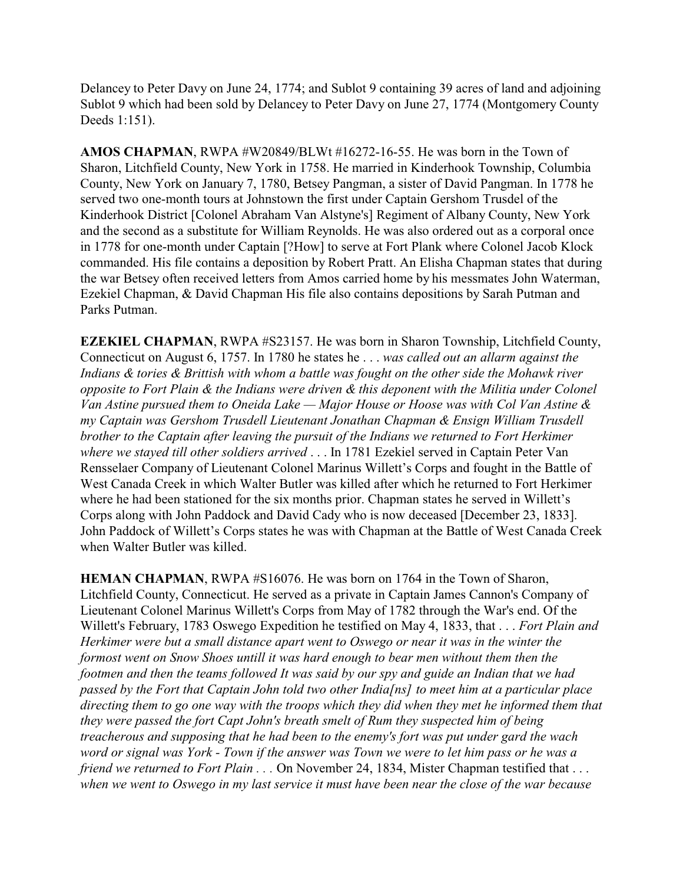Delancey to Peter Davy on June 24, 1774; and Sublot 9 containing 39 acres of land and adjoining Sublot 9 which had been sold by Delancey to Peter Davy on June 27, 1774 (Montgomery County Deeds 1:151).

**AMOS CHAPMAN**, RWPA #W20849/BLWt #16272-16-55. He was born in the Town of Sharon, Litchfield County, New York in 1758. He married in Kinderhook Township, Columbia County, New York on January 7, 1780, Betsey Pangman, a sister of David Pangman. In 1778 he served two one-month tours at Johnstown the first under Captain Gershom Trusdel of the Kinderhook District [Colonel Abraham Van Alstyne's] Regiment of Albany County, New York and the second as a substitute for William Reynolds. He was also ordered out as a corporal once in 1778 for one-month under Captain [?How] to serve at Fort Plank where Colonel Jacob Klock commanded. His file contains a deposition by Robert Pratt. An Elisha Chapman states that during the war Betsey often received letters from Amos carried home by his messmates John Waterman, Ezekiel Chapman, & David Chapman His file also contains depositions by Sarah Putman and Parks Putman.

**EZEKIEL CHAPMAN**, RWPA #S23157. He was born in Sharon Township, Litchfield County, Connecticut on August 6, 1757. In 1780 he states he . . . *was called out an allarm against the Indians & tories & Brittish with whom a battle was fought on the other side the Mohawk river opposite to Fort Plain & the Indians were driven & this deponent with the Militia under Colonel Van Astine pursued them to Oneida Lake — Major House or Hoose was with Col Van Astine & my Captain was Gershom Trusdell Lieutenant Jonathan Chapman & Ensign William Trusdell brother to the Captain after leaving the pursuit of the Indians we returned to Fort Herkimer where we stayed till other soldiers arrived* . . . In 1781 Ezekiel served in Captain Peter Van Rensselaer Company of Lieutenant Colonel Marinus Willett's Corps and fought in the Battle of West Canada Creek in which Walter Butler was killed after which he returned to Fort Herkimer where he had been stationed for the six months prior. Chapman states he served in Willett's Corps along with John Paddock and David Cady who is now deceased [December 23, 1833]. John Paddock of Willett's Corps states he was with Chapman at the Battle of West Canada Creek when Walter Butler was killed.

**HEMAN CHAPMAN**, RWPA #S16076. He was born on 1764 in the Town of Sharon, Litchfield County, Connecticut. He served as a private in Captain James Cannon's Company of Lieutenant Colonel Marinus Willett's Corps from May of 1782 through the War's end. Of the Willett's February, 1783 Oswego Expedition he testified on May 4, 1833, that . . . *Fort Plain and Herkimer were but a small distance apart went to Oswego or near it was in the winter the formost went on Snow Shoes untill it was hard enough to bear men without them then the footmen and then the teams followed It was said by our spy and guide an Indian that we had passed by the Fort that Captain John told two other India[ns] to meet him at a particular place directing them to go one way with the troops which they did when they met he informed them that they were passed the fort Capt John's breath smelt of Rum they suspected him of being treacherous and supposing that he had been to the enemy's fort was put under gard the wach word or signal was York - Town if the answer was Town we were to let him pass or he was a friend we returned to Fort Plain . . .* On November 24, 1834, Mister Chapman testified that . . . *when we went to Oswego in my last service it must have been near the close of the war because*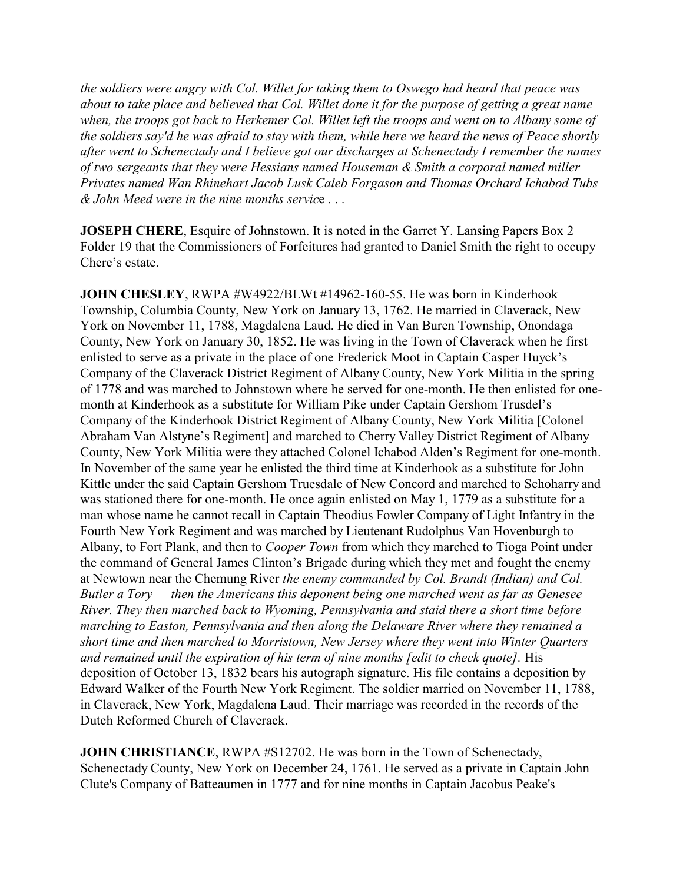*the soldiers were angry with Col. Willet for taking them to Oswego had heard that peace was about to take place and believed that Col. Willet done it for the purpose of getting a great name when, the troops got back to Herkemer Col. Willet left the troops and went on to Albany some of the soldiers say'd he was afraid to stay with them, while here we heard the news of Peace shortly after went to Schenectady and I believe got our discharges at Schenectady I remember the names of two sergeants that they were Hessians named Houseman & Smith a corporal named miller Privates named Wan Rhinehart Jacob Lusk Caleb Forgason and Thomas Orchard Ichabod Tubs & John Meed were in the nine months servic*e . . .

**JOSEPH CHERE**, Esquire of Johnstown. It is noted in the Garret Y. Lansing Papers Box 2 Folder 19 that the Commissioners of Forfeitures had granted to Daniel Smith the right to occupy Chere's estate.

**JOHN CHESLEY, RWPA #W4922/BLWt #14962-160-55. He was born in Kinderhook** Township, Columbia County, New York on January 13, 1762. He married in Claverack, New York on November 11, 1788, Magdalena Laud. He died in Van Buren Township, Onondaga County, New York on January 30, 1852. He was living in the Town of Claverack when he first enlisted to serve as a private in the place of one Frederick Moot in Captain Casper Huyck's Company of the Claverack District Regiment of Albany County, New York Militia in the spring of 1778 and was marched to Johnstown where he served for one-month. He then enlisted for onemonth at Kinderhook as a substitute for William Pike under Captain Gershom Trusdel's Company of the Kinderhook District Regiment of Albany County, New York Militia [Colonel Abraham Van Alstyne's Regiment] and marched to Cherry Valley District Regiment of Albany County, New York Militia were they attached Colonel Ichabod Alden's Regiment for one-month. In November of the same year he enlisted the third time at Kinderhook as a substitute for John Kittle under the said Captain Gershom Truesdale of New Concord and marched to Schoharry and was stationed there for one-month. He once again enlisted on May 1, 1779 as a substitute for a man whose name he cannot recall in Captain Theodius Fowler Company of Light Infantry in the Fourth New York Regiment and was marched by Lieutenant Rudolphus Van Hovenburgh to Albany, to Fort Plank, and then to *Cooper Town* from which they marched to Tioga Point under the command of General James Clinton's Brigade during which they met and fought the enemy at Newtown near the Chemung River *the enemy commanded by Col. Brandt (Indian) and Col. Butler a Tory — then the Americans this deponent being one marched went as far as Genesee River. They then marched back to Wyoming, Pennsylvania and staid there a short time before marching to Easton, Pennsylvania and then along the Delaware River where they remained a short time and then marched to Morristown, New Jersey where they went into Winter Quarters and remained until the expiration of his term of nine months [edit to check quote].* His deposition of October 13, 1832 bears his autograph signature. His file contains a deposition by Edward Walker of the Fourth New York Regiment. The soldier married on November 11, 1788, in Claverack, New York, Magdalena Laud. Their marriage was recorded in the records of the Dutch Reformed Church of Claverack.

**JOHN CHRISTIANCE**, RWPA #S12702. He was born in the Town of Schenectady, Schenectady County, New York on December 24, 1761. He served as a private in Captain John Clute's Company of Batteaumen in 1777 and for nine months in Captain Jacobus Peake's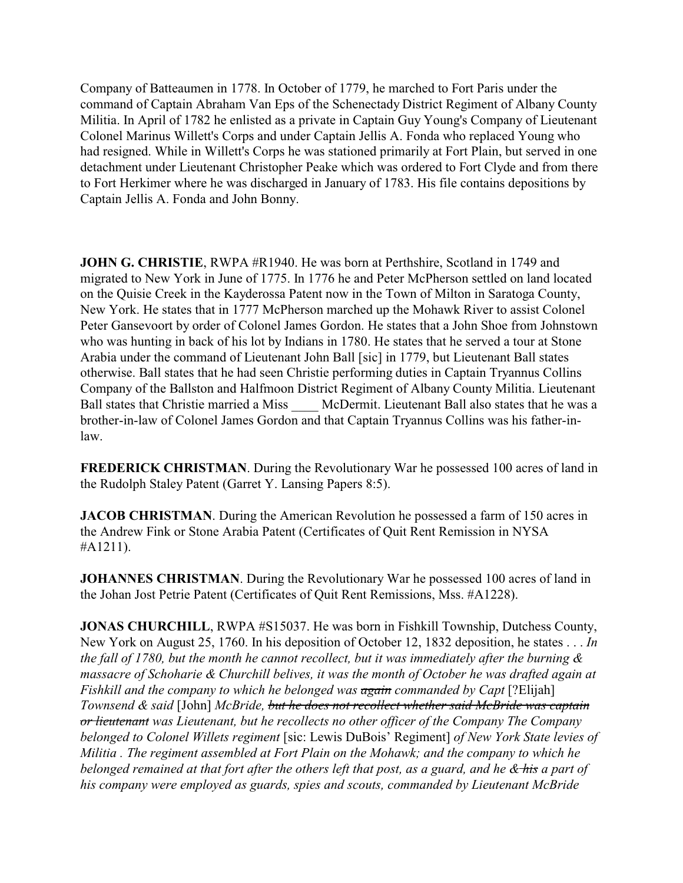Company of Batteaumen in 1778. In October of 1779, he marched to Fort Paris under the command of Captain Abraham Van Eps of the Schenectady District Regiment of Albany County Militia. In April of 1782 he enlisted as a private in Captain Guy Young's Company of Lieutenant Colonel Marinus Willett's Corps and under Captain Jellis A. Fonda who replaced Young who had resigned. While in Willett's Corps he was stationed primarily at Fort Plain, but served in one detachment under Lieutenant Christopher Peake which was ordered to Fort Clyde and from there to Fort Herkimer where he was discharged in January of 1783. His file contains depositions by Captain Jellis A. Fonda and John Bonny.

**JOHN G. CHRISTIE**, RWPA #R1940. He was born at Perthshire, Scotland in 1749 and migrated to New York in June of 1775. In 1776 he and Peter McPherson settled on land located on the Quisie Creek in the Kayderossa Patent now in the Town of Milton in Saratoga County, New York. He states that in 1777 McPherson marched up the Mohawk River to assist Colonel Peter Gansevoort by order of Colonel James Gordon. He states that a John Shoe from Johnstown who was hunting in back of his lot by Indians in 1780. He states that he served a tour at Stone Arabia under the command of Lieutenant John Ball [sic] in 1779, but Lieutenant Ball states otherwise. Ball states that he had seen Christie performing duties in Captain Tryannus Collins Company of the Ballston and Halfmoon District Regiment of Albany County Militia. Lieutenant Ball states that Christie married a Miss McDermit. Lieutenant Ball also states that he was a brother-in-law of Colonel James Gordon and that Captain Tryannus Collins was his father-inlaw.

**FREDERICK CHRISTMAN**. During the Revolutionary War he possessed 100 acres of land in the Rudolph Staley Patent (Garret Y. Lansing Papers 8:5).

**JACOB CHRISTMAN**. During the American Revolution he possessed a farm of 150 acres in the Andrew Fink or Stone Arabia Patent (Certificates of Quit Rent Remission in NYSA #A1211).

**JOHANNES CHRISTMAN.** During the Revolutionary War he possessed 100 acres of land in the Johan Jost Petrie Patent (Certificates of Quit Rent Remissions, Mss. #A1228).

**JONAS CHURCHILL**, RWPA #S15037. He was born in Fishkill Township, Dutchess County, New York on August 25, 1760. In his deposition of October 12, 1832 deposition, he states . . . *In the fall of 1780, but the month he cannot recollect, but it was immediately after the burning & massacre of Schoharie & Churchill belives, it was the month of October he was drafted again at Fishkill and the company to which he belonged was again commanded by Capt* [?Elijah] *Townsend & said* [John] *McBride, but he does not recollect whether said McBride was captain or lieutenant was Lieutenant, but he recollects no other officer of the Company The Company belonged to Colonel Willets regiment* [sic: Lewis DuBois' Regiment] *of New York State levies of Militia . The regiment assembled at Fort Plain on the Mohawk; and the company to which he belonged remained at that fort after the others left that post, as a guard, and he & his a part of his company were employed as guards, spies and scouts, commanded by Lieutenant McBride*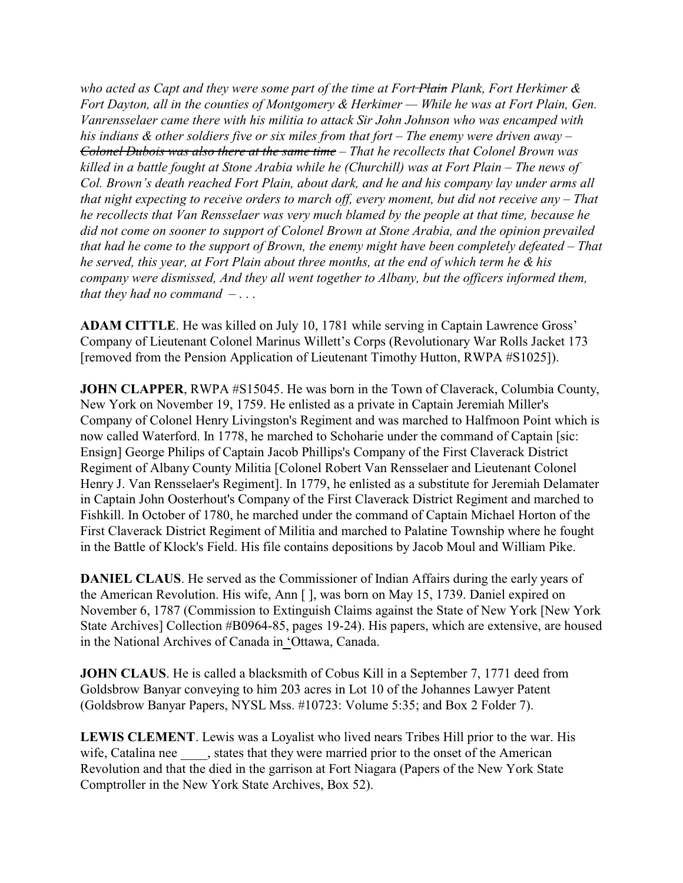*who acted as Capt and they were some part of the time at Fort Plain Plank, Fort Herkimer & Fort Dayton, all in the counties of Montgomery & Herkimer — While he was at Fort Plain, Gen. Vanrensselaer came there with his militia to attack Sir John Johnson who was encamped with his indians & other soldiers five or six miles from that fort – The enemy were driven away – Colonel Dubois was also there at the same time – That he recollects that Colonel Brown was killed in a battle fought at Stone Arabia while he (Churchill) was at Fort Plain – The news of Col. Brown's death reached Fort Plain, about dark, and he and his company lay under arms all that night expecting to receive orders to march off, every moment, but did not receive any – That he recollects that Van Rensselaer was very much blamed by the people at that time, because he did not come on sooner to support of Colonel Brown at Stone Arabia, and the opinion prevailed that had he come to the support of Brown, the enemy might have been completely defeated – That he served, this year, at Fort Plain about three months, at the end of which term he & his company were dismissed, And they all went together to Albany, but the officers informed them, that they had no command –* . . .

**ADAM CITTLE**. He was killed on July 10, 1781 while serving in Captain Lawrence Gross' Company of Lieutenant Colonel Marinus Willett's Corps (Revolutionary War Rolls Jacket 173 [removed from the Pension Application of Lieutenant Timothy Hutton, RWPA #S1025]).

**JOHN CLAPPER**, RWPA #S15045. He was born in the Town of Claverack, Columbia County, New York on November 19, 1759. He enlisted as a private in Captain Jeremiah Miller's Company of Colonel Henry Livingston's Regiment and was marched to Halfmoon Point which is now called Waterford. In 1778, he marched to Schoharie under the command of Captain [sic: Ensign] George Philips of Captain Jacob Phillips's Company of the First Claverack District Regiment of Albany County Militia [Colonel Robert Van Rensselaer and Lieutenant Colonel Henry J. Van Rensselaer's Regiment]. In 1779, he enlisted as a substitute for Jeremiah Delamater in Captain John Oosterhout's Company of the First Claverack District Regiment and marched to Fishkill. In October of 1780, he marched under the command of Captain Michael Horton of the First Claverack District Regiment of Militia and marched to Palatine Township where he fought in the Battle of Klock's Field. His file contains depositions by Jacob Moul and William Pike.

**DANIEL CLAUS**. He served as the Commissioner of Indian Affairs during the early years of the American Revolution. His wife, Ann [ ], was born on May 15, 1739. Daniel expired on November 6, 1787 (Commission to Extinguish Claims against the State of New York [New York State Archives] Collection #B0964-85, pages 19-24). His papers, which are extensive, are housed in the National Archives of Canada in 'Ottawa, Canada.

**JOHN CLAUS**. He is called a blacksmith of Cobus Kill in a September 7, 1771 deed from Goldsbrow Banyar conveying to him 203 acres in Lot 10 of the Johannes Lawyer Patent (Goldsbrow Banyar Papers, NYSL Mss. #10723: Volume 5:35; and Box 2 Folder 7).

**LEWIS CLEMENT**. Lewis was a Loyalist who lived nears Tribes Hill prior to the war. His wife, Catalina nee states that they were married prior to the onset of the American Revolution and that the died in the garrison at Fort Niagara (Papers of the New York State Comptroller in the New York State Archives, Box 52).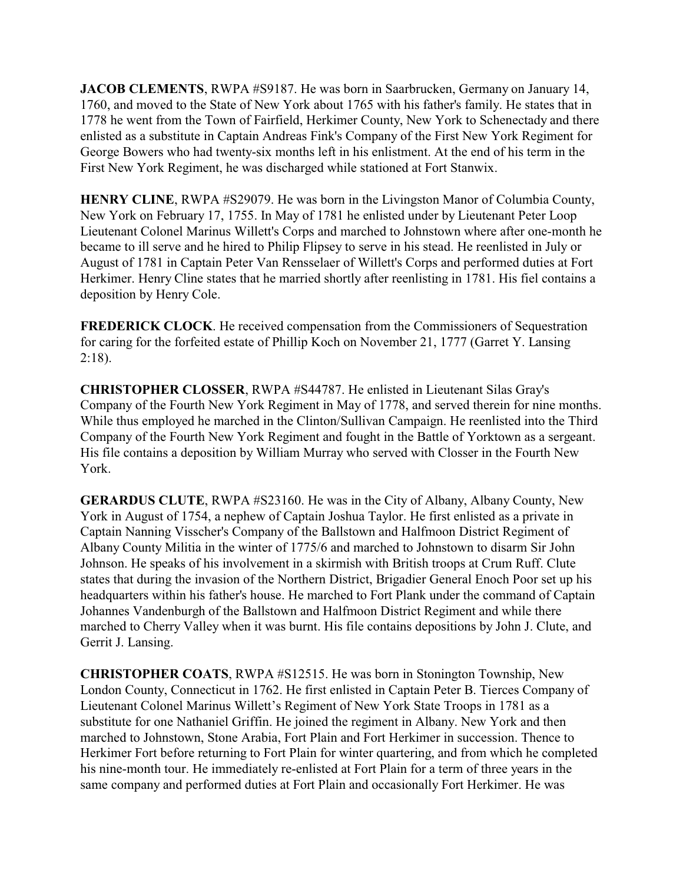**JACOB CLEMENTS**, RWPA #S9187. He was born in Saarbrucken, Germany on January 14, 1760, and moved to the State of New York about 1765 with his father's family. He states that in 1778 he went from the Town of Fairfield, Herkimer County, New York to Schenectady and there enlisted as a substitute in Captain Andreas Fink's Company of the First New York Regiment for George Bowers who had twenty-six months left in his enlistment. At the end of his term in the First New York Regiment, he was discharged while stationed at Fort Stanwix.

**HENRY CLINE**, RWPA #S29079. He was born in the Livingston Manor of Columbia County, New York on February 17, 1755. In May of 1781 he enlisted under by Lieutenant Peter Loop Lieutenant Colonel Marinus Willett's Corps and marched to Johnstown where after one-month he became to ill serve and he hired to Philip Flipsey to serve in his stead. He reenlisted in July or August of 1781 in Captain Peter Van Rensselaer of Willett's Corps and performed duties at Fort Herkimer. Henry Cline states that he married shortly after reenlisting in 1781. His fiel contains a deposition by Henry Cole.

**FREDERICK CLOCK**. He received compensation from the Commissioners of Sequestration for caring for the forfeited estate of Phillip Koch on November 21, 1777 (Garret Y. Lansing  $2:18$ ).

**CHRISTOPHER CLOSSER**, RWPA #S44787. He enlisted in Lieutenant Silas Gray's Company of the Fourth New York Regiment in May of 1778, and served therein for nine months. While thus employed he marched in the Clinton/Sullivan Campaign. He reenlisted into the Third Company of the Fourth New York Regiment and fought in the Battle of Yorktown as a sergeant. His file contains a deposition by William Murray who served with Closser in the Fourth New York.

**GERARDUS CLUTE**, RWPA #S23160. He was in the City of Albany, Albany County, New York in August of 1754, a nephew of Captain Joshua Taylor. He first enlisted as a private in Captain Nanning Visscher's Company of the Ballstown and Halfmoon District Regiment of Albany County Militia in the winter of 1775/6 and marched to Johnstown to disarm Sir John Johnson. He speaks of his involvement in a skirmish with British troops at Crum Ruff. Clute states that during the invasion of the Northern District, Brigadier General Enoch Poor set up his headquarters within his father's house. He marched to Fort Plank under the command of Captain Johannes Vandenburgh of the Ballstown and Halfmoon District Regiment and while there marched to Cherry Valley when it was burnt. His file contains depositions by John J. Clute, and Gerrit J. Lansing.

**CHRISTOPHER COATS**, RWPA #S12515. He was born in Stonington Township, New London County, Connecticut in 1762. He first enlisted in Captain Peter B. Tierces Company of Lieutenant Colonel Marinus Willett's Regiment of New York State Troops in 1781 as a substitute for one Nathaniel Griffin. He joined the regiment in Albany. New York and then marched to Johnstown, Stone Arabia, Fort Plain and Fort Herkimer in succession. Thence to Herkimer Fort before returning to Fort Plain for winter quartering, and from which he completed his nine-month tour. He immediately re-enlisted at Fort Plain for a term of three years in the same company and performed duties at Fort Plain and occasionally Fort Herkimer. He was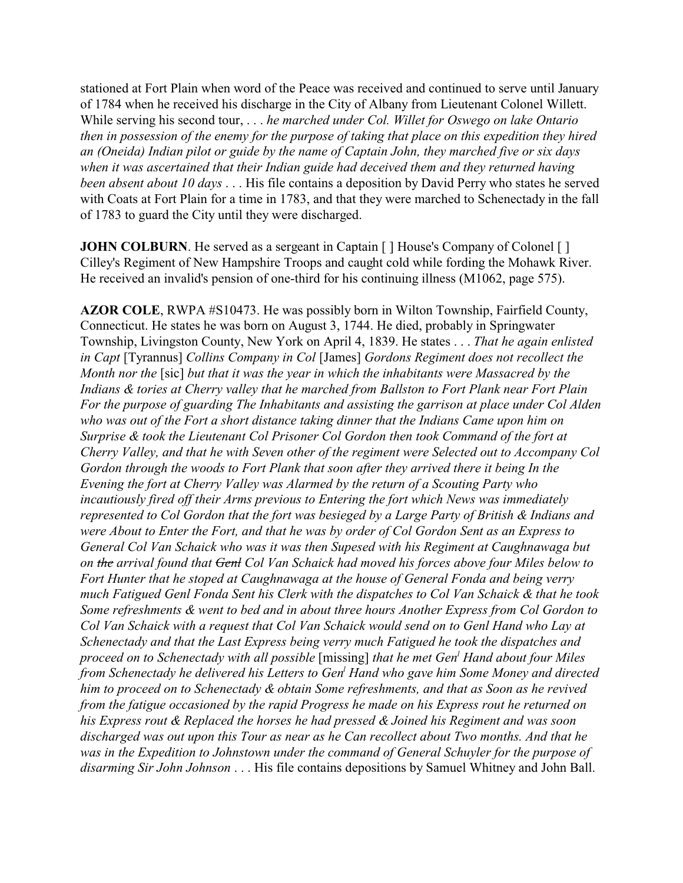stationed at Fort Plain when word of the Peace was received and continued to serve until January of 1784 when he received his discharge in the City of Albany from Lieutenant Colonel Willett. While serving his second tour, . . . *he marched under Col. Willet for Oswego on lake Ontario then in possession of the enemy for the purpose of taking that place on this expedition they hired an (Oneida) Indian pilot or guide by the name of Captain John, they marched five or six days when it was ascertained that their Indian guide had deceived them and they returned having been absent about 10 days* . . . His file contains a deposition by David Perry who states he served with Coats at Fort Plain for a time in 1783, and that they were marched to Schenectady in the fall of 1783 to guard the City until they were discharged.

**JOHN COLBURN**. He served as a sergeant in Captain [ ] House's Company of Colonel [ ] Cilley's Regiment of New Hampshire Troops and caught cold while fording the Mohawk River. He received an invalid's pension of one-third for his continuing illness (M1062, page 575).

**AZOR COLE**, RWPA #S10473. He was possibly born in Wilton Township, Fairfield County, Connecticut. He states he was born on August 3, 1744. He died, probably in Springwater Township, Livingston County, New York on April 4, 1839. He states . . . *That he again enlisted in Capt* [Tyrannus] *Collins Company in Col* [James] *Gordons Regiment does not recollect the Month nor the* [sic] *but that it was the year in which the inhabitants were Massacred by the Indians & tories at Cherry valley that he marched from Ballston to Fort Plank near Fort Plain For the purpose of guarding The Inhabitants and assisting the garrison at place under Col Alden who was out of the Fort a short distance taking dinner that the Indians Came upon him on Surprise & took the Lieutenant Col Prisoner Col Gordon then took Command of the fort at Cherry Valley, and that he with Seven other of the regiment were Selected out to Accompany Col Gordon through the woods to Fort Plank that soon after they arrived there it being In the Evening the fort at Cherry Valley was Alarmed by the return of a Scouting Party who incautiously fired off their Arms previous to Entering the fort which News was immediately represented to Col Gordon that the fort was besieged by a Large Party of British & Indians and were About to Enter the Fort, and that he was by order of Col Gordon Sent as an Express to General Col Van Schaick who was it was then Supesed with his Regiment at Caughnawaga but on the arrival found that Genl Col Van Schaick had moved his forces above four Miles below to Fort Hunter that he stoped at Caughnawaga at the house of General Fonda and being verry much Fatigued Genl Fonda Sent his Clerk with the dispatches to Col Van Schaick & that he took Some refreshments & went to bed and in about three hours Another Express from Col Gordon to Col Van Schaick with a request that Col Van Schaick would send on to Genl Hand who Lay at Schenectady and that the Last Express being verry much Fatigued he took the dispatches and proceed on to Schenectady with all possible* [missing] *that he met Gen<sup>l</sup> Hand about four Miles from Schenectady he delivered his Letters to Gen<sup>l</sup> Hand who gave him Some Money and directed him to proceed on to Schenectady & obtain Some refreshments, and that as Soon as he revived from the fatigue occasioned by the rapid Progress he made on his Express rout he returned on his Express rout & Replaced the horses he had pressed & Joined his Regiment and was soon discharged was out upon this Tour as near as he Can recollect about Two months. And that he was in the Expedition to Johnstown under the command of General Schuyler for the purpose of disarming Sir John Johnson* . . . His file contains depositions by Samuel Whitney and John Ball.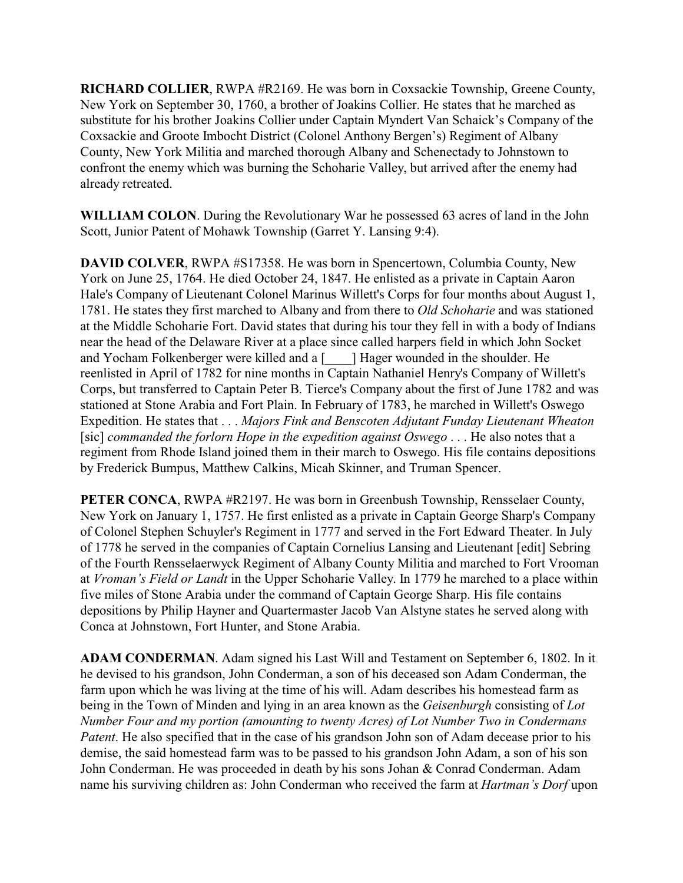**RICHARD COLLIER**, RWPA #R2169. He was born in Coxsackie Township, Greene County, New York on September 30, 1760, a brother of Joakins Collier. He states that he marched as substitute for his brother Joakins Collier under Captain Myndert Van Schaick's Company of the Coxsackie and Groote Imbocht District (Colonel Anthony Bergen's) Regiment of Albany County, New York Militia and marched thorough Albany and Schenectady to Johnstown to confront the enemy which was burning the Schoharie Valley, but arrived after the enemy had already retreated.

**WILLIAM COLON**. During the Revolutionary War he possessed 63 acres of land in the John Scott, Junior Patent of Mohawk Township (Garret Y. Lansing 9:4).

**DAVID COLVER**, RWPA #S17358. He was born in Spencertown, Columbia County, New York on June 25, 1764. He died October 24, 1847. He enlisted as a private in Captain Aaron Hale's Company of Lieutenant Colonel Marinus Willett's Corps for four months about August 1, 1781. He states they first marched to Albany and from there to *Old Schoharie* and was stationed at the Middle Schoharie Fort. David states that during his tour they fell in with a body of Indians near the head of the Delaware River at a place since called harpers field in which John Socket and Yocham Folkenberger were killed and a [\_\_\_\_] Hager wounded in the shoulder. He reenlisted in April of 1782 for nine months in Captain Nathaniel Henry's Company of Willett's Corps, but transferred to Captain Peter B. Tierce's Company about the first of June 1782 and was stationed at Stone Arabia and Fort Plain. In February of 1783, he marched in Willett's Oswego Expedition. He states that . . . *Majors Fink and Benscoten Adjutant Funday Lieutenant Wheaton* [sic] *commanded the forlorn Hope in the expedition against Oswego* . . . He also notes that a regiment from Rhode Island joined them in their march to Oswego. His file contains depositions by Frederick Bumpus, Matthew Calkins, Micah Skinner, and Truman Spencer.

**PETER CONCA, RWPA #R2197. He was born in Greenbush Township, Rensselaer County,** New York on January 1, 1757. He first enlisted as a private in Captain George Sharp's Company of Colonel Stephen Schuyler's Regiment in 1777 and served in the Fort Edward Theater. In July of 1778 he served in the companies of Captain Cornelius Lansing and Lieutenant [edit] Sebring of the Fourth Rensselaerwyck Regiment of Albany County Militia and marched to Fort Vrooman at *Vroman's Field or Landt* in the Upper Schoharie Valley. In 1779 he marched to a place within five miles of Stone Arabia under the command of Captain George Sharp. His file contains depositions by Philip Hayner and Quartermaster Jacob Van Alstyne states he served along with Conca at Johnstown, Fort Hunter, and Stone Arabia.

**ADAM CONDERMAN**. Adam signed his Last Will and Testament on September 6, 1802. In it he devised to his grandson, John Conderman, a son of his deceased son Adam Conderman, the farm upon which he was living at the time of his will. Adam describes his homestead farm as being in the Town of Minden and lying in an area known as the *Geisenburgh* consisting of *Lot Number Four and my portion (amounting to twenty Acres) of Lot Number Two in Condermans Patent*. He also specified that in the case of his grandson John son of Adam decease prior to his demise, the said homestead farm was to be passed to his grandson John Adam, a son of his son John Conderman. He was proceeded in death by his sons Johan & Conrad Conderman. Adam name his surviving children as: John Conderman who received the farm at *Hartman's Dorf* upon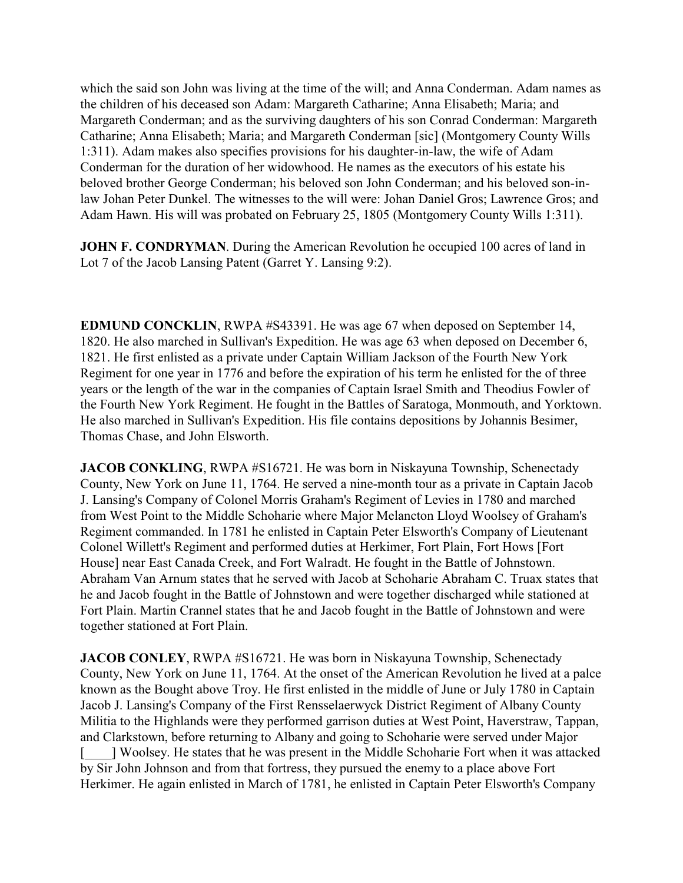which the said son John was living at the time of the will; and Anna Conderman. Adam names as the children of his deceased son Adam: Margareth Catharine; Anna Elisabeth; Maria; and Margareth Conderman; and as the surviving daughters of his son Conrad Conderman: Margareth Catharine; Anna Elisabeth; Maria; and Margareth Conderman [sic] (Montgomery County Wills 1:311). Adam makes also specifies provisions for his daughter-in-law, the wife of Adam Conderman for the duration of her widowhood. He names as the executors of his estate his beloved brother George Conderman; his beloved son John Conderman; and his beloved son-inlaw Johan Peter Dunkel. The witnesses to the will were: Johan Daniel Gros; Lawrence Gros; and Adam Hawn. His will was probated on February 25, 1805 (Montgomery County Wills 1:311).

**JOHN F. CONDRYMAN.** During the American Revolution he occupied 100 acres of land in Lot 7 of the Jacob Lansing Patent (Garret Y. Lansing 9:2).

**EDMUND CONCKLIN**, RWPA #S43391. He was age 67 when deposed on September 14, 1820. He also marched in Sullivan's Expedition. He was age 63 when deposed on December 6, 1821. He first enlisted as a private under Captain William Jackson of the Fourth New York Regiment for one year in 1776 and before the expiration of his term he enlisted for the of three years or the length of the war in the companies of Captain Israel Smith and Theodius Fowler of the Fourth New York Regiment. He fought in the Battles of Saratoga, Monmouth, and Yorktown. He also marched in Sullivan's Expedition. His file contains depositions by Johannis Besimer, Thomas Chase, and John Elsworth.

**JACOB CONKLING**, RWPA #S16721. He was born in Niskayuna Township, Schenectady County, New York on June 11, 1764. He served a nine-month tour as a private in Captain Jacob J. Lansing's Company of Colonel Morris Graham's Regiment of Levies in 1780 and marched from West Point to the Middle Schoharie where Major Melancton Lloyd Woolsey of Graham's Regiment commanded. In 1781 he enlisted in Captain Peter Elsworth's Company of Lieutenant Colonel Willett's Regiment and performed duties at Herkimer, Fort Plain, Fort Hows [Fort House] near East Canada Creek, and Fort Walradt. He fought in the Battle of Johnstown. Abraham Van Arnum states that he served with Jacob at Schoharie Abraham C. Truax states that he and Jacob fought in the Battle of Johnstown and were together discharged while stationed at Fort Plain. Martin Crannel states that he and Jacob fought in the Battle of Johnstown and were together stationed at Fort Plain.

**JACOB CONLEY**, RWPA #S16721. He was born in Niskayuna Township, Schenectady County, New York on June 11, 1764. At the onset of the American Revolution he lived at a palce known as the Bought above Troy. He first enlisted in the middle of June or July 1780 in Captain Jacob J. Lansing's Company of the First Rensselaerwyck District Regiment of Albany County Militia to the Highlands were they performed garrison duties at West Point, Haverstraw, Tappan, and Clarkstown, before returning to Albany and going to Schoharie were served under Major [\_\_\_\_] Woolsey. He states that he was present in the Middle Schoharie Fort when it was attacked by Sir John Johnson and from that fortress, they pursued the enemy to a place above Fort Herkimer. He again enlisted in March of 1781, he enlisted in Captain Peter Elsworth's Company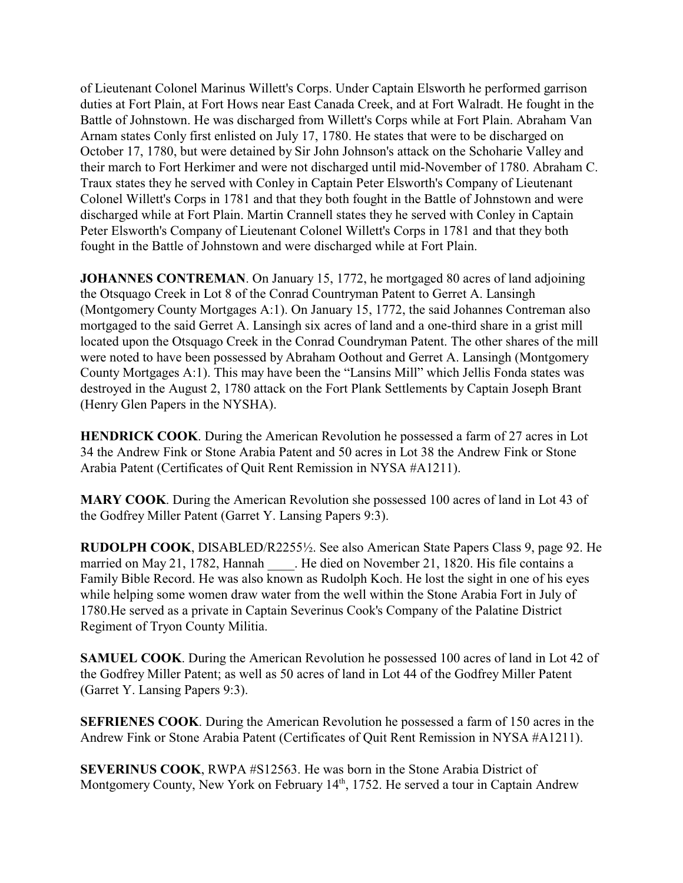of Lieutenant Colonel Marinus Willett's Corps. Under Captain Elsworth he performed garrison duties at Fort Plain, at Fort Hows near East Canada Creek, and at Fort Walradt. He fought in the Battle of Johnstown. He was discharged from Willett's Corps while at Fort Plain. Abraham Van Arnam states Conly first enlisted on July 17, 1780. He states that were to be discharged on October 17, 1780, but were detained by Sir John Johnson's attack on the Schoharie Valley and their march to Fort Herkimer and were not discharged until mid-November of 1780. Abraham C. Traux states they he served with Conley in Captain Peter Elsworth's Company of Lieutenant Colonel Willett's Corps in 1781 and that they both fought in the Battle of Johnstown and were discharged while at Fort Plain. Martin Crannell states they he served with Conley in Captain Peter Elsworth's Company of Lieutenant Colonel Willett's Corps in 1781 and that they both fought in the Battle of Johnstown and were discharged while at Fort Plain.

**JOHANNES CONTREMAN.** On January 15, 1772, he mortgaged 80 acres of land adjoining the Otsquago Creek in Lot 8 of the Conrad Countryman Patent to Gerret A. Lansingh (Montgomery County Mortgages A:1). On January 15, 1772, the said Johannes Contreman also mortgaged to the said Gerret A. Lansingh six acres of land and a one-third share in a grist mill located upon the Otsquago Creek in the Conrad Coundryman Patent. The other shares of the mill were noted to have been possessed by Abraham Oothout and Gerret A. Lansingh (Montgomery County Mortgages A:1). This may have been the "Lansins Mill" which Jellis Fonda states was destroyed in the August 2, 1780 attack on the Fort Plank Settlements by Captain Joseph Brant (Henry Glen Papers in the NYSHA).

**HENDRICK COOK**. During the American Revolution he possessed a farm of 27 acres in Lot 34 the Andrew Fink or Stone Arabia Patent and 50 acres in Lot 38 the Andrew Fink or Stone Arabia Patent (Certificates of Quit Rent Remission in NYSA #A1211).

**MARY COOK**. During the American Revolution she possessed 100 acres of land in Lot 43 of the Godfrey Miller Patent (Garret Y. Lansing Papers 9:3).

**RUDOLPH COOK**, DISABLED/R2255½. See also American State Papers Class 9, page 92. He married on May 21, 1782, Hannah . He died on November 21, 1820. His file contains a Family Bible Record. He was also known as Rudolph Koch. He lost the sight in one of his eyes while helping some women draw water from the well within the Stone Arabia Fort in July of 1780.He served as a private in Captain Severinus Cook's Company of the Palatine District Regiment of Tryon County Militia.

**SAMUEL COOK**. During the American Revolution he possessed 100 acres of land in Lot 42 of the Godfrey Miller Patent; as well as 50 acres of land in Lot 44 of the Godfrey Miller Patent (Garret Y. Lansing Papers 9:3).

**SEFRIENES COOK**. During the American Revolution he possessed a farm of 150 acres in the Andrew Fink or Stone Arabia Patent (Certificates of Quit Rent Remission in NYSA #A1211).

**SEVERINUS COOK**, RWPA #S12563. He was born in the Stone Arabia District of Montgomery County, New York on February 14<sup>th</sup>, 1752. He served a tour in Captain Andrew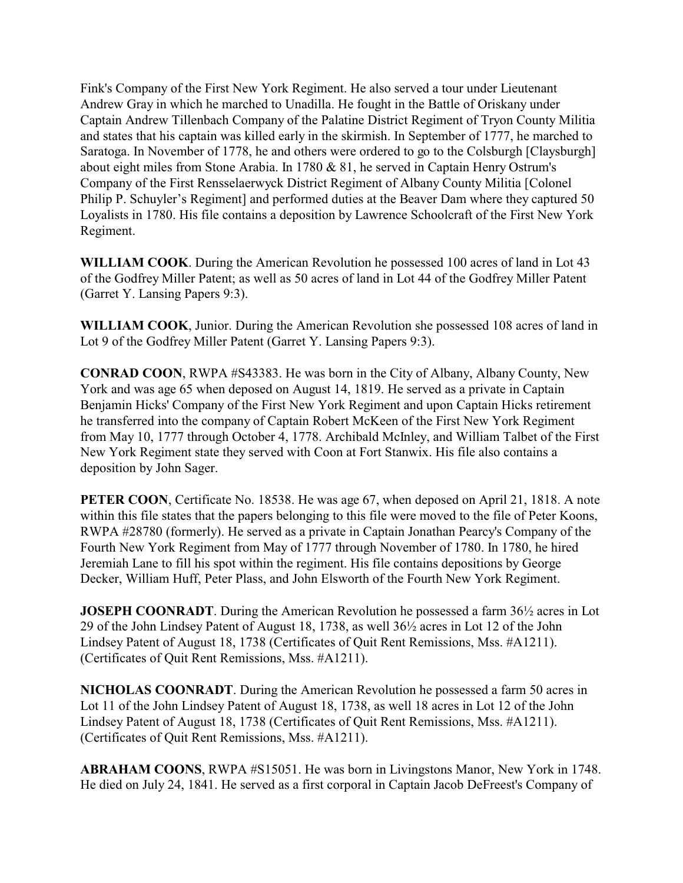Fink's Company of the First New York Regiment. He also served a tour under Lieutenant Andrew Gray in which he marched to Unadilla. He fought in the Battle of Oriskany under Captain Andrew Tillenbach Company of the Palatine District Regiment of Tryon County Militia and states that his captain was killed early in the skirmish. In September of 1777, he marched to Saratoga. In November of 1778, he and others were ordered to go to the Colsburgh [Claysburgh] about eight miles from Stone Arabia. In 1780 & 81, he served in Captain Henry Ostrum's Company of the First Rensselaerwyck District Regiment of Albany County Militia [Colonel Philip P. Schuyler's Regiment] and performed duties at the Beaver Dam where they captured 50 Loyalists in 1780. His file contains a deposition by Lawrence Schoolcraft of the First New York Regiment.

**WILLIAM COOK**. During the American Revolution he possessed 100 acres of land in Lot 43 of the Godfrey Miller Patent; as well as 50 acres of land in Lot 44 of the Godfrey Miller Patent (Garret Y. Lansing Papers 9:3).

**WILLIAM COOK**, Junior. During the American Revolution she possessed 108 acres of land in Lot 9 of the Godfrey Miller Patent (Garret Y. Lansing Papers 9:3).

**CONRAD COON**, RWPA #S43383. He was born in the City of Albany, Albany County, New York and was age 65 when deposed on August 14, 1819. He served as a private in Captain Benjamin Hicks' Company of the First New York Regiment and upon Captain Hicks retirement he transferred into the company of Captain Robert McKeen of the First New York Regiment from May 10, 1777 through October 4, 1778. Archibald McInley, and William Talbet of the First New York Regiment state they served with Coon at Fort Stanwix. His file also contains a deposition by John Sager.

**PETER COON**, Certificate No. 18538. He was age 67, when deposed on April 21, 1818. A note within this file states that the papers belonging to this file were moved to the file of Peter Koons, RWPA #28780 (formerly). He served as a private in Captain Jonathan Pearcy's Company of the Fourth New York Regiment from May of 1777 through November of 1780. In 1780, he hired Jeremiah Lane to fill his spot within the regiment. His file contains depositions by George Decker, William Huff, Peter Plass, and John Elsworth of the Fourth New York Regiment.

**JOSEPH COONRADT**. During the American Revolution he possessed a farm  $36\frac{1}{2}$  acres in Lot 29 of the John Lindsey Patent of August 18, 1738, as well 36½ acres in Lot 12 of the John Lindsey Patent of August 18, 1738 (Certificates of Quit Rent Remissions, Mss. #A1211). (Certificates of Quit Rent Remissions, Mss. #A1211).

**NICHOLAS COONRADT**. During the American Revolution he possessed a farm 50 acres in Lot 11 of the John Lindsey Patent of August 18, 1738, as well 18 acres in Lot 12 of the John Lindsey Patent of August 18, 1738 (Certificates of Quit Rent Remissions, Mss. #A1211). (Certificates of Quit Rent Remissions, Mss. #A1211).

**ABRAHAM COONS**, RWPA #S15051. He was born in Livingstons Manor, New York in 1748. He died on July 24, 1841. He served as a first corporal in Captain Jacob DeFreest's Company of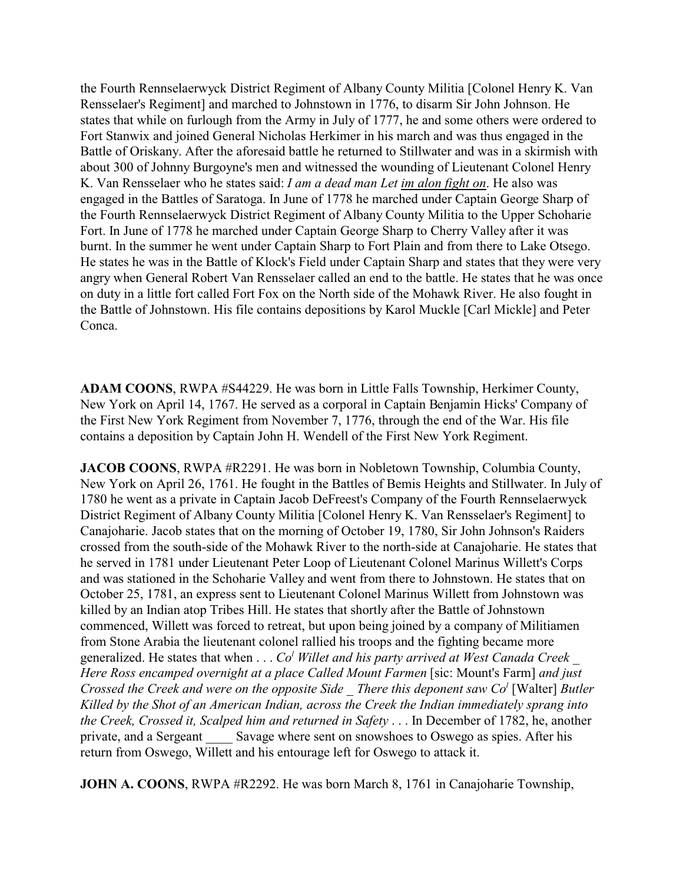the Fourth Rennselaerwyck District Regiment of Albany County Militia [Colonel Henry K. Van Rensselaer's Regiment] and marched to Johnstown in 1776, to disarm Sir John Johnson. He states that while on furlough from the Army in July of 1777, he and some others were ordered to Fort Stanwix and joined General Nicholas Herkimer in his march and was thus engaged in the Battle of Oriskany. After the aforesaid battle he returned to Stillwater and was in a skirmish with about 300 of Johnny Burgoyne's men and witnessed the wounding of Lieutenant Colonel Henry K. Van Rensselaer who he states said: *I am a dead man Let im alon fight on*. He also was engaged in the Battles of Saratoga. In June of 1778 he marched under Captain George Sharp of the Fourth Rennselaerwyck District Regiment of Albany County Militia to the Upper Schoharie Fort. In June of 1778 he marched under Captain George Sharp to Cherry Valley after it was burnt. In the summer he went under Captain Sharp to Fort Plain and from there to Lake Otsego. He states he was in the Battle of Klock's Field under Captain Sharp and states that they were very angry when General Robert Van Rensselaer called an end to the battle. He states that he was once on duty in a little fort called Fort Fox on the North side of the Mohawk River. He also fought in the Battle of Johnstown. His file contains depositions by Karol Muckle [Carl Mickle] and Peter Conca.

**ADAM COONS**, RWPA #S44229. He was born in Little Falls Township, Herkimer County, New York on April 14, 1767. He served as a corporal in Captain Benjamin Hicks' Company of the First New York Regiment from November 7, 1776, through the end of the War. His file contains a deposition by Captain John H. Wendell of the First New York Regiment.

**JACOB COONS**, RWPA #R2291. He was born in Nobletown Township, Columbia County, New York on April 26, 1761. He fought in the Battles of Bemis Heights and Stillwater. In July of 1780 he went as a private in Captain Jacob DeFreest's Company of the Fourth Rennselaerwyck District Regiment of Albany County Militia [Colonel Henry K. Van Rensselaer's Regiment] to Canajoharie. Jacob states that on the morning of October 19, 1780, Sir John Johnson's Raiders crossed from the south-side of the Mohawk River to the north-side at Canajoharie. He states that he served in 1781 under Lieutenant Peter Loop of Lieutenant Colonel Marinus Willett's Corps and was stationed in the Schoharie Valley and went from there to Johnstown. He states that on October 25, 1781, an express sent to Lieutenant Colonel Marinus Willett from Johnstown was killed by an Indian atop Tribes Hill. He states that shortly after the Battle of Johnstown commenced, Willett was forced to retreat, but upon being joined by a company of Militiamen from Stone Arabia the lieutenant colonel rallied his troops and the fighting became more generalized. He states that when . . .  $Co<sup>l</sup>$  Willet and his party arrived at West Canada Creek \_ *Here Ross encamped overnight at a place Called Mount Farmen* [sic: Mount's Farm] *and just Crossed the Creek and were on the opposite Side \_ There this deponent saw Co<sup>l</sup>* [Walter] *Butler Killed by the Shot of an American Indian, across the Creek the Indian immediately sprang into the Creek, Crossed it, Scalped him and returned in Safety* . . . In December of 1782, he, another private, and a Sergeant \_\_\_\_ Savage where sent on snowshoes to Oswego as spies. After his return from Oswego, Willett and his entourage left for Oswego to attack it.

**JOHN A. COONS**, RWPA #R2292. He was born March 8, 1761 in Canajoharie Township,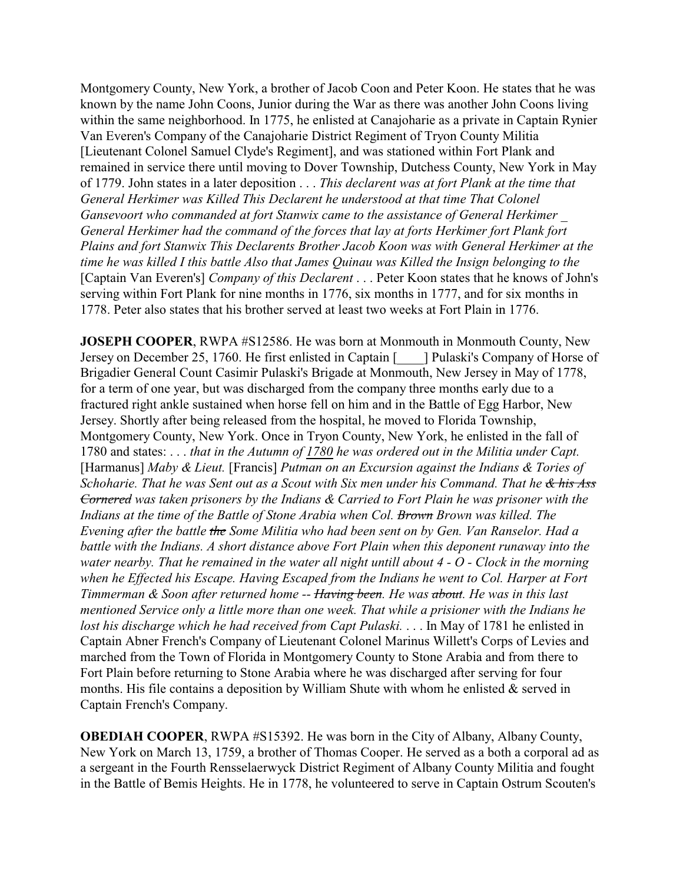Montgomery County, New York, a brother of Jacob Coon and Peter Koon. He states that he was known by the name John Coons, Junior during the War as there was another John Coons living within the same neighborhood. In 1775, he enlisted at Canajoharie as a private in Captain Rynier Van Everen's Company of the Canajoharie District Regiment of Tryon County Militia [Lieutenant Colonel Samuel Clyde's Regiment], and was stationed within Fort Plank and remained in service there until moving to Dover Township, Dutchess County, New York in May of 1779. John states in a later deposition . . . *This declarent was at fort Plank at the time that General Herkimer was Killed This Declarent he understood at that time That Colonel Gansevoort who commanded at fort Stanwix came to the assistance of General Herkimer \_ General Herkimer had the command of the forces that lay at forts Herkimer fort Plank fort Plains and fort Stanwix This Declarents Brother Jacob Koon was with General Herkimer at the time he was killed I this battle Also that James Quinau was Killed the Insign belonging to the* [Captain Van Everen's] *Company of this Declarent* . . . Peter Koon states that he knows of John's serving within Fort Plank for nine months in 1776, six months in 1777, and for six months in 1778. Peter also states that his brother served at least two weeks at Fort Plain in 1776.

**JOSEPH COOPER, RWPA #S12586. He was born at Monmouth in Monmouth County, New** Jersey on December 25, 1760. He first enlisted in Captain [\_\_\_\_] Pulaski's Company of Horse of Brigadier General Count Casimir Pulaski's Brigade at Monmouth, New Jersey in May of 1778, for a term of one year, but was discharged from the company three months early due to a fractured right ankle sustained when horse fell on him and in the Battle of Egg Harbor, New Jersey. Shortly after being released from the hospital, he moved to Florida Township, Montgomery County, New York. Once in Tryon County, New York, he enlisted in the fall of 1780 and states: . . . *that in the Autumn of 1780 he was ordered out in the Militia under Capt.* [Harmanus] *Maby & Lieut.* [Francis] *Putman on an Excursion against the Indians & Tories of Schoharie. That he was Sent out as a Scout with Six men under his Command. That he & his Ass Cornered was taken prisoners by the Indians & Carried to Fort Plain he was prisoner with the Indians at the time of the Battle of Stone Arabia when Col. Brown Brown was killed. The Evening after the battle the Some Militia who had been sent on by Gen. Van Ranselor. Had a battle with the Indians. A short distance above Fort Plain when this deponent runaway into the water nearby. That he remained in the water all night untill about 4 - O - Clock in the morning when he Effected his Escape. Having Escaped from the Indians he went to Col. Harper at Fort Timmerman & Soon after returned home -- Having been. He was about. He was in this last mentioned Service only a little more than one week. That while a prisioner with the Indians he lost his discharge which he had received from Capt Pulaski.* . . . In May of 1781 he enlisted in Captain Abner French's Company of Lieutenant Colonel Marinus Willett's Corps of Levies and marched from the Town of Florida in Montgomery County to Stone Arabia and from there to Fort Plain before returning to Stone Arabia where he was discharged after serving for four months. His file contains a deposition by William Shute with whom he enlisted  $\&$  served in Captain French's Company.

**OBEDIAH COOPER**, RWPA #S15392. He was born in the City of Albany, Albany County, New York on March 13, 1759, a brother of Thomas Cooper. He served as a both a corporal ad as a sergeant in the Fourth Rensselaerwyck District Regiment of Albany County Militia and fought in the Battle of Bemis Heights. He in 1778, he volunteered to serve in Captain Ostrum Scouten's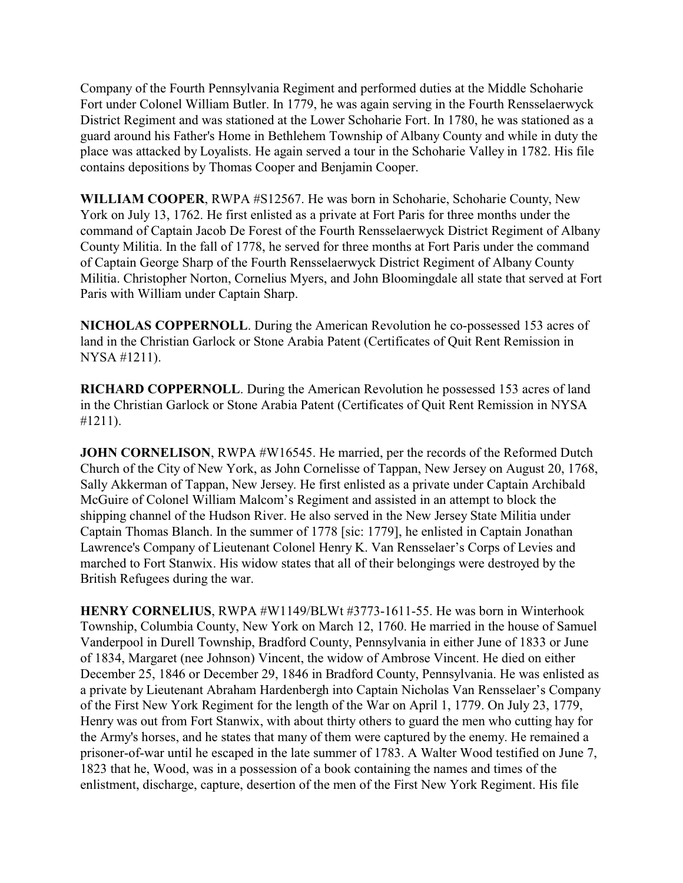Company of the Fourth Pennsylvania Regiment and performed duties at the Middle Schoharie Fort under Colonel William Butler. In 1779, he was again serving in the Fourth Rensselaerwyck District Regiment and was stationed at the Lower Schoharie Fort. In 1780, he was stationed as a guard around his Father's Home in Bethlehem Township of Albany County and while in duty the place was attacked by Loyalists. He again served a tour in the Schoharie Valley in 1782. His file contains depositions by Thomas Cooper and Benjamin Cooper.

**WILLIAM COOPER**, RWPA #S12567. He was born in Schoharie, Schoharie County, New York on July 13, 1762. He first enlisted as a private at Fort Paris for three months under the command of Captain Jacob De Forest of the Fourth Rensselaerwyck District Regiment of Albany County Militia. In the fall of 1778, he served for three months at Fort Paris under the command of Captain George Sharp of the Fourth Rensselaerwyck District Regiment of Albany County Militia. Christopher Norton, Cornelius Myers, and John Bloomingdale all state that served at Fort Paris with William under Captain Sharp.

**NICHOLAS COPPERNOLL**. During the American Revolution he co-possessed 153 acres of land in the Christian Garlock or Stone Arabia Patent (Certificates of Quit Rent Remission in NYSA #1211).

**RICHARD COPPERNOLL**. During the American Revolution he possessed 153 acres of land in the Christian Garlock or Stone Arabia Patent (Certificates of Quit Rent Remission in NYSA #1211).

**JOHN CORNELISON, RWPA #W16545. He married, per the records of the Reformed Dutch** Church of the City of New York, as John Cornelisse of Tappan, New Jersey on August 20, 1768, Sally Akkerman of Tappan, New Jersey. He first enlisted as a private under Captain Archibald McGuire of Colonel William Malcom's Regiment and assisted in an attempt to block the shipping channel of the Hudson River. He also served in the New Jersey State Militia under Captain Thomas Blanch. In the summer of 1778 [sic: 1779], he enlisted in Captain Jonathan Lawrence's Company of Lieutenant Colonel Henry K. Van Rensselaer's Corps of Levies and marched to Fort Stanwix. His widow states that all of their belongings were destroyed by the British Refugees during the war.

**HENRY CORNELIUS**, RWPA #W1149/BLWt #3773-1611-55. He was born in Winterhook Township, Columbia County, New York on March 12, 1760. He married in the house of Samuel Vanderpool in Durell Township, Bradford County, Pennsylvania in either June of 1833 or June of 1834, Margaret (nee Johnson) Vincent, the widow of Ambrose Vincent. He died on either December 25, 1846 or December 29, 1846 in Bradford County, Pennsylvania. He was enlisted as a private by Lieutenant Abraham Hardenbergh into Captain Nicholas Van Rensselaer's Company of the First New York Regiment for the length of the War on April 1, 1779. On July 23, 1779, Henry was out from Fort Stanwix, with about thirty others to guard the men who cutting hay for the Army's horses, and he states that many of them were captured by the enemy. He remained a prisoner-of-war until he escaped in the late summer of 1783. A Walter Wood testified on June 7, 1823 that he, Wood, was in a possession of a book containing the names and times of the enlistment, discharge, capture, desertion of the men of the First New York Regiment. His file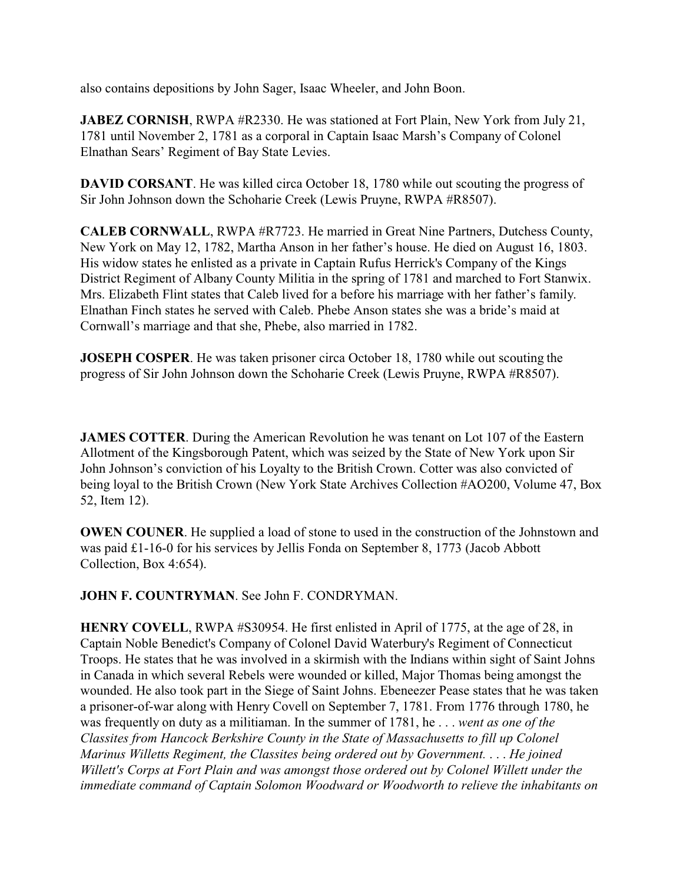also contains depositions by John Sager, Isaac Wheeler, and John Boon.

**JABEZ CORNISH**, RWPA #R2330. He was stationed at Fort Plain, New York from July 21, 1781 until November 2, 1781 as a corporal in Captain Isaac Marsh's Company of Colonel Elnathan Sears' Regiment of Bay State Levies.

**DAVID CORSANT**. He was killed circa October 18, 1780 while out scouting the progress of Sir John Johnson down the Schoharie Creek (Lewis Pruyne, RWPA #R8507).

**CALEB CORNWALL**, RWPA #R7723. He married in Great Nine Partners, Dutchess County, New York on May 12, 1782, Martha Anson in her father's house. He died on August 16, 1803. His widow states he enlisted as a private in Captain Rufus Herrick's Company of the Kings District Regiment of Albany County Militia in the spring of 1781 and marched to Fort Stanwix. Mrs. Elizabeth Flint states that Caleb lived for a before his marriage with her father's family. Elnathan Finch states he served with Caleb. Phebe Anson states she was a bride's maid at Cornwall's marriage and that she, Phebe, also married in 1782.

**JOSEPH COSPER**. He was taken prisoner circa October 18, 1780 while out scouting the progress of Sir John Johnson down the Schoharie Creek (Lewis Pruyne, RWPA #R8507).

**JAMES COTTER.** During the American Revolution he was tenant on Lot 107 of the Eastern Allotment of the Kingsborough Patent, which was seized by the State of New York upon Sir John Johnson's conviction of his Loyalty to the British Crown. Cotter was also convicted of being loyal to the British Crown (New York State Archives Collection #AO200, Volume 47, Box 52, Item 12).

**OWEN COUNER**. He supplied a load of stone to used in the construction of the Johnstown and was paid £1-16-0 for his services by Jellis Fonda on September 8, 1773 (Jacob Abbott Collection, Box 4:654).

**JOHN F. COUNTRYMAN**. See John F. CONDRYMAN.

**HENRY COVELL**, RWPA #S30954. He first enlisted in April of 1775, at the age of 28, in Captain Noble Benedict's Company of Colonel David Waterbury's Regiment of Connecticut Troops. He states that he was involved in a skirmish with the Indians within sight of Saint Johns in Canada in which several Rebels were wounded or killed, Major Thomas being amongst the wounded. He also took part in the Siege of Saint Johns. Ebeneezer Pease states that he was taken a prisoner-of-war along with Henry Covell on September 7, 1781. From 1776 through 1780, he was frequently on duty as a militiaman. In the summer of 1781, he . . . *went as one of the Classites from Hancock Berkshire County in the State of Massachusetts to fill up Colonel Marinus Willetts Regiment, the Classites being ordered out by Government.* . . . *He joined Willett's Corps at Fort Plain and was amongst those ordered out by Colonel Willett under the immediate command of Captain Solomon Woodward or Woodworth to relieve the inhabitants on*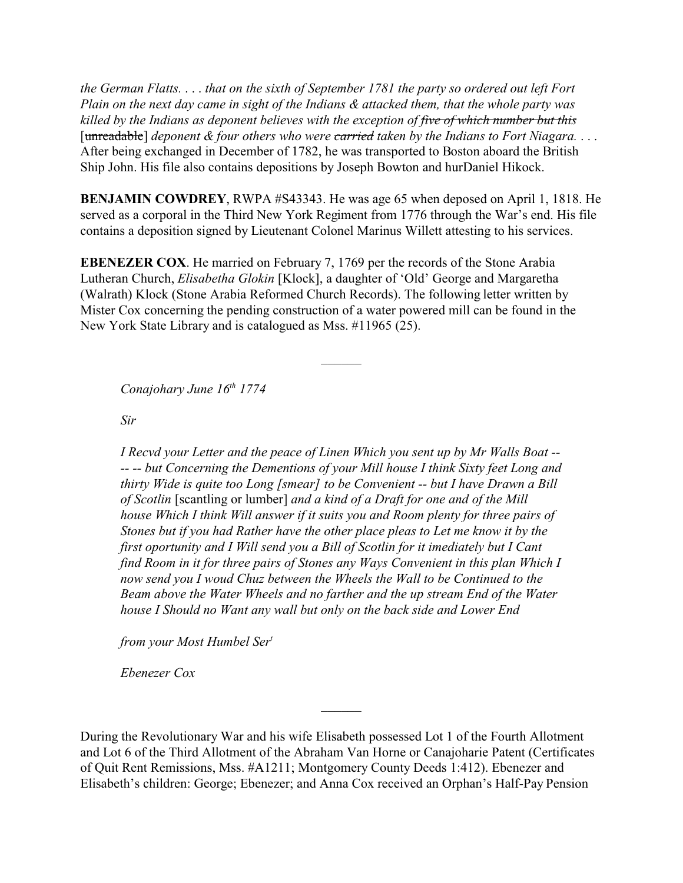*the German Flatts.* . . . *that on the sixth of September 1781 the party so ordered out left Fort Plain on the next day came in sight of the Indians & attacked them, that the whole party was killed by the Indians as deponent believes with the exception of five of which number but this* [unreadable] *deponent & four others who were carried taken by the Indians to Fort Niagara.* . . . After being exchanged in December of 1782, he was transported to Boston aboard the British Ship John. His file also contains depositions by Joseph Bowton and hurDaniel Hikock.

**BENJAMIN COWDREY**, RWPA #S43343. He was age 65 when deposed on April 1, 1818. He served as a corporal in the Third New York Regiment from 1776 through the War's end. His file contains a deposition signed by Lieutenant Colonel Marinus Willett attesting to his services.

**EBENEZER COX**. He married on February 7, 1769 per the records of the Stone Arabia Lutheran Church, *Elisabetha Glokin* [Klock], a daughter of 'Old' George and Margaretha (Walrath) Klock (Stone Arabia Reformed Church Records). The following letter written by Mister Cox concerning the pending construction of a water powered mill can be found in the New York State Library and is catalogued as Mss. #11965 (25).

*Conajohary June 16th 1774*

*Sir* 

*I Recvd your Letter and the peace of Linen Which you sent up by Mr Walls Boat -- -- -- but Concerning the Dementions of your Mill house I think Sixty feet Long and thirty Wide is quite too Long [smear] to be Convenient -- but I have Drawn a Bill of Scotlin* [scantling or lumber] *and a kind of a Draft for one and of the Mill house Which I think Will answer if it suits you and Room plenty for three pairs of Stones but if you had Rather have the other place pleas to Let me know it by the first oportunity and I Will send you a Bill of Scotlin for it imediately but I Cant find Room in it for three pairs of Stones any Ways Convenient in this plan Which I now send you I woud Chuz between the Wheels the Wall to be Continued to the Beam above the Water Wheels and no farther and the up stream End of the Water house I Should no Want any wall but only on the back side and Lower End*

*from your Most Humbel Ser<sup>t</sup>*

*Ebenezer Cox*

During the Revolutionary War and his wife Elisabeth possessed Lot 1 of the Fourth Allotment and Lot 6 of the Third Allotment of the Abraham Van Horne or Canajoharie Patent (Certificates of Quit Rent Remissions, Mss. #A1211; Montgomery County Deeds 1:412). Ebenezer and Elisabeth's children: George; Ebenezer; and Anna Cox received an Orphan's Half-Pay Pension

 $\mathcal{L}$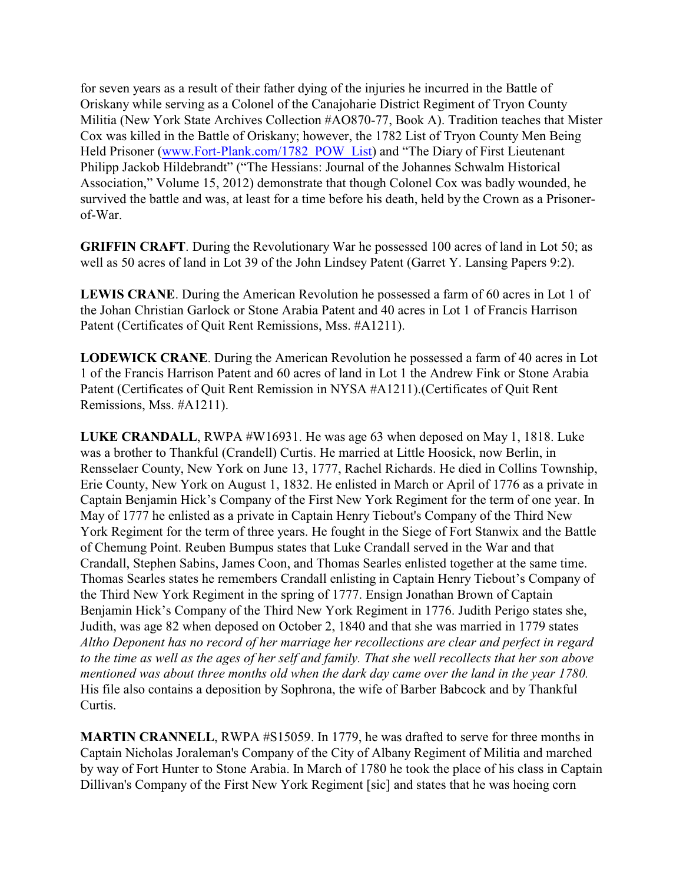for seven years as a result of their father dying of the injuries he incurred in the Battle of Oriskany while serving as a Colonel of the Canajoharie District Regiment of Tryon County Militia (New York State Archives Collection #AO870-77, Book A). Tradition teaches that Mister Cox was killed in the Battle of Oriskany; however, the 1782 List of Tryon County Men Being Held Prisoner [\(www.Fort-Plank.com/1782\\_POW\\_List](http://www.Fort-Plank.com/1782_POW_List))) and "The Diary of First Lieutenant Philipp Jackob Hildebrandt" ("The Hessians: Journal of the Johannes Schwalm Historical Association," Volume 15, 2012) demonstrate that though Colonel Cox was badly wounded, he survived the battle and was, at least for a time before his death, held by the Crown as a Prisonerof-War.

**GRIFFIN CRAFT**. During the Revolutionary War he possessed 100 acres of land in Lot 50; as well as 50 acres of land in Lot 39 of the John Lindsey Patent (Garret Y. Lansing Papers 9:2).

**LEWIS CRANE**. During the American Revolution he possessed a farm of 60 acres in Lot 1 of the Johan Christian Garlock or Stone Arabia Patent and 40 acres in Lot 1 of Francis Harrison Patent (Certificates of Quit Rent Remissions, Mss. #A1211).

**LODEWICK CRANE**. During the American Revolution he possessed a farm of 40 acres in Lot 1 of the Francis Harrison Patent and 60 acres of land in Lot 1 the Andrew Fink or Stone Arabia Patent (Certificates of Quit Rent Remission in NYSA #A1211).(Certificates of Quit Rent Remissions, Mss. #A1211).

**LUKE CRANDALL**, RWPA #W16931. He was age 63 when deposed on May 1, 1818. Luke was a brother to Thankful (Crandell) Curtis. He married at Little Hoosick, now Berlin, in Rensselaer County, New York on June 13, 1777, Rachel Richards. He died in Collins Township, Erie County, New York on August 1, 1832. He enlisted in March or April of 1776 as a private in Captain Benjamin Hick's Company of the First New York Regiment for the term of one year. In May of 1777 he enlisted as a private in Captain Henry Tiebout's Company of the Third New York Regiment for the term of three years. He fought in the Siege of Fort Stanwix and the Battle of Chemung Point. Reuben Bumpus states that Luke Crandall served in the War and that Crandall, Stephen Sabins, James Coon, and Thomas Searles enlisted together at the same time. Thomas Searles states he remembers Crandall enlisting in Captain Henry Tiebout's Company of the Third New York Regiment in the spring of 1777. Ensign Jonathan Brown of Captain Benjamin Hick's Company of the Third New York Regiment in 1776. Judith Perigo states she, Judith, was age 82 when deposed on October 2, 1840 and that she was married in 1779 states *Altho Deponent has no record of her marriage her recollections are clear and perfect in regard to the time as well as the ages of her self and family. That she well recollects that her son above mentioned was about three months old when the dark day came over the land in the year 1780.* His file also contains a deposition by Sophrona, the wife of Barber Babcock and by Thankful Curtis.

**MARTIN CRANNELL**, RWPA #S15059. In 1779, he was drafted to serve for three months in Captain Nicholas Joraleman's Company of the City of Albany Regiment of Militia and marched by way of Fort Hunter to Stone Arabia. In March of 1780 he took the place of his class in Captain Dillivan's Company of the First New York Regiment [sic] and states that he was hoeing corn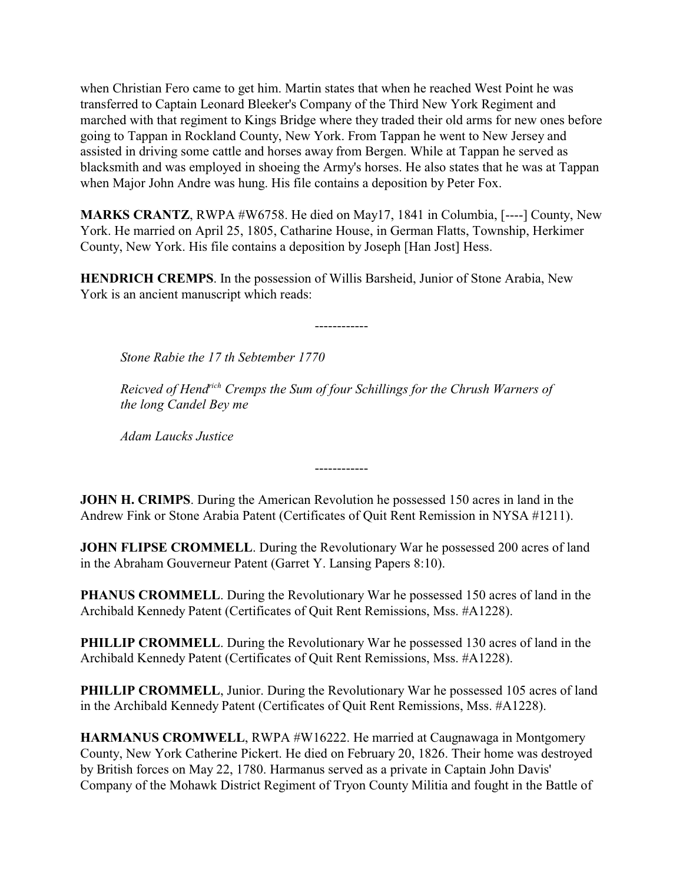when Christian Fero came to get him. Martin states that when he reached West Point he was transferred to Captain Leonard Bleeker's Company of the Third New York Regiment and marched with that regiment to Kings Bridge where they traded their old arms for new ones before going to Tappan in Rockland County, New York. From Tappan he went to New Jersey and assisted in driving some cattle and horses away from Bergen. While at Tappan he served as blacksmith and was employed in shoeing the Army's horses. He also states that he was at Tappan when Major John Andre was hung. His file contains a deposition by Peter Fox.

**MARKS CRANTZ**, RWPA #W6758. He died on May17, 1841 in Columbia, [----] County, New York. He married on April 25, 1805, Catharine House, in German Flatts, Township, Herkimer County, New York. His file contains a deposition by Joseph [Han Jost] Hess.

**HENDRICH CREMPS**. In the possession of Willis Barsheid, Junior of Stone Arabia, New York is an ancient manuscript which reads:

*Stone Rabie the 17 th Sebtember 1770*

*Reicved of Hendrich Cremps the Sum of four Schillings for the Chrush Warners of the long Candel Bey me*

------------

------------

*Adam Laucks Justice*

**JOHN H. CRIMPS**. During the American Revolution he possessed 150 acres in land in the Andrew Fink or Stone Arabia Patent (Certificates of Quit Rent Remission in NYSA #1211).

**JOHN FLIPSE CROMMELL.** During the Revolutionary War he possessed 200 acres of land in the Abraham Gouverneur Patent (Garret Y. Lansing Papers 8:10).

**PHANUS CROMMELL.** During the Revolutionary War he possessed 150 acres of land in the Archibald Kennedy Patent (Certificates of Quit Rent Remissions, Mss. #A1228).

**PHILLIP CROMMELL.** During the Revolutionary War he possessed 130 acres of land in the Archibald Kennedy Patent (Certificates of Quit Rent Remissions, Mss. #A1228).

**PHILLIP CROMMELL**, Junior. During the Revolutionary War he possessed 105 acres of land in the Archibald Kennedy Patent (Certificates of Quit Rent Remissions, Mss. #A1228).

**HARMANUS CROMWELL**, RWPA #W16222. He married at Caugnawaga in Montgomery County, New York Catherine Pickert. He died on February 20, 1826. Their home was destroyed by British forces on May 22, 1780. Harmanus served as a private in Captain John Davis' Company of the Mohawk District Regiment of Tryon County Militia and fought in the Battle of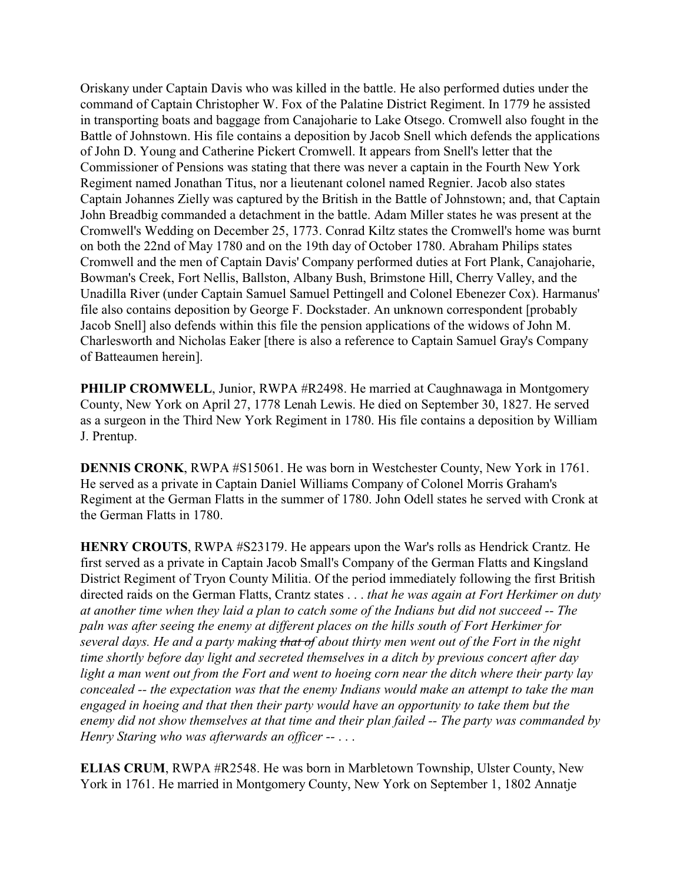Oriskany under Captain Davis who was killed in the battle. He also performed duties under the command of Captain Christopher W. Fox of the Palatine District Regiment. In 1779 he assisted in transporting boats and baggage from Canajoharie to Lake Otsego. Cromwell also fought in the Battle of Johnstown. His file contains a deposition by Jacob Snell which defends the applications of John D. Young and Catherine Pickert Cromwell. It appears from Snell's letter that the Commissioner of Pensions was stating that there was never a captain in the Fourth New York Regiment named Jonathan Titus, nor a lieutenant colonel named Regnier. Jacob also states Captain Johannes Zielly was captured by the British in the Battle of Johnstown; and, that Captain John Breadbig commanded a detachment in the battle. Adam Miller states he was present at the Cromwell's Wedding on December 25, 1773. Conrad Kiltz states the Cromwell's home was burnt on both the 22nd of May 1780 and on the 19th day of October 1780. Abraham Philips states Cromwell and the men of Captain Davis' Company performed duties at Fort Plank, Canajoharie, Bowman's Creek, Fort Nellis, Ballston, Albany Bush, Brimstone Hill, Cherry Valley, and the Unadilla River (under Captain Samuel Samuel Pettingell and Colonel Ebenezer Cox). Harmanus' file also contains deposition by George F. Dockstader. An unknown correspondent [probably Jacob Snell] also defends within this file the pension applications of the widows of John M. Charlesworth and Nicholas Eaker [there is also a reference to Captain Samuel Gray's Company of Batteaumen herein].

**PHILIP CROMWELL**, Junior, RWPA #R2498. He married at Caughnawaga in Montgomery County, New York on April 27, 1778 Lenah Lewis. He died on September 30, 1827. He served as a surgeon in the Third New York Regiment in 1780. His file contains a deposition by William J. Prentup.

**DENNIS CRONK**, RWPA #S15061. He was born in Westchester County, New York in 1761. He served as a private in Captain Daniel Williams Company of Colonel Morris Graham's Regiment at the German Flatts in the summer of 1780. John Odell states he served with Cronk at the German Flatts in 1780.

**HENRY CROUTS**, RWPA #S23179. He appears upon the War's rolls as Hendrick Crantz. He first served as a private in Captain Jacob Small's Company of the German Flatts and Kingsland District Regiment of Tryon County Militia. Of the period immediately following the first British directed raids on the German Flatts, Crantz states . . . *that he was again at Fort Herkimer on duty at another time when they laid a plan to catch some of the Indians but did not succeed -- The paln was after seeing the enemy at different places on the hills south of Fort Herkimer for several days. He and a party making that of about thirty men went out of the Fort in the night time shortly before day light and secreted themselves in a ditch by previous concert after day light a man went out from the Fort and went to hoeing corn near the ditch where their party lay concealed -- the expectation was that the enemy Indians would make an attempt to take the man engaged in hoeing and that then their party would have an opportunity to take them but the enemy did not show themselves at that time and their plan failed -- The party was commanded by Henry Staring who was afterwards an officer --* . . .

**ELIAS CRUM**, RWPA #R2548. He was born in Marbletown Township, Ulster County, New York in 1761. He married in Montgomery County, New York on September 1, 1802 Annatje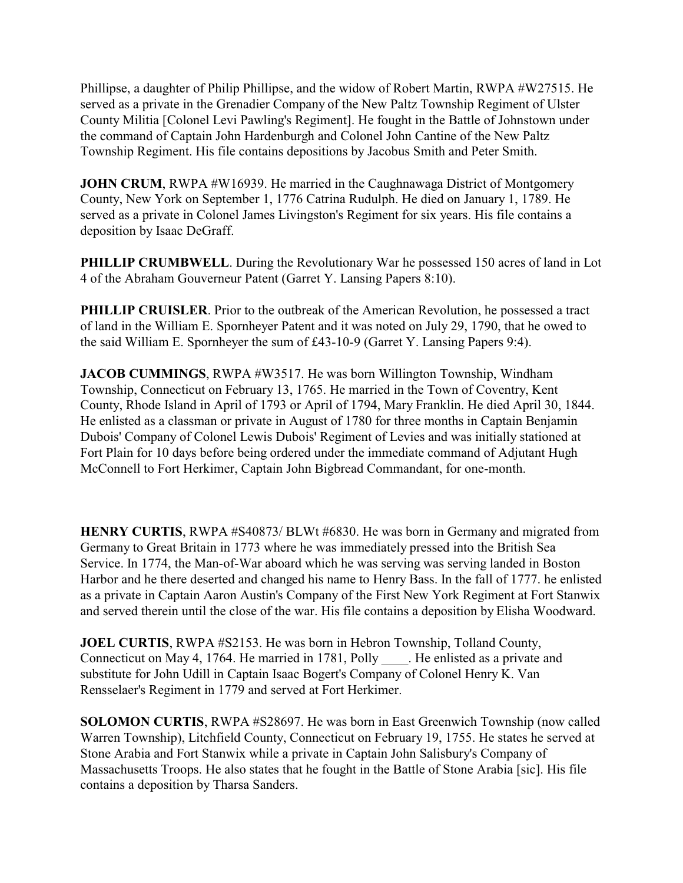Phillipse, a daughter of Philip Phillipse, and the widow of Robert Martin, RWPA #W27515. He served as a private in the Grenadier Company of the New Paltz Township Regiment of Ulster County Militia [Colonel Levi Pawling's Regiment]. He fought in the Battle of Johnstown under the command of Captain John Hardenburgh and Colonel John Cantine of the New Paltz Township Regiment. His file contains depositions by Jacobus Smith and Peter Smith.

**JOHN CRUM**, RWPA #W16939. He married in the Caughnawaga District of Montgomery County, New York on September 1, 1776 Catrina Rudulph. He died on January 1, 1789. He served as a private in Colonel James Livingston's Regiment for six years. His file contains a deposition by Isaac DeGraff.

**PHILLIP CRUMBWELL.** During the Revolutionary War he possessed 150 acres of land in Lot 4 of the Abraham Gouverneur Patent (Garret Y. Lansing Papers 8:10).

**PHILLIP CRUISLER.** Prior to the outbreak of the American Revolution, he possessed a tract of land in the William E. Spornheyer Patent and it was noted on July 29, 1790, that he owed to the said William E. Spornheyer the sum of £43-10-9 (Garret Y. Lansing Papers 9:4).

**JACOB CUMMINGS**, RWPA #W3517. He was born Willington Township, Windham Township, Connecticut on February 13, 1765. He married in the Town of Coventry, Kent County, Rhode Island in April of 1793 or April of 1794, Mary Franklin. He died April 30, 1844. He enlisted as a classman or private in August of 1780 for three months in Captain Benjamin Dubois' Company of Colonel Lewis Dubois' Regiment of Levies and was initially stationed at Fort Plain for 10 days before being ordered under the immediate command of Adjutant Hugh McConnell to Fort Herkimer, Captain John Bigbread Commandant, for one-month.

**HENRY CURTIS**, RWPA #S40873/ BLWt #6830. He was born in Germany and migrated from Germany to Great Britain in 1773 where he was immediately pressed into the British Sea Service. In 1774, the Man-of-War aboard which he was serving was serving landed in Boston Harbor and he there deserted and changed his name to Henry Bass. In the fall of 1777. he enlisted as a private in Captain Aaron Austin's Company of the First New York Regiment at Fort Stanwix and served therein until the close of the war. His file contains a deposition by Elisha Woodward.

**JOEL CURTIS**, RWPA #S2153. He was born in Hebron Township, Tolland County, Connecticut on May 4, 1764. He married in 1781, Polly Fig. He enlisted as a private and substitute for John Udill in Captain Isaac Bogert's Company of Colonel Henry K. Van Rensselaer's Regiment in 1779 and served at Fort Herkimer.

**SOLOMON CURTIS**, RWPA #S28697. He was born in East Greenwich Township (now called Warren Township), Litchfield County, Connecticut on February 19, 1755. He states he served at Stone Arabia and Fort Stanwix while a private in Captain John Salisbury's Company of Massachusetts Troops. He also states that he fought in the Battle of Stone Arabia [sic]. His file contains a deposition by Tharsa Sanders.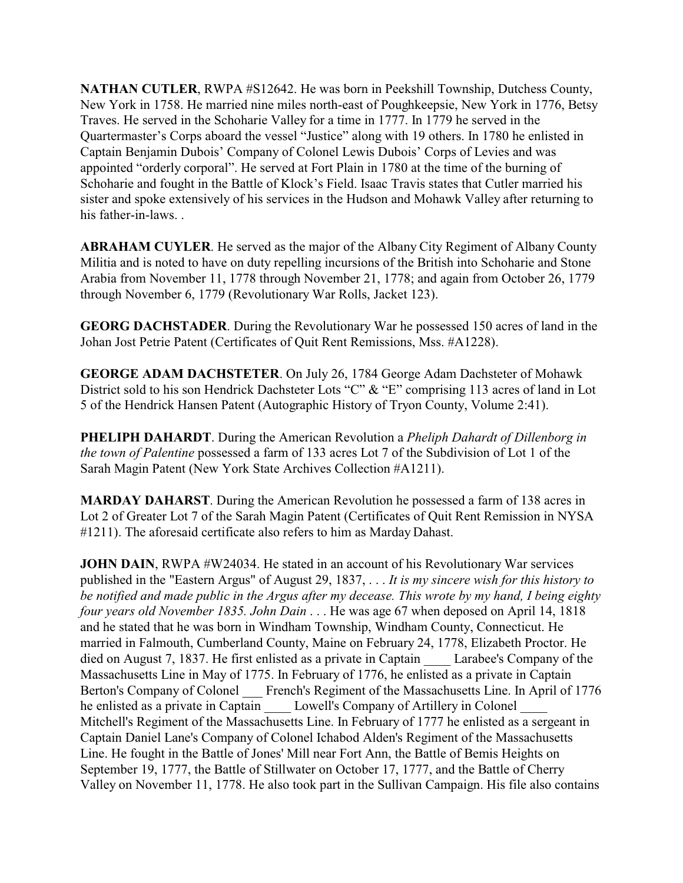**NATHAN CUTLER**, RWPA #S12642. He was born in Peekshill Township, Dutchess County, New York in 1758. He married nine miles north-east of Poughkeepsie, New York in 1776, Betsy Traves. He served in the Schoharie Valley for a time in 1777. In 1779 he served in the Quartermaster's Corps aboard the vessel "Justice" along with 19 others. In 1780 he enlisted in Captain Benjamin Dubois' Company of Colonel Lewis Dubois' Corps of Levies and was appointed "orderly corporal". He served at Fort Plain in 1780 at the time of the burning of Schoharie and fought in the Battle of Klock's Field. Isaac Travis states that Cutler married his sister and spoke extensively of his services in the Hudson and Mohawk Valley after returning to his father-in-laws. .

**ABRAHAM CUYLER**. He served as the major of the Albany City Regiment of Albany County Militia and is noted to have on duty repelling incursions of the British into Schoharie and Stone Arabia from November 11, 1778 through November 21, 1778; and again from October 26, 1779 through November 6, 1779 (Revolutionary War Rolls, Jacket 123).

**GEORG DACHSTADER**. During the Revolutionary War he possessed 150 acres of land in the Johan Jost Petrie Patent (Certificates of Quit Rent Remissions, Mss. #A1228).

**GEORGE ADAM DACHSTETER**. On July 26, 1784 George Adam Dachsteter of Mohawk District sold to his son Hendrick Dachsteter Lots "C" & "E" comprising 113 acres of land in Lot 5 of the Hendrick Hansen Patent (Autographic History of Tryon County, Volume 2:41).

**PHELIPH DAHARDT**. During the American Revolution a *Pheliph Dahardt of Dillenborg in the town of Palentine* possessed a farm of 133 acres Lot 7 of the Subdivision of Lot 1 of the Sarah Magin Patent (New York State Archives Collection #A1211).

**MARDAY DAHARST**. During the American Revolution he possessed a farm of 138 acres in Lot 2 of Greater Lot 7 of the Sarah Magin Patent (Certificates of Quit Rent Remission in NYSA #1211). The aforesaid certificate also refers to him as Marday Dahast.

**JOHN DAIN, RWPA #W24034. He stated in an account of his Revolutionary War services** published in the "Eastern Argus" of August 29, 1837, . . . *It is my sincere wish for this history to be notified and made public in the Argus after my decease. This wrote by my hand, I being eighty four years old November 1835. John Dain* . . . He was age 67 when deposed on April 14, 1818 and he stated that he was born in Windham Township, Windham County, Connecticut. He married in Falmouth, Cumberland County, Maine on February 24, 1778, Elizabeth Proctor. He died on August 7, 1837. He first enlisted as a private in Captain Larabee's Company of the Massachusetts Line in May of 1775. In February of 1776, he enlisted as a private in Captain Berton's Company of Colonel French's Regiment of the Massachusetts Line. In April of 1776 he enlisted as a private in Captain Lowell's Company of Artillery in Colonel Mitchell's Regiment of the Massachusetts Line. In February of 1777 he enlisted as a sergeant in Captain Daniel Lane's Company of Colonel Ichabod Alden's Regiment of the Massachusetts Line. He fought in the Battle of Jones' Mill near Fort Ann, the Battle of Bemis Heights on September 19, 1777, the Battle of Stillwater on October 17, 1777, and the Battle of Cherry Valley on November 11, 1778. He also took part in the Sullivan Campaign. His file also contains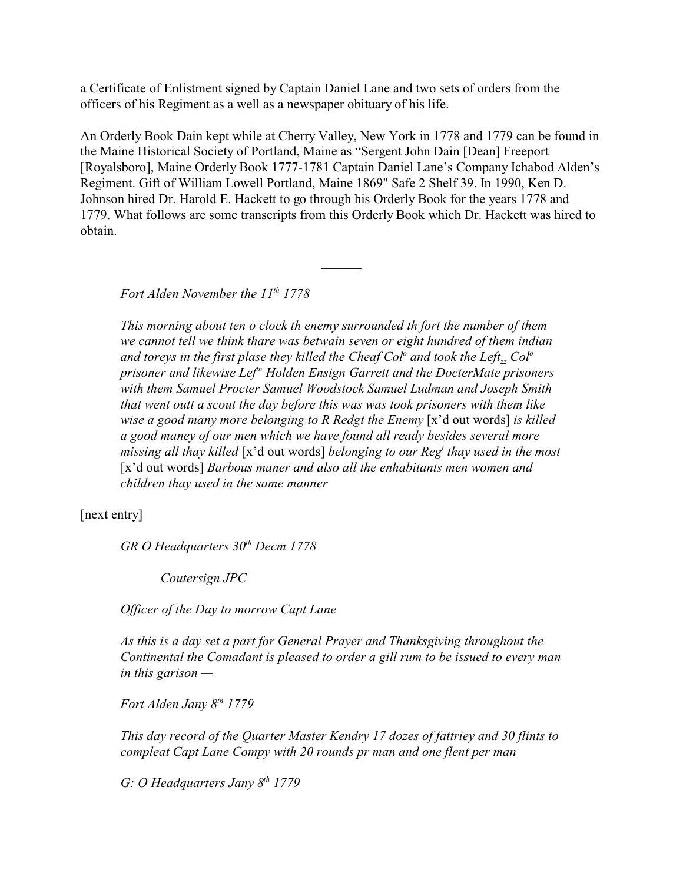a Certificate of Enlistment signed by Captain Daniel Lane and two sets of orders from the officers of his Regiment as a well as a newspaper obituary of his life.

An Orderly Book Dain kept while at Cherry Valley, New York in 1778 and 1779 can be found in the Maine Historical Society of Portland, Maine as "Sergent John Dain [Dean] Freeport [Royalsboro], Maine Orderly Book 1777-1781 Captain Daniel Lane's Company Ichabod Alden's Regiment. Gift of William Lowell Portland, Maine 1869" Safe 2 Shelf 39. In 1990, Ken D. Johnson hired Dr. Harold E. Hackett to go through his Orderly Book for the years 1778 and 1779. What follows are some transcripts from this Orderly Book which Dr. Hackett was hired to obtain.

 $\overline{\phantom{a}}$ 

*Fort Alden November the 11th 1778*

*This morning about ten o clock th enemy surrounded th fort the number of them we cannot tell we think thare was betwain seven or eight hundred of them indian and toreys in the first plase they killed the Cheaf Col<sup>o</sup> and took the Leftzz Col<sup>o</sup> prisoner and likewise Leftn Holden Ensign Garrett and the DocterMate prisoners with them Samuel Procter Samuel Woodstock Samuel Ludman and Joseph Smith that went outt a scout the day before this was was took prisoners with them like wise a good many more belonging to R Redgt the Enemy* [x'd out words] *is killed a good maney of our men which we have found all ready besides several more missing all thay killed* [x'd out words] *belonging to our Reg<sup>t</sup> thay used in the most* [x'd out words] *Barbous maner and also all the enhabitants men women and children thay used in the same manner*

[next entry]

*GR O Headquarters 30th Decm 1778*

*Coutersign JPC*

*Officer of the Day to morrow Capt Lane* 

*As this is a day set a part for General Prayer and Thanksgiving throughout the Continental the Comadant is pleased to order a gill rum to be issued to every man in this garison —*

*Fort Alden Jany 8th 1779*

*This day record of the Quarter Master Kendry 17 dozes of fattriey and 30 flints to compleat Capt Lane Compy with 20 rounds pr man and one flent per man*

*G: O Headquarters Jany 8th 1779*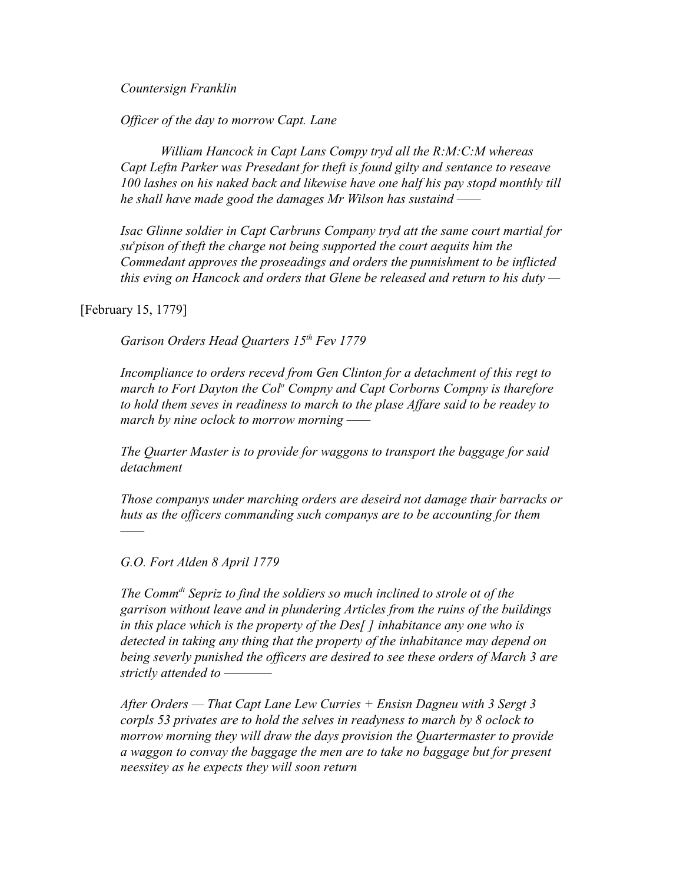*Countersign Franklin*

*Officer of the day to morrow Capt. Lane*

*William Hancock in Capt Lans Compy tryd all the R:M:C:M whereas Capt Leftn Parker was Presedant for theft is found gilty and sentance to reseave 100 lashes on his naked back and likewise have one half his pay stopd monthly till he shall have made good the damages Mr Wilson has sustaind ——*

*Isac Glinne soldier in Capt Carbruns Company tryd att the same court martial for su<sup>s</sup> pison of theft the charge not being supported the court aequits him the Commedant approves the proseadings and orders the punnishment to be inflicted this eving on Hancock and orders that Glene be released and return to his duty —*

[February 15, 1779]

*——*

*Garison Orders Head Quarters 15th Fev 1779*

*Incompliance to orders recevd from Gen Clinton for a detachment of this regt to march to Fort Dayton the Col<sup>o</sup> Compny and Capt Corborns Compny is tharefore to hold them seves in readiness to march to the plase Affare said to be readey to march by nine oclock to morrow morning ——*

*The Quarter Master is to provide for waggons to transport the baggage for said detachment* 

*Those companys under marching orders are deseird not damage thair barracks or huts as the officers commanding such companys are to be accounting for them*

*G.O. Fort Alden 8 April 1779*

*The Commdt Sepriz to find the soldiers so much inclined to strole ot of the garrison without leave and in plundering Articles from the ruins of the buildings in this place which is the property of the Des[ ] inhabitance any one who is detected in taking any thing that the property of the inhabitance may depend on being severly punished the officers are desired to see these orders of March 3 are strictly attended to ————*

*After Orders — That Capt Lane Lew Curries + Ensisn Dagneu with 3 Sergt 3 corpls 53 privates are to hold the selves in readyness to march by 8 oclock to morrow morning they will draw the days provision the Quartermaster to provide a waggon to convay the baggage the men are to take no baggage but for present neessitey as he expects they will soon return*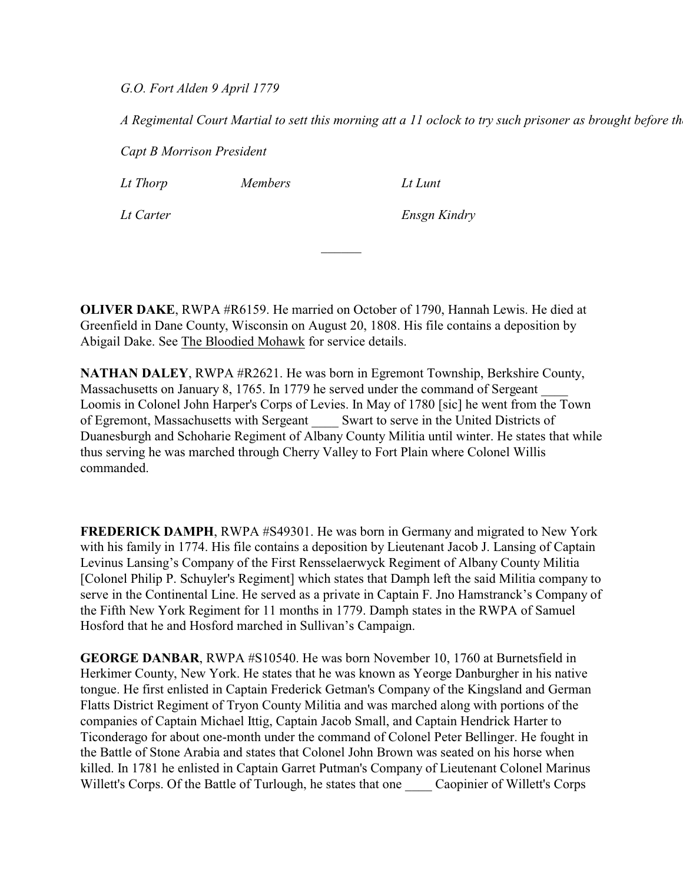*G.O. Fort Alden 9 April 1779*

*A Regimental Court Martial to sett this morning att a 11 oclock to try such prisoner as brought before th* 

*Capt B Morrison President* 

*Lt Thorp Members Lt Lunt*

*Lt Carter Ensgn Kindry*

**OLIVER DAKE**, RWPA #R6159. He married on October of 1790, Hannah Lewis. He died at Greenfield in Dane County, Wisconsin on August 20, 1808. His file contains a deposition by Abigail Dake. See The Bloodied Mohawk for service details.

 $\mathcal{L}$ 

**NATHAN DALEY**, RWPA #R2621. He was born in Egremont Township, Berkshire County, Massachusetts on January 8, 1765. In 1779 he served under the command of Sergeant Loomis in Colonel John Harper's Corps of Levies. In May of 1780 [sic] he went from the Town of Egremont, Massachusetts with Sergeant \_\_\_\_ Swart to serve in the United Districts of Duanesburgh and Schoharie Regiment of Albany County Militia until winter. He states that while thus serving he was marched through Cherry Valley to Fort Plain where Colonel Willis commanded.

**FREDERICK DAMPH**, RWPA #S49301. He was born in Germany and migrated to New York with his family in 1774. His file contains a deposition by Lieutenant Jacob J. Lansing of Captain Levinus Lansing's Company of the First Rensselaerwyck Regiment of Albany County Militia [Colonel Philip P. Schuyler's Regiment] which states that Damph left the said Militia company to serve in the Continental Line. He served as a private in Captain F. Jno Hamstranck's Company of the Fifth New York Regiment for 11 months in 1779. Damph states in the RWPA of Samuel Hosford that he and Hosford marched in Sullivan's Campaign.

**GEORGE DANBAR**, RWPA #S10540. He was born November 10, 1760 at Burnetsfield in Herkimer County, New York. He states that he was known as Yeorge Danburgher in his native tongue. He first enlisted in Captain Frederick Getman's Company of the Kingsland and German Flatts District Regiment of Tryon County Militia and was marched along with portions of the companies of Captain Michael Ittig, Captain Jacob Small, and Captain Hendrick Harter to Ticonderago for about one-month under the command of Colonel Peter Bellinger. He fought in the Battle of Stone Arabia and states that Colonel John Brown was seated on his horse when killed. In 1781 he enlisted in Captain Garret Putman's Company of Lieutenant Colonel Marinus Willett's Corps. Of the Battle of Turlough, he states that one Caopinier of Willett's Corps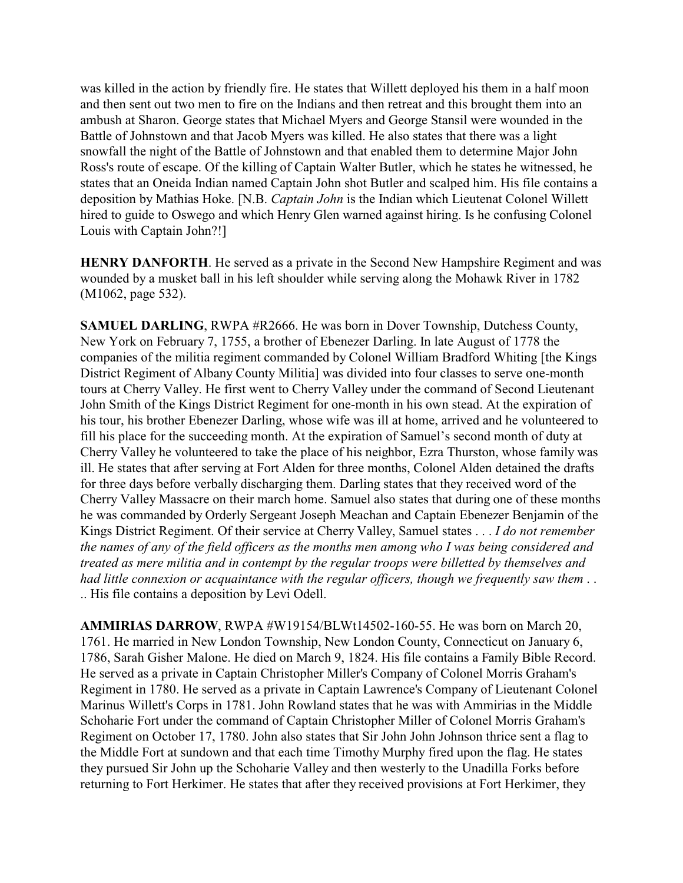was killed in the action by friendly fire. He states that Willett deployed his them in a half moon and then sent out two men to fire on the Indians and then retreat and this brought them into an ambush at Sharon. George states that Michael Myers and George Stansil were wounded in the Battle of Johnstown and that Jacob Myers was killed. He also states that there was a light snowfall the night of the Battle of Johnstown and that enabled them to determine Major John Ross's route of escape. Of the killing of Captain Walter Butler, which he states he witnessed, he states that an Oneida Indian named Captain John shot Butler and scalped him. His file contains a deposition by Mathias Hoke. [N.B. *Captain John* is the Indian which Lieutenat Colonel Willett hired to guide to Oswego and which Henry Glen warned against hiring. Is he confusing Colonel Louis with Captain John?!]

**HENRY DANFORTH**. He served as a private in the Second New Hampshire Regiment and was wounded by a musket ball in his left shoulder while serving along the Mohawk River in 1782 (M1062, page 532).

**SAMUEL DARLING**, RWPA #R2666. He was born in Dover Township, Dutchess County, New York on February 7, 1755, a brother of Ebenezer Darling. In late August of 1778 the companies of the militia regiment commanded by Colonel William Bradford Whiting [the Kings District Regiment of Albany County Militia] was divided into four classes to serve one-month tours at Cherry Valley. He first went to Cherry Valley under the command of Second Lieutenant John Smith of the Kings District Regiment for one-month in his own stead. At the expiration of his tour, his brother Ebenezer Darling, whose wife was ill at home, arrived and he volunteered to fill his place for the succeeding month. At the expiration of Samuel's second month of duty at Cherry Valley he volunteered to take the place of his neighbor, Ezra Thurston, whose family was ill. He states that after serving at Fort Alden for three months, Colonel Alden detained the drafts for three days before verbally discharging them. Darling states that they received word of the Cherry Valley Massacre on their march home. Samuel also states that during one of these months he was commanded by Orderly Sergeant Joseph Meachan and Captain Ebenezer Benjamin of the Kings District Regiment. Of their service at Cherry Valley, Samuel states . . . *I do not remember the names of any of the field officers as the months men among who I was being considered and treated as mere militia and in contempt by the regular troops were billetted by themselves and had little connexion or acquaintance with the regular officers, though we frequently saw them* . . .. His file contains a deposition by Levi Odell.

**AMMIRIAS DARROW**, RWPA #W19154/BLWt14502-160-55. He was born on March 20, 1761. He married in New London Township, New London County, Connecticut on January 6, 1786, Sarah Gisher Malone. He died on March 9, 1824. His file contains a Family Bible Record. He served as a private in Captain Christopher Miller's Company of Colonel Morris Graham's Regiment in 1780. He served as a private in Captain Lawrence's Company of Lieutenant Colonel Marinus Willett's Corps in 1781. John Rowland states that he was with Ammirias in the Middle Schoharie Fort under the command of Captain Christopher Miller of Colonel Morris Graham's Regiment on October 17, 1780. John also states that Sir John John Johnson thrice sent a flag to the Middle Fort at sundown and that each time Timothy Murphy fired upon the flag. He states they pursued Sir John up the Schoharie Valley and then westerly to the Unadilla Forks before returning to Fort Herkimer. He states that after they received provisions at Fort Herkimer, they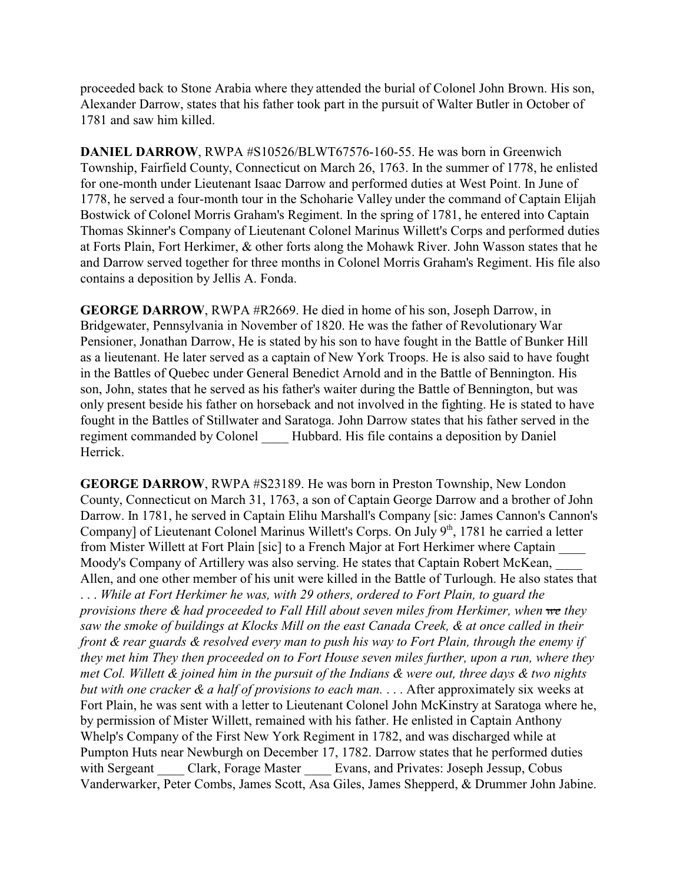proceeded back to Stone Arabia where they attended the burial of Colonel John Brown. His son, Alexander Darrow, states that his father took part in the pursuit of Walter Butler in October of 1781 and saw him killed.

**DANIEL DARROW**, RWPA #S10526/BLWT67576-160-55. He was born in Greenwich Township, Fairfield County, Connecticut on March 26, 1763. In the summer of 1778, he enlisted for one-month under Lieutenant Isaac Darrow and performed duties at West Point. In June of 1778, he served a four-month tour in the Schoharie Valley under the command of Captain Elijah Bostwick of Colonel Morris Graham's Regiment. In the spring of 1781, he entered into Captain Thomas Skinner's Company of Lieutenant Colonel Marinus Willett's Corps and performed duties at Forts Plain, Fort Herkimer, & other forts along the Mohawk River. John Wasson states that he and Darrow served together for three months in Colonel Morris Graham's Regiment. His file also contains a deposition by Jellis A. Fonda.

**GEORGE DARROW**, RWPA #R2669. He died in home of his son, Joseph Darrow, in Bridgewater, Pennsylvania in November of 1820. He was the father of Revolutionary War Pensioner, Jonathan Darrow, He is stated by his son to have fought in the Battle of Bunker Hill as a lieutenant. He later served as a captain of New York Troops. He is also said to have fought in the Battles of Quebec under General Benedict Arnold and in the Battle of Bennington. His son, John, states that he served as his father's waiter during the Battle of Bennington, but was only present beside his father on horseback and not involved in the fighting. He is stated to have fought in the Battles of Stillwater and Saratoga. John Darrow states that his father served in the regiment commanded by Colonel Hubbard. His file contains a deposition by Daniel Herrick.

**GEORGE DARROW**, RWPA #S23189. He was born in Preston Township, New London County, Connecticut on March 31, 1763, a son of Captain George Darrow and a brother of John Darrow. In 1781, he served in Captain Elihu Marshall's Company [sic: James Cannon's Cannon's Company] of Lieutenant Colonel Marinus Willett's Corps. On July 9th, 1781 he carried a letter from Mister Willett at Fort Plain [sic] to a French Major at Fort Herkimer where Captain \_\_\_\_ Moody's Company of Artillery was also serving. He states that Captain Robert McKean, \_\_\_\_ Allen, and one other member of his unit were killed in the Battle of Turlough. He also states that . . . *While at Fort Herkimer he was, with 29 others, ordered to Fort Plain, to guard the provisions there & had proceeded to Fall Hill about seven miles from Herkimer, when we they saw the smoke of buildings at Klocks Mill on the east Canada Creek, & at once called in their front & rear guards & resolved every man to push his way to Fort Plain, through the enemy if they met him They then proceeded on to Fort House seven miles further, upon a run, where they met Col. Willett & joined him in the pursuit of the Indians & were out, three days & two nights but with one cracker & a half of provisions to each man.* . . . After approximately six weeks at Fort Plain, he was sent with a letter to Lieutenant Colonel John McKinstry at Saratoga where he, by permission of Mister Willett, remained with his father. He enlisted in Captain Anthony Whelp's Company of the First New York Regiment in 1782, and was discharged while at Pumpton Huts near Newburgh on December 17, 1782. Darrow states that he performed duties with Sergeant Clark, Forage Master Evans, and Privates: Joseph Jessup, Cobus Vanderwarker, Peter Combs, James Scott, Asa Giles, James Shepperd, & Drummer John Jabine.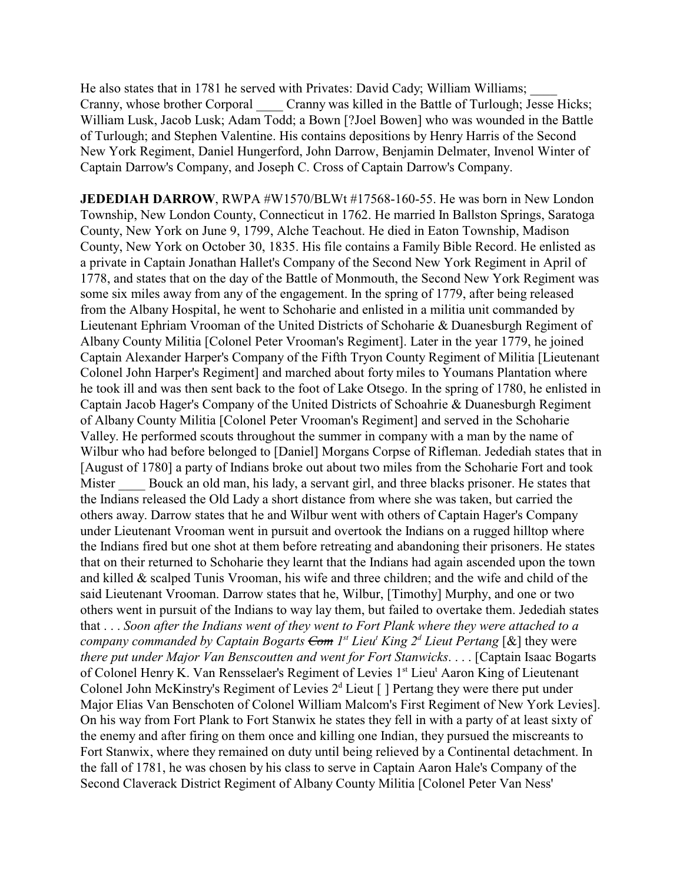He also states that in 1781 he served with Privates: David Cady; William Williams; Cranny, whose brother Corporal Cranny was killed in the Battle of Turlough; Jesse Hicks; William Lusk, Jacob Lusk; Adam Todd; a Bown [?Joel Bowen] who was wounded in the Battle of Turlough; and Stephen Valentine. His contains depositions by Henry Harris of the Second New York Regiment, Daniel Hungerford, John Darrow, Benjamin Delmater, Invenol Winter of Captain Darrow's Company, and Joseph C. Cross of Captain Darrow's Company.

**JEDEDIAH DARROW, RWPA #W1570/BLWt #17568-160-55. He was born in New London** Township, New London County, Connecticut in 1762. He married In Ballston Springs, Saratoga County, New York on June 9, 1799, Alche Teachout. He died in Eaton Township, Madison County, New York on October 30, 1835. His file contains a Family Bible Record. He enlisted as a private in Captain Jonathan Hallet's Company of the Second New York Regiment in April of 1778, and states that on the day of the Battle of Monmouth, the Second New York Regiment was some six miles away from any of the engagement. In the spring of 1779, after being released from the Albany Hospital, he went to Schoharie and enlisted in a militia unit commanded by Lieutenant Ephriam Vrooman of the United Districts of Schoharie & Duanesburgh Regiment of Albany County Militia [Colonel Peter Vrooman's Regiment]. Later in the year 1779, he joined Captain Alexander Harper's Company of the Fifth Tryon County Regiment of Militia [Lieutenant Colonel John Harper's Regiment] and marched about forty miles to Youmans Plantation where he took ill and was then sent back to the foot of Lake Otsego. In the spring of 1780, he enlisted in Captain Jacob Hager's Company of the United Districts of Schoahrie & Duanesburgh Regiment of Albany County Militia [Colonel Peter Vrooman's Regiment] and served in the Schoharie Valley. He performed scouts throughout the summer in company with a man by the name of Wilbur who had before belonged to [Daniel] Morgans Corpse of Rifleman. Jedediah states that in [August of 1780] a party of Indians broke out about two miles from the Schoharie Fort and took Mister Bouck an old man, his lady, a servant girl, and three blacks prisoner. He states that the Indians released the Old Lady a short distance from where she was taken, but carried the others away. Darrow states that he and Wilbur went with others of Captain Hager's Company under Lieutenant Vrooman went in pursuit and overtook the Indians on a rugged hilltop where the Indians fired but one shot at them before retreating and abandoning their prisoners. He states that on their returned to Schoharie they learnt that the Indians had again ascended upon the town and killed & scalped Tunis Vrooman, his wife and three children; and the wife and child of the said Lieutenant Vrooman. Darrow states that he, Wilbur, [Timothy] Murphy, and one or two others went in pursuit of the Indians to way lay them, but failed to overtake them. Jedediah states that . . . *Soon after the Indians went of they went to Fort Plank where they were attached to a company commanded by Captain Bogarts Com 1st Lieu<sup>t</sup> King 2<sup>d</sup> Lieut Pertang* [&] they were *there put under Major Van Benscoutten and went for Fort Stanwicks*. . . . [Captain Isaac Bogarts of Colonel Henry K. Van Rensselaer's Regiment of Levies 1st Lieut Aaron King of Lieutenant Colonel John McKinstry's Regiment of Levies  $2<sup>d</sup>$  Lieut [] Pertang they were there put under Major Elias Van Benschoten of Colonel William Malcom's First Regiment of New York Levies]. On his way from Fort Plank to Fort Stanwix he states they fell in with a party of at least sixty of the enemy and after firing on them once and killing one Indian, they pursued the miscreants to Fort Stanwix, where they remained on duty until being relieved by a Continental detachment. In the fall of 1781, he was chosen by his class to serve in Captain Aaron Hale's Company of the Second Claverack District Regiment of Albany County Militia [Colonel Peter Van Ness'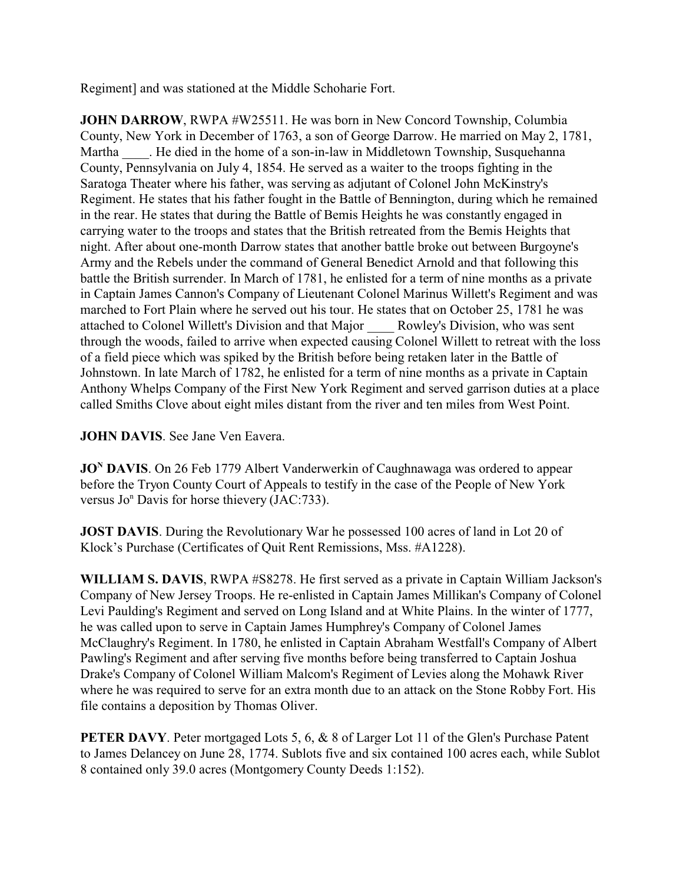Regiment] and was stationed at the Middle Schoharie Fort.

**JOHN DARROW, RWPA #W25511. He was born in New Concord Township, Columbia** County, New York in December of 1763, a son of George Darrow. He married on May 2, 1781, Martha . He died in the home of a son-in-law in Middletown Township, Susquehanna County, Pennsylvania on July 4, 1854. He served as a waiter to the troops fighting in the Saratoga Theater where his father, was serving as adjutant of Colonel John McKinstry's Regiment. He states that his father fought in the Battle of Bennington, during which he remained in the rear. He states that during the Battle of Bemis Heights he was constantly engaged in carrying water to the troops and states that the British retreated from the Bemis Heights that night. After about one-month Darrow states that another battle broke out between Burgoyne's Army and the Rebels under the command of General Benedict Arnold and that following this battle the British surrender. In March of 1781, he enlisted for a term of nine months as a private in Captain James Cannon's Company of Lieutenant Colonel Marinus Willett's Regiment and was marched to Fort Plain where he served out his tour. He states that on October 25, 1781 he was attached to Colonel Willett's Division and that Major \_\_\_\_ Rowley's Division, who was sent through the woods, failed to arrive when expected causing Colonel Willett to retreat with the loss of a field piece which was spiked by the British before being retaken later in the Battle of Johnstown. In late March of 1782, he enlisted for a term of nine months as a private in Captain Anthony Whelps Company of the First New York Regiment and served garrison duties at a place called Smiths Clove about eight miles distant from the river and ten miles from West Point.

## **JOHN DAVIS**. See Jane Ven Eavera.

**JO<sup>N</sup> DAVIS**. On 26 Feb 1779 Albert Vanderwerkin of Caughnawaga was ordered to appear before the Tryon County Court of Appeals to testify in the case of the People of New York versus Jo<sup>n</sup> Davis for horse thievery (JAC:733).

**JOST DAVIS**. During the Revolutionary War he possessed 100 acres of land in Lot 20 of Klock's Purchase (Certificates of Quit Rent Remissions, Mss. #A1228).

**WILLIAM S. DAVIS**, RWPA #S8278. He first served as a private in Captain William Jackson's Company of New Jersey Troops. He re-enlisted in Captain James Millikan's Company of Colonel Levi Paulding's Regiment and served on Long Island and at White Plains. In the winter of 1777, he was called upon to serve in Captain James Humphrey's Company of Colonel James McClaughry's Regiment. In 1780, he enlisted in Captain Abraham Westfall's Company of Albert Pawling's Regiment and after serving five months before being transferred to Captain Joshua Drake's Company of Colonel William Malcom's Regiment of Levies along the Mohawk River where he was required to serve for an extra month due to an attack on the Stone Robby Fort. His file contains a deposition by Thomas Oliver.

**PETER DAVY**. Peter mortgaged Lots 5, 6, & 8 of Larger Lot 11 of the Glen's Purchase Patent to James Delancey on June 28, 1774. Sublots five and six contained 100 acres each, while Sublot 8 contained only 39.0 acres (Montgomery County Deeds 1:152).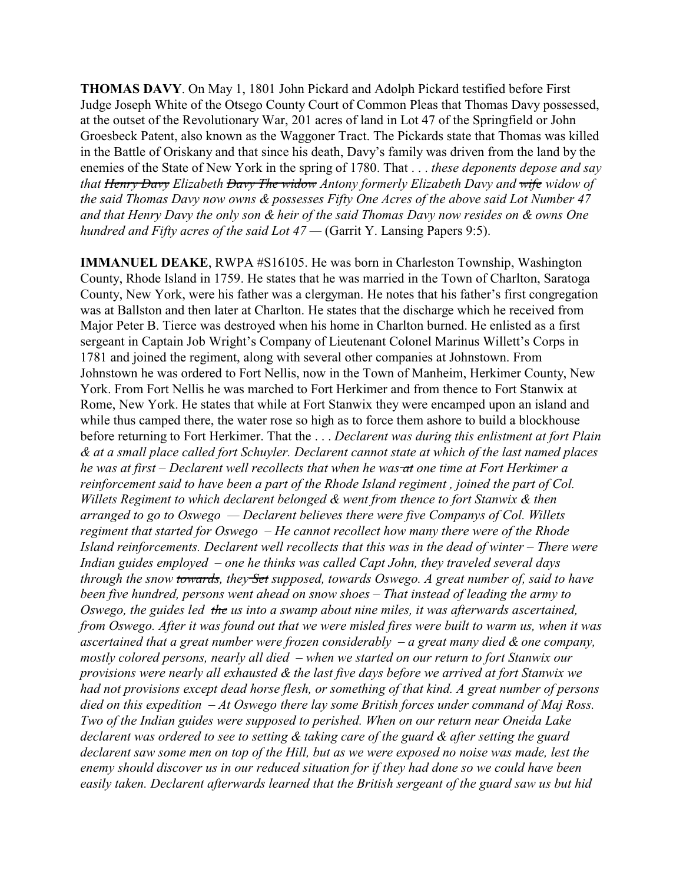**THOMAS DAVY**. On May 1, 1801 John Pickard and Adolph Pickard testified before First Judge Joseph White of the Otsego County Court of Common Pleas that Thomas Davy possessed, at the outset of the Revolutionary War, 201 acres of land in Lot 47 of the Springfield or John Groesbeck Patent, also known as the Waggoner Tract. The Pickards state that Thomas was killed in the Battle of Oriskany and that since his death, Davy's family was driven from the land by the enemies of the State of New York in the spring of 1780. That . . . *these deponents depose and say that Henry Davy Elizabeth Davy The widow Antony formerly Elizabeth Davy and wife widow of the said Thomas Davy now owns & possesses Fifty One Acres of the above said Lot Number 47 and that Henry Davy the only son & heir of the said Thomas Davy now resides on & owns One hundred and Fifty acres of the said Lot 47 —* (Garrit Y. Lansing Papers 9:5).

**IMMANUEL DEAKE**, RWPA #S16105. He was born in Charleston Township, Washington County, Rhode Island in 1759. He states that he was married in the Town of Charlton, Saratoga County, New York, were his father was a clergyman. He notes that his father's first congregation was at Ballston and then later at Charlton. He states that the discharge which he received from Major Peter B. Tierce was destroyed when his home in Charlton burned. He enlisted as a first sergeant in Captain Job Wright's Company of Lieutenant Colonel Marinus Willett's Corps in 1781 and joined the regiment, along with several other companies at Johnstown. From Johnstown he was ordered to Fort Nellis, now in the Town of Manheim, Herkimer County, New York. From Fort Nellis he was marched to Fort Herkimer and from thence to Fort Stanwix at Rome, New York. He states that while at Fort Stanwix they were encamped upon an island and while thus camped there, the water rose so high as to force them ashore to build a blockhouse before returning to Fort Herkimer. That the . . . *Declarent was during this enlistment at fort Plain & at a small place called fort Schuyler. Declarent cannot state at which of the last named places he was at first – Declarent well recollects that when he was at one time at Fort Herkimer a reinforcement said to have been a part of the Rhode Island regiment , joined the part of Col. Willets Regiment to which declarent belonged & went from thence to fort Stanwix & then arranged to go to Oswego — Declarent believes there were five Companys of Col. Willets regiment that started for Oswego – He cannot recollect how many there were of the Rhode Island reinforcements. Declarent well recollects that this was in the dead of winter – There were Indian guides employed – one he thinks was called Capt John, they traveled several days through the snow towards, they Set supposed, towards Oswego. A great number of, said to have been five hundred, persons went ahead on snow shoes – That instead of leading the army to Oswego, the guides led the us into a swamp about nine miles, it was afterwards ascertained, from Oswego. After it was found out that we were misled fires were built to warm us, when it was ascertained that a great number were frozen considerably – a great many died & one company, mostly colored persons, nearly all died – when we started on our return to fort Stanwix our provisions were nearly all exhausted & the last five days before we arrived at fort Stanwix we had not provisions except dead horse flesh, or something of that kind. A great number of persons died on this expedition – At Oswego there lay some British forces under command of Maj Ross. Two of the Indian guides were supposed to perished. When on our return near Oneida Lake declarent was ordered to see to setting & taking care of the guard & after setting the guard declarent saw some men on top of the Hill, but as we were exposed no noise was made, lest the enemy should discover us in our reduced situation for if they had done so we could have been easily taken. Declarent afterwards learned that the British sergeant of the guard saw us but hid*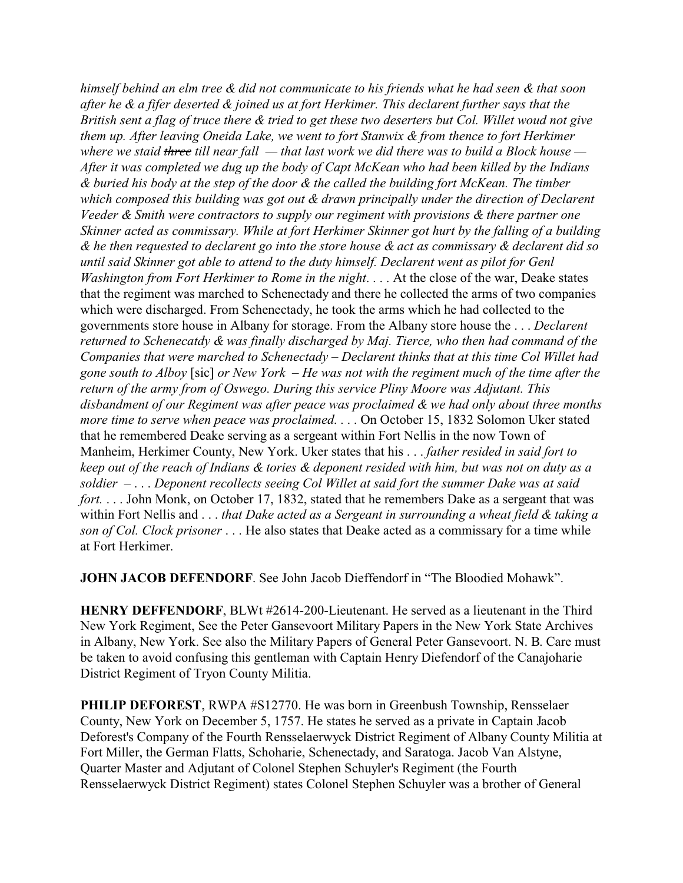*himself behind an elm tree & did not communicate to his friends what he had seen & that soon after he & a fifer deserted & joined us at fort Herkimer. This declarent further says that the British sent a flag of truce there & tried to get these two deserters but Col. Willet woud not give them up. After leaving Oneida Lake, we went to fort Stanwix & from thence to fort Herkimer where we staid three till near fall — that last work we did there was to build a Block house — After it was completed we dug up the body of Capt McKean who had been killed by the Indians & buried his body at the step of the door & the called the building fort McKean. The timber which composed this building was got out & drawn principally under the direction of Declarent Veeder & Smith were contractors to supply our regiment with provisions & there partner one Skinner acted as commissary. While at fort Herkimer Skinner got hurt by the falling of a building & he then requested to declarent go into the store house & act as commissary & declarent did so until said Skinner got able to attend to the duty himself. Declarent went as pilot for Genl Washington from Fort Herkimer to Rome in the night*. . . . At the close of the war, Deake states that the regiment was marched to Schenectady and there he collected the arms of two companies which were discharged. From Schenectady, he took the arms which he had collected to the governments store house in Albany for storage. From the Albany store house the . . . *Declarent returned to Schenecatdy & was finally discharged by Maj. Tierce, who then had command of the Companies that were marched to Schenectady – Declarent thinks that at this time Col Willet had gone south to Alboy* [sic] *or New York – He was not with the regiment much of the time after the return of the army from of Oswego. During this service Pliny Moore was Adjutant. This disbandment of our Regiment was after peace was proclaimed & we had only about three months more time to serve when peace was proclaimed*. . . . On October 15, 1832 Solomon Uker stated that he remembered Deake serving as a sergeant within Fort Nellis in the now Town of Manheim, Herkimer County, New York. Uker states that his . . . *father resided in said fort to keep out of the reach of Indians & tories & deponent resided with him, but was not on duty as a soldier –* . . . *Deponent recollects seeing Col Willet at said fort the summer Dake was at said fort.* . . . John Monk, on October 17, 1832, stated that he remembers Dake as a sergeant that was within Fort Nellis and . . . *that Dake acted as a Sergeant in surrounding a wheat field & taking a son of Col. Clock prisoner* . . . He also states that Deake acted as a commissary for a time while at Fort Herkimer.

**JOHN JACOB DEFENDORF**. See John Jacob Dieffendorf in "The Bloodied Mohawk".

**HENRY DEFFENDORF**, BLWt #2614-200-Lieutenant. He served as a lieutenant in the Third New York Regiment, See the Peter Gansevoort Military Papers in the New York State Archives in Albany, New York. See also the Military Papers of General Peter Gansevoort. N. B. Care must be taken to avoid confusing this gentleman with Captain Henry Diefendorf of the Canajoharie District Regiment of Tryon County Militia.

**PHILIP DEFOREST**, RWPA #S12770. He was born in Greenbush Township, Rensselaer County, New York on December 5, 1757. He states he served as a private in Captain Jacob Deforest's Company of the Fourth Rensselaerwyck District Regiment of Albany County Militia at Fort Miller, the German Flatts, Schoharie, Schenectady, and Saratoga. Jacob Van Alstyne, Quarter Master and Adjutant of Colonel Stephen Schuyler's Regiment (the Fourth Rensselaerwyck District Regiment) states Colonel Stephen Schuyler was a brother of General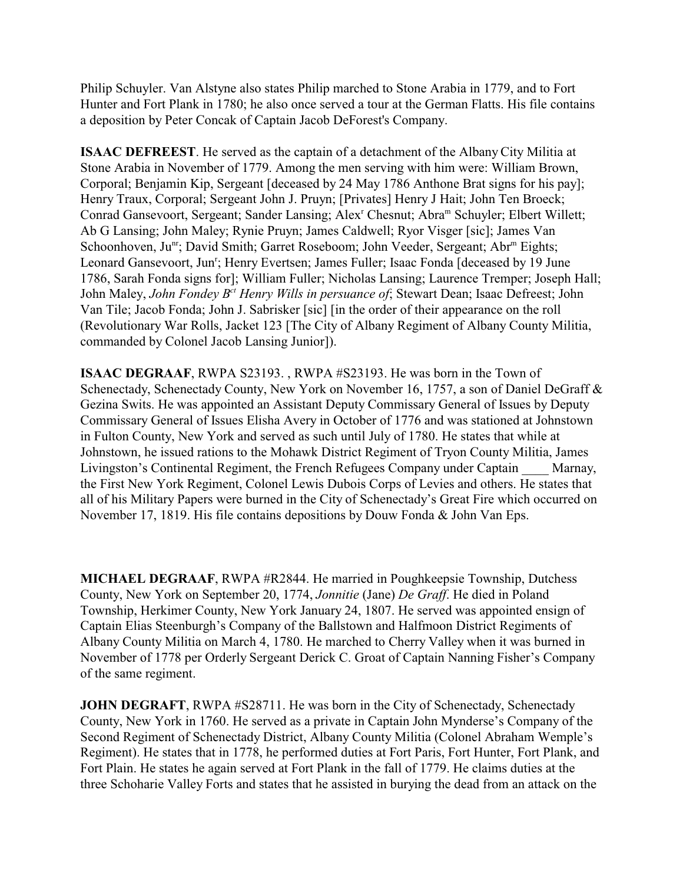Philip Schuyler. Van Alstyne also states Philip marched to Stone Arabia in 1779, and to Fort Hunter and Fort Plank in 1780; he also once served a tour at the German Flatts. His file contains a deposition by Peter Concak of Captain Jacob DeForest's Company.

**ISAAC DEFREEST**. He served as the captain of a detachment of the Albany City Militia at Stone Arabia in November of 1779. Among the men serving with him were: William Brown, Corporal; Benjamin Kip, Sergeant [deceased by 24 May 1786 Anthone Brat signs for his pay]; Henry Traux, Corporal; Sergeant John J. Pruyn; [Privates] Henry J Hait; John Ten Broeck; Conrad Gansevoort, Sergeant; Sander Lansing; Alex<sup>r</sup> Chesnut; Abra<sup>m</sup> Schuyler; Elbert Willett; Ab G Lansing; John Maley; Rynie Pruyn; James Caldwell; Ryor Visger [sic]; James Van Schoonhoven, Ju<sup>nr</sup>; David Smith; Garret Roseboom; John Veeder, Sergeant; Abr<sup>m</sup> Eights; Leonard Gansevoort, Jun<sup>r</sup>; Henry Evertsen; James Fuller; Isaac Fonda [deceased by 19 June 1786, Sarah Fonda signs for]; William Fuller; Nicholas Lansing; Laurence Tremper; Joseph Hall; John Maley, *John Fondey Bct Henry Wills in persuance of*; Stewart Dean; Isaac Defreest; John Van Tile; Jacob Fonda; John J. Sabrisker [sic] [in the order of their appearance on the roll (Revolutionary War Rolls, Jacket 123 [The City of Albany Regiment of Albany County Militia, commanded by Colonel Jacob Lansing Junior]).

**ISAAC DEGRAAF**, RWPA S23193. , RWPA #S23193. He was born in the Town of Schenectady, Schenectady County, New York on November 16, 1757, a son of Daniel DeGraff & Gezina Swits. He was appointed an Assistant Deputy Commissary General of Issues by Deputy Commissary General of Issues Elisha Avery in October of 1776 and was stationed at Johnstown in Fulton County, New York and served as such until July of 1780. He states that while at Johnstown, he issued rations to the Mohawk District Regiment of Tryon County Militia, James Livingston's Continental Regiment, the French Refugees Company under Captain \_\_\_\_ Marnay, the First New York Regiment, Colonel Lewis Dubois Corps of Levies and others. He states that all of his Military Papers were burned in the City of Schenectady's Great Fire which occurred on November 17, 1819. His file contains depositions by Douw Fonda & John Van Eps.

**MICHAEL DEGRAAF**, RWPA #R2844. He married in Poughkeepsie Township, Dutchess County, New York on September 20, 1774, *Jonnitie* (Jane) *De Graff*. He died in Poland Township, Herkimer County, New York January 24, 1807. He served was appointed ensign of Captain Elias Steenburgh's Company of the Ballstown and Halfmoon District Regiments of Albany County Militia on March 4, 1780. He marched to Cherry Valley when it was burned in November of 1778 per Orderly Sergeant Derick C. Groat of Captain Nanning Fisher's Company of the same regiment.

**JOHN DEGRAFT**, RWPA #S28711. He was born in the City of Schenectady, Schenectady County, New York in 1760. He served as a private in Captain John Mynderse's Company of the Second Regiment of Schenectady District, Albany County Militia (Colonel Abraham Wemple's Regiment). He states that in 1778, he performed duties at Fort Paris, Fort Hunter, Fort Plank, and Fort Plain. He states he again served at Fort Plank in the fall of 1779. He claims duties at the three Schoharie Valley Forts and states that he assisted in burying the dead from an attack on the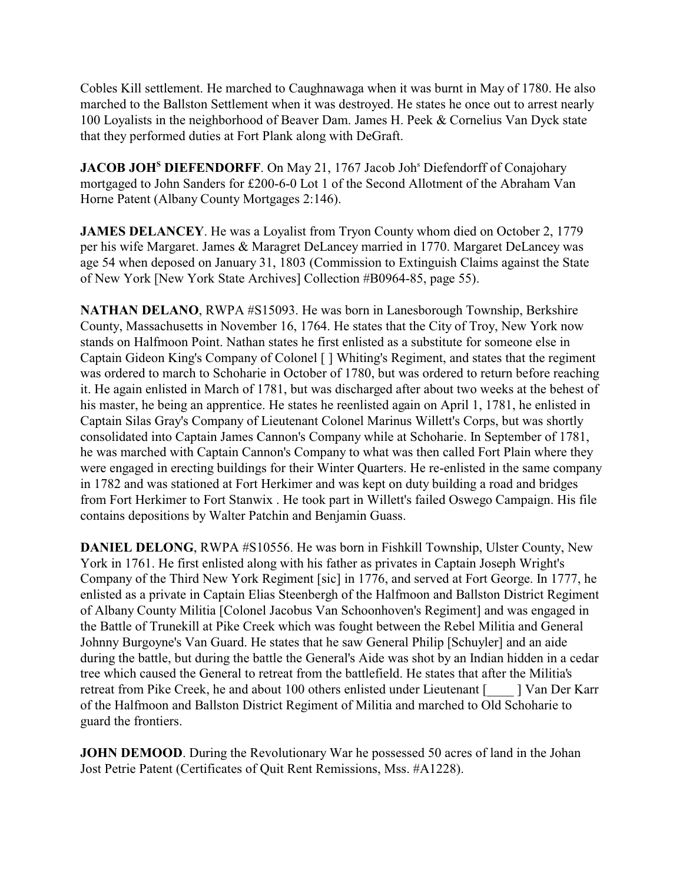Cobles Kill settlement. He marched to Caughnawaga when it was burnt in May of 1780. He also marched to the Ballston Settlement when it was destroyed. He states he once out to arrest nearly 100 Loyalists in the neighborhood of Beaver Dam. James H. Peek & Cornelius Van Dyck state that they performed duties at Fort Plank along with DeGraft.

**JACOB JOH<sup>S</sup> DIEFENDORFF**. On May 21, 1767 Jacob Joh<sup>s</sup> Diefendorff of Conajohary mortgaged to John Sanders for £200-6-0 Lot 1 of the Second Allotment of the Abraham Van Horne Patent (Albany County Mortgages 2:146).

**JAMES DELANCEY**. He was a Loyalist from Tryon County whom died on October 2, 1779 per his wife Margaret. James & Maragret DeLancey married in 1770. Margaret DeLancey was age 54 when deposed on January 31, 1803 (Commission to Extinguish Claims against the State of New York [New York State Archives] Collection #B0964-85, page 55).

**NATHAN DELANO**, RWPA #S15093. He was born in Lanesborough Township, Berkshire County, Massachusetts in November 16, 1764. He states that the City of Troy, New York now stands on Halfmoon Point. Nathan states he first enlisted as a substitute for someone else in Captain Gideon King's Company of Colonel [ ] Whiting's Regiment, and states that the regiment was ordered to march to Schoharie in October of 1780, but was ordered to return before reaching it. He again enlisted in March of 1781, but was discharged after about two weeks at the behest of his master, he being an apprentice. He states he reenlisted again on April 1, 1781, he enlisted in Captain Silas Gray's Company of Lieutenant Colonel Marinus Willett's Corps, but was shortly consolidated into Captain James Cannon's Company while at Schoharie. In September of 1781, he was marched with Captain Cannon's Company to what was then called Fort Plain where they were engaged in erecting buildings for their Winter Quarters. He re-enlisted in the same company in 1782 and was stationed at Fort Herkimer and was kept on duty building a road and bridges from Fort Herkimer to Fort Stanwix . He took part in Willett's failed Oswego Campaign. His file contains depositions by Walter Patchin and Benjamin Guass.

**DANIEL DELONG**, RWPA #S10556. He was born in Fishkill Township, Ulster County, New York in 1761. He first enlisted along with his father as privates in Captain Joseph Wright's Company of the Third New York Regiment [sic] in 1776, and served at Fort George. In 1777, he enlisted as a private in Captain Elias Steenbergh of the Halfmoon and Ballston District Regiment of Albany County Militia [Colonel Jacobus Van Schoonhoven's Regiment] and was engaged in the Battle of Trunekill at Pike Creek which was fought between the Rebel Militia and General Johnny Burgoyne's Van Guard. He states that he saw General Philip [Schuyler] and an aide during the battle, but during the battle the General's Aide was shot by an Indian hidden in a cedar tree which caused the General to retreat from the battlefield. He states that after the Militia's retreat from Pike Creek, he and about 100 others enlisted under Lieutenant [\_\_\_\_ ] Van Der Karr of the Halfmoon and Ballston District Regiment of Militia and marched to Old Schoharie to guard the frontiers.

**JOHN DEMOOD**. During the Revolutionary War he possessed 50 acres of land in the Johan Jost Petrie Patent (Certificates of Quit Rent Remissions, Mss. #A1228).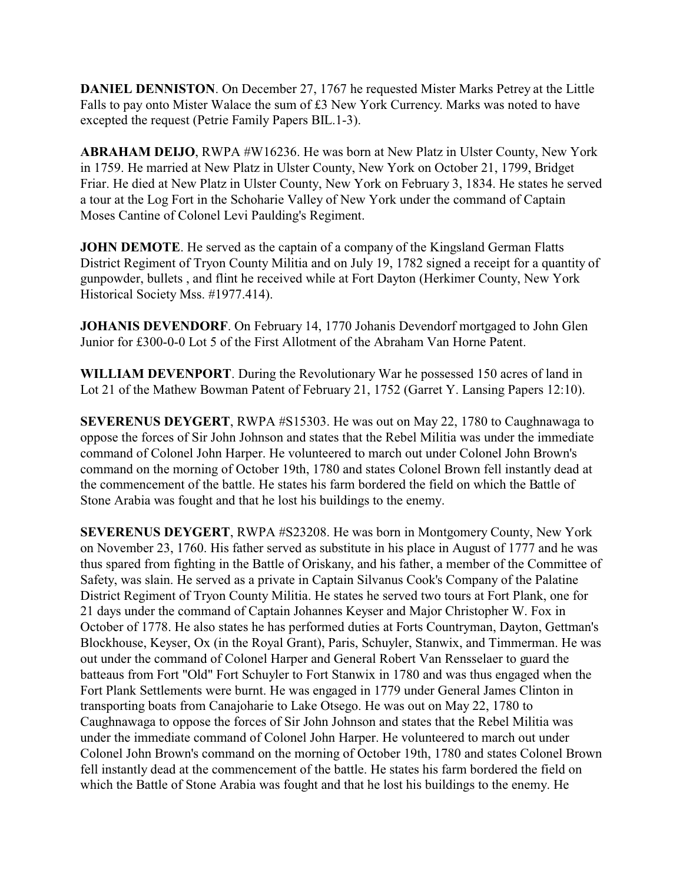**DANIEL DENNISTON**. On December 27, 1767 he requested Mister Marks Petrey at the Little Falls to pay onto Mister Walace the sum of £3 New York Currency. Marks was noted to have excepted the request (Petrie Family Papers BIL.1-3).

**ABRAHAM DEIJO**, RWPA #W16236. He was born at New Platz in Ulster County, New York in 1759. He married at New Platz in Ulster County, New York on October 21, 1799, Bridget Friar. He died at New Platz in Ulster County, New York on February 3, 1834. He states he served a tour at the Log Fort in the Schoharie Valley of New York under the command of Captain Moses Cantine of Colonel Levi Paulding's Regiment.

**JOHN DEMOTE**. He served as the captain of a company of the Kingsland German Flatts District Regiment of Tryon County Militia and on July 19, 1782 signed a receipt for a quantity of gunpowder, bullets , and flint he received while at Fort Dayton (Herkimer County, New York Historical Society Mss. #1977.414).

**JOHANIS DEVENDORF**. On February 14, 1770 Johanis Devendorf mortgaged to John Glen Junior for £300-0-0 Lot 5 of the First Allotment of the Abraham Van Horne Patent.

**WILLIAM DEVENPORT**. During the Revolutionary War he possessed 150 acres of land in Lot 21 of the Mathew Bowman Patent of February 21, 1752 (Garret Y. Lansing Papers 12:10).

**SEVERENUS DEYGERT**, RWPA #S15303. He was out on May 22, 1780 to Caughnawaga to oppose the forces of Sir John Johnson and states that the Rebel Militia was under the immediate command of Colonel John Harper. He volunteered to march out under Colonel John Brown's command on the morning of October 19th, 1780 and states Colonel Brown fell instantly dead at the commencement of the battle. He states his farm bordered the field on which the Battle of Stone Arabia was fought and that he lost his buildings to the enemy.

**SEVERENUS DEYGERT**, RWPA #S23208. He was born in Montgomery County, New York on November 23, 1760. His father served as substitute in his place in August of 1777 and he was thus spared from fighting in the Battle of Oriskany, and his father, a member of the Committee of Safety, was slain. He served as a private in Captain Silvanus Cook's Company of the Palatine District Regiment of Tryon County Militia. He states he served two tours at Fort Plank, one for 21 days under the command of Captain Johannes Keyser and Major Christopher W. Fox in October of 1778. He also states he has performed duties at Forts Countryman, Dayton, Gettman's Blockhouse, Keyser, Ox (in the Royal Grant), Paris, Schuyler, Stanwix, and Timmerman. He was out under the command of Colonel Harper and General Robert Van Rensselaer to guard the batteaus from Fort "Old" Fort Schuyler to Fort Stanwix in 1780 and was thus engaged when the Fort Plank Settlements were burnt. He was engaged in 1779 under General James Clinton in transporting boats from Canajoharie to Lake Otsego. He was out on May 22, 1780 to Caughnawaga to oppose the forces of Sir John Johnson and states that the Rebel Militia was under the immediate command of Colonel John Harper. He volunteered to march out under Colonel John Brown's command on the morning of October 19th, 1780 and states Colonel Brown fell instantly dead at the commencement of the battle. He states his farm bordered the field on which the Battle of Stone Arabia was fought and that he lost his buildings to the enemy. He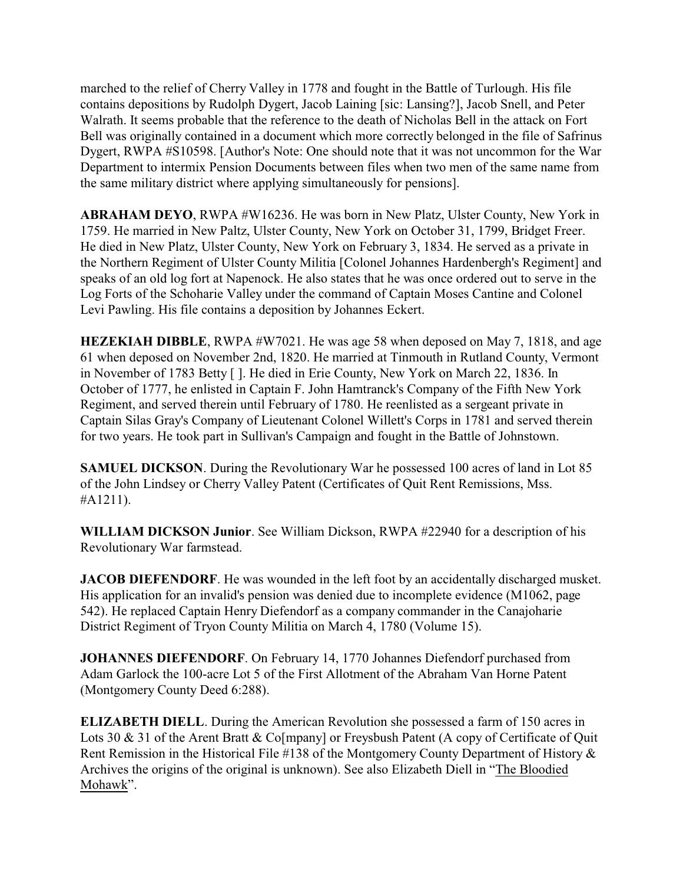marched to the relief of Cherry Valley in 1778 and fought in the Battle of Turlough. His file contains depositions by Rudolph Dygert, Jacob Laining [sic: Lansing?], Jacob Snell, and Peter Walrath. It seems probable that the reference to the death of Nicholas Bell in the attack on Fort Bell was originally contained in a document which more correctly belonged in the file of Safrinus Dygert, RWPA #S10598. [Author's Note: One should note that it was not uncommon for the War Department to intermix Pension Documents between files when two men of the same name from the same military district where applying simultaneously for pensions].

**ABRAHAM DEYO**, RWPA #W16236. He was born in New Platz, Ulster County, New York in 1759. He married in New Paltz, Ulster County, New York on October 31, 1799, Bridget Freer. He died in New Platz, Ulster County, New York on February 3, 1834. He served as a private in the Northern Regiment of Ulster County Militia [Colonel Johannes Hardenbergh's Regiment] and speaks of an old log fort at Napenock. He also states that he was once ordered out to serve in the Log Forts of the Schoharie Valley under the command of Captain Moses Cantine and Colonel Levi Pawling. His file contains a deposition by Johannes Eckert.

**HEZEKIAH DIBBLE**, RWPA #W7021. He was age 58 when deposed on May 7, 1818, and age 61 when deposed on November 2nd, 1820. He married at Tinmouth in Rutland County, Vermont in November of 1783 Betty [ ]. He died in Erie County, New York on March 22, 1836. In October of 1777, he enlisted in Captain F. John Hamtranck's Company of the Fifth New York Regiment, and served therein until February of 1780. He reenlisted as a sergeant private in Captain Silas Gray's Company of Lieutenant Colonel Willett's Corps in 1781 and served therein for two years. He took part in Sullivan's Campaign and fought in the Battle of Johnstown.

**SAMUEL DICKSON**. During the Revolutionary War he possessed 100 acres of land in Lot 85 of the John Lindsey or Cherry Valley Patent (Certificates of Quit Rent Remissions, Mss. #A1211).

**WILLIAM DICKSON Junior**. See William Dickson, RWPA #22940 for a description of his Revolutionary War farmstead.

**JACOB DIEFENDORF**. He was wounded in the left foot by an accidentally discharged musket. His application for an invalid's pension was denied due to incomplete evidence (M1062, page 542). He replaced Captain Henry Diefendorf as a company commander in the Canajoharie District Regiment of Tryon County Militia on March 4, 1780 (Volume 15).

**JOHANNES DIEFENDORF**. On February 14, 1770 Johannes Diefendorf purchased from Adam Garlock the 100-acre Lot 5 of the First Allotment of the Abraham Van Horne Patent (Montgomery County Deed 6:288).

**ELIZABETH DIELL**. During the American Revolution she possessed a farm of 150 acres in Lots 30 & 31 of the Arent Bratt & Co[mpany] or Freysbush Patent (A copy of Certificate of Ouit Rent Remission in the Historical File #138 of the Montgomery County Department of History & Archives the origins of the original is unknown). See also Elizabeth Diell in "The Bloodied Mohawk".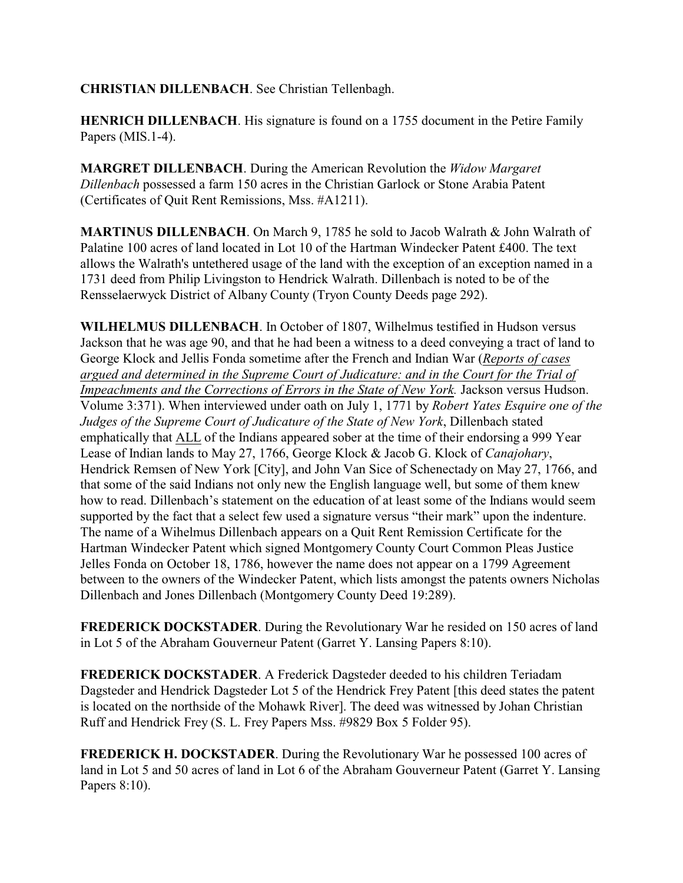**CHRISTIAN DILLENBACH**. See Christian Tellenbagh.

**HENRICH DILLENBACH**. His signature is found on a 1755 document in the Petire Family Papers (MIS.1-4).

**MARGRET DILLENBACH**. During the American Revolution the *Widow Margaret Dillenbach* possessed a farm 150 acres in the Christian Garlock or Stone Arabia Patent (Certificates of Quit Rent Remissions, Mss. #A1211).

**MARTINUS DILLENBACH**. On March 9, 1785 he sold to Jacob Walrath & John Walrath of Palatine 100 acres of land located in Lot 10 of the Hartman Windecker Patent £400. The text allows the Walrath's untethered usage of the land with the exception of an exception named in a 1731 deed from Philip Livingston to Hendrick Walrath. Dillenbach is noted to be of the Rensselaerwyck District of Albany County (Tryon County Deeds page 292).

**WILHELMUS DILLENBACH**. In October of 1807, Wilhelmus testified in Hudson versus Jackson that he was age 90, and that he had been a witness to a deed conveying a tract of land to George Klock and Jellis Fonda sometime after the French and Indian War (*Reports of cases argued and determined in the Supreme Court of Judicature: and in the Court for the Trial of Impeachments and the Corrections of Errors in the State of New York.* Jackson versus Hudson. Volume 3:371). When interviewed under oath on July 1, 1771 by *Robert Yates Esquire one of the Judges of the Supreme Court of Judicature of the State of New York*, Dillenbach stated emphatically that ALL of the Indians appeared sober at the time of their endorsing a 999 Year Lease of Indian lands to May 27, 1766, George Klock & Jacob G. Klock of *Canajohary*, Hendrick Remsen of New York [City], and John Van Sice of Schenectady on May 27, 1766, and that some of the said Indians not only new the English language well, but some of them knew how to read. Dillenbach's statement on the education of at least some of the Indians would seem supported by the fact that a select few used a signature versus "their mark" upon the indenture. The name of a Wihelmus Dillenbach appears on a Quit Rent Remission Certificate for the Hartman Windecker Patent which signed Montgomery County Court Common Pleas Justice Jelles Fonda on October 18, 1786, however the name does not appear on a 1799 Agreement between to the owners of the Windecker Patent, which lists amongst the patents owners Nicholas Dillenbach and Jones Dillenbach (Montgomery County Deed 19:289).

**FREDERICK DOCKSTADER**. During the Revolutionary War he resided on 150 acres of land in Lot 5 of the Abraham Gouverneur Patent (Garret Y. Lansing Papers 8:10).

**FREDERICK DOCKSTADER**. A Frederick Dagsteder deeded to his children Teriadam Dagsteder and Hendrick Dagsteder Lot 5 of the Hendrick Frey Patent [this deed states the patent is located on the northside of the Mohawk River]. The deed was witnessed by Johan Christian Ruff and Hendrick Frey (S. L. Frey Papers Mss. #9829 Box 5 Folder 95).

**FREDERICK H. DOCKSTADER**. During the Revolutionary War he possessed 100 acres of land in Lot 5 and 50 acres of land in Lot 6 of the Abraham Gouverneur Patent (Garret Y. Lansing Papers 8:10).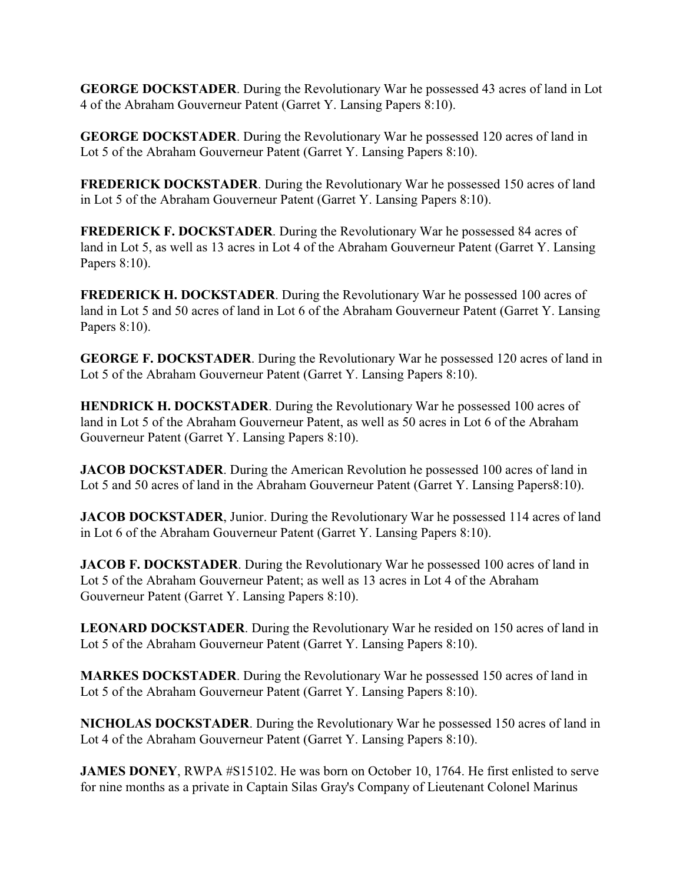**GEORGE DOCKSTADER**. During the Revolutionary War he possessed 43 acres of land in Lot 4 of the Abraham Gouverneur Patent (Garret Y. Lansing Papers 8:10).

**GEORGE DOCKSTADER**. During the Revolutionary War he possessed 120 acres of land in Lot 5 of the Abraham Gouverneur Patent (Garret Y. Lansing Papers 8:10).

**FREDERICK DOCKSTADER**. During the Revolutionary War he possessed 150 acres of land in Lot 5 of the Abraham Gouverneur Patent (Garret Y. Lansing Papers 8:10).

**FREDERICK F. DOCKSTADER**. During the Revolutionary War he possessed 84 acres of land in Lot 5, as well as 13 acres in Lot 4 of the Abraham Gouverneur Patent (Garret Y. Lansing Papers 8:10).

**FREDERICK H. DOCKSTADER**. During the Revolutionary War he possessed 100 acres of land in Lot 5 and 50 acres of land in Lot 6 of the Abraham Gouverneur Patent (Garret Y. Lansing Papers 8:10).

**GEORGE F. DOCKSTADER**. During the Revolutionary War he possessed 120 acres of land in Lot 5 of the Abraham Gouverneur Patent (Garret Y. Lansing Papers 8:10).

**HENDRICK H. DOCKSTADER**. During the Revolutionary War he possessed 100 acres of land in Lot 5 of the Abraham Gouverneur Patent, as well as 50 acres in Lot 6 of the Abraham Gouverneur Patent (Garret Y. Lansing Papers 8:10).

**JACOB DOCKSTADER**. During the American Revolution he possessed 100 acres of land in Lot 5 and 50 acres of land in the Abraham Gouverneur Patent (Garret Y. Lansing Papers8:10).

**JACOB DOCKSTADER**, Junior. During the Revolutionary War he possessed 114 acres of land in Lot 6 of the Abraham Gouverneur Patent (Garret Y. Lansing Papers 8:10).

**JACOB F. DOCKSTADER**. During the Revolutionary War he possessed 100 acres of land in Lot 5 of the Abraham Gouverneur Patent; as well as 13 acres in Lot 4 of the Abraham Gouverneur Patent (Garret Y. Lansing Papers 8:10).

**LEONARD DOCKSTADER**. During the Revolutionary War he resided on 150 acres of land in Lot 5 of the Abraham Gouverneur Patent (Garret Y. Lansing Papers 8:10).

**MARKES DOCKSTADER**. During the Revolutionary War he possessed 150 acres of land in Lot 5 of the Abraham Gouverneur Patent (Garret Y. Lansing Papers 8:10).

**NICHOLAS DOCKSTADER**. During the Revolutionary War he possessed 150 acres of land in Lot 4 of the Abraham Gouverneur Patent (Garret Y. Lansing Papers 8:10).

**JAMES DONEY**, RWPA #S15102. He was born on October 10, 1764. He first enlisted to serve for nine months as a private in Captain Silas Gray's Company of Lieutenant Colonel Marinus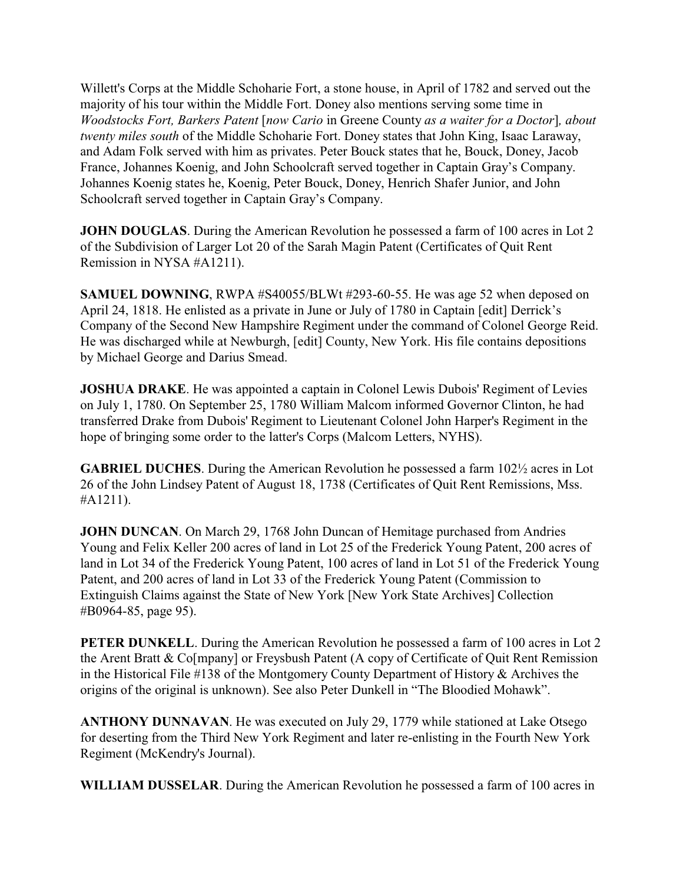Willett's Corps at the Middle Schoharie Fort, a stone house, in April of 1782 and served out the majority of his tour within the Middle Fort. Doney also mentions serving some time in *Woodstocks Fort, Barkers Patent* [*now Cario* in Greene County *as a waiter for a Doctor*]*, about twenty miles south* of the Middle Schoharie Fort. Doney states that John King, Isaac Laraway, and Adam Folk served with him as privates. Peter Bouck states that he, Bouck, Doney, Jacob France, Johannes Koenig, and John Schoolcraft served together in Captain Gray's Company. Johannes Koenig states he, Koenig, Peter Bouck, Doney, Henrich Shafer Junior, and John Schoolcraft served together in Captain Gray's Company.

**JOHN DOUGLAS**. During the American Revolution he possessed a farm of 100 acres in Lot 2 of the Subdivision of Larger Lot 20 of the Sarah Magin Patent (Certificates of Quit Rent Remission in NYSA #A1211).

**SAMUEL DOWNING**, RWPA #S40055/BLWt #293-60-55. He was age 52 when deposed on April 24, 1818. He enlisted as a private in June or July of 1780 in Captain [edit] Derrick's Company of the Second New Hampshire Regiment under the command of Colonel George Reid. He was discharged while at Newburgh, [edit] County, New York. His file contains depositions by Michael George and Darius Smead.

**JOSHUA DRAKE**. He was appointed a captain in Colonel Lewis Dubois' Regiment of Levies on July 1, 1780. On September 25, 1780 William Malcom informed Governor Clinton, he had transferred Drake from Dubois' Regiment to Lieutenant Colonel John Harper's Regiment in the hope of bringing some order to the latter's Corps (Malcom Letters, NYHS).

**GABRIEL DUCHES**. During the American Revolution he possessed a farm 102½ acres in Lot 26 of the John Lindsey Patent of August 18, 1738 (Certificates of Quit Rent Remissions, Mss. #A1211).

**JOHN DUNCAN**. On March 29, 1768 John Duncan of Hemitage purchased from Andries Young and Felix Keller 200 acres of land in Lot 25 of the Frederick Young Patent, 200 acres of land in Lot 34 of the Frederick Young Patent, 100 acres of land in Lot 51 of the Frederick Young Patent, and 200 acres of land in Lot 33 of the Frederick Young Patent (Commission to Extinguish Claims against the State of New York [New York State Archives] Collection #B0964-85, page 95).

**PETER DUNKELL**. During the American Revolution he possessed a farm of 100 acres in Lot 2 the Arent Bratt & Co[mpany] or Freysbush Patent (A copy of Certificate of Quit Rent Remission in the Historical File #138 of the Montgomery County Department of History & Archives the origins of the original is unknown). See also Peter Dunkell in "The Bloodied Mohawk".

**ANTHONY DUNNAVAN**. He was executed on July 29, 1779 while stationed at Lake Otsego for deserting from the Third New York Regiment and later re-enlisting in the Fourth New York Regiment (McKendry's Journal).

**WILLIAM DUSSELAR**. During the American Revolution he possessed a farm of 100 acres in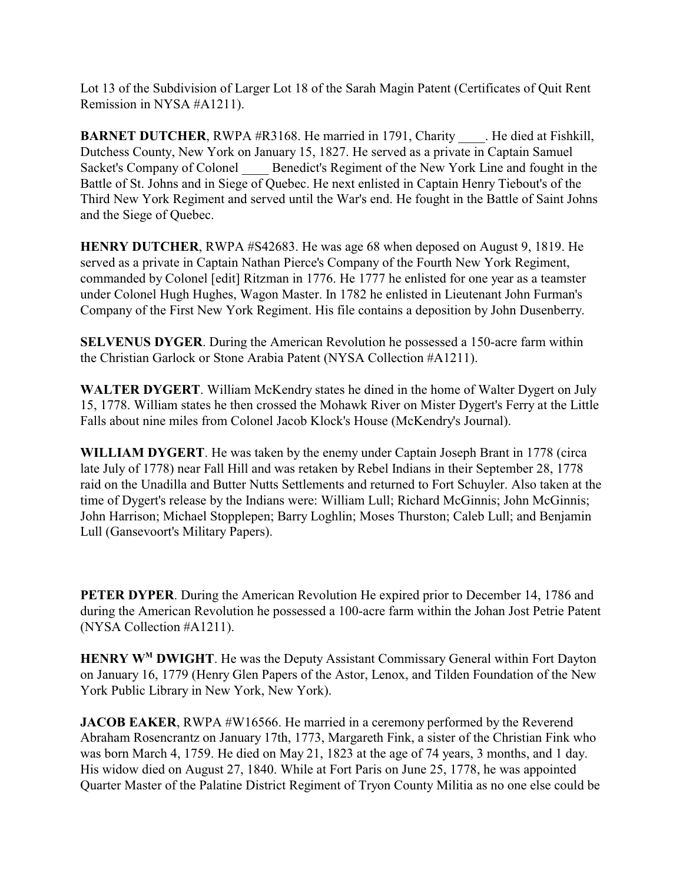Lot 13 of the Subdivision of Larger Lot 18 of the Sarah Magin Patent (Certificates of Quit Rent Remission in NYSA #A1211).

**BARNET DUTCHER**, RWPA #R3168. He married in 1791, Charity He died at Fishkill, Dutchess County, New York on January 15, 1827. He served as a private in Captain Samuel Sacket's Company of Colonel \_\_\_\_ Benedict's Regiment of the New York Line and fought in the Battle of St. Johns and in Siege of Quebec. He next enlisted in Captain Henry Tiebout's of the Third New York Regiment and served until the War's end. He fought in the Battle of Saint Johns and the Siege of Quebec.

**HENRY DUTCHER**, RWPA #S42683. He was age 68 when deposed on August 9, 1819. He served as a private in Captain Nathan Pierce's Company of the Fourth New York Regiment, commanded by Colonel [edit] Ritzman in 1776. He 1777 he enlisted for one year as a teamster under Colonel Hugh Hughes, Wagon Master. In 1782 he enlisted in Lieutenant John Furman's Company of the First New York Regiment. His file contains a deposition by John Dusenberry.

**SELVENUS DYGER**. During the American Revolution he possessed a 150-acre farm within the Christian Garlock or Stone Arabia Patent (NYSA Collection #A1211).

**WALTER DYGERT**. William McKendry states he dined in the home of Walter Dygert on July 15, 1778. William states he then crossed the Mohawk River on Mister Dygert's Ferry at the Little Falls about nine miles from Colonel Jacob Klock's House (McKendry's Journal).

**WILLIAM DYGERT**. He was taken by the enemy under Captain Joseph Brant in 1778 (circa late July of 1778) near Fall Hill and was retaken by Rebel Indians in their September 28, 1778 raid on the Unadilla and Butter Nutts Settlements and returned to Fort Schuyler. Also taken at the time of Dygert's release by the Indians were: William Lull; Richard McGinnis; John McGinnis; John Harrison; Michael Stopplepen; Barry Loghlin; Moses Thurston; Caleb Lull; and Benjamin Lull (Gansevoort's Military Papers).

**PETER DYPER**. During the American Revolution He expired prior to December 14, 1786 and during the American Revolution he possessed a 100-acre farm within the Johan Jost Petrie Patent (NYSA Collection #A1211).

**HENRY W<sup>M</sup> DWIGHT**. He was the Deputy Assistant Commissary General within Fort Dayton on January 16, 1779 (Henry Glen Papers of the Astor, Lenox, and Tilden Foundation of the New York Public Library in New York, New York).

**JACOB EAKER**, RWPA #W16566. He married in a ceremony performed by the Reverend Abraham Rosencrantz on January 17th, 1773, Margareth Fink, a sister of the Christian Fink who was born March 4, 1759. He died on May 21, 1823 at the age of 74 years, 3 months, and 1 day. His widow died on August 27, 1840. While at Fort Paris on June 25, 1778, he was appointed Quarter Master of the Palatine District Regiment of Tryon County Militia as no one else could be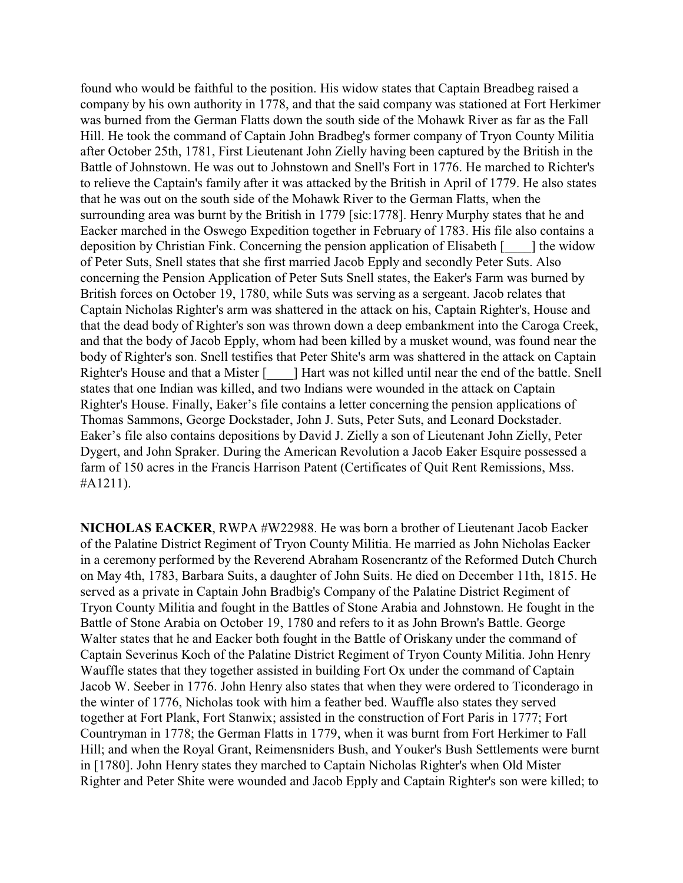found who would be faithful to the position. His widow states that Captain Breadbeg raised a company by his own authority in 1778, and that the said company was stationed at Fort Herkimer was burned from the German Flatts down the south side of the Mohawk River as far as the Fall Hill. He took the command of Captain John Bradbeg's former company of Tryon County Militia after October 25th, 1781, First Lieutenant John Zielly having been captured by the British in the Battle of Johnstown. He was out to Johnstown and Snell's Fort in 1776. He marched to Richter's to relieve the Captain's family after it was attacked by the British in April of 1779. He also states that he was out on the south side of the Mohawk River to the German Flatts, when the surrounding area was burnt by the British in 1779 [sic:1778]. Henry Murphy states that he and Eacker marched in the Oswego Expedition together in February of 1783. His file also contains a deposition by Christian Fink. Concerning the pension application of Elisabeth [\_\_\_\_] the widow of Peter Suts, Snell states that she first married Jacob Epply and secondly Peter Suts. Also concerning the Pension Application of Peter Suts Snell states, the Eaker's Farm was burned by British forces on October 19, 1780, while Suts was serving as a sergeant. Jacob relates that Captain Nicholas Righter's arm was shattered in the attack on his, Captain Righter's, House and that the dead body of Righter's son was thrown down a deep embankment into the Caroga Creek, and that the body of Jacob Epply, whom had been killed by a musket wound, was found near the body of Righter's son. Snell testifies that Peter Shite's arm was shattered in the attack on Captain Righter's House and that a Mister [2014] Hart was not killed until near the end of the battle. Snell states that one Indian was killed, and two Indians were wounded in the attack on Captain Righter's House. Finally, Eaker's file contains a letter concerning the pension applications of Thomas Sammons, George Dockstader, John J. Suts, Peter Suts, and Leonard Dockstader. Eaker's file also contains depositions by David J. Zielly a son of Lieutenant John Zielly, Peter Dygert, and John Spraker. During the American Revolution a Jacob Eaker Esquire possessed a farm of 150 acres in the Francis Harrison Patent (Certificates of Quit Rent Remissions, Mss. #A1211).

**NICHOLAS EACKER**, RWPA #W22988. He was born a brother of Lieutenant Jacob Eacker of the Palatine District Regiment of Tryon County Militia. He married as John Nicholas Eacker in a ceremony performed by the Reverend Abraham Rosencrantz of the Reformed Dutch Church on May 4th, 1783, Barbara Suits, a daughter of John Suits. He died on December 11th, 1815. He served as a private in Captain John Bradbig's Company of the Palatine District Regiment of Tryon County Militia and fought in the Battles of Stone Arabia and Johnstown. He fought in the Battle of Stone Arabia on October 19, 1780 and refers to it as John Brown's Battle. George Walter states that he and Eacker both fought in the Battle of Oriskany under the command of Captain Severinus Koch of the Palatine District Regiment of Tryon County Militia. John Henry Wauffle states that they together assisted in building Fort Ox under the command of Captain Jacob W. Seeber in 1776. John Henry also states that when they were ordered to Ticonderago in the winter of 1776, Nicholas took with him a feather bed. Wauffle also states they served together at Fort Plank, Fort Stanwix; assisted in the construction of Fort Paris in 1777; Fort Countryman in 1778; the German Flatts in 1779, when it was burnt from Fort Herkimer to Fall Hill; and when the Royal Grant, Reimensniders Bush, and Youker's Bush Settlements were burnt in [1780]. John Henry states they marched to Captain Nicholas Righter's when Old Mister Righter and Peter Shite were wounded and Jacob Epply and Captain Righter's son were killed; to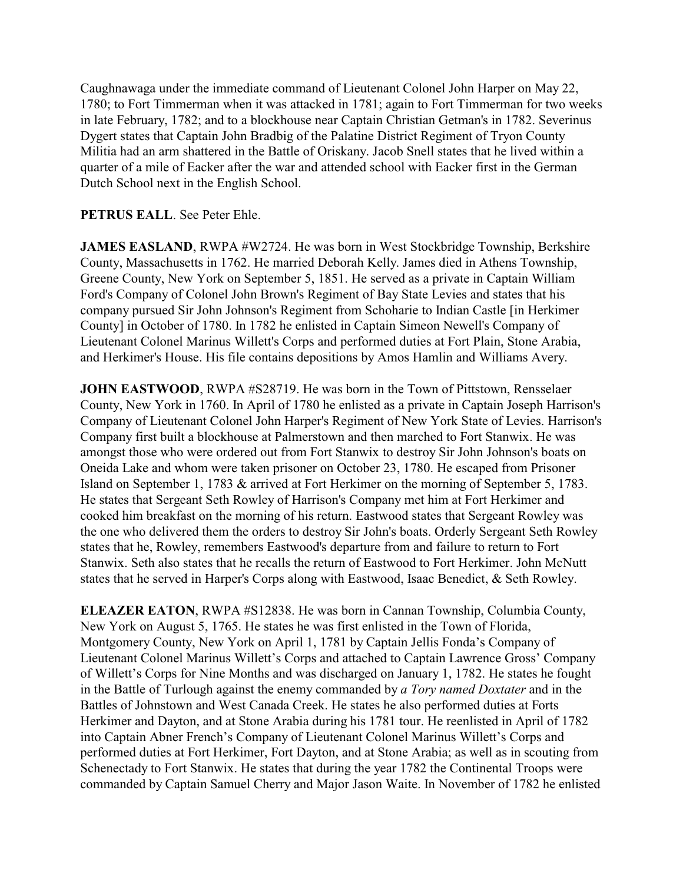Caughnawaga under the immediate command of Lieutenant Colonel John Harper on May 22, 1780; to Fort Timmerman when it was attacked in 1781; again to Fort Timmerman for two weeks in late February, 1782; and to a blockhouse near Captain Christian Getman's in 1782. Severinus Dygert states that Captain John Bradbig of the Palatine District Regiment of Tryon County Militia had an arm shattered in the Battle of Oriskany. Jacob Snell states that he lived within a quarter of a mile of Eacker after the war and attended school with Eacker first in the German Dutch School next in the English School.

## **PETRUS EALL**. See Peter Ehle.

**JAMES EASLAND, RWPA #W2724. He was born in West Stockbridge Township, Berkshire** County, Massachusetts in 1762. He married Deborah Kelly. James died in Athens Township, Greene County, New York on September 5, 1851. He served as a private in Captain William Ford's Company of Colonel John Brown's Regiment of Bay State Levies and states that his company pursued Sir John Johnson's Regiment from Schoharie to Indian Castle [in Herkimer County] in October of 1780. In 1782 he enlisted in Captain Simeon Newell's Company of Lieutenant Colonel Marinus Willett's Corps and performed duties at Fort Plain, Stone Arabia, and Herkimer's House. His file contains depositions by Amos Hamlin and Williams Avery.

**JOHN EASTWOOD, RWPA #S28719. He was born in the Town of Pittstown, Rensselaer** County, New York in 1760. In April of 1780 he enlisted as a private in Captain Joseph Harrison's Company of Lieutenant Colonel John Harper's Regiment of New York State of Levies. Harrison's Company first built a blockhouse at Palmerstown and then marched to Fort Stanwix. He was amongst those who were ordered out from Fort Stanwix to destroy Sir John Johnson's boats on Oneida Lake and whom were taken prisoner on October 23, 1780. He escaped from Prisoner Island on September 1, 1783 & arrived at Fort Herkimer on the morning of September 5, 1783. He states that Sergeant Seth Rowley of Harrison's Company met him at Fort Herkimer and cooked him breakfast on the morning of his return. Eastwood states that Sergeant Rowley was the one who delivered them the orders to destroy Sir John's boats. Orderly Sergeant Seth Rowley states that he, Rowley, remembers Eastwood's departure from and failure to return to Fort Stanwix. Seth also states that he recalls the return of Eastwood to Fort Herkimer. John McNutt states that he served in Harper's Corps along with Eastwood, Isaac Benedict, & Seth Rowley.

**ELEAZER EATON**, RWPA #S12838. He was born in Cannan Township, Columbia County, New York on August 5, 1765. He states he was first enlisted in the Town of Florida, Montgomery County, New York on April 1, 1781 by Captain Jellis Fonda's Company of Lieutenant Colonel Marinus Willett's Corps and attached to Captain Lawrence Gross' Company of Willett's Corps for Nine Months and was discharged on January 1, 1782. He states he fought in the Battle of Turlough against the enemy commanded by *a Tory named Doxtater* and in the Battles of Johnstown and West Canada Creek. He states he also performed duties at Forts Herkimer and Dayton, and at Stone Arabia during his 1781 tour. He reenlisted in April of 1782 into Captain Abner French's Company of Lieutenant Colonel Marinus Willett's Corps and performed duties at Fort Herkimer, Fort Dayton, and at Stone Arabia; as well as in scouting from Schenectady to Fort Stanwix. He states that during the year 1782 the Continental Troops were commanded by Captain Samuel Cherry and Major Jason Waite. In November of 1782 he enlisted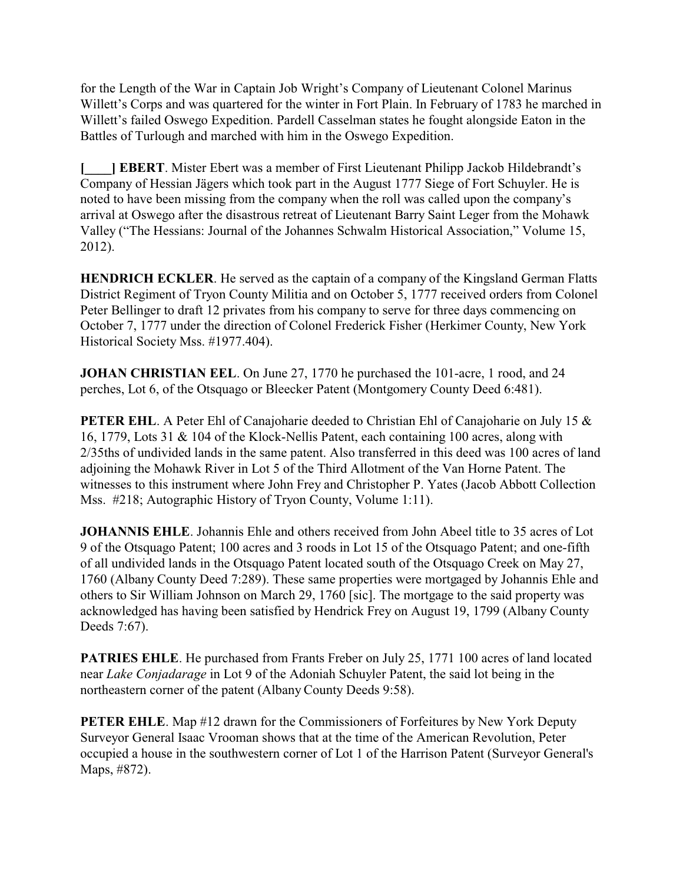for the Length of the War in Captain Job Wright's Company of Lieutenant Colonel Marinus Willett's Corps and was quartered for the winter in Fort Plain. In February of 1783 he marched in Willett's failed Oswego Expedition. Pardell Casselman states he fought alongside Eaton in the Battles of Turlough and marched with him in the Oswego Expedition.

**[\_\_\_\_] EBERT**. Mister Ebert was a member of First Lieutenant Philipp Jackob Hildebrandt's Company of Hessian Jägers which took part in the August 1777 Siege of Fort Schuyler. He is noted to have been missing from the company when the roll was called upon the company's arrival at Oswego after the disastrous retreat of Lieutenant Barry Saint Leger from the Mohawk Valley ("The Hessians: Journal of the Johannes Schwalm Historical Association," Volume 15, 2012).

**HENDRICH ECKLER.** He served as the captain of a company of the Kingsland German Flatts District Regiment of Tryon County Militia and on October 5, 1777 received orders from Colonel Peter Bellinger to draft 12 privates from his company to serve for three days commencing on October 7, 1777 under the direction of Colonel Frederick Fisher (Herkimer County, New York Historical Society Mss. #1977.404).

**JOHAN CHRISTIAN EEL**. On June 27, 1770 he purchased the 101-acre, 1 rood, and 24 perches, Lot 6, of the Otsquago or Bleecker Patent (Montgomery County Deed 6:481).

**PETER EHL.** A Peter Ehl of Canajoharie deeded to Christian Ehl of Canajoharie on July 15 & 16, 1779, Lots 31 & 104 of the Klock-Nellis Patent, each containing 100 acres, along with 2/35ths of undivided lands in the same patent. Also transferred in this deed was 100 acres of land adjoining the Mohawk River in Lot 5 of the Third Allotment of the Van Horne Patent. The witnesses to this instrument where John Frey and Christopher P. Yates (Jacob Abbott Collection Mss. #218; Autographic History of Tryon County, Volume 1:11).

**JOHANNIS EHLE**. Johannis Ehle and others received from John Abeel title to 35 acres of Lot 9 of the Otsquago Patent; 100 acres and 3 roods in Lot 15 of the Otsquago Patent; and one-fifth of all undivided lands in the Otsquago Patent located south of the Otsquago Creek on May 27, 1760 (Albany County Deed 7:289). These same properties were mortgaged by Johannis Ehle and others to Sir William Johnson on March 29, 1760 [sic]. The mortgage to the said property was acknowledged has having been satisfied by Hendrick Frey on August 19, 1799 (Albany County Deeds 7:67).

**PATRIES EHLE**. He purchased from Frants Freber on July 25, 1771 100 acres of land located near *Lake Conjadarage* in Lot 9 of the Adoniah Schuyler Patent, the said lot being in the northeastern corner of the patent (Albany County Deeds 9:58).

**PETER EHLE**. Map #12 drawn for the Commissioners of Forfeitures by New York Deputy Surveyor General Isaac Vrooman shows that at the time of the American Revolution, Peter occupied a house in the southwestern corner of Lot 1 of the Harrison Patent (Surveyor General's Maps, #872).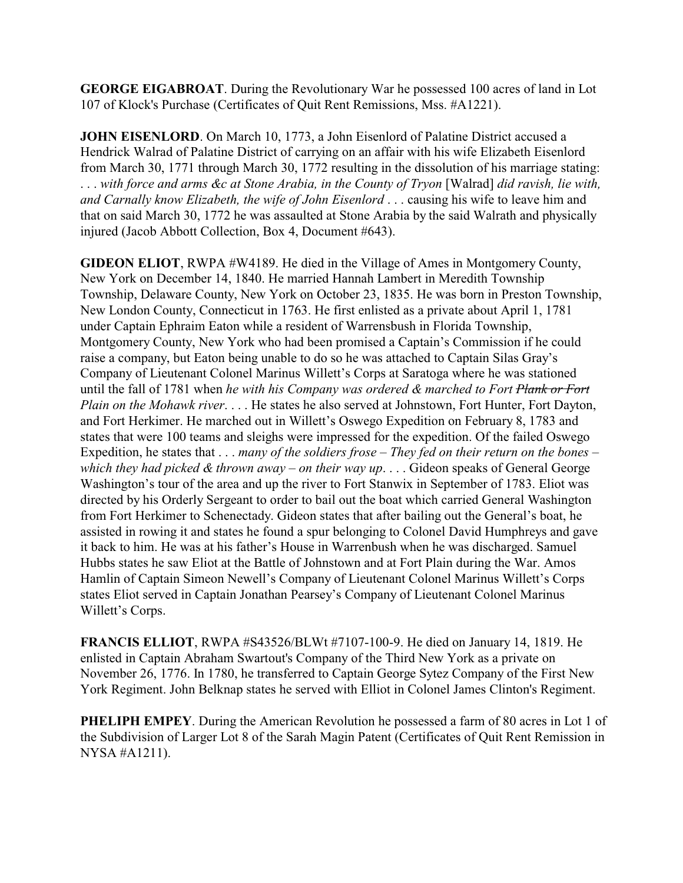**GEORGE EIGABROAT**. During the Revolutionary War he possessed 100 acres of land in Lot 107 of Klock's Purchase (Certificates of Quit Rent Remissions, Mss. #A1221).

**JOHN EISENLORD**. On March 10, 1773, a John Eisenlord of Palatine District accused a Hendrick Walrad of Palatine District of carrying on an affair with his wife Elizabeth Eisenlord from March 30, 1771 through March 30, 1772 resulting in the dissolution of his marriage stating: . . . *with force and arms &c at Stone Arabia, in the County of Tryon* [Walrad] *did ravish, lie with, and Carnally know Elizabeth, the wife of John Eisenlord* . . . causing his wife to leave him and that on said March 30, 1772 he was assaulted at Stone Arabia by the said Walrath and physically injured (Jacob Abbott Collection, Box 4, Document #643).

**GIDEON ELIOT**, RWPA #W4189. He died in the Village of Ames in Montgomery County, New York on December 14, 1840. He married Hannah Lambert in Meredith Township Township, Delaware County, New York on October 23, 1835. He was born in Preston Township, New London County, Connecticut in 1763. He first enlisted as a private about April 1, 1781 under Captain Ephraim Eaton while a resident of Warrensbush in Florida Township, Montgomery County, New York who had been promised a Captain's Commission if he could raise a company, but Eaton being unable to do so he was attached to Captain Silas Gray's Company of Lieutenant Colonel Marinus Willett's Corps at Saratoga where he was stationed until the fall of 1781 when *he with his Company was ordered & marched to Fort Plank or Fort Plain on the Mohawk river*. . . . He states he also served at Johnstown, Fort Hunter, Fort Dayton, and Fort Herkimer. He marched out in Willett's Oswego Expedition on February 8, 1783 and states that were 100 teams and sleighs were impressed for the expedition. Of the failed Oswego Expedition, he states that . . . *many of the soldiers frose – They fed on their return on the bones – which they had picked & thrown away – on their way up*. . . . Gideon speaks of General George Washington's tour of the area and up the river to Fort Stanwix in September of 1783. Eliot was directed by his Orderly Sergeant to order to bail out the boat which carried General Washington from Fort Herkimer to Schenectady. Gideon states that after bailing out the General's boat, he assisted in rowing it and states he found a spur belonging to Colonel David Humphreys and gave it back to him. He was at his father's House in Warrenbush when he was discharged. Samuel Hubbs states he saw Eliot at the Battle of Johnstown and at Fort Plain during the War. Amos Hamlin of Captain Simeon Newell's Company of Lieutenant Colonel Marinus Willett's Corps states Eliot served in Captain Jonathan Pearsey's Company of Lieutenant Colonel Marinus Willett's Corps.

**FRANCIS ELLIOT**, RWPA #S43526/BLWt #7107-100-9. He died on January 14, 1819. He enlisted in Captain Abraham Swartout's Company of the Third New York as a private on November 26, 1776. In 1780, he transferred to Captain George Sytez Company of the First New York Regiment. John Belknap states he served with Elliot in Colonel James Clinton's Regiment.

**PHELIPH EMPEY**. During the American Revolution he possessed a farm of 80 acres in Lot 1 of the Subdivision of Larger Lot 8 of the Sarah Magin Patent (Certificates of Quit Rent Remission in NYSA #A1211).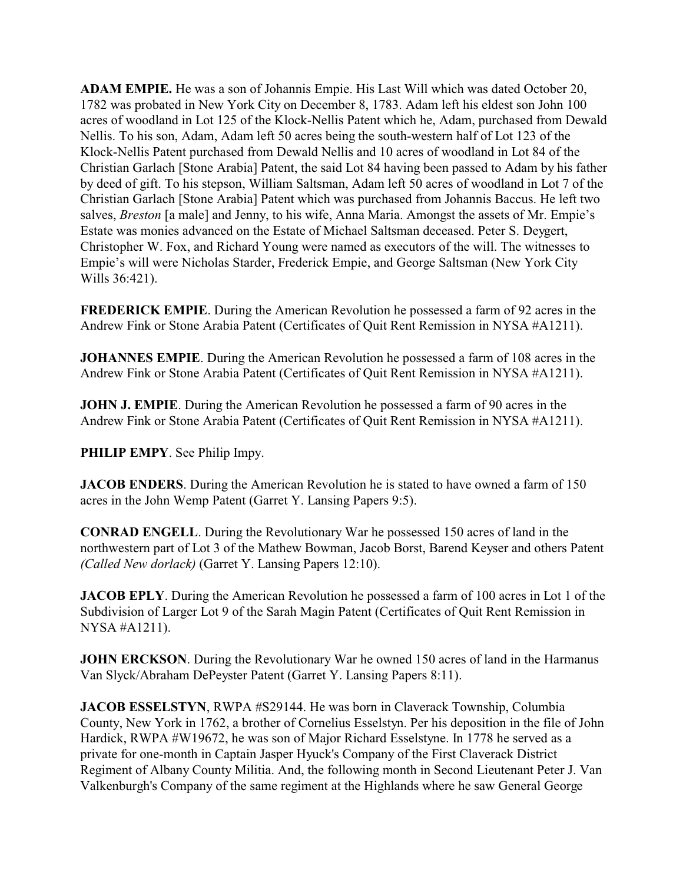**ADAM EMPIE.** He was a son of Johannis Empie. His Last Will which was dated October 20, 1782 was probated in New York City on December 8, 1783. Adam left his eldest son John 100 acres of woodland in Lot 125 of the Klock-Nellis Patent which he, Adam, purchased from Dewald Nellis. To his son, Adam, Adam left 50 acres being the south-western half of Lot 123 of the Klock-Nellis Patent purchased from Dewald Nellis and 10 acres of woodland in Lot 84 of the Christian Garlach [Stone Arabia] Patent, the said Lot 84 having been passed to Adam by his father by deed of gift. To his stepson, William Saltsman, Adam left 50 acres of woodland in Lot 7 of the Christian Garlach [Stone Arabia] Patent which was purchased from Johannis Baccus. He left two salves, *Breston* [a male] and Jenny, to his wife, Anna Maria. Amongst the assets of Mr. Empie's Estate was monies advanced on the Estate of Michael Saltsman deceased. Peter S. Deygert, Christopher W. Fox, and Richard Young were named as executors of the will. The witnesses to Empie's will were Nicholas Starder, Frederick Empie, and George Saltsman (New York City Wills 36:421).

**FREDERICK EMPIE**. During the American Revolution he possessed a farm of 92 acres in the Andrew Fink or Stone Arabia Patent (Certificates of Quit Rent Remission in NYSA #A1211).

**JOHANNES EMPIE**. During the American Revolution he possessed a farm of 108 acres in the Andrew Fink or Stone Arabia Patent (Certificates of Quit Rent Remission in NYSA #A1211).

**JOHN J. EMPIE.** During the American Revolution he possessed a farm of 90 acres in the Andrew Fink or Stone Arabia Patent (Certificates of Quit Rent Remission in NYSA #A1211).

**PHILIP EMPY**. See Philip Impy.

**JACOB ENDERS**. During the American Revolution he is stated to have owned a farm of 150 acres in the John Wemp Patent (Garret Y. Lansing Papers 9:5).

**CONRAD ENGELL**. During the Revolutionary War he possessed 150 acres of land in the northwestern part of Lot 3 of the Mathew Bowman, Jacob Borst, Barend Keyser and others Patent *(Called New dorlack)* (Garret Y. Lansing Papers 12:10).

**JACOB EPLY**. During the American Revolution he possessed a farm of 100 acres in Lot 1 of the Subdivision of Larger Lot 9 of the Sarah Magin Patent (Certificates of Quit Rent Remission in NYSA #A1211).

**JOHN ERCKSON**. During the Revolutionary War he owned 150 acres of land in the Harmanus Van Slyck/Abraham DePeyster Patent (Garret Y. Lansing Papers 8:11).

**JACOB ESSELSTYN, RWPA #S29144. He was born in Claverack Township, Columbia** County, New York in 1762, a brother of Cornelius Esselstyn. Per his deposition in the file of John Hardick, RWPA #W19672, he was son of Major Richard Esselstyne. In 1778 he served as a private for one-month in Captain Jasper Hyuck's Company of the First Claverack District Regiment of Albany County Militia. And, the following month in Second Lieutenant Peter J. Van Valkenburgh's Company of the same regiment at the Highlands where he saw General George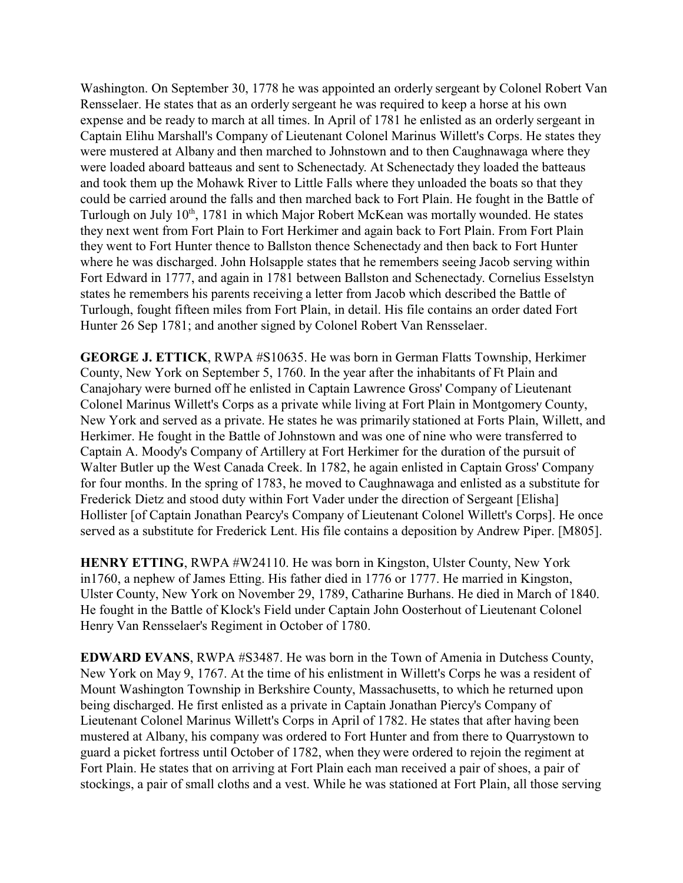Washington. On September 30, 1778 he was appointed an orderly sergeant by Colonel Robert Van Rensselaer. He states that as an orderly sergeant he was required to keep a horse at his own expense and be ready to march at all times. In April of 1781 he enlisted as an orderly sergeant in Captain Elihu Marshall's Company of Lieutenant Colonel Marinus Willett's Corps. He states they were mustered at Albany and then marched to Johnstown and to then Caughnawaga where they were loaded aboard batteaus and sent to Schenectady. At Schenectady they loaded the batteaus and took them up the Mohawk River to Little Falls where they unloaded the boats so that they could be carried around the falls and then marched back to Fort Plain. He fought in the Battle of Turlough on July 10<sup>th</sup>, 1781 in which Major Robert McKean was mortally wounded. He states they next went from Fort Plain to Fort Herkimer and again back to Fort Plain. From Fort Plain they went to Fort Hunter thence to Ballston thence Schenectady and then back to Fort Hunter where he was discharged. John Holsapple states that he remembers seeing Jacob serving within Fort Edward in 1777, and again in 1781 between Ballston and Schenectady. Cornelius Esselstyn states he remembers his parents receiving a letter from Jacob which described the Battle of Turlough, fought fifteen miles from Fort Plain, in detail. His file contains an order dated Fort Hunter 26 Sep 1781; and another signed by Colonel Robert Van Rensselaer.

**GEORGE J. ETTICK**, RWPA #S10635. He was born in German Flatts Township, Herkimer County, New York on September 5, 1760. In the year after the inhabitants of Ft Plain and Canajohary were burned off he enlisted in Captain Lawrence Gross' Company of Lieutenant Colonel Marinus Willett's Corps as a private while living at Fort Plain in Montgomery County, New York and served as a private. He states he was primarily stationed at Forts Plain, Willett, and Herkimer. He fought in the Battle of Johnstown and was one of nine who were transferred to Captain A. Moody's Company of Artillery at Fort Herkimer for the duration of the pursuit of Walter Butler up the West Canada Creek. In 1782, he again enlisted in Captain Gross' Company for four months. In the spring of 1783, he moved to Caughnawaga and enlisted as a substitute for Frederick Dietz and stood duty within Fort Vader under the direction of Sergeant [Elisha] Hollister [of Captain Jonathan Pearcy's Company of Lieutenant Colonel Willett's Corps]. He once served as a substitute for Frederick Lent. His file contains a deposition by Andrew Piper. [M805].

**HENRY ETTING**, RWPA #W24110. He was born in Kingston, Ulster County, New York in1760, a nephew of James Etting. His father died in 1776 or 1777. He married in Kingston, Ulster County, New York on November 29, 1789, Catharine Burhans. He died in March of 1840. He fought in the Battle of Klock's Field under Captain John Oosterhout of Lieutenant Colonel Henry Van Rensselaer's Regiment in October of 1780.

**EDWARD EVANS**, RWPA #S3487. He was born in the Town of Amenia in Dutchess County, New York on May 9, 1767. At the time of his enlistment in Willett's Corps he was a resident of Mount Washington Township in Berkshire County, Massachusetts, to which he returned upon being discharged. He first enlisted as a private in Captain Jonathan Piercy's Company of Lieutenant Colonel Marinus Willett's Corps in April of 1782. He states that after having been mustered at Albany, his company was ordered to Fort Hunter and from there to Quarrystown to guard a picket fortress until October of 1782, when they were ordered to rejoin the regiment at Fort Plain. He states that on arriving at Fort Plain each man received a pair of shoes, a pair of stockings, a pair of small cloths and a vest. While he was stationed at Fort Plain, all those serving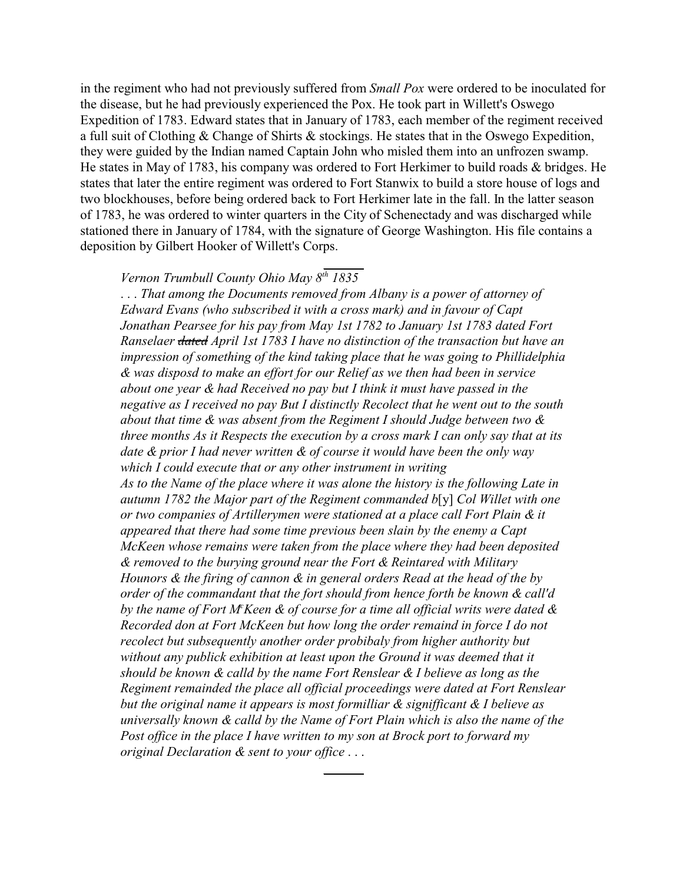in the regiment who had not previously suffered from *Small Pox* were ordered to be inoculated for the disease, but he had previously experienced the Pox. He took part in Willett's Oswego Expedition of 1783. Edward states that in January of 1783, each member of the regiment received a full suit of Clothing & Change of Shirts & stockings. He states that in the Oswego Expedition, they were guided by the Indian named Captain John who misled them into an unfrozen swamp. He states in May of 1783, his company was ordered to Fort Herkimer to build roads & bridges. He states that later the entire regiment was ordered to Fort Stanwix to build a store house of logs and two blockhouses, before being ordered back to Fort Herkimer late in the fall. In the latter season of 1783, he was ordered to winter quarters in the City of Schenectady and was discharged while stationed there in January of 1784, with the signature of George Washington. His file contains a deposition by Gilbert Hooker of Willett's Corps.

\_\_\_\_\_\_

## *Vernon Trumbull County Ohio May 8th 1835*

. . . *That among the Documents removed from Albany is a power of attorney of Edward Evans (who subscribed it with a cross mark) and in favour of Capt Jonathan Pearsee for his pay from May 1st 1782 to January 1st 1783 dated Fort Ranselaer dated April 1st 1783 I have no distinction of the transaction but have an impression of something of the kind taking place that he was going to Phillidelphia & was disposd to make an effort for our Relief as we then had been in service about one year & had Received no pay but I think it must have passed in the negative as I received no pay But I distinctly Recolect that he went out to the south about that time & was absent from the Regiment I should Judge between two & three months As it Respects the execution by a cross mark I can only say that at its date & prior I had never written & of course it would have been the only way which I could execute that or any other instrument in writing As to the Name of the place where it was alone the history is the following Late in autumn 1782 the Major part of the Regiment commanded b*[y] *Col Willet with one or two companies of Artillerymen were stationed at a place call Fort Plain & it appeared that there had some time previous been slain by the enemy a Capt McKeen whose remains were taken from the place where they had been deposited & removed to the burying ground near the Fort & Reintared with Military Hounors & the firing of cannon & in general orders Read at the head of the by order of the commandant that the fort should from hence forth be known & call'd by the name of Fort M<sup>c</sup>Keen & of course for a time all official writs were dated & Recorded don at Fort McKeen but how long the order remaind in force I do not recolect but subsequently another order probibaly from higher authority but without any publick exhibition at least upon the Ground it was deemed that it should be known & calld by the name Fort Renslear & I believe as long as the Regiment remainded the place all official proceedings were dated at Fort Renslear but the original name it appears is most formilliar & signifficant & I believe as universally known & calld by the Name of Fort Plain which is also the name of the Post office in the place I have written to my son at Brock port to forward my original Declaration & sent to your office* . . .

 $\overline{\phantom{a}}$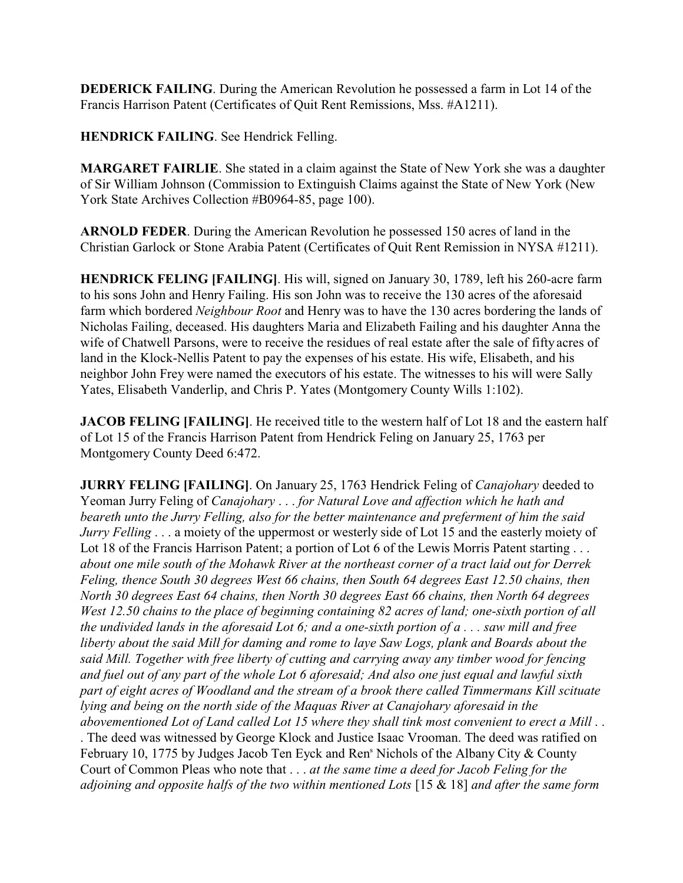**DEDERICK FAILING**. During the American Revolution he possessed a farm in Lot 14 of the Francis Harrison Patent (Certificates of Quit Rent Remissions, Mss. #A1211).

**HENDRICK FAILING**. See Hendrick Felling.

**MARGARET FAIRLIE**. She stated in a claim against the State of New York she was a daughter of Sir William Johnson (Commission to Extinguish Claims against the State of New York (New York State Archives Collection #B0964-85, page 100).

**ARNOLD FEDER**. During the American Revolution he possessed 150 acres of land in the Christian Garlock or Stone Arabia Patent (Certificates of Quit Rent Remission in NYSA #1211).

**HENDRICK FELING [FAILING]**. His will, signed on January 30, 1789, left his 260-acre farm to his sons John and Henry Failing. His son John was to receive the 130 acres of the aforesaid farm which bordered *Neighbour Root* and Henry was to have the 130 acres bordering the lands of Nicholas Failing, deceased. His daughters Maria and Elizabeth Failing and his daughter Anna the wife of Chatwell Parsons, were to receive the residues of real estate after the sale of fifty acres of land in the Klock-Nellis Patent to pay the expenses of his estate. His wife, Elisabeth, and his neighbor John Frey were named the executors of his estate. The witnesses to his will were Sally Yates, Elisabeth Vanderlip, and Chris P. Yates (Montgomery County Wills 1:102).

**JACOB FELING** [FAILING]. He received title to the western half of Lot 18 and the eastern half of Lot 15 of the Francis Harrison Patent from Hendrick Feling on January 25, 1763 per Montgomery County Deed 6:472.

**JURRY FELING [FAILING]**. On January 25, 1763 Hendrick Feling of *Canajohary* deeded to Yeoman Jurry Feling of *Canajohary* . . . *for Natural Love and affection which he hath and beareth unto the Jurry Felling, also for the better maintenance and preferment of him the said Jurry Felling* . . . a moiety of the uppermost or westerly side of Lot 15 and the easterly moiety of Lot 18 of the Francis Harrison Patent; a portion of Lot 6 of the Lewis Morris Patent starting . . . *about one mile south of the Mohawk River at the northeast corner of a tract laid out for Derrek Feling, thence South 30 degrees West 66 chains, then South 64 degrees East 12.50 chains, then North 30 degrees East 64 chains, then North 30 degrees East 66 chains, then North 64 degrees West 12.50 chains to the place of beginning containing 82 acres of land; one-sixth portion of all the undivided lands in the aforesaid Lot 6; and a one-sixth portion of a . . . saw mill and free liberty about the said Mill for daming and rome to laye Saw Logs, plank and Boards about the said Mill. Together with free liberty of cutting and carrying away any timber wood for fencing and fuel out of any part of the whole Lot 6 aforesaid; And also one just equal and lawful sixth part of eight acres of Woodland and the stream of a brook there called Timmermans Kill scituate lying and being on the north side of the Maquas River at Canajohary aforesaid in the abovementioned Lot of Land called Lot 15 where they shall tink most convenient to erect a Mill* . . . The deed was witnessed by George Klock and Justice Isaac Vrooman. The deed was ratified on February 10, 1775 by Judges Jacob Ten Eyck and Ren<sup>s</sup> Nichols of the Albany City & County Court of Common Pleas who note that . . . *at the same time a deed for Jacob Feling for the adjoining and opposite halfs of the two within mentioned Lots* [15 & 18] *and after the same form*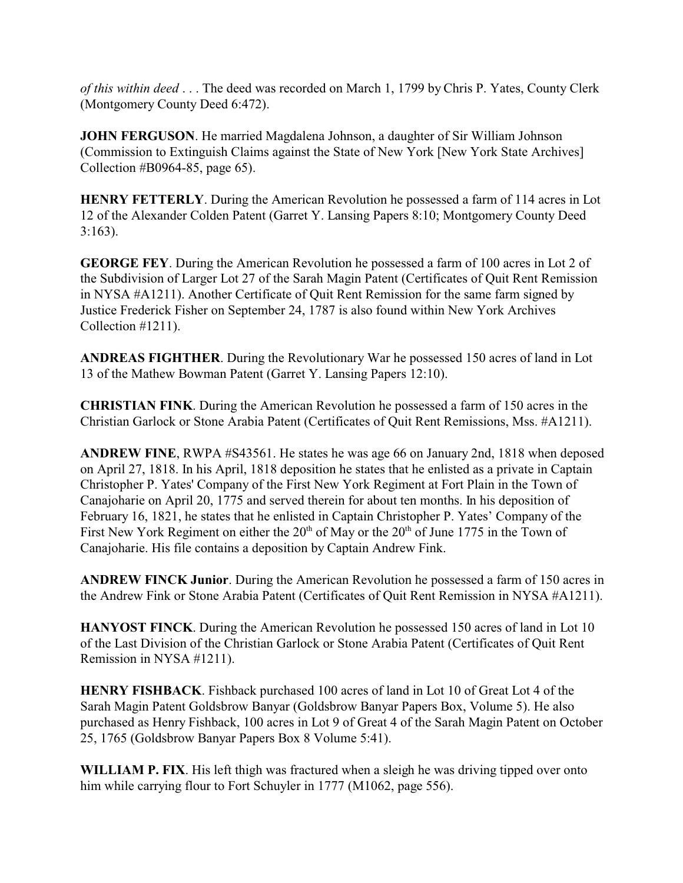*of this within deed* . . . The deed was recorded on March 1, 1799 by Chris P. Yates, County Clerk (Montgomery County Deed 6:472).

**JOHN FERGUSON**. He married Magdalena Johnson, a daughter of Sir William Johnson (Commission to Extinguish Claims against the State of New York [New York State Archives] Collection #B0964-85, page 65).

**HENRY FETTERLY**. During the American Revolution he possessed a farm of 114 acres in Lot 12 of the Alexander Colden Patent (Garret Y. Lansing Papers 8:10; Montgomery County Deed 3:163).

**GEORGE FEY**. During the American Revolution he possessed a farm of 100 acres in Lot 2 of the Subdivision of Larger Lot 27 of the Sarah Magin Patent (Certificates of Quit Rent Remission in NYSA #A1211). Another Certificate of Quit Rent Remission for the same farm signed by Justice Frederick Fisher on September 24, 1787 is also found within New York Archives Collection #1211).

**ANDREAS FIGHTHER**. During the Revolutionary War he possessed 150 acres of land in Lot 13 of the Mathew Bowman Patent (Garret Y. Lansing Papers 12:10).

**CHRISTIAN FINK**. During the American Revolution he possessed a farm of 150 acres in the Christian Garlock or Stone Arabia Patent (Certificates of Quit Rent Remissions, Mss. #A1211).

**ANDREW FINE**, RWPA #S43561. He states he was age 66 on January 2nd, 1818 when deposed on April 27, 1818. In his April, 1818 deposition he states that he enlisted as a private in Captain Christopher P. Yates' Company of the First New York Regiment at Fort Plain in the Town of Canajoharie on April 20, 1775 and served therein for about ten months. In his deposition of February 16, 1821, he states that he enlisted in Captain Christopher P. Yates' Company of the First New York Regiment on either the  $20<sup>th</sup>$  of May or the  $20<sup>th</sup>$  of June 1775 in the Town of Canajoharie. His file contains a deposition by Captain Andrew Fink.

**ANDREW FINCK Junior**. During the American Revolution he possessed a farm of 150 acres in the Andrew Fink or Stone Arabia Patent (Certificates of Quit Rent Remission in NYSA #A1211).

**HANYOST FINCK**. During the American Revolution he possessed 150 acres of land in Lot 10 of the Last Division of the Christian Garlock or Stone Arabia Patent (Certificates of Quit Rent Remission in NYSA #1211).

**HENRY FISHBACK**. Fishback purchased 100 acres of land in Lot 10 of Great Lot 4 of the Sarah Magin Patent Goldsbrow Banyar (Goldsbrow Banyar Papers Box, Volume 5). He also purchased as Henry Fishback, 100 acres in Lot 9 of Great 4 of the Sarah Magin Patent on October 25, 1765 (Goldsbrow Banyar Papers Box 8 Volume 5:41).

**WILLIAM P. FIX**. His left thigh was fractured when a sleigh he was driving tipped over onto him while carrying flour to Fort Schuyler in 1777 (M1062, page 556).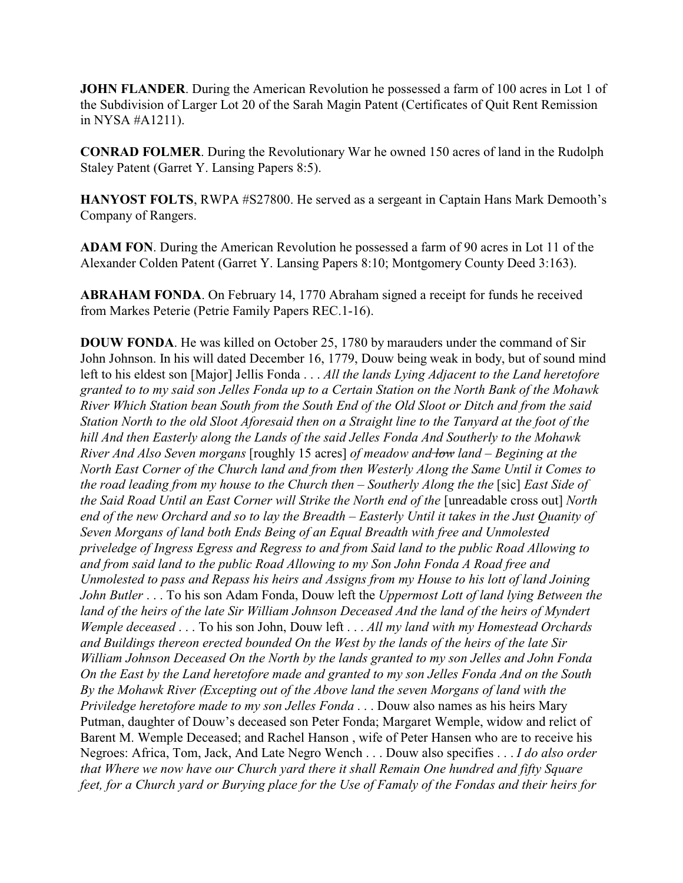**JOHN FLANDER**. During the American Revolution he possessed a farm of 100 acres in Lot 1 of the Subdivision of Larger Lot 20 of the Sarah Magin Patent (Certificates of Quit Rent Remission in NYSA #A1211).

**CONRAD FOLMER**. During the Revolutionary War he owned 150 acres of land in the Rudolph Staley Patent (Garret Y. Lansing Papers 8:5).

**HANYOST FOLTS**, RWPA #S27800. He served as a sergeant in Captain Hans Mark Demooth's Company of Rangers.

**ADAM FON**. During the American Revolution he possessed a farm of 90 acres in Lot 11 of the Alexander Colden Patent (Garret Y. Lansing Papers 8:10; Montgomery County Deed 3:163).

**ABRAHAM FONDA**. On February 14, 1770 Abraham signed a receipt for funds he received from Markes Peterie (Petrie Family Papers REC.1-16).

**DOUW FONDA**. He was killed on October 25, 1780 by marauders under the command of Sir John Johnson. In his will dated December 16, 1779, Douw being weak in body, but of sound mind left to his eldest son [Major] Jellis Fonda . . . *All the lands Lying Adjacent to the Land heretofore granted to to my said son Jelles Fonda up to a Certain Station on the North Bank of the Mohawk River Which Station bean South from the South End of the Old Sloot or Ditch and from the said Station North to the old Sloot Aforesaid then on a Straight line to the Tanyard at the foot of the hill And then Easterly along the Lands of the said Jelles Fonda And Southerly to the Mohawk River And Also Seven morgans* [roughly 15 acres] *of meadow and low land – Begining at the North East Corner of the Church land and from then Westerly Along the Same Until it Comes to the road leading from my house to the Church then – Southerly Along the the* [sic] *East Side of the Said Road Until an East Corner will Strike the North end of the* [unreadable cross out] *North end of the new Orchard and so to lay the Breadth – Easterly Until it takes in the Just Quanity of Seven Morgans of land both Ends Being of an Equal Breadth with free and Unmolested priveledge of Ingress Egress and Regress to and from Said land to the public Road Allowing to and from said land to the public Road Allowing to my Son John Fonda A Road free and Unmolested to pass and Repass his heirs and Assigns from my House to his lott of land Joining John Butler* . . . To his son Adam Fonda, Douw left the *Uppermost Lott of land lying Between the land of the heirs of the late Sir William Johnson Deceased And the land of the heirs of Myndert Wemple deceased* . . . To his son John, Douw left . . . *All my land with my Homestead Orchards and Buildings thereon erected bounded On the West by the lands of the heirs of the late Sir William Johnson Deceased On the North by the lands granted to my son Jelles and John Fonda On the East by the Land heretofore made and granted to my son Jelles Fonda And on the South By the Mohawk River (Excepting out of the Above land the seven Morgans of land with the Priviledge heretofore made to my son Jelles Fonda* . . . Douw also names as his heirs Mary Putman, daughter of Douw's deceased son Peter Fonda; Margaret Wemple, widow and relict of Barent M. Wemple Deceased; and Rachel Hanson , wife of Peter Hansen who are to receive his Negroes: Africa, Tom, Jack, And Late Negro Wench . . . Douw also specifies . . . *I do also order that Where we now have our Church yard there it shall Remain One hundred and fifty Square feet, for a Church yard or Burying place for the Use of Famaly of the Fondas and their heirs for*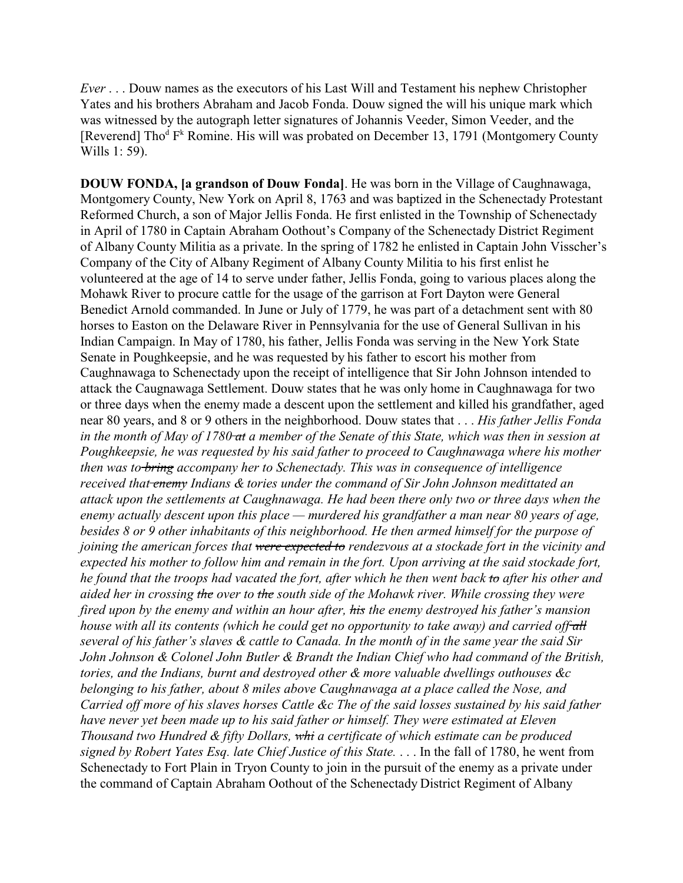*Ever* . . . Douw names as the executors of his Last Will and Testament his nephew Christopher Yates and his brothers Abraham and Jacob Fonda. Douw signed the will his unique mark which was witnessed by the autograph letter signatures of Johannis Veeder, Simon Veeder, and the [Reverend] Tho<sup>d</sup> F<sup>k</sup> Romine. His will was probated on December 13, 1791 (Montgomery County Wills 1: 59).

**DOUW FONDA, [a grandson of Douw Fonda]**. He was born in the Village of Caughnawaga, Montgomery County, New York on April 8, 1763 and was baptized in the Schenectady Protestant Reformed Church, a son of Major Jellis Fonda. He first enlisted in the Township of Schenectady in April of 1780 in Captain Abraham Oothout's Company of the Schenectady District Regiment of Albany County Militia as a private. In the spring of 1782 he enlisted in Captain John Visscher's Company of the City of Albany Regiment of Albany County Militia to his first enlist he volunteered at the age of 14 to serve under father, Jellis Fonda, going to various places along the Mohawk River to procure cattle for the usage of the garrison at Fort Dayton were General Benedict Arnold commanded. In June or July of 1779, he was part of a detachment sent with 80 horses to Easton on the Delaware River in Pennsylvania for the use of General Sullivan in his Indian Campaign. In May of 1780, his father, Jellis Fonda was serving in the New York State Senate in Poughkeepsie, and he was requested by his father to escort his mother from Caughnawaga to Schenectady upon the receipt of intelligence that Sir John Johnson intended to attack the Caugnawaga Settlement. Douw states that he was only home in Caughnawaga for two or three days when the enemy made a descent upon the settlement and killed his grandfather, aged near 80 years, and 8 or 9 others in the neighborhood. Douw states that . . . *His father Jellis Fonda in the month of May of 1780 at a member of the Senate of this State, which was then in session at Poughkeepsie, he was requested by his said father to proceed to Caughnawaga where his mother then was to bring accompany her to Schenectady. This was in consequence of intelligence received that enemy Indians & tories under the command of Sir John Johnson medittated an attack upon the settlements at Caughnawaga. He had been there only two or three days when the enemy actually descent upon this place — murdered his grandfather a man near 80 years of age, besides 8 or 9 other inhabitants of this neighborhood. He then armed himself for the purpose of joining the american forces that were expected to rendezvous at a stockade fort in the vicinity and expected his mother to follow him and remain in the fort. Upon arriving at the said stockade fort, he found that the troops had vacated the fort, after which he then went back to after his other and aided her in crossing the over to the south side of the Mohawk river. While crossing they were fired upon by the enemy and within an hour after, his the enemy destroyed his father's mansion house with all its contents (which he could get no opportunity to take away) and carried off all several of his father's slaves & cattle to Canada. In the month of in the same year the said Sir John Johnson & Colonel John Butler & Brandt the Indian Chief who had command of the British, tories, and the Indians, burnt and destroyed other & more valuable dwellings outhouses &c belonging to his father, about 8 miles above Caughnawaga at a place called the Nose, and Carried off more of his slaves horses Cattle &c The of the said losses sustained by his said father have never yet been made up to his said father or himself. They were estimated at Eleven Thousand two Hundred & fifty Dollars, whi a certificate of which estimate can be produced signed by Robert Yates Esq. late Chief Justice of this State.* . . . In the fall of 1780, he went from Schenectady to Fort Plain in Tryon County to join in the pursuit of the enemy as a private under the command of Captain Abraham Oothout of the Schenectady District Regiment of Albany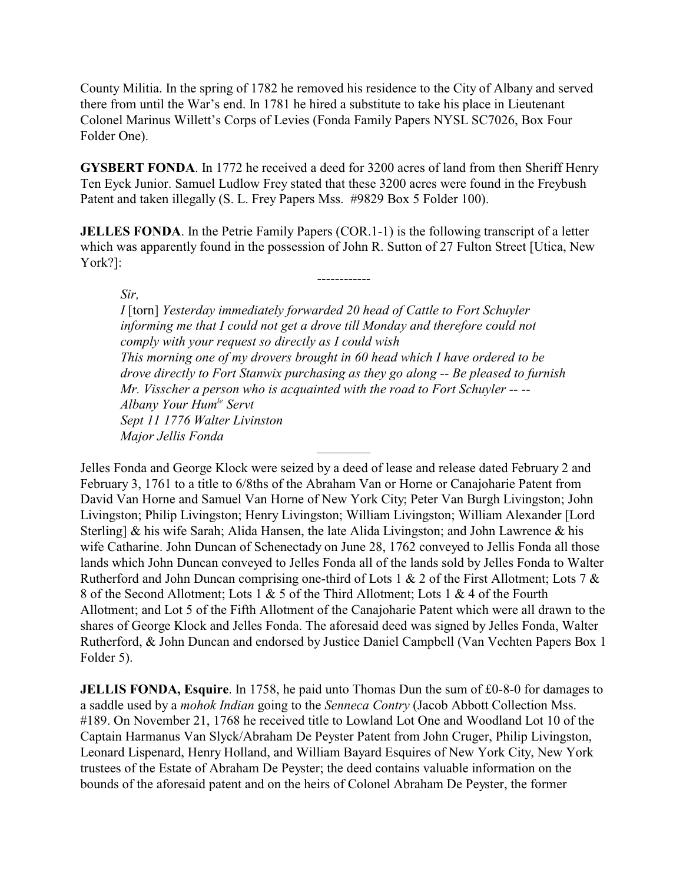County Militia. In the spring of 1782 he removed his residence to the City of Albany and served there from until the War's end. In 1781 he hired a substitute to take his place in Lieutenant Colonel Marinus Willett's Corps of Levies (Fonda Family Papers NYSL SC7026, Box Four Folder One).

**GYSBERT FONDA**. In 1772 he received a deed for 3200 acres of land from then Sheriff Henry Ten Eyck Junior. Samuel Ludlow Frey stated that these 3200 acres were found in the Freybush Patent and taken illegally (S. L. Frey Papers Mss. #9829 Box 5 Folder 100).

**JELLES FONDA**. In the Petrie Family Papers (COR.1-1) is the following transcript of a letter which was apparently found in the possession of John R. Sutton of 27 Fulton Street [Utica, New York?]:

------------

*Sir,*

*I* [torn] *Yesterday immediately forwarded 20 head of Cattle to Fort Schuyler informing me that I could not get a drove till Monday and therefore could not comply with your request so directly as I could wish This morning one of my drovers brought in 60 head which I have ordered to be drove directly to Fort Stanwix purchasing as they go along -- Be pleased to furnish Mr. Visscher a person who is acquainted with the road to Fort Schuyler -- -- Albany Your Humle Servt Sept 11 1776 Walter Livinston Major Jellis Fonda*

————

Jelles Fonda and George Klock were seized by a deed of lease and release dated February 2 and February 3, 1761 to a title to 6/8ths of the Abraham Van or Horne or Canajoharie Patent from David Van Horne and Samuel Van Horne of New York City; Peter Van Burgh Livingston; John Livingston; Philip Livingston; Henry Livingston; William Livingston; William Alexander [Lord Sterling] & his wife Sarah; Alida Hansen, the late Alida Livingston; and John Lawrence & his wife Catharine. John Duncan of Schenectady on June 28, 1762 conveyed to Jellis Fonda all those lands which John Duncan conveyed to Jelles Fonda all of the lands sold by Jelles Fonda to Walter Rutherford and John Duncan comprising one-third of Lots 1 & 2 of the First Allotment; Lots 7 & 8 of the Second Allotment; Lots 1 & 5 of the Third Allotment; Lots 1 & 4 of the Fourth Allotment; and Lot 5 of the Fifth Allotment of the Canajoharie Patent which were all drawn to the shares of George Klock and Jelles Fonda. The aforesaid deed was signed by Jelles Fonda, Walter Rutherford, & John Duncan and endorsed by Justice Daniel Campbell (Van Vechten Papers Box 1 Folder 5).

**JELLIS FONDA, Esquire**. In 1758, he paid unto Thomas Dun the sum of £0-8-0 for damages to a saddle used by a *mohok Indian* going to the *Senneca Contry* (Jacob Abbott Collection Mss. #189. On November 21, 1768 he received title to Lowland Lot One and Woodland Lot 10 of the Captain Harmanus Van Slyck/Abraham De Peyster Patent from John Cruger, Philip Livingston, Leonard Lispenard, Henry Holland, and William Bayard Esquires of New York City, New York trustees of the Estate of Abraham De Peyster; the deed contains valuable information on the bounds of the aforesaid patent and on the heirs of Colonel Abraham De Peyster, the former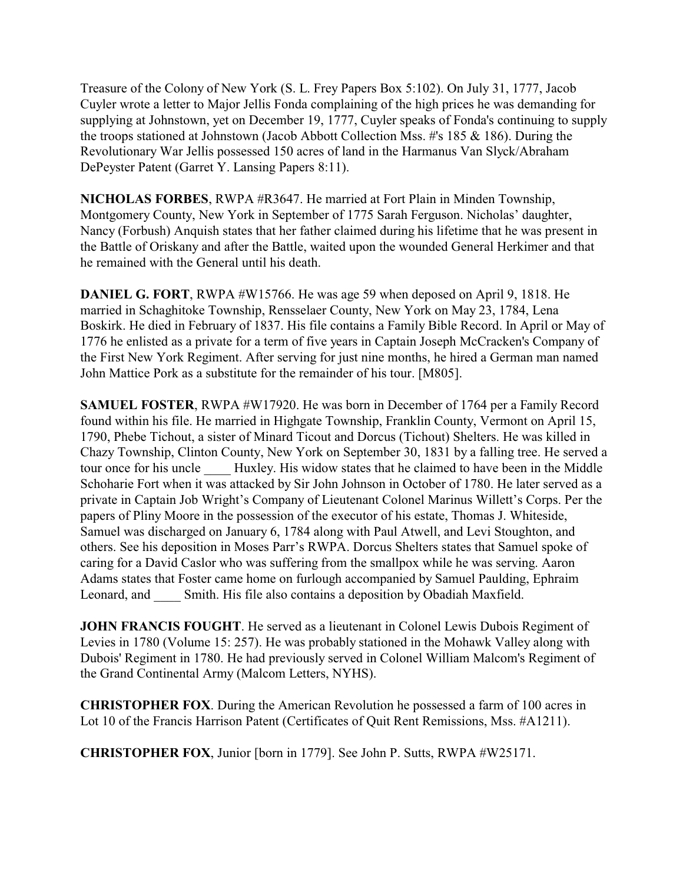Treasure of the Colony of New York (S. L. Frey Papers Box 5:102). On July 31, 1777, Jacob Cuyler wrote a letter to Major Jellis Fonda complaining of the high prices he was demanding for supplying at Johnstown, yet on December 19, 1777, Cuyler speaks of Fonda's continuing to supply the troops stationed at Johnstown (Jacob Abbott Collection Mss. #'s 185 & 186). During the Revolutionary War Jellis possessed 150 acres of land in the Harmanus Van Slyck/Abraham DePeyster Patent (Garret Y. Lansing Papers 8:11).

**NICHOLAS FORBES**, RWPA #R3647. He married at Fort Plain in Minden Township, Montgomery County, New York in September of 1775 Sarah Ferguson. Nicholas' daughter, Nancy (Forbush) Anquish states that her father claimed during his lifetime that he was present in the Battle of Oriskany and after the Battle, waited upon the wounded General Herkimer and that he remained with the General until his death.

**DANIEL G. FORT**, RWPA #W15766. He was age 59 when deposed on April 9, 1818. He married in Schaghitoke Township, Rensselaer County, New York on May 23, 1784, Lena Boskirk. He died in February of 1837. His file contains a Family Bible Record. In April or May of 1776 he enlisted as a private for a term of five years in Captain Joseph McCracken's Company of the First New York Regiment. After serving for just nine months, he hired a German man named John Mattice Pork as a substitute for the remainder of his tour. [M805].

**SAMUEL FOSTER**, RWPA #W17920. He was born in December of 1764 per a Family Record found within his file. He married in Highgate Township, Franklin County, Vermont on April 15, 1790, Phebe Tichout, a sister of Minard Ticout and Dorcus (Tichout) Shelters. He was killed in Chazy Township, Clinton County, New York on September 30, 1831 by a falling tree. He served a tour once for his uncle **Huxley**. His widow states that he claimed to have been in the Middle Schoharie Fort when it was attacked by Sir John Johnson in October of 1780. He later served as a private in Captain Job Wright's Company of Lieutenant Colonel Marinus Willett's Corps. Per the papers of Pliny Moore in the possession of the executor of his estate, Thomas J. Whiteside, Samuel was discharged on January 6, 1784 along with Paul Atwell, and Levi Stoughton, and others. See his deposition in Moses Parr's RWPA. Dorcus Shelters states that Samuel spoke of caring for a David Caslor who was suffering from the smallpox while he was serving. Aaron Adams states that Foster came home on furlough accompanied by Samuel Paulding, Ephraim Leonard, and Smith. His file also contains a deposition by Obadiah Maxfield.

**JOHN FRANCIS FOUGHT**. He served as a lieutenant in Colonel Lewis Dubois Regiment of Levies in 1780 (Volume 15: 257). He was probably stationed in the Mohawk Valley along with Dubois' Regiment in 1780. He had previously served in Colonel William Malcom's Regiment of the Grand Continental Army (Malcom Letters, NYHS).

**CHRISTOPHER FOX**. During the American Revolution he possessed a farm of 100 acres in Lot 10 of the Francis Harrison Patent (Certificates of Quit Rent Remissions, Mss. #A1211).

**CHRISTOPHER FOX**, Junior [born in 1779]. See John P. Sutts, RWPA #W25171.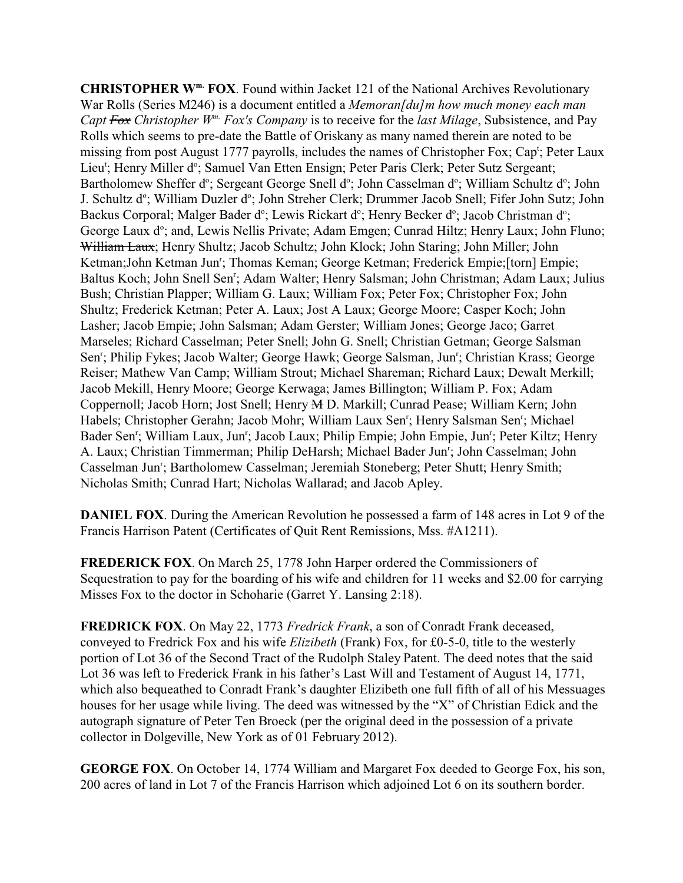**CHRISTOPHER Wm. FOX**. Found within Jacket 121 of the National Archives Revolutionary War Rolls (Series M246) is a document entitled a *Memoran[du]m how much money each man Capt Fox Christopher Wm. Fox's Company* is to receive for the *last Milage*, Subsistence, and Pay Rolls which seems to pre-date the Battle of Oriskany as many named therein are noted to be missing from post August 1777 payrolls, includes the names of Christopher Fox; Cap<sup>t</sup>; Peter Laux Lieu<sup>t</sup>; Henry Miller d°; Samuel Van Etten Ensign; Peter Paris Clerk; Peter Sutz Sergeant; Bartholomew Sheffer d°; Sergeant George Snell d°; John Casselman d°; William Schultz d°; John J. Schultz d°; William Duzler d°; John Streher Clerk; Drummer Jacob Snell; Fifer John Sutz; John Backus Corporal; Malger Bader d°; Lewis Rickart d°; Henry Becker d°; Jacob Christman d°; George Laux d°; and, Lewis Nellis Private; Adam Emgen; Cunrad Hiltz; Henry Laux; John Fluno; William Laux; Henry Shultz; Jacob Schultz; John Klock; John Staring; John Miller; John Ketman;John Ketman Jun<sup>r</sup>; Thomas Keman; George Ketman; Frederick Empie;[torn] Empie; Baltus Koch; John Snell Sen<sup>r</sup>; Adam Walter; Henry Salsman; John Christman; Adam Laux; Julius Bush; Christian Plapper; William G. Laux; William Fox; Peter Fox; Christopher Fox; John Shultz; Frederick Ketman; Peter A. Laux; Jost A Laux; George Moore; Casper Koch; John Lasher; Jacob Empie; John Salsman; Adam Gerster; William Jones; George Jaco; Garret Marseles; Richard Casselman; Peter Snell; John G. Snell; Christian Getman; George Salsman Sen<sup>r</sup>; Philip Fykes; Jacob Walter; George Hawk; George Salsman, Jun<sup>r</sup>; Christian Krass; George Reiser; Mathew Van Camp; William Strout; Michael Shareman; Richard Laux; Dewalt Merkill; Jacob Mekill, Henry Moore; George Kerwaga; James Billington; William P. Fox; Adam Coppernoll; Jacob Horn; Jost Snell; Henry M D. Markill; Cunrad Pease; William Kern; John Habels; Christopher Gerahn; Jacob Mohr; William Laux Sen<sup>r</sup>; Henry Salsman Sen<sup>r</sup>; Michael Bader Sen<sup>r</sup>; William Laux, Jun<sup>r</sup>; Jacob Laux; Philip Empie; John Empie, Jun<sup>r</sup>; Peter Kiltz; Henry A. Laux; Christian Timmerman; Philip DeHarsh; Michael Bader Jun<sup>r</sup>; John Casselman; John Casselman Jun<sup>r</sup>; Bartholomew Casselman; Jeremiah Stoneberg; Peter Shutt; Henry Smith; Nicholas Smith; Cunrad Hart; Nicholas Wallarad; and Jacob Apley.

**DANIEL FOX**. During the American Revolution he possessed a farm of 148 acres in Lot 9 of the Francis Harrison Patent (Certificates of Quit Rent Remissions, Mss. #A1211).

**FREDERICK FOX**. On March 25, 1778 John Harper ordered the Commissioners of Sequestration to pay for the boarding of his wife and children for 11 weeks and \$2.00 for carrying Misses Fox to the doctor in Schoharie (Garret Y. Lansing 2:18).

**FREDRICK FOX**. On May 22, 1773 *Fredrick Frank*, a son of Conradt Frank deceased, conveyed to Fredrick Fox and his wife *Elizibeth* (Frank) Fox, for £0-5-0, title to the westerly portion of Lot 36 of the Second Tract of the Rudolph Staley Patent. The deed notes that the said Lot 36 was left to Frederick Frank in his father's Last Will and Testament of August 14, 1771, which also bequeathed to Conradt Frank's daughter Elizibeth one full fifth of all of his Messuages houses for her usage while living. The deed was witnessed by the "X" of Christian Edick and the autograph signature of Peter Ten Broeck (per the original deed in the possession of a private collector in Dolgeville, New York as of 01 February 2012).

**GEORGE FOX**. On October 14, 1774 William and Margaret Fox deeded to George Fox, his son, 200 acres of land in Lot 7 of the Francis Harrison which adjoined Lot 6 on its southern border.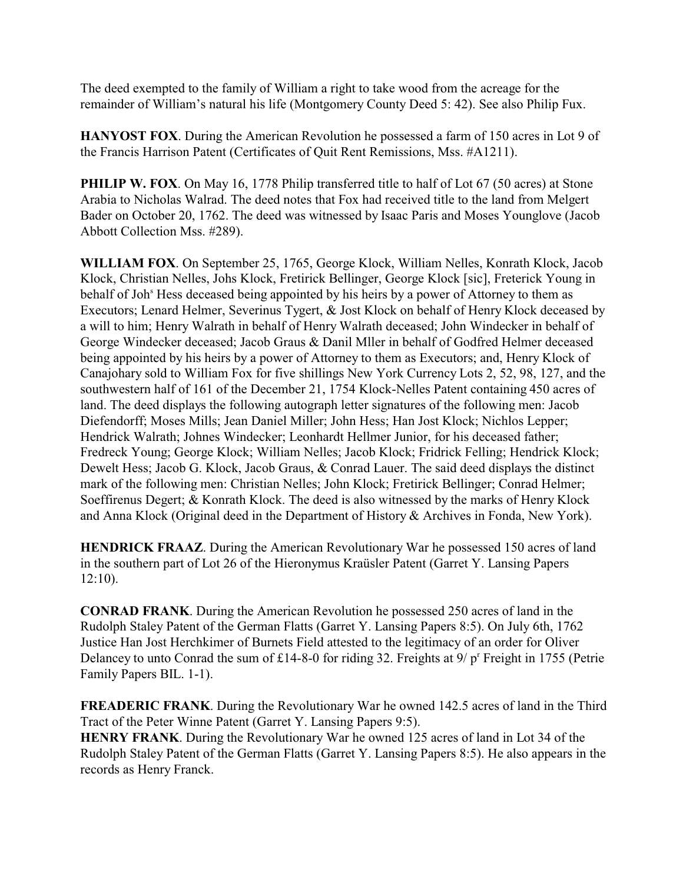The deed exempted to the family of William a right to take wood from the acreage for the remainder of William's natural his life (Montgomery County Deed 5: 42). See also Philip Fux.

**HANYOST FOX**. During the American Revolution he possessed a farm of 150 acres in Lot 9 of the Francis Harrison Patent (Certificates of Quit Rent Remissions, Mss. #A1211).

**PHILIP W. FOX.** On May 16, 1778 Philip transferred title to half of Lot 67 (50 acres) at Stone Arabia to Nicholas Walrad. The deed notes that Fox had received title to the land from Melgert Bader on October 20, 1762. The deed was witnessed by Isaac Paris and Moses Younglove (Jacob Abbott Collection Mss. #289).

**WILLIAM FOX**. On September 25, 1765, George Klock, William Nelles, Konrath Klock, Jacob Klock, Christian Nelles, Johs Klock, Fretirick Bellinger, George Klock [sic], Freterick Young in behalf of Joh<sup>s</sup> Hess deceased being appointed by his heirs by a power of Attorney to them as Executors; Lenard Helmer, Severinus Tygert, & Jost Klock on behalf of Henry Klock deceased by a will to him; Henry Walrath in behalf of Henry Walrath deceased; John Windecker in behalf of George Windecker deceased; Jacob Graus & Danil Mller in behalf of Godfred Helmer deceased being appointed by his heirs by a power of Attorney to them as Executors; and, Henry Klock of Canajohary sold to William Fox for five shillings New York Currency Lots 2, 52, 98, 127, and the southwestern half of 161 of the December 21, 1754 Klock-Nelles Patent containing 450 acres of land. The deed displays the following autograph letter signatures of the following men: Jacob Diefendorff; Moses Mills; Jean Daniel Miller; John Hess; Han Jost Klock; Nichlos Lepper; Hendrick Walrath; Johnes Windecker; Leonhardt Hellmer Junior, for his deceased father; Fredreck Young; George Klock; William Nelles; Jacob Klock; Fridrick Felling; Hendrick Klock; Dewelt Hess; Jacob G. Klock, Jacob Graus, & Conrad Lauer. The said deed displays the distinct mark of the following men: Christian Nelles; John Klock; Fretirick Bellinger; Conrad Helmer; Soeffirenus Degert; & Konrath Klock. The deed is also witnessed by the marks of Henry Klock and Anna Klock (Original deed in the Department of History & Archives in Fonda, New York).

**HENDRICK FRAAZ**. During the American Revolutionary War he possessed 150 acres of land in the southern part of Lot 26 of the Hieronymus Kraüsler Patent (Garret Y. Lansing Papers 12:10).

**CONRAD FRANK**. During the American Revolution he possessed 250 acres of land in the Rudolph Staley Patent of the German Flatts (Garret Y. Lansing Papers 8:5). On July 6th, 1762 Justice Han Jost Herchkimer of Burnets Field attested to the legitimacy of an order for Oliver Delancey to unto Conrad the sum of £14-8-0 for riding 32. Freights at  $9/ p<sup>r</sup>$  Freight in 1755 (Petrie Family Papers BIL. 1-1).

**FREADERIC FRANK**. During the Revolutionary War he owned 142.5 acres of land in the Third Tract of the Peter Winne Patent (Garret Y. Lansing Papers 9:5).

**HENRY FRANK**. During the Revolutionary War he owned 125 acres of land in Lot 34 of the Rudolph Staley Patent of the German Flatts (Garret Y. Lansing Papers 8:5). He also appears in the records as Henry Franck.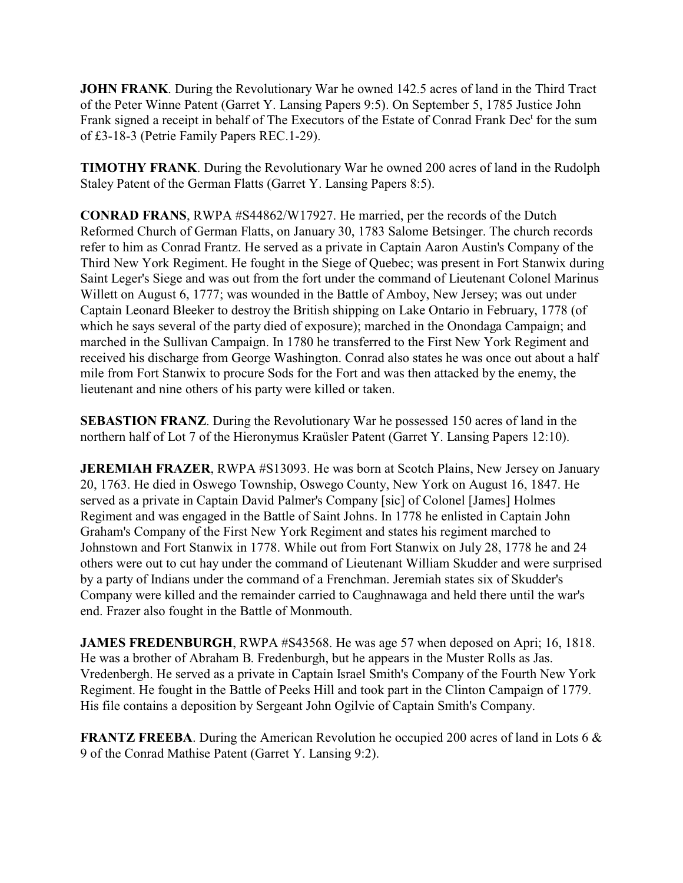**JOHN FRANK.** During the Revolutionary War he owned 142.5 acres of land in the Third Tract of the Peter Winne Patent (Garret Y. Lansing Papers 9:5). On September 5, 1785 Justice John Frank signed a receipt in behalf of The Executors of the Estate of Conrad Frank Dec<sup>t</sup> for the sum of £3-18-3 (Petrie Family Papers REC.1-29).

**TIMOTHY FRANK**. During the Revolutionary War he owned 200 acres of land in the Rudolph Staley Patent of the German Flatts (Garret Y. Lansing Papers 8:5).

**CONRAD FRANS**, RWPA #S44862/W17927. He married, per the records of the Dutch Reformed Church of German Flatts, on January 30, 1783 Salome Betsinger. The church records refer to him as Conrad Frantz. He served as a private in Captain Aaron Austin's Company of the Third New York Regiment. He fought in the Siege of Quebec; was present in Fort Stanwix during Saint Leger's Siege and was out from the fort under the command of Lieutenant Colonel Marinus Willett on August 6, 1777; was wounded in the Battle of Amboy, New Jersey; was out under Captain Leonard Bleeker to destroy the British shipping on Lake Ontario in February, 1778 (of which he says several of the party died of exposure); marched in the Onondaga Campaign; and marched in the Sullivan Campaign. In 1780 he transferred to the First New York Regiment and received his discharge from George Washington. Conrad also states he was once out about a half mile from Fort Stanwix to procure Sods for the Fort and was then attacked by the enemy, the lieutenant and nine others of his party were killed or taken.

**SEBASTION FRANZ**. During the Revolutionary War he possessed 150 acres of land in the northern half of Lot 7 of the Hieronymus Kraüsler Patent (Garret Y. Lansing Papers 12:10).

**JEREMIAH FRAZER, RWPA #S13093. He was born at Scotch Plains, New Jersey on January** 20, 1763. He died in Oswego Township, Oswego County, New York on August 16, 1847. He served as a private in Captain David Palmer's Company [sic] of Colonel [James] Holmes Regiment and was engaged in the Battle of Saint Johns. In 1778 he enlisted in Captain John Graham's Company of the First New York Regiment and states his regiment marched to Johnstown and Fort Stanwix in 1778. While out from Fort Stanwix on July 28, 1778 he and 24 others were out to cut hay under the command of Lieutenant William Skudder and were surprised by a party of Indians under the command of a Frenchman. Jeremiah states six of Skudder's Company were killed and the remainder carried to Caughnawaga and held there until the war's end. Frazer also fought in the Battle of Monmouth.

**JAMES FREDENBURGH, RWPA #S43568. He was age 57 when deposed on Apri; 16, 1818.** He was a brother of Abraham B. Fredenburgh, but he appears in the Muster Rolls as Jas. Vredenbergh. He served as a private in Captain Israel Smith's Company of the Fourth New York Regiment. He fought in the Battle of Peeks Hill and took part in the Clinton Campaign of 1779. His file contains a deposition by Sergeant John Ogilvie of Captain Smith's Company.

**FRANTZ FREEBA**. During the American Revolution he occupied 200 acres of land in Lots 6 & 9 of the Conrad Mathise Patent (Garret Y. Lansing 9:2).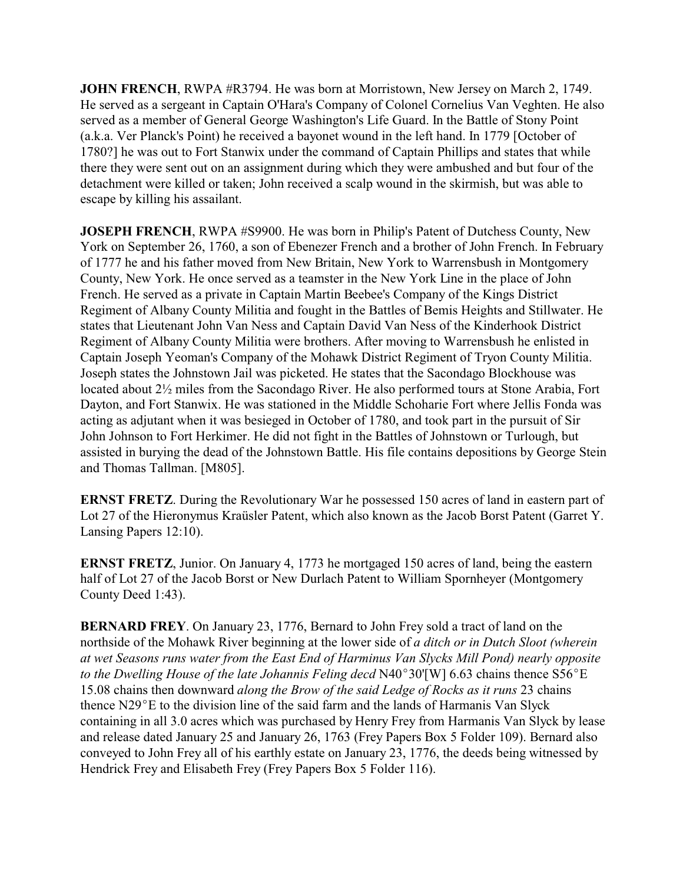**JOHN FRENCH**, RWPA #R3794. He was born at Morristown, New Jersey on March 2, 1749. He served as a sergeant in Captain O'Hara's Company of Colonel Cornelius Van Veghten. He also served as a member of General George Washington's Life Guard. In the Battle of Stony Point (a.k.a. Ver Planck's Point) he received a bayonet wound in the left hand. In 1779 [October of 1780?] he was out to Fort Stanwix under the command of Captain Phillips and states that while there they were sent out on an assignment during which they were ambushed and but four of the detachment were killed or taken; John received a scalp wound in the skirmish, but was able to escape by killing his assailant.

**JOSEPH FRENCH**, RWPA #S9900. He was born in Philip's Patent of Dutchess County, New York on September 26, 1760, a son of Ebenezer French and a brother of John French. In February of 1777 he and his father moved from New Britain, New York to Warrensbush in Montgomery County, New York. He once served as a teamster in the New York Line in the place of John French. He served as a private in Captain Martin Beebee's Company of the Kings District Regiment of Albany County Militia and fought in the Battles of Bemis Heights and Stillwater. He states that Lieutenant John Van Ness and Captain David Van Ness of the Kinderhook District Regiment of Albany County Militia were brothers. After moving to Warrensbush he enlisted in Captain Joseph Yeoman's Company of the Mohawk District Regiment of Tryon County Militia. Joseph states the Johnstown Jail was picketed. He states that the Sacondago Blockhouse was located about 2½ miles from the Sacondago River. He also performed tours at Stone Arabia, Fort Dayton, and Fort Stanwix. He was stationed in the Middle Schoharie Fort where Jellis Fonda was acting as adjutant when it was besieged in October of 1780, and took part in the pursuit of Sir John Johnson to Fort Herkimer. He did not fight in the Battles of Johnstown or Turlough, but assisted in burying the dead of the Johnstown Battle. His file contains depositions by George Stein and Thomas Tallman. [M805].

**ERNST FRETZ**. During the Revolutionary War he possessed 150 acres of land in eastern part of Lot 27 of the Hieronymus Kraüsler Patent, which also known as the Jacob Borst Patent (Garret Y. Lansing Papers 12:10).

**ERNST FRETZ**, Junior. On January 4, 1773 he mortgaged 150 acres of land, being the eastern half of Lot 27 of the Jacob Borst or New Durlach Patent to William Spornheyer (Montgomery County Deed 1:43).

**BERNARD FREY**. On January 23, 1776, Bernard to John Frey sold a tract of land on the northside of the Mohawk River beginning at the lower side of *a ditch or in Dutch Sloot (wherein at wet Seasons runs water from the East End of Harminus Van Slycks Mill Pond) nearly opposite to the Dwelling House of the late Johannis Feling decd* N40°30'[W] 6.63 chains thence S56°E 15.08 chains then downward *along the Brow of the said Ledge of Rocks as it runs* 23 chains thence  $N29^{\circ}E$  to the division line of the said farm and the lands of Harmanis Van Slyck containing in all 3.0 acres which was purchased by Henry Frey from Harmanis Van Slyck by lease and release dated January 25 and January 26, 1763 (Frey Papers Box 5 Folder 109). Bernard also conveyed to John Frey all of his earthly estate on January 23, 1776, the deeds being witnessed by Hendrick Frey and Elisabeth Frey (Frey Papers Box 5 Folder 116).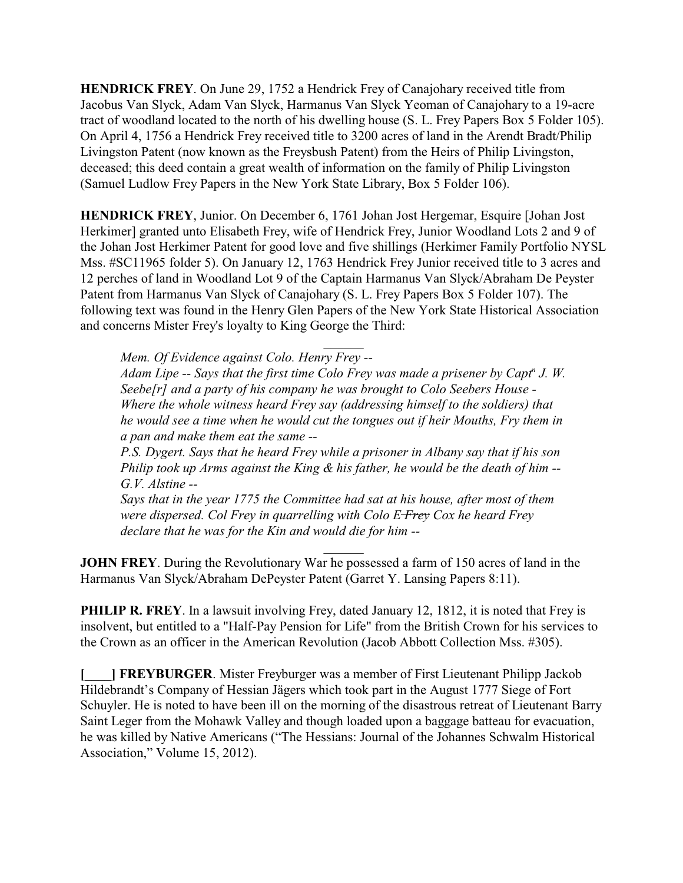**HENDRICK FREY**. On June 29, 1752 a Hendrick Frey of Canajohary received title from Jacobus Van Slyck, Adam Van Slyck, Harmanus Van Slyck Yeoman of Canajohary to a 19-acre tract of woodland located to the north of his dwelling house (S. L. Frey Papers Box 5 Folder 105). On April 4, 1756 a Hendrick Frey received title to 3200 acres of land in the Arendt Bradt/Philip Livingston Patent (now known as the Freysbush Patent) from the Heirs of Philip Livingston, deceased; this deed contain a great wealth of information on the family of Philip Livingston (Samuel Ludlow Frey Papers in the New York State Library, Box 5 Folder 106).

**HENDRICK FREY**, Junior. On December 6, 1761 Johan Jost Hergemar, Esquire [Johan Jost Herkimer] granted unto Elisabeth Frey, wife of Hendrick Frey, Junior Woodland Lots 2 and 9 of the Johan Jost Herkimer Patent for good love and five shillings (Herkimer Family Portfolio NYSL Mss. #SC11965 folder 5). On January 12, 1763 Hendrick Frey Junior received title to 3 acres and 12 perches of land in Woodland Lot 9 of the Captain Harmanus Van Slyck/Abraham De Peyster Patent from Harmanus Van Slyck of Canajohary (S. L. Frey Papers Box 5 Folder 107). The following text was found in the Henry Glen Papers of the New York State Historical Association and concerns Mister Frey's loyalty to King George the Third:

 $\mathcal{L}$ *Mem. Of Evidence against Colo. Henry Frey --*

*Adam Lipe -- Says that the first time Colo Frey was made a prisener by Capt<sup>n</sup> J. W. Seebe[r] and a party of his company he was brought to Colo Seebers House - Where the whole witness heard Frey say (addressing himself to the soldiers) that he would see a time when he would cut the tongues out if heir Mouths, Fry them in a pan and make them eat the same --*

*P.S. Dygert. Says that he heard Frey while a prisoner in Albany say that if his son Philip took up Arms against the King & his father, he would be the death of him -- G.V. Alstine --*

*Says that in the year 1775 the Committee had sat at his house, after most of them were dispersed. Col Frey in quarrelling with Colo E Frey Cox he heard Frey declare that he was for the Kin and would die for him --*

 $\overline{\phantom{a}}$ 

**JOHN FREY**. During the Revolutionary War he possessed a farm of 150 acres of land in the Harmanus Van Slyck/Abraham DePeyster Patent (Garret Y. Lansing Papers 8:11).

**PHILIP R. FREY**. In a lawsuit involving Frey, dated January 12, 1812, it is noted that Frey is insolvent, but entitled to a "Half-Pay Pension for Life" from the British Crown for his services to the Crown as an officer in the American Revolution (Jacob Abbott Collection Mss. #305).

**[BIRGER.** Mister Freyburger was a member of First Lieutenant Philipp Jackob Hildebrandt's Company of Hessian Jägers which took part in the August 1777 Siege of Fort Schuyler. He is noted to have been ill on the morning of the disastrous retreat of Lieutenant Barry Saint Leger from the Mohawk Valley and though loaded upon a baggage batteau for evacuation, he was killed by Native Americans ("The Hessians: Journal of the Johannes Schwalm Historical Association," Volume 15, 2012).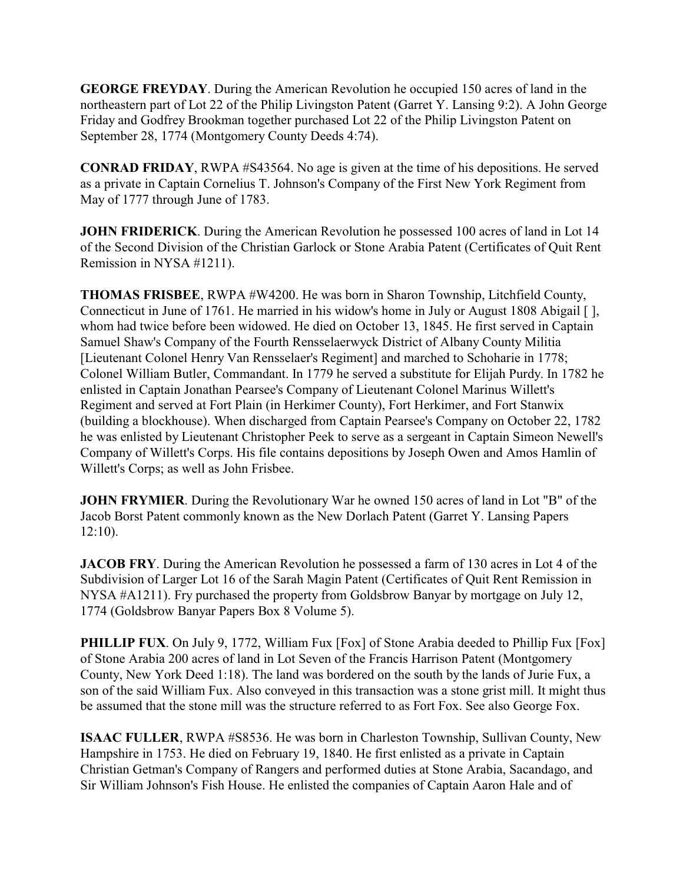**GEORGE FREYDAY**. During the American Revolution he occupied 150 acres of land in the northeastern part of Lot 22 of the Philip Livingston Patent (Garret Y. Lansing 9:2). A John George Friday and Godfrey Brookman together purchased Lot 22 of the Philip Livingston Patent on September 28, 1774 (Montgomery County Deeds 4:74).

**CONRAD FRIDAY**, RWPA #S43564. No age is given at the time of his depositions. He served as a private in Captain Cornelius T. Johnson's Company of the First New York Regiment from May of 1777 through June of 1783.

**JOHN FRIDERICK**. During the American Revolution he possessed 100 acres of land in Lot 14 of the Second Division of the Christian Garlock or Stone Arabia Patent (Certificates of Quit Rent Remission in NYSA #1211).

**THOMAS FRISBEE**, RWPA #W4200. He was born in Sharon Township, Litchfield County, Connecticut in June of 1761. He married in his widow's home in July or August 1808 Abigail [ ], whom had twice before been widowed. He died on October 13, 1845. He first served in Captain Samuel Shaw's Company of the Fourth Rensselaerwyck District of Albany County Militia [Lieutenant Colonel Henry Van Rensselaer's Regiment] and marched to Schoharie in 1778; Colonel William Butler, Commandant. In 1779 he served a substitute for Elijah Purdy. In 1782 he enlisted in Captain Jonathan Pearsee's Company of Lieutenant Colonel Marinus Willett's Regiment and served at Fort Plain (in Herkimer County), Fort Herkimer, and Fort Stanwix (building a blockhouse). When discharged from Captain Pearsee's Company on October 22, 1782 he was enlisted by Lieutenant Christopher Peek to serve as a sergeant in Captain Simeon Newell's Company of Willett's Corps. His file contains depositions by Joseph Owen and Amos Hamlin of Willett's Corps; as well as John Frisbee.

**JOHN FRYMIER.** During the Revolutionary War he owned 150 acres of land in Lot "B" of the Jacob Borst Patent commonly known as the New Dorlach Patent (Garret Y. Lansing Papers 12:10).

**JACOB FRY**. During the American Revolution he possessed a farm of 130 acres in Lot 4 of the Subdivision of Larger Lot 16 of the Sarah Magin Patent (Certificates of Quit Rent Remission in NYSA #A1211). Fry purchased the property from Goldsbrow Banyar by mortgage on July 12, 1774 (Goldsbrow Banyar Papers Box 8 Volume 5).

**PHILLIP FUX.** On July 9, 1772, William Fux [Fox] of Stone Arabia deeded to Phillip Fux [Fox] of Stone Arabia 200 acres of land in Lot Seven of the Francis Harrison Patent (Montgomery County, New York Deed 1:18). The land was bordered on the south by the lands of Jurie Fux, a son of the said William Fux. Also conveyed in this transaction was a stone grist mill. It might thus be assumed that the stone mill was the structure referred to as Fort Fox. See also George Fox.

**ISAAC FULLER**, RWPA #S8536. He was born in Charleston Township, Sullivan County, New Hampshire in 1753. He died on February 19, 1840. He first enlisted as a private in Captain Christian Getman's Company of Rangers and performed duties at Stone Arabia, Sacandago, and Sir William Johnson's Fish House. He enlisted the companies of Captain Aaron Hale and of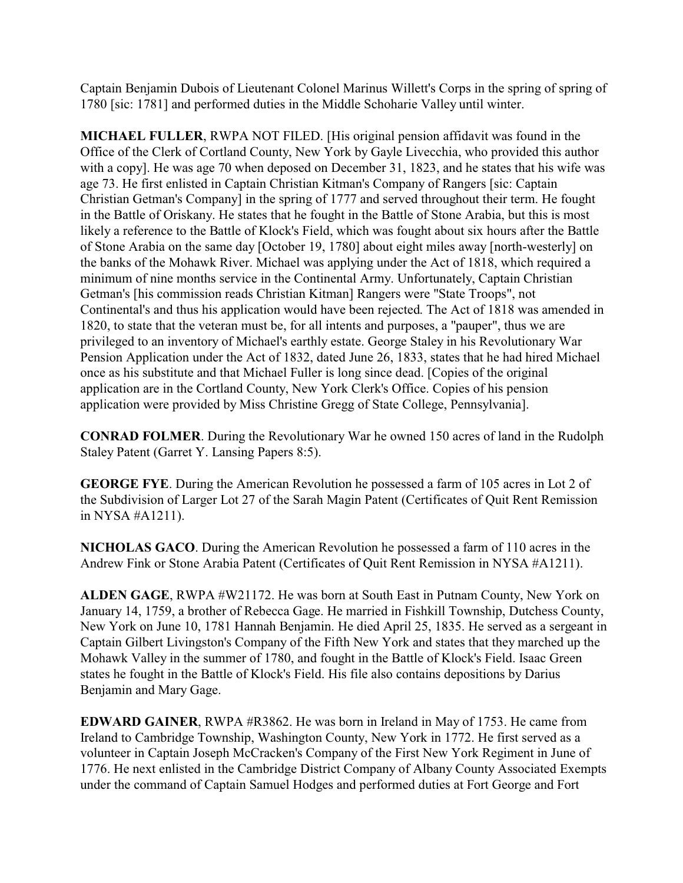Captain Benjamin Dubois of Lieutenant Colonel Marinus Willett's Corps in the spring of spring of 1780 [sic: 1781] and performed duties in the Middle Schoharie Valley until winter.

**MICHAEL FULLER**, RWPA NOT FILED. [His original pension affidavit was found in the Office of the Clerk of Cortland County, New York by Gayle Livecchia, who provided this author with a copy]. He was age 70 when deposed on December 31, 1823, and he states that his wife was age 73. He first enlisted in Captain Christian Kitman's Company of Rangers [sic: Captain Christian Getman's Company] in the spring of 1777 and served throughout their term. He fought in the Battle of Oriskany. He states that he fought in the Battle of Stone Arabia, but this is most likely a reference to the Battle of Klock's Field, which was fought about six hours after the Battle of Stone Arabia on the same day [October 19, 1780] about eight miles away [north-westerly] on the banks of the Mohawk River. Michael was applying under the Act of 1818, which required a minimum of nine months service in the Continental Army. Unfortunately, Captain Christian Getman's [his commission reads Christian Kitman] Rangers were "State Troops", not Continental's and thus his application would have been rejected. The Act of 1818 was amended in 1820, to state that the veteran must be, for all intents and purposes, a "pauper", thus we are privileged to an inventory of Michael's earthly estate. George Staley in his Revolutionary War Pension Application under the Act of 1832, dated June 26, 1833, states that he had hired Michael once as his substitute and that Michael Fuller is long since dead. [Copies of the original application are in the Cortland County, New York Clerk's Office. Copies of his pension application were provided by Miss Christine Gregg of State College, Pennsylvania].

**CONRAD FOLMER**. During the Revolutionary War he owned 150 acres of land in the Rudolph Staley Patent (Garret Y. Lansing Papers 8:5).

**GEORGE FYE**. During the American Revolution he possessed a farm of 105 acres in Lot 2 of the Subdivision of Larger Lot 27 of the Sarah Magin Patent (Certificates of Quit Rent Remission in NYSA #A1211).

**NICHOLAS GACO**. During the American Revolution he possessed a farm of 110 acres in the Andrew Fink or Stone Arabia Patent (Certificates of Quit Rent Remission in NYSA #A1211).

**ALDEN GAGE**, RWPA #W21172. He was born at South East in Putnam County, New York on January 14, 1759, a brother of Rebecca Gage. He married in Fishkill Township, Dutchess County, New York on June 10, 1781 Hannah Benjamin. He died April 25, 1835. He served as a sergeant in Captain Gilbert Livingston's Company of the Fifth New York and states that they marched up the Mohawk Valley in the summer of 1780, and fought in the Battle of Klock's Field. Isaac Green states he fought in the Battle of Klock's Field. His file also contains depositions by Darius Benjamin and Mary Gage.

**EDWARD GAINER**, RWPA #R3862. He was born in Ireland in May of 1753. He came from Ireland to Cambridge Township, Washington County, New York in 1772. He first served as a volunteer in Captain Joseph McCracken's Company of the First New York Regiment in June of 1776. He next enlisted in the Cambridge District Company of Albany County Associated Exempts under the command of Captain Samuel Hodges and performed duties at Fort George and Fort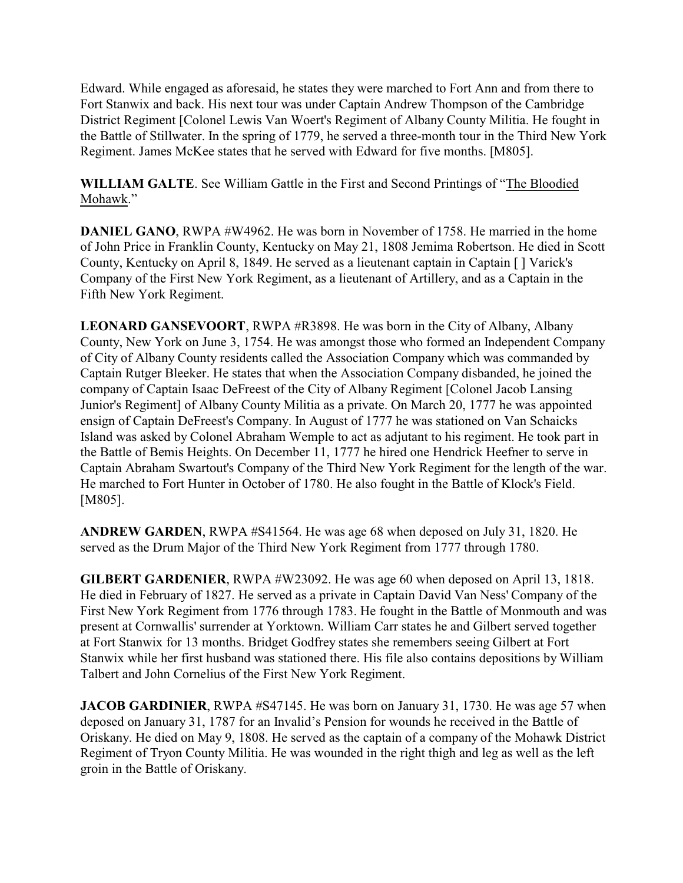Edward. While engaged as aforesaid, he states they were marched to Fort Ann and from there to Fort Stanwix and back. His next tour was under Captain Andrew Thompson of the Cambridge District Regiment [Colonel Lewis Van Woert's Regiment of Albany County Militia. He fought in the Battle of Stillwater. In the spring of 1779, he served a three-month tour in the Third New York Regiment. James McKee states that he served with Edward for five months. [M805].

**WILLIAM GALTE**. See William Gattle in the First and Second Printings of "The Bloodied Mohawk."

**DANIEL GANO**, RWPA #W4962. He was born in November of 1758. He married in the home of John Price in Franklin County, Kentucky on May 21, 1808 Jemima Robertson. He died in Scott County, Kentucky on April 8, 1849. He served as a lieutenant captain in Captain [ ] Varick's Company of the First New York Regiment, as a lieutenant of Artillery, and as a Captain in the Fifth New York Regiment.

**LEONARD GANSEVOORT**, RWPA #R3898. He was born in the City of Albany, Albany County, New York on June 3, 1754. He was amongst those who formed an Independent Company of City of Albany County residents called the Association Company which was commanded by Captain Rutger Bleeker. He states that when the Association Company disbanded, he joined the company of Captain Isaac DeFreest of the City of Albany Regiment [Colonel Jacob Lansing Junior's Regiment] of Albany County Militia as a private. On March 20, 1777 he was appointed ensign of Captain DeFreest's Company. In August of 1777 he was stationed on Van Schaicks Island was asked by Colonel Abraham Wemple to act as adjutant to his regiment. He took part in the Battle of Bemis Heights. On December 11, 1777 he hired one Hendrick Heefner to serve in Captain Abraham Swartout's Company of the Third New York Regiment for the length of the war. He marched to Fort Hunter in October of 1780. He also fought in the Battle of Klock's Field. [M805].

**ANDREW GARDEN**, RWPA #S41564. He was age 68 when deposed on July 31, 1820. He served as the Drum Major of the Third New York Regiment from 1777 through 1780.

**GILBERT GARDENIER**, RWPA #W23092. He was age 60 when deposed on April 13, 1818. He died in February of 1827. He served as a private in Captain David Van Ness' Company of the First New York Regiment from 1776 through 1783. He fought in the Battle of Monmouth and was present at Cornwallis' surrender at Yorktown. William Carr states he and Gilbert served together at Fort Stanwix for 13 months. Bridget Godfrey states she remembers seeing Gilbert at Fort Stanwix while her first husband was stationed there. His file also contains depositions by William Talbert and John Cornelius of the First New York Regiment.

**JACOB GARDINIER**, RWPA #S47145. He was born on January 31, 1730. He was age 57 when deposed on January 31, 1787 for an Invalid's Pension for wounds he received in the Battle of Oriskany. He died on May 9, 1808. He served as the captain of a company of the Mohawk District Regiment of Tryon County Militia. He was wounded in the right thigh and leg as well as the left groin in the Battle of Oriskany.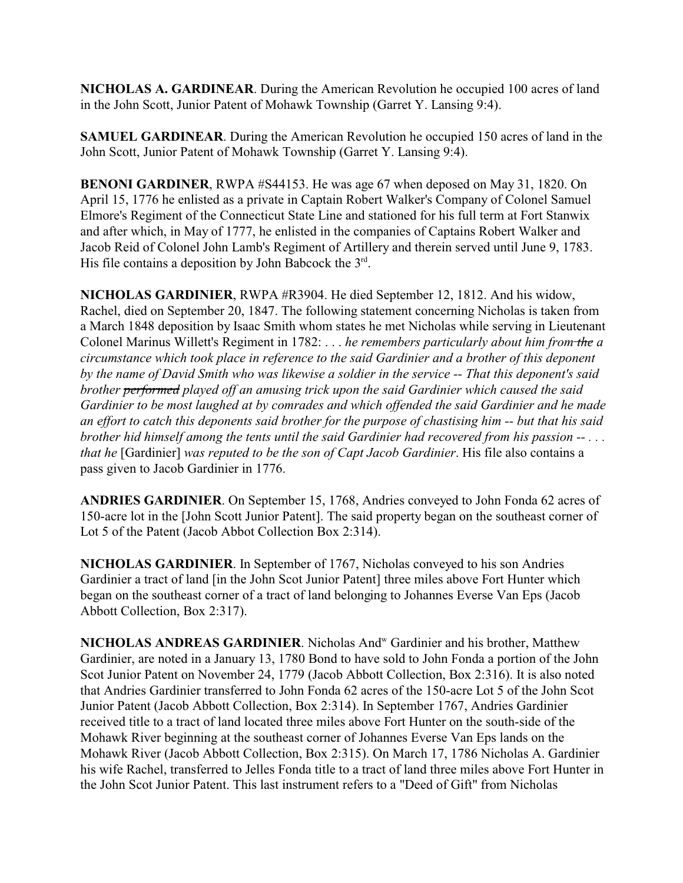**NICHOLAS A. GARDINEAR**. During the American Revolution he occupied 100 acres of land in the John Scott, Junior Patent of Mohawk Township (Garret Y. Lansing 9:4).

**SAMUEL GARDINEAR**. During the American Revolution he occupied 150 acres of land in the John Scott, Junior Patent of Mohawk Township (Garret Y. Lansing 9:4).

**BENONI GARDINER**, RWPA #S44153. He was age 67 when deposed on May 31, 1820. On April 15, 1776 he enlisted as a private in Captain Robert Walker's Company of Colonel Samuel Elmore's Regiment of the Connecticut State Line and stationed for his full term at Fort Stanwix and after which, in May of 1777, he enlisted in the companies of Captains Robert Walker and Jacob Reid of Colonel John Lamb's Regiment of Artillery and therein served until June 9, 1783. His file contains a deposition by John Babcock the 3rd.

**NICHOLAS GARDINIER**, RWPA #R3904. He died September 12, 1812. And his widow, Rachel, died on September 20, 1847. The following statement concerning Nicholas is taken from a March 1848 deposition by Isaac Smith whom states he met Nicholas while serving in Lieutenant Colonel Marinus Willett's Regiment in 1782: . . . *he remembers particularly about him from the a circumstance which took place in reference to the said Gardinier and a brother of this deponent by the name of David Smith who was likewise a soldier in the service -- That this deponent's said brother performed played off an amusing trick upon the said Gardinier which caused the said Gardinier to be most laughed at by comrades and which offended the said Gardinier and he made an effort to catch this deponents said brother for the purpose of chastising him -- but that his said brother hid himself among the tents until the said Gardinier had recovered from his passion -- . . . that he* [Gardinier] *was reputed to be the son of Capt Jacob Gardinier*. His file also contains a pass given to Jacob Gardinier in 1776.

**ANDRIES GARDINIER**. On September 15, 1768, Andries conveyed to John Fonda 62 acres of 150-acre lot in the [John Scott Junior Patent]. The said property began on the southeast corner of Lot 5 of the Patent (Jacob Abbot Collection Box 2:314).

**NICHOLAS GARDINIER**. In September of 1767, Nicholas conveyed to his son Andries Gardinier a tract of land [in the John Scot Junior Patent] three miles above Fort Hunter which began on the southeast corner of a tract of land belonging to Johannes Everse Van Eps (Jacob Abbott Collection, Box 2:317).

NICHOLAS ANDREAS GARDINIER. Nicholas And<sup>w</sup> Gardinier and his brother, Matthew Gardinier, are noted in a January 13, 1780 Bond to have sold to John Fonda a portion of the John Scot Junior Patent on November 24, 1779 (Jacob Abbott Collection, Box 2:316). It is also noted that Andries Gardinier transferred to John Fonda 62 acres of the 150-acre Lot 5 of the John Scot Junior Patent (Jacob Abbott Collection, Box 2:314). In September 1767, Andries Gardinier received title to a tract of land located three miles above Fort Hunter on the south-side of the Mohawk River beginning at the southeast corner of Johannes Everse Van Eps lands on the Mohawk River (Jacob Abbott Collection, Box 2:315). On March 17, 1786 Nicholas A. Gardinier his wife Rachel, transferred to Jelles Fonda title to a tract of land three miles above Fort Hunter in the John Scot Junior Patent. This last instrument refers to a "Deed of Gift" from Nicholas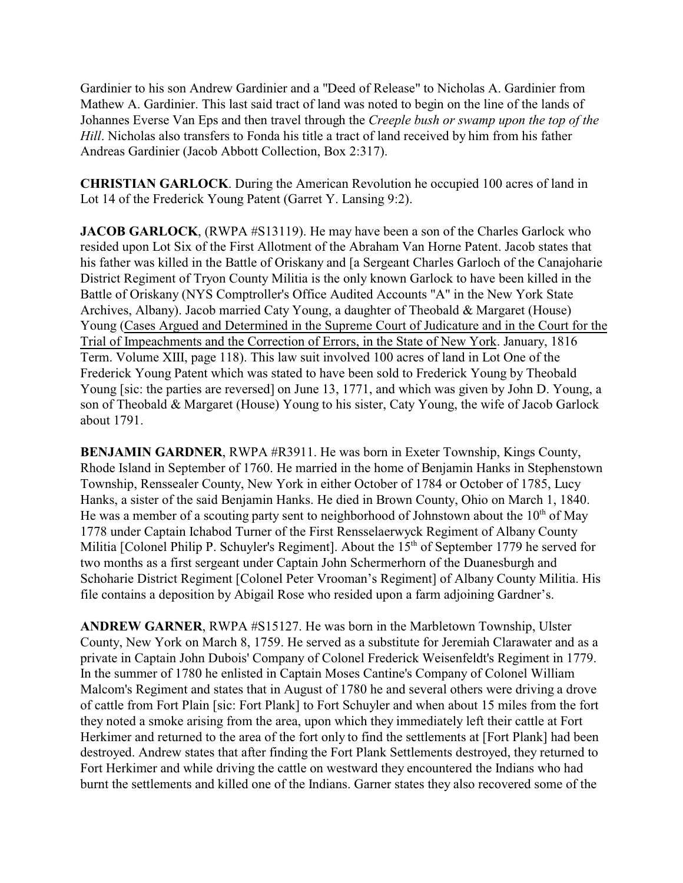Gardinier to his son Andrew Gardinier and a "Deed of Release" to Nicholas A. Gardinier from Mathew A. Gardinier. This last said tract of land was noted to begin on the line of the lands of Johannes Everse Van Eps and then travel through the *Creeple bush or swamp upon the top of the Hill*. Nicholas also transfers to Fonda his title a tract of land received by him from his father Andreas Gardinier (Jacob Abbott Collection, Box 2:317).

**CHRISTIAN GARLOCK**. During the American Revolution he occupied 100 acres of land in Lot 14 of the Frederick Young Patent (Garret Y. Lansing 9:2).

**JACOB GARLOCK**, (RWPA #S13119). He may have been a son of the Charles Garlock who resided upon Lot Six of the First Allotment of the Abraham Van Horne Patent. Jacob states that his father was killed in the Battle of Oriskany and [a Sergeant Charles Garloch of the Canajoharie District Regiment of Tryon County Militia is the only known Garlock to have been killed in the Battle of Oriskany (NYS Comptroller's Office Audited Accounts "A" in the New York State Archives, Albany). Jacob married Caty Young, a daughter of Theobald & Margaret (House) Young (Cases Argued and Determined in the Supreme Court of Judicature and in the Court for the Trial of Impeachments and the Correction of Errors, in the State of New York. January, 1816 Term. Volume XIII, page 118). This law suit involved 100 acres of land in Lot One of the Frederick Young Patent which was stated to have been sold to Frederick Young by Theobald Young [sic: the parties are reversed] on June 13, 1771, and which was given by John D. Young, a son of Theobald & Margaret (House) Young to his sister, Caty Young, the wife of Jacob Garlock about 1791.

**BENJAMIN GARDNER**, RWPA #R3911. He was born in Exeter Township, Kings County, Rhode Island in September of 1760. He married in the home of Benjamin Hanks in Stephenstown Township, Renssealer County, New York in either October of 1784 or October of 1785, Lucy Hanks, a sister of the said Benjamin Hanks. He died in Brown County, Ohio on March 1, 1840. He was a member of a scouting party sent to neighborhood of Johnstown about the  $10<sup>th</sup>$  of May 1778 under Captain Ichabod Turner of the First Rensselaerwyck Regiment of Albany County Militia [Colonel Philip P. Schuyler's Regiment]. About the 15<sup>th</sup> of September 1779 he served for two months as a first sergeant under Captain John Schermerhorn of the Duanesburgh and Schoharie District Regiment [Colonel Peter Vrooman's Regiment] of Albany County Militia. His file contains a deposition by Abigail Rose who resided upon a farm adjoining Gardner's.

**ANDREW GARNER**, RWPA #S15127. He was born in the Marbletown Township, Ulster County, New York on March 8, 1759. He served as a substitute for Jeremiah Clarawater and as a private in Captain John Dubois' Company of Colonel Frederick Weisenfeldt's Regiment in 1779. In the summer of 1780 he enlisted in Captain Moses Cantine's Company of Colonel William Malcom's Regiment and states that in August of 1780 he and several others were driving a drove of cattle from Fort Plain [sic: Fort Plank] to Fort Schuyler and when about 15 miles from the fort they noted a smoke arising from the area, upon which they immediately left their cattle at Fort Herkimer and returned to the area of the fort only to find the settlements at [Fort Plank] had been destroyed. Andrew states that after finding the Fort Plank Settlements destroyed, they returned to Fort Herkimer and while driving the cattle on westward they encountered the Indians who had burnt the settlements and killed one of the Indians. Garner states they also recovered some of the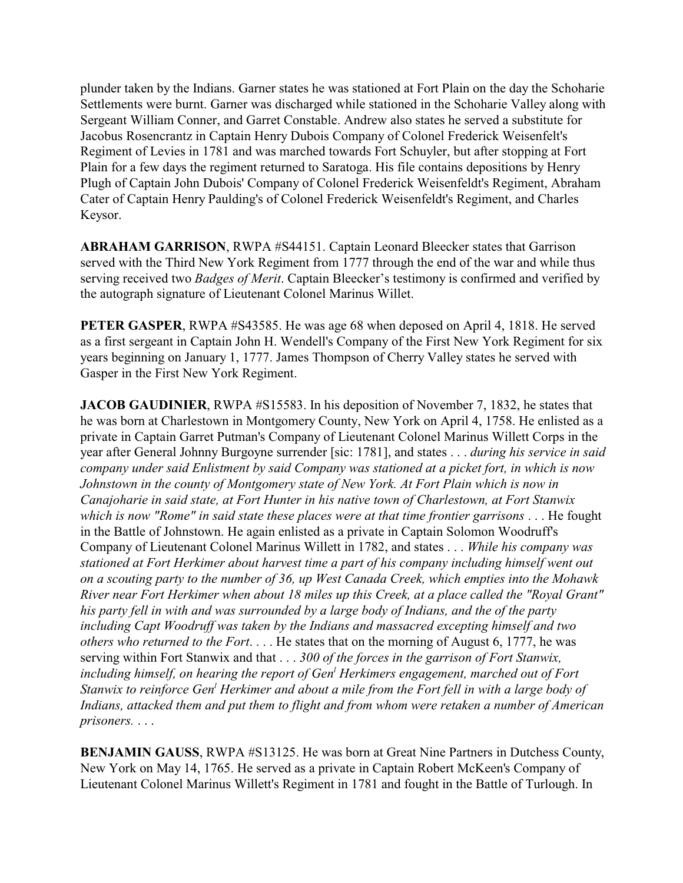plunder taken by the Indians. Garner states he was stationed at Fort Plain on the day the Schoharie Settlements were burnt. Garner was discharged while stationed in the Schoharie Valley along with Sergeant William Conner, and Garret Constable. Andrew also states he served a substitute for Jacobus Rosencrantz in Captain Henry Dubois Company of Colonel Frederick Weisenfelt's Regiment of Levies in 1781 and was marched towards Fort Schuyler, but after stopping at Fort Plain for a few days the regiment returned to Saratoga. His file contains depositions by Henry Plugh of Captain John Dubois' Company of Colonel Frederick Weisenfeldt's Regiment, Abraham Cater of Captain Henry Paulding's of Colonel Frederick Weisenfeldt's Regiment, and Charles Keysor.

**ABRAHAM GARRISON**, RWPA #S44151. Captain Leonard Bleecker states that Garrison served with the Third New York Regiment from 1777 through the end of the war and while thus serving received two *Badges of Merit*. Captain Bleecker's testimony is confirmed and verified by the autograph signature of Lieutenant Colonel Marinus Willet.

**PETER GASPER**, RWPA #S43585. He was age 68 when deposed on April 4, 1818. He served as a first sergeant in Captain John H. Wendell's Company of the First New York Regiment for six years beginning on January 1, 1777. James Thompson of Cherry Valley states he served with Gasper in the First New York Regiment.

**JACOB GAUDINIER, RWPA #S15583.** In his deposition of November 7, 1832, he states that he was born at Charlestown in Montgomery County, New York on April 4, 1758. He enlisted as a private in Captain Garret Putman's Company of Lieutenant Colonel Marinus Willett Corps in the year after General Johnny Burgoyne surrender [sic: 1781], and states . . . *during his service in said company under said Enlistment by said Company was stationed at a picket fort, in which is now Johnstown in the county of Montgomery state of New York. At Fort Plain which is now in Canajoharie in said state, at Fort Hunter in his native town of Charlestown, at Fort Stanwix which is now "Rome" in said state these places were at that time frontier garrisons* . . . He fought in the Battle of Johnstown. He again enlisted as a private in Captain Solomon Woodruff's Company of Lieutenant Colonel Marinus Willett in 1782, and states . . . *While his company was stationed at Fort Herkimer about harvest time a part of his company including himself went out on a scouting party to the number of 36, up West Canada Creek, which empties into the Mohawk River near Fort Herkimer when about 18 miles up this Creek, at a place called the "Royal Grant" his party fell in with and was surrounded by a large body of Indians, and the of the party including Capt Woodruff was taken by the Indians and massacred excepting himself and two others who returned to the Fort*. . . . He states that on the morning of August 6, 1777, he was serving within Fort Stanwix and that . . . *300 of the forces in the garrison of Fort Stanwix, including himself, on hearing the report of Gen<sup>l</sup> Herkimers engagement, marched out of Fort Stanwix to reinforce Gen<sup>l</sup> Herkimer and about a mile from the Fort fell in with a large body of Indians, attacked them and put them to flight and from whom were retaken a number of American prisoners.* . . .

**BENJAMIN GAUSS**, RWPA #S13125. He was born at Great Nine Partners in Dutchess County, New York on May 14, 1765. He served as a private in Captain Robert McKeen's Company of Lieutenant Colonel Marinus Willett's Regiment in 1781 and fought in the Battle of Turlough. In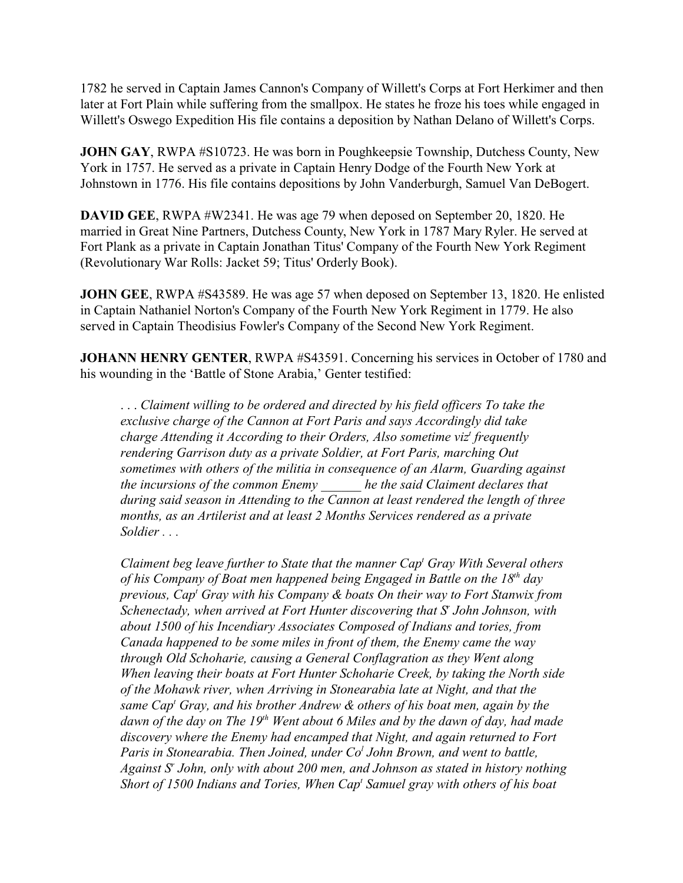1782 he served in Captain James Cannon's Company of Willett's Corps at Fort Herkimer and then later at Fort Plain while suffering from the smallpox. He states he froze his toes while engaged in Willett's Oswego Expedition His file contains a deposition by Nathan Delano of Willett's Corps.

**JOHN GAY**, RWPA #S10723. He was born in Poughkeepsie Township, Dutchess County, New York in 1757. He served as a private in Captain Henry Dodge of the Fourth New York at Johnstown in 1776. His file contains depositions by John Vanderburgh, Samuel Van DeBogert.

**DAVID GEE**, RWPA #W2341. He was age 79 when deposed on September 20, 1820. He married in Great Nine Partners, Dutchess County, New York in 1787 Mary Ryler. He served at Fort Plank as a private in Captain Jonathan Titus' Company of the Fourth New York Regiment (Revolutionary War Rolls: Jacket 59; Titus' Orderly Book).

**JOHN GEE, RWPA #S43589.** He was age 57 when deposed on September 13, 1820. He enlisted in Captain Nathaniel Norton's Company of the Fourth New York Regiment in 1779. He also served in Captain Theodisius Fowler's Company of the Second New York Regiment.

**JOHANN HENRY GENTER**, RWPA #S43591. Concerning his services in October of 1780 and his wounding in the 'Battle of Stone Arabia,' Genter testified:

. . . *Claiment willing to be ordered and directed by his field officers To take the exclusive charge of the Cannon at Fort Paris and says Accordingly did take charge Attending it According to their Orders, Also sometime viz<sup>t</sup> frequently rendering Garrison duty as a private Soldier, at Fort Paris, marching Out sometimes with others of the militia in consequence of an Alarm, Guarding against the incursions of the common Enemy \_\_\_\_\_\_ he the said Claiment declares that during said season in Attending to the Cannon at least rendered the length of three months, as an Artilerist and at least 2 Months Services rendered as a private Soldier . . .* 

*Claiment beg leave further to State that the manner Cap<sup>t</sup> Gray With Several others of his Company of Boat men happened being Engaged in Battle on the 18th day previous, Cap<sup>t</sup> Gray with his Company & boats On their way to Fort Stanwix from Schenectady, when arrived at Fort Hunter discovering that S<sup>r</sup> John Johnson, with about 1500 of his Incendiary Associates Composed of Indians and tories, from Canada happened to be some miles in front of them, the Enemy came the way through Old Schoharie, causing a General Conflagration as they Went along When leaving their boats at Fort Hunter Schoharie Creek, by taking the North side of the Mohawk river, when Arriving in Stonearabia late at Night, and that the same Cap<sup>t</sup> Gray, and his brother Andrew & others of his boat men, again by the dawn of the day on The 19th Went about 6 Miles and by the dawn of day, had made discovery where the Enemy had encamped that Night, and again returned to Fort Paris in Stonearabia. Then Joined, under Co<sup>l</sup> John Brown, and went to battle, Against S<sup>r</sup> John, only with about 200 men, and Johnson as stated in history nothing Short of 1500 Indians and Tories, When Cap<sup>t</sup> Samuel gray with others of his boat*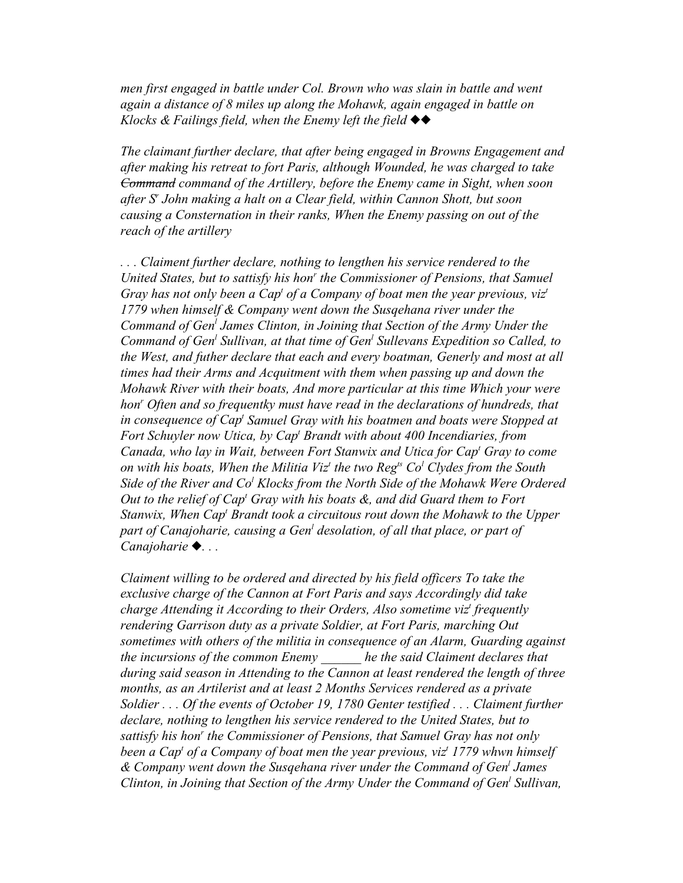*men first engaged in battle under Col. Brown who was slain in battle and went again a distance of 8 miles up along the Mohawk, again engaged in battle on Klocks & Failings field, when the Enemy left the field*  $\blacklozenge \blacklozenge$ 

*The claimant further declare, that after being engaged in Browns Engagement and after making his retreat to fort Paris, although Wounded, he was charged to take Command command of the Artillery, before the Enemy came in Sight, when soon after S<sup>r</sup> John making a halt on a Clear field, within Cannon Shott, but soon causing a Consternation in their ranks, When the Enemy passing on out of the reach of the artillery*

*. . . Claiment further declare, nothing to lengthen his service rendered to the* United States, but to sattisfy his hon<sup>r</sup> the Commissioner of Pensions, that Samuel Gray has not only been a Cap<sup>t</sup> of a Company of boat men the year previous, viz<sup>*t*</sup> *1779 when himself & Company went down the Susqehana river under the Command of Gen<sup>l</sup> James Clinton, in Joining that Section of the Army Under the Command of Gen<sup>l</sup> Sullivan, at that time of Gen<sup>l</sup> Sullevans Expedition so Called, to the West, and futher declare that each and every boatman, Generly and most at all times had their Arms and Acquitment with them when passing up and down the Mohawk River with their boats, And more particular at this time Which your were hon<sup>r</sup> Often and so frequentky must have read in the declarations of hundreds, that in consequence of Cap<sup>t</sup> Samuel Gray with his boatmen and boats were Stopped at* Fort Schuyler now Utica, by Cap<sup>t</sup> Brandt with about 400 Incendiaries, from *Canada, who lay in Wait, between Fort Stanwix and Utica for Cap<sup>t</sup> Gray to come on with his boats, When the Militia Viz<sup>t</sup> the two Regts Co<sup>l</sup> Clydes from the South Side of the River and Co<sup>l</sup> Klocks from the North Side of the Mohawk Were Ordered Out to the relief of Cap<sup>t</sup> Gray with his boats &, and did Guard them to Fort* Stanwix, When Cap<sup>t</sup> Brandt took a circuitous rout down the Mohawk to the Upper *part of Canajoharie, causing a Gen<sup>l</sup> desolation, of all that place, or part of Canajoharie . . .* 

*Claiment willing to be ordered and directed by his field officers To take the exclusive charge of the Cannon at Fort Paris and says Accordingly did take charge Attending it According to their Orders, Also sometime viz<sup>t</sup> frequently rendering Garrison duty as a private Soldier, at Fort Paris, marching Out sometimes with others of the militia in consequence of an Alarm, Guarding against the incursions of the common Enemy \_\_\_\_\_\_ he the said Claiment declares that during said season in Attending to the Cannon at least rendered the length of three months, as an Artilerist and at least 2 Months Services rendered as a private Soldier . . . Of the events of October 19, 1780 Genter testified . . . Claiment further declare, nothing to lengthen his service rendered to the United States, but to* sattisfy his hon<sup>r</sup> the Commissioner of Pensions, that Samuel Gray has not only *been a Cap<sup>t</sup> of a Company of boat men the year previous, viz<sup>t</sup> 1779 whwn himself & Company went down the Susqehana river under the Command of Gen<sup>l</sup> James Clinton, in Joining that Section of the Army Under the Command of Gen<sup>l</sup> Sullivan,*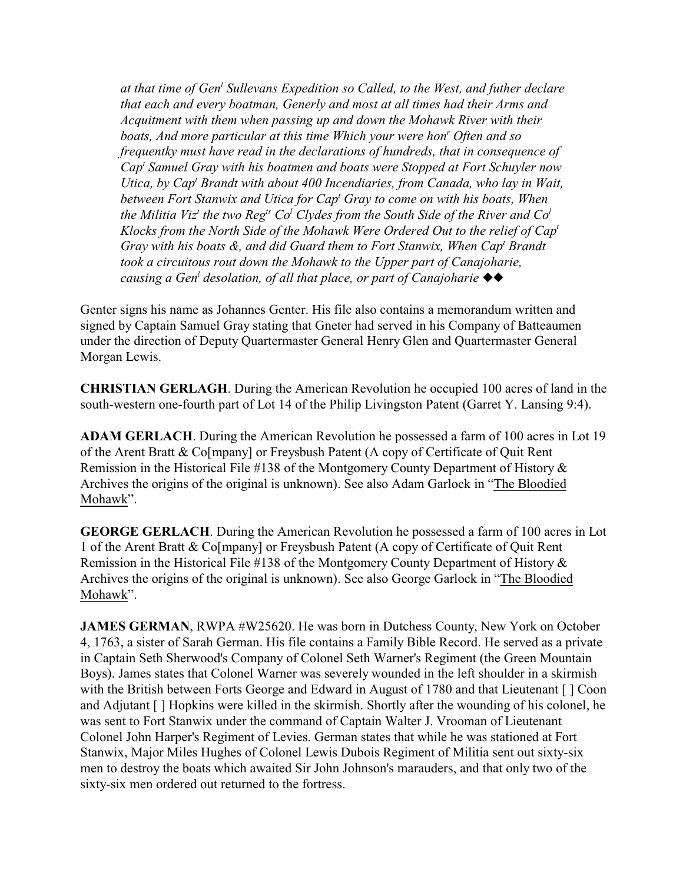*at that time of Gen<sup>l</sup> Sullevans Expedition so Called, to the West, and futher declare that each and every boatman, Generly and most at all times had their Arms and Acquitment with them when passing up and down the Mohawk River with their boats, And more particular at this time Which your were hon<sup>r</sup> Often and so frequentky must have read in the declarations of hundreds, that in consequence of Cap<sup>t</sup> Samuel Gray with his boatmen and boats were Stopped at Fort Schuyler now* Utica, by Cap<sup>t</sup> Brandt with about 400 Incendiaries, from Canada, who lay in Wait, *between Fort Stanwix and Utica for Cap<sup>t</sup> Gray to come on with his boats, When the Militia Viz<sup>t</sup> the two Regts Co<sup>l</sup> Clydes from the South Side of the River and Co<sup>l</sup> Klocks from the North Side of the Mohawk Were Ordered Out to the relief of Cap<sup>t</sup>* Gray with his boats &, and did Guard them to Fort Stanwix, When Cap<sup>t</sup> Brandt *took a circuitous rout down the Mohawk to the Upper part of Canajoharie, causing a Gen<sup>l</sup> desolation, of all that place, or part of Canajoharie* 

Genter signs his name as Johannes Genter. His file also contains a memorandum written and signed by Captain Samuel Gray stating that Gneter had served in his Company of Batteaumen under the direction of Deputy Quartermaster General Henry Glen and Quartermaster General Morgan Lewis.

**CHRISTIAN GERLAGH**. During the American Revolution he occupied 100 acres of land in the south-western one-fourth part of Lot 14 of the Philip Livingston Patent (Garret Y. Lansing 9:4).

**ADAM GERLACH**. During the American Revolution he possessed a farm of 100 acres in Lot 19 of the Arent Bratt & Co[mpany] or Freysbush Patent (A copy of Certificate of Quit Rent Remission in the Historical File #138 of the Montgomery County Department of History & Archives the origins of the original is unknown). See also Adam Garlock in "The Bloodied Mohawk".

**GEORGE GERLACH**. During the American Revolution he possessed a farm of 100 acres in Lot 1 of the Arent Bratt & Co[mpany] or Freysbush Patent (A copy of Certificate of Quit Rent Remission in the Historical File #138 of the Montgomery County Department of History & Archives the origins of the original is unknown). See also George Garlock in "The Bloodied Mohawk".

**JAMES GERMAN, RWPA #W25620. He was born in Dutchess County, New York on October** 4, 1763, a sister of Sarah German. His file contains a Family Bible Record. He served as a private in Captain Seth Sherwood's Company of Colonel Seth Warner's Regiment (the Green Mountain Boys). James states that Colonel Warner was severely wounded in the left shoulder in a skirmish with the British between Forts George and Edward in August of 1780 and that Lieutenant [] Coon and Adjutant [ ] Hopkins were killed in the skirmish. Shortly after the wounding of his colonel, he was sent to Fort Stanwix under the command of Captain Walter J. Vrooman of Lieutenant Colonel John Harper's Regiment of Levies. German states that while he was stationed at Fort Stanwix, Major Miles Hughes of Colonel Lewis Dubois Regiment of Militia sent out sixty-six men to destroy the boats which awaited Sir John Johnson's marauders, and that only two of the sixty-six men ordered out returned to the fortress.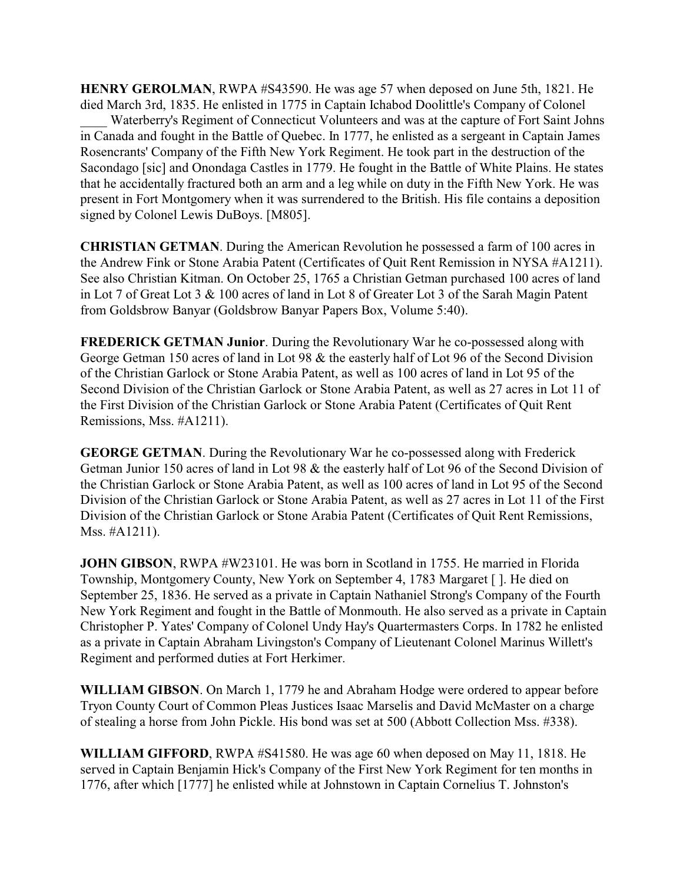**HENRY GEROLMAN**, RWPA #S43590. He was age 57 when deposed on June 5th, 1821. He died March 3rd, 1835. He enlisted in 1775 in Captain Ichabod Doolittle's Company of Colonel

Waterberry's Regiment of Connecticut Volunteers and was at the capture of Fort Saint Johns in Canada and fought in the Battle of Quebec. In 1777, he enlisted as a sergeant in Captain James Rosencrants' Company of the Fifth New York Regiment. He took part in the destruction of the Sacondago [sic] and Onondaga Castles in 1779. He fought in the Battle of White Plains. He states that he accidentally fractured both an arm and a leg while on duty in the Fifth New York. He was present in Fort Montgomery when it was surrendered to the British. His file contains a deposition signed by Colonel Lewis DuBoys. [M805].

**CHRISTIAN GETMAN**. During the American Revolution he possessed a farm of 100 acres in the Andrew Fink or Stone Arabia Patent (Certificates of Quit Rent Remission in NYSA #A1211). See also Christian Kitman. On October 25, 1765 a Christian Getman purchased 100 acres of land in Lot 7 of Great Lot 3 & 100 acres of land in Lot 8 of Greater Lot 3 of the Sarah Magin Patent from Goldsbrow Banyar (Goldsbrow Banyar Papers Box, Volume 5:40).

**FREDERICK GETMAN Junior**. During the Revolutionary War he co-possessed along with George Getman 150 acres of land in Lot 98 & the easterly half of Lot 96 of the Second Division of the Christian Garlock or Stone Arabia Patent, as well as 100 acres of land in Lot 95 of the Second Division of the Christian Garlock or Stone Arabia Patent, as well as 27 acres in Lot 11 of the First Division of the Christian Garlock or Stone Arabia Patent (Certificates of Quit Rent Remissions, Mss. #A1211).

**GEORGE GETMAN**. During the Revolutionary War he co-possessed along with Frederick Getman Junior 150 acres of land in Lot 98 & the easterly half of Lot 96 of the Second Division of the Christian Garlock or Stone Arabia Patent, as well as 100 acres of land in Lot 95 of the Second Division of the Christian Garlock or Stone Arabia Patent, as well as 27 acres in Lot 11 of the First Division of the Christian Garlock or Stone Arabia Patent (Certificates of Quit Rent Remissions, Mss. #A1211).

**JOHN GIBSON**, RWPA #W23101. He was born in Scotland in 1755. He married in Florida Township, Montgomery County, New York on September 4, 1783 Margaret [ ]. He died on September 25, 1836. He served as a private in Captain Nathaniel Strong's Company of the Fourth New York Regiment and fought in the Battle of Monmouth. He also served as a private in Captain Christopher P. Yates' Company of Colonel Undy Hay's Quartermasters Corps. In 1782 he enlisted as a private in Captain Abraham Livingston's Company of Lieutenant Colonel Marinus Willett's Regiment and performed duties at Fort Herkimer.

**WILLIAM GIBSON**. On March 1, 1779 he and Abraham Hodge were ordered to appear before Tryon County Court of Common Pleas Justices Isaac Marselis and David McMaster on a charge of stealing a horse from John Pickle. His bond was set at 500 (Abbott Collection Mss. #338).

**WILLIAM GIFFORD**, RWPA #S41580. He was age 60 when deposed on May 11, 1818. He served in Captain Benjamin Hick's Company of the First New York Regiment for ten months in 1776, after which [1777] he enlisted while at Johnstown in Captain Cornelius T. Johnston's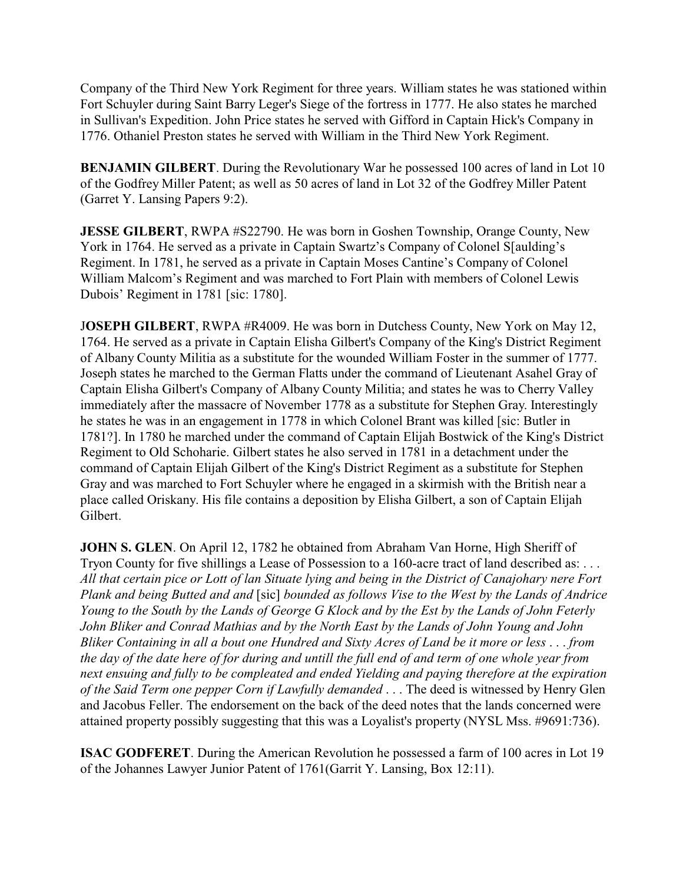Company of the Third New York Regiment for three years. William states he was stationed within Fort Schuyler during Saint Barry Leger's Siege of the fortress in 1777. He also states he marched in Sullivan's Expedition. John Price states he served with Gifford in Captain Hick's Company in 1776. Othaniel Preston states he served with William in the Third New York Regiment.

**BENJAMIN GILBERT**. During the Revolutionary War he possessed 100 acres of land in Lot 10 of the Godfrey Miller Patent; as well as 50 acres of land in Lot 32 of the Godfrey Miller Patent (Garret Y. Lansing Papers 9:2).

**JESSE GILBERT**, RWPA #S22790. He was born in Goshen Township, Orange County, New York in 1764. He served as a private in Captain Swartz's Company of Colonel S[aulding's Regiment. In 1781, he served as a private in Captain Moses Cantine's Company of Colonel William Malcom's Regiment and was marched to Fort Plain with members of Colonel Lewis Dubois' Regiment in 1781 [sic: 1780].

J**OSEPH GILBERT**, RWPA #R4009. He was born in Dutchess County, New York on May 12, 1764. He served as a private in Captain Elisha Gilbert's Company of the King's District Regiment of Albany County Militia as a substitute for the wounded William Foster in the summer of 1777. Joseph states he marched to the German Flatts under the command of Lieutenant Asahel Gray of Captain Elisha Gilbert's Company of Albany County Militia; and states he was to Cherry Valley immediately after the massacre of November 1778 as a substitute for Stephen Gray. Interestingly he states he was in an engagement in 1778 in which Colonel Brant was killed [sic: Butler in 1781?]. In 1780 he marched under the command of Captain Elijah Bostwick of the King's District Regiment to Old Schoharie. Gilbert states he also served in 1781 in a detachment under the command of Captain Elijah Gilbert of the King's District Regiment as a substitute for Stephen Gray and was marched to Fort Schuyler where he engaged in a skirmish with the British near a place called Oriskany. His file contains a deposition by Elisha Gilbert, a son of Captain Elijah Gilbert.

**JOHN S. GLEN**. On April 12, 1782 he obtained from Abraham Van Horne, High Sheriff of Tryon County for five shillings a Lease of Possession to a 160-acre tract of land described as: . . . *All that certain pice or Lott of lan Situate lying and being in the District of Canajohary nere Fort Plank and being Butted and and* [sic] *bounded as follows Vise to the West by the Lands of Andrice Young to the South by the Lands of George G Klock and by the Est by the Lands of John Feterly John Bliker and Conrad Mathias and by the North East by the Lands of John Young and John Bliker Containing in all a bout one Hundred and Sixty Acres of Land be it more or less* . . . *from the day of the date here of for during and untill the full end of and term of one whole year from next ensuing and fully to be compleated and ended Yielding and paying therefore at the expiration of the Said Term one pepper Corn if Lawfully demanded* . . . The deed is witnessed by Henry Glen and Jacobus Feller. The endorsement on the back of the deed notes that the lands concerned were attained property possibly suggesting that this was a Loyalist's property (NYSL Mss. #9691:736).

**ISAC GODFERET**. During the American Revolution he possessed a farm of 100 acres in Lot 19 of the Johannes Lawyer Junior Patent of 1761(Garrit Y. Lansing, Box 12:11).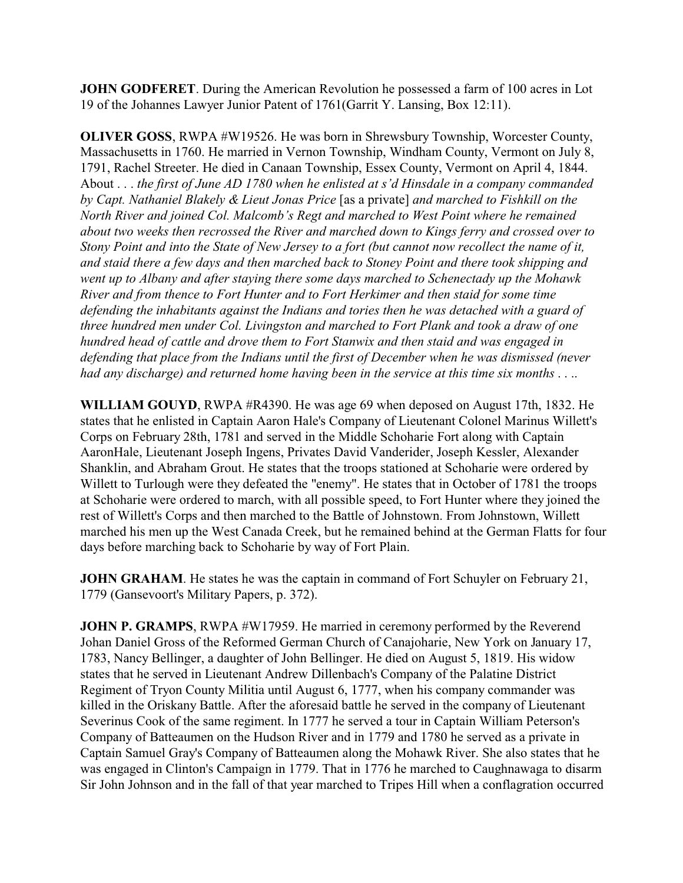**JOHN GODFERET**. During the American Revolution he possessed a farm of 100 acres in Lot 19 of the Johannes Lawyer Junior Patent of 1761(Garrit Y. Lansing, Box 12:11).

**OLIVER GOSS**, RWPA #W19526. He was born in Shrewsbury Township, Worcester County, Massachusetts in 1760. He married in Vernon Township, Windham County, Vermont on July 8, 1791, Rachel Streeter. He died in Canaan Township, Essex County, Vermont on April 4, 1844. About . . . *the first of June AD 1780 when he enlisted at s'd Hinsdale in a company commanded by Capt. Nathaniel Blakely & Lieut Jonas Price* [as a private] *and marched to Fishkill on the North River and joined Col. Malcomb's Regt and marched to West Point where he remained about two weeks then recrossed the River and marched down to Kings ferry and crossed over to Stony Point and into the State of New Jersey to a fort (but cannot now recollect the name of it, and staid there a few days and then marched back to Stoney Point and there took shipping and went up to Albany and after staying there some days marched to Schenectady up the Mohawk River and from thence to Fort Hunter and to Fort Herkimer and then staid for some time defending the inhabitants against the Indians and tories then he was detached with a guard of three hundred men under Col. Livingston and marched to Fort Plank and took a draw of one hundred head of cattle and drove them to Fort Stanwix and then staid and was engaged in defending that place from the Indians until the first of December when he was dismissed (never had any discharge) and returned home having been in the service at this time six months* . . ..

**WILLIAM GOUYD**, RWPA #R4390. He was age 69 when deposed on August 17th, 1832. He states that he enlisted in Captain Aaron Hale's Company of Lieutenant Colonel Marinus Willett's Corps on February 28th, 1781 and served in the Middle Schoharie Fort along with Captain AaronHale, Lieutenant Joseph Ingens, Privates David Vanderider, Joseph Kessler, Alexander Shanklin, and Abraham Grout. He states that the troops stationed at Schoharie were ordered by Willett to Turlough were they defeated the "enemy". He states that in October of 1781 the troops at Schoharie were ordered to march, with all possible speed, to Fort Hunter where they joined the rest of Willett's Corps and then marched to the Battle of Johnstown. From Johnstown, Willett marched his men up the West Canada Creek, but he remained behind at the German Flatts for four days before marching back to Schoharie by way of Fort Plain.

**JOHN GRAHAM**. He states he was the captain in command of Fort Schuyler on February 21, 1779 (Gansevoort's Military Papers, p. 372).

**JOHN P. GRAMPS, RWPA #W17959. He married in ceremony performed by the Reverend** Johan Daniel Gross of the Reformed German Church of Canajoharie, New York on January 17, 1783, Nancy Bellinger, a daughter of John Bellinger. He died on August 5, 1819. His widow states that he served in Lieutenant Andrew Dillenbach's Company of the Palatine District Regiment of Tryon County Militia until August 6, 1777, when his company commander was killed in the Oriskany Battle. After the aforesaid battle he served in the company of Lieutenant Severinus Cook of the same regiment. In 1777 he served a tour in Captain William Peterson's Company of Batteaumen on the Hudson River and in 1779 and 1780 he served as a private in Captain Samuel Gray's Company of Batteaumen along the Mohawk River. She also states that he was engaged in Clinton's Campaign in 1779. That in 1776 he marched to Caughnawaga to disarm Sir John Johnson and in the fall of that year marched to Tripes Hill when a conflagration occurred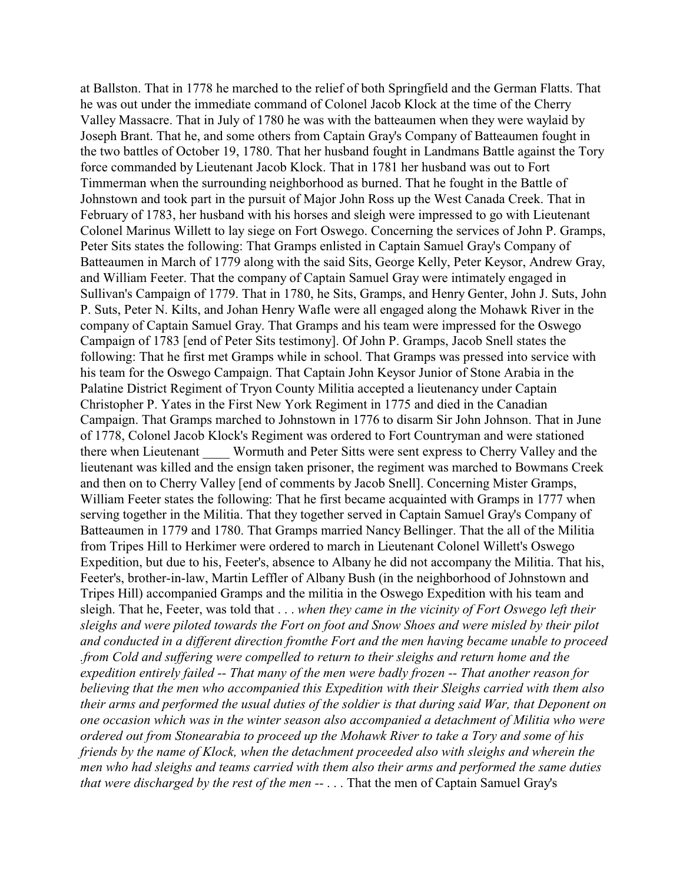at Ballston. That in 1778 he marched to the relief of both Springfield and the German Flatts. That he was out under the immediate command of Colonel Jacob Klock at the time of the Cherry Valley Massacre. That in July of 1780 he was with the batteaumen when they were waylaid by Joseph Brant. That he, and some others from Captain Gray's Company of Batteaumen fought in the two battles of October 19, 1780. That her husband fought in Landmans Battle against the Tory force commanded by Lieutenant Jacob Klock. That in 1781 her husband was out to Fort Timmerman when the surrounding neighborhood as burned. That he fought in the Battle of Johnstown and took part in the pursuit of Major John Ross up the West Canada Creek. That in February of 1783, her husband with his horses and sleigh were impressed to go with Lieutenant Colonel Marinus Willett to lay siege on Fort Oswego. Concerning the services of John P. Gramps, Peter Sits states the following: That Gramps enlisted in Captain Samuel Gray's Company of Batteaumen in March of 1779 along with the said Sits, George Kelly, Peter Keysor, Andrew Gray, and William Feeter. That the company of Captain Samuel Gray were intimately engaged in Sullivan's Campaign of 1779. That in 1780, he Sits, Gramps, and Henry Genter, John J. Suts, John P. Suts, Peter N. Kilts, and Johan Henry Wafle were all engaged along the Mohawk River in the company of Captain Samuel Gray. That Gramps and his team were impressed for the Oswego Campaign of 1783 [end of Peter Sits testimony]. Of John P. Gramps, Jacob Snell states the following: That he first met Gramps while in school. That Gramps was pressed into service with his team for the Oswego Campaign. That Captain John Keysor Junior of Stone Arabia in the Palatine District Regiment of Tryon County Militia accepted a lieutenancy under Captain Christopher P. Yates in the First New York Regiment in 1775 and died in the Canadian Campaign. That Gramps marched to Johnstown in 1776 to disarm Sir John Johnson. That in June of 1778, Colonel Jacob Klock's Regiment was ordered to Fort Countryman and were stationed there when Lieutenant \_\_\_\_ Wormuth and Peter Sitts were sent express to Cherry Valley and the lieutenant was killed and the ensign taken prisoner, the regiment was marched to Bowmans Creek and then on to Cherry Valley [end of comments by Jacob Snell]. Concerning Mister Gramps, William Feeter states the following: That he first became acquainted with Gramps in 1777 when serving together in the Militia. That they together served in Captain Samuel Gray's Company of Batteaumen in 1779 and 1780. That Gramps married Nancy Bellinger. That the all of the Militia from Tripes Hill to Herkimer were ordered to march in Lieutenant Colonel Willett's Oswego Expedition, but due to his, Feeter's, absence to Albany he did not accompany the Militia. That his, Feeter's, brother-in-law, Martin Leffler of Albany Bush (in the neighborhood of Johnstown and Tripes Hill) accompanied Gramps and the militia in the Oswego Expedition with his team and sleigh. That he, Feeter, was told that . . . *when they came in the vicinity of Fort Oswego left their sleighs and were piloted towards the Fort on foot and Snow Shoes and were misled by their pilot and conducted in a different direction fromthe Fort and the men having became unable to proceed .from Cold and suffering were compelled to return to their sleighs and return home and the expedition entirely failed -- That many of the men were badly frozen -- That another reason for believing that the men who accompanied this Expedition with their Sleighs carried with them also their arms and performed the usual duties of the soldier is that during said War, that Deponent on one occasion which was in the winter season also accompanied a detachment of Militia who were ordered out from Stonearabia to proceed up the Mohawk River to take a Tory and some of his friends by the name of Klock, when the detachment proceeded also with sleighs and wherein the men who had sleighs and teams carried with them also their arms and performed the same duties that were discharged by the rest of the men --* . . . That the men of Captain Samuel Gray's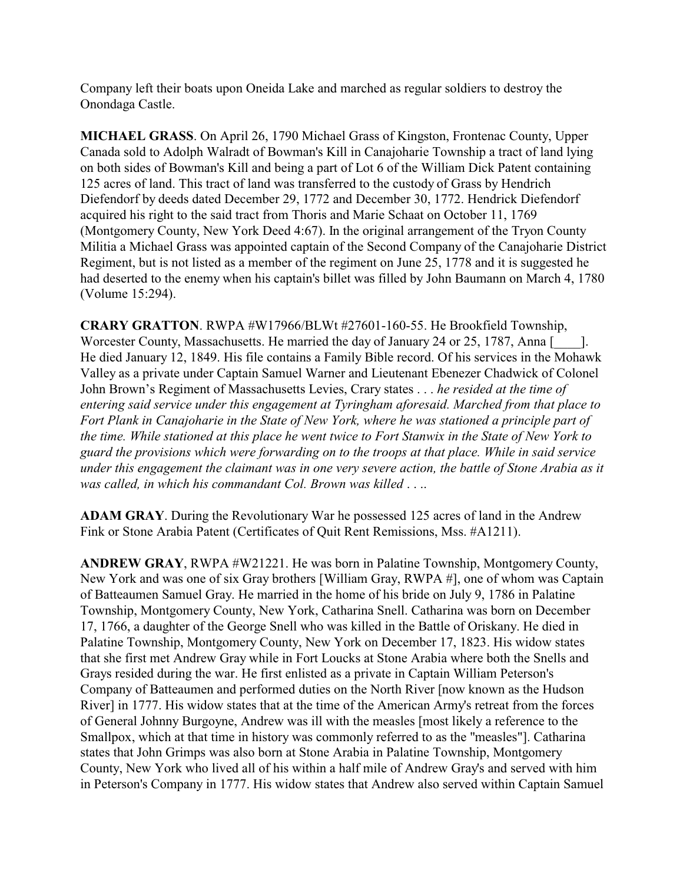Company left their boats upon Oneida Lake and marched as regular soldiers to destroy the Onondaga Castle.

**MICHAEL GRASS**. On April 26, 1790 Michael Grass of Kingston, Frontenac County, Upper Canada sold to Adolph Walradt of Bowman's Kill in Canajoharie Township a tract of land lying on both sides of Bowman's Kill and being a part of Lot 6 of the William Dick Patent containing 125 acres of land. This tract of land was transferred to the custody of Grass by Hendrich Diefendorf by deeds dated December 29, 1772 and December 30, 1772. Hendrick Diefendorf acquired his right to the said tract from Thoris and Marie Schaat on October 11, 1769 (Montgomery County, New York Deed 4:67). In the original arrangement of the Tryon County Militia a Michael Grass was appointed captain of the Second Company of the Canajoharie District Regiment, but is not listed as a member of the regiment on June 25, 1778 and it is suggested he had deserted to the enemy when his captain's billet was filled by John Baumann on March 4, 1780 (Volume 15:294).

**CRARY GRATTON**. RWPA #W17966/BLWt #27601-160-55. He Brookfield Township, Worcester County, Massachusetts. He married the day of January 24 or 25, 1787, Anna [2014]. He died January 12, 1849. His file contains a Family Bible record. Of his services in the Mohawk Valley as a private under Captain Samuel Warner and Lieutenant Ebenezer Chadwick of Colonel John Brown's Regiment of Massachusetts Levies, Crary states . . . *he resided at the time of entering said service under this engagement at Tyringham aforesaid. Marched from that place to Fort Plank in Canajoharie in the State of New York, where he was stationed a principle part of the time. While stationed at this place he went twice to Fort Stanwix in the State of New York to guard the provisions which were forwarding on to the troops at that place. While in said service under this engagement the claimant was in one very severe action, the battle of Stone Arabia as it was called, in which his commandant Col. Brown was killed* . . ..

**ADAM GRAY**. During the Revolutionary War he possessed 125 acres of land in the Andrew Fink or Stone Arabia Patent (Certificates of Quit Rent Remissions, Mss. #A1211).

**ANDREW GRAY**, RWPA #W21221. He was born in Palatine Township, Montgomery County, New York and was one of six Gray brothers [William Gray, RWPA #], one of whom was Captain of Batteaumen Samuel Gray. He married in the home of his bride on July 9, 1786 in Palatine Township, Montgomery County, New York, Catharina Snell. Catharina was born on December 17, 1766, a daughter of the George Snell who was killed in the Battle of Oriskany. He died in Palatine Township, Montgomery County, New York on December 17, 1823. His widow states that she first met Andrew Gray while in Fort Loucks at Stone Arabia where both the Snells and Grays resided during the war. He first enlisted as a private in Captain William Peterson's Company of Batteaumen and performed duties on the North River [now known as the Hudson River] in 1777. His widow states that at the time of the American Army's retreat from the forces of General Johnny Burgoyne, Andrew was ill with the measles [most likely a reference to the Smallpox, which at that time in history was commonly referred to as the "measles"]. Catharina states that John Grimps was also born at Stone Arabia in Palatine Township, Montgomery County, New York who lived all of his within a half mile of Andrew Gray's and served with him in Peterson's Company in 1777. His widow states that Andrew also served within Captain Samuel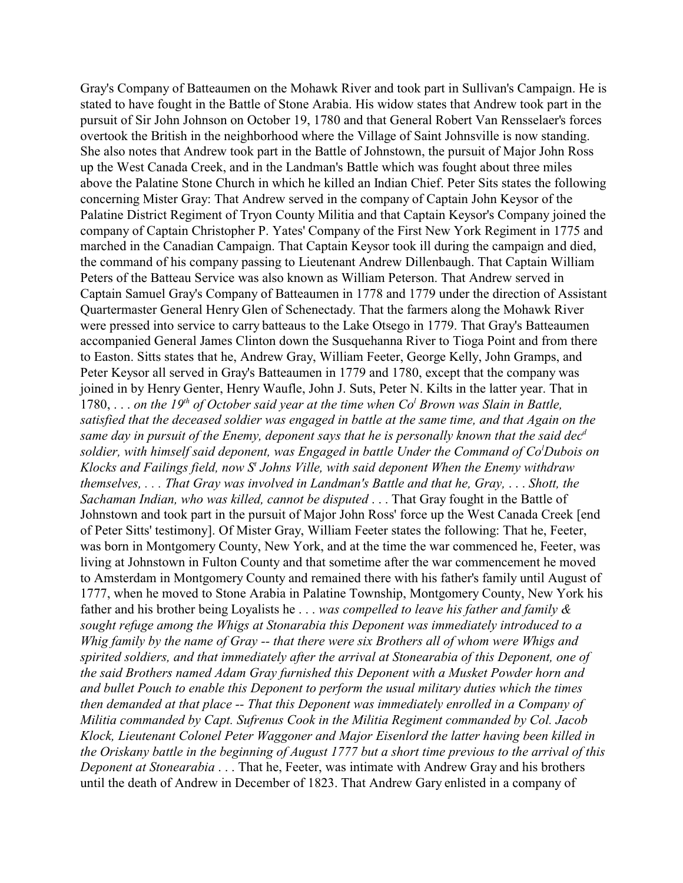Gray's Company of Batteaumen on the Mohawk River and took part in Sullivan's Campaign. He is stated to have fought in the Battle of Stone Arabia. His widow states that Andrew took part in the pursuit of Sir John Johnson on October 19, 1780 and that General Robert Van Rensselaer's forces overtook the British in the neighborhood where the Village of Saint Johnsville is now standing. She also notes that Andrew took part in the Battle of Johnstown, the pursuit of Major John Ross up the West Canada Creek, and in the Landman's Battle which was fought about three miles above the Palatine Stone Church in which he killed an Indian Chief. Peter Sits states the following concerning Mister Gray: That Andrew served in the company of Captain John Keysor of the Palatine District Regiment of Tryon County Militia and that Captain Keysor's Company joined the company of Captain Christopher P. Yates' Company of the First New York Regiment in 1775 and marched in the Canadian Campaign. That Captain Keysor took ill during the campaign and died, the command of his company passing to Lieutenant Andrew Dillenbaugh. That Captain William Peters of the Batteau Service was also known as William Peterson. That Andrew served in Captain Samuel Gray's Company of Batteaumen in 1778 and 1779 under the direction of Assistant Quartermaster General Henry Glen of Schenectady. That the farmers along the Mohawk River were pressed into service to carry batteaus to the Lake Otsego in 1779. That Gray's Batteaumen accompanied General James Clinton down the Susquehanna River to Tioga Point and from there to Easton. Sitts states that he, Andrew Gray, William Feeter, George Kelly, John Gramps, and Peter Keysor all served in Gray's Batteaumen in 1779 and 1780, except that the company was joined in by Henry Genter, Henry Waufle, John J. Suts, Peter N. Kilts in the latter year. That in 1780, . . . *on the 19<sup>th</sup> of October said year at the time when*  $Co<sup>l</sup>$  *Brown was Slain in Battle, satisfied that the deceased soldier was engaged in battle at the same time, and that Again on the same day in pursuit of the Enemy, deponent says that he is personally known that the said dec<sup>d</sup> soldier, with himself said deponent, was Engaged in battle Under the Command of Co<sup>l</sup>Dubois on Klocks and Failings field, now S<sup>t</sup> Johns Ville, with said deponent When the Enemy withdraw themselves, . . . That Gray was involved in Landman's Battle and that he, Gray,* . . . *Shott, the Sachaman Indian, who was killed, cannot be disputed* . . . That Gray fought in the Battle of Johnstown and took part in the pursuit of Major John Ross' force up the West Canada Creek [end of Peter Sitts' testimony]. Of Mister Gray, William Feeter states the following: That he, Feeter, was born in Montgomery County, New York, and at the time the war commenced he, Feeter, was living at Johnstown in Fulton County and that sometime after the war commencement he moved to Amsterdam in Montgomery County and remained there with his father's family until August of 1777, when he moved to Stone Arabia in Palatine Township, Montgomery County, New York his father and his brother being Loyalists he . . . *was compelled to leave his father and family & sought refuge among the Whigs at Stonarabia this Deponent was immediately introduced to a Whig family by the name of Gray -- that there were six Brothers all of whom were Whigs and spirited soldiers, and that immediately after the arrival at Stonearabia of this Deponent, one of the said Brothers named Adam Gray furnished this Deponent with a Musket Powder horn and and bullet Pouch to enable this Deponent to perform the usual military duties which the times then demanded at that place -- That this Deponent was immediately enrolled in a Company of Militia commanded by Capt. Sufrenus Cook in the Militia Regiment commanded by Col. Jacob Klock, Lieutenant Colonel Peter Waggoner and Major Eisenlord the latter having been killed in the Oriskany battle in the beginning of August 1777 but a short time previous to the arrival of this Deponent at Stonearabia* . . . That he, Feeter, was intimate with Andrew Gray and his brothers until the death of Andrew in December of 1823. That Andrew Gary enlisted in a company of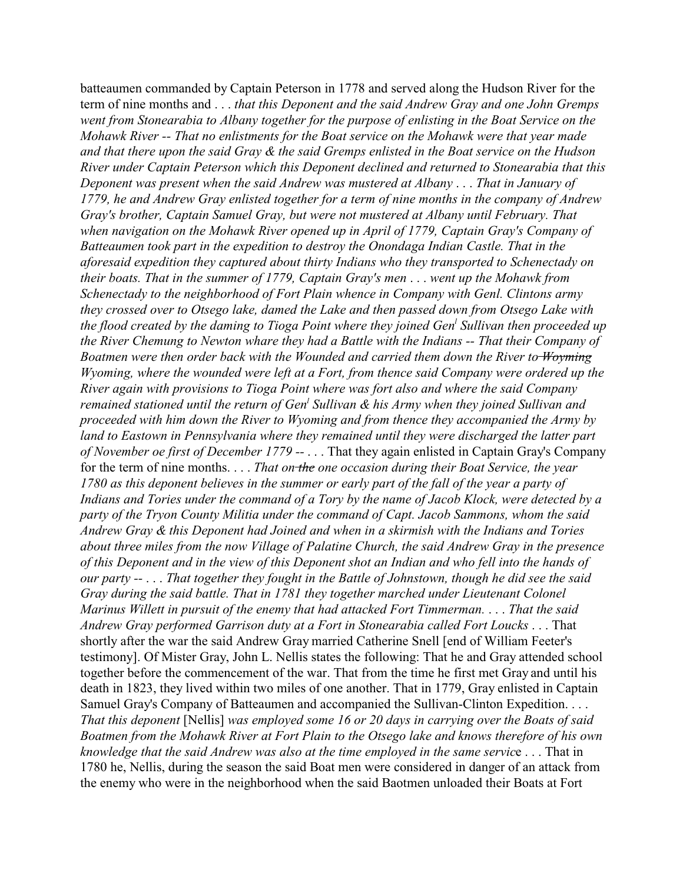batteaumen commanded by Captain Peterson in 1778 and served along the Hudson River for the term of nine months and . . . *that this Deponent and the said Andrew Gray and one John Gremps went from Stonearabia to Albany together for the purpose of enlisting in the Boat Service on the Mohawk River -- That no enlistments for the Boat service on the Mohawk were that year made and that there upon the said Gray & the said Gremps enlisted in the Boat service on the Hudson River under Captain Peterson which this Deponent declined and returned to Stonearabia that this Deponent was present when the said Andrew was mustered at Albany* . . . *That in January of 1779, he and Andrew Gray enlisted together for a term of nine months in the company of Andrew Gray's brother, Captain Samuel Gray, but were not mustered at Albany until February. That when navigation on the Mohawk River opened up in April of 1779, Captain Gray's Company of Batteaumen took part in the expedition to destroy the Onondaga Indian Castle. That in the aforesaid expedition they captured about thirty Indians who they transported to Schenectady on their boats. That in the summer of 1779, Captain Gray's men* . . . *went up the Mohawk from Schenectady to the neighborhood of Fort Plain whence in Company with Genl. Clintons army they crossed over to Otsego lake, damed the Lake and then passed down from Otsego Lake with the flood created by the daming to Tioga Point where they joined Gen<sup>l</sup> Sullivan then proceeded up the River Chemung to Newton whare they had a Battle with the Indians -- That their Company of Boatmen were then order back with the Wounded and carried them down the River to Woyming Wyoming, where the wounded were left at a Fort, from thence said Company were ordered up the River again with provisions to Tioga Point where was fort also and where the said Company remained stationed until the return of Gen<sup>l</sup> Sullivan & his Army when they joined Sullivan and proceeded with him down the River to Wyoming and from thence they accompanied the Army by land to Eastown in Pennsylvania where they remained until they were discharged the latter part of November oe first of December 1779 --* . . . That they again enlisted in Captain Gray's Company for the term of nine months. . . . *That on the one occasion during their Boat Service, the year 1780 as this deponent believes in the summer or early part of the fall of the year a party of Indians and Tories under the command of a Tory by the name of Jacob Klock, were detected by a party of the Tryon County Militia under the command of Capt. Jacob Sammons, whom the said Andrew Gray & this Deponent had Joined and when in a skirmish with the Indians and Tories about three miles from the now Village of Palatine Church, the said Andrew Gray in the presence of this Deponent and in the view of this Deponent shot an Indian and who fell into the hands of our party --* . . . *That together they fought in the Battle of Johnstown, though he did see the said Gray during the said battle. That in 1781 they together marched under Lieutenant Colonel Marinus Willett in pursuit of the enemy that had attacked Fort Timmerman.* . . . *That the said Andrew Gray performed Garrison duty at a Fort in Stonearabia called Fort Loucks* . . . That shortly after the war the said Andrew Gray married Catherine Snell [end of William Feeter's testimony]. Of Mister Gray, John L. Nellis states the following: That he and Gray attended school together before the commencement of the war. That from the time he first met Gray and until his death in 1823, they lived within two miles of one another. That in 1779, Gray enlisted in Captain Samuel Gray's Company of Batteaumen and accompanied the Sullivan-Clinton Expedition. . . . *That this deponent* [Nellis] *was employed some 16 or 20 days in carrying over the Boats of said Boatmen from the Mohawk River at Fort Plain to the Otsego lake and knows therefore of his own knowledge that the said Andrew was also at the time employed in the same servic*e . . . That in 1780 he, Nellis, during the season the said Boat men were considered in danger of an attack from the enemy who were in the neighborhood when the said Baotmen unloaded their Boats at Fort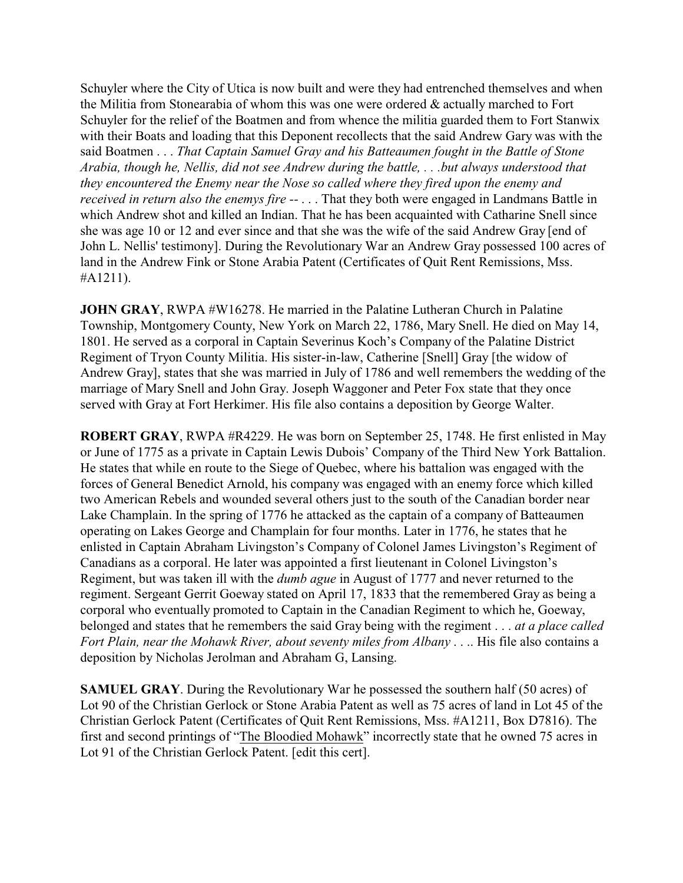Schuyler where the City of Utica is now built and were they had entrenched themselves and when the Militia from Stonearabia of whom this was one were ordered & actually marched to Fort Schuyler for the relief of the Boatmen and from whence the militia guarded them to Fort Stanwix with their Boats and loading that this Deponent recollects that the said Andrew Gary was with the said Boatmen . . . *That Captain Samuel Gray and his Batteaumen fought in the Battle of Stone Arabia, though he, Nellis, did not see Andrew during the battle, . . .but always understood that they encountered the Enemy near the Nose so called where they fired upon the enemy and received in return also the enemys fire --* . . . That they both were engaged in Landmans Battle in which Andrew shot and killed an Indian. That he has been acquainted with Catharine Snell since she was age 10 or 12 and ever since and that she was the wife of the said Andrew Gray [end of John L. Nellis' testimony]. During the Revolutionary War an Andrew Gray possessed 100 acres of land in the Andrew Fink or Stone Arabia Patent (Certificates of Quit Rent Remissions, Mss. #A1211).

**JOHN GRAY, RWPA #W16278. He married in the Palatine Lutheran Church in Palatine** Township, Montgomery County, New York on March 22, 1786, Mary Snell. He died on May 14, 1801. He served as a corporal in Captain Severinus Koch's Company of the Palatine District Regiment of Tryon County Militia. His sister-in-law, Catherine [Snell] Gray [the widow of Andrew Gray], states that she was married in July of 1786 and well remembers the wedding of the marriage of Mary Snell and John Gray. Joseph Waggoner and Peter Fox state that they once served with Gray at Fort Herkimer. His file also contains a deposition by George Walter.

**ROBERT GRAY**, RWPA #R4229. He was born on September 25, 1748. He first enlisted in May or June of 1775 as a private in Captain Lewis Dubois' Company of the Third New York Battalion. He states that while en route to the Siege of Quebec, where his battalion was engaged with the forces of General Benedict Arnold, his company was engaged with an enemy force which killed two American Rebels and wounded several others just to the south of the Canadian border near Lake Champlain. In the spring of 1776 he attacked as the captain of a company of Batteaumen operating on Lakes George and Champlain for four months. Later in 1776, he states that he enlisted in Captain Abraham Livingston's Company of Colonel James Livingston's Regiment of Canadians as a corporal. He later was appointed a first lieutenant in Colonel Livingston's Regiment, but was taken ill with the *dumb ague* in August of 1777 and never returned to the regiment. Sergeant Gerrit Goeway stated on April 17, 1833 that the remembered Gray as being a corporal who eventually promoted to Captain in the Canadian Regiment to which he, Goeway, belonged and states that he remembers the said Gray being with the regiment . . . *at a place called Fort Plain, near the Mohawk River, about seventy miles from Albany* . . .. His file also contains a deposition by Nicholas Jerolman and Abraham G, Lansing.

**SAMUEL GRAY**. During the Revolutionary War he possessed the southern half (50 acres) of Lot 90 of the Christian Gerlock or Stone Arabia Patent as well as 75 acres of land in Lot 45 of the Christian Gerlock Patent (Certificates of Quit Rent Remissions, Mss. #A1211, Box D7816). The first and second printings of "The Bloodied Mohawk" incorrectly state that he owned 75 acres in Lot 91 of the Christian Gerlock Patent. [edit this cert].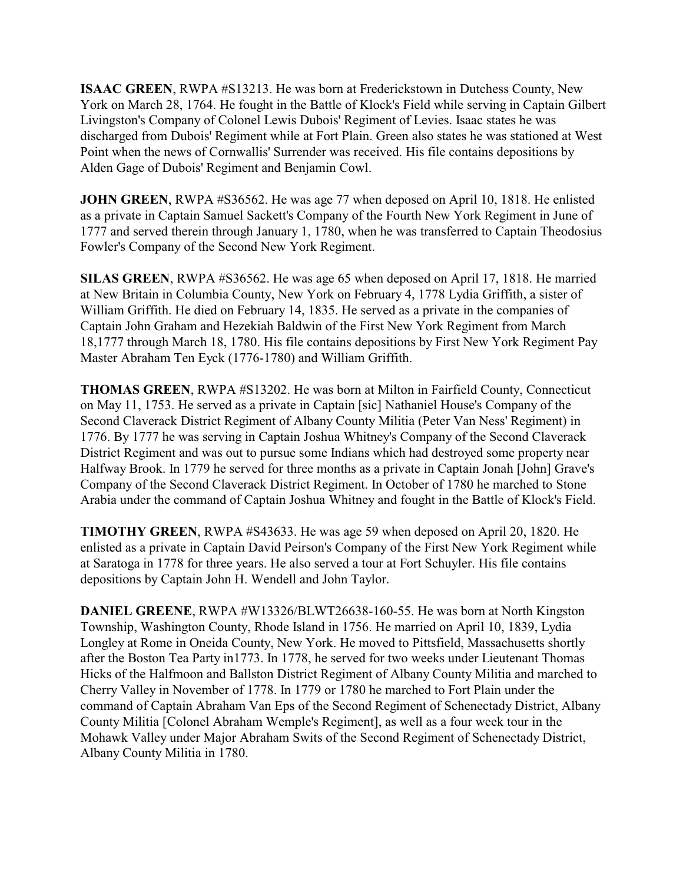**ISAAC GREEN**, RWPA #S13213. He was born at Frederickstown in Dutchess County, New York on March 28, 1764. He fought in the Battle of Klock's Field while serving in Captain Gilbert Livingston's Company of Colonel Lewis Dubois' Regiment of Levies. Isaac states he was discharged from Dubois' Regiment while at Fort Plain. Green also states he was stationed at West Point when the news of Cornwallis' Surrender was received. His file contains depositions by Alden Gage of Dubois' Regiment and Benjamin Cowl.

**JOHN GREEN**, RWPA #S36562. He was age 77 when deposed on April 10, 1818. He enlisted as a private in Captain Samuel Sackett's Company of the Fourth New York Regiment in June of 1777 and served therein through January 1, 1780, when he was transferred to Captain Theodosius Fowler's Company of the Second New York Regiment.

**SILAS GREEN**, RWPA #S36562. He was age 65 when deposed on April 17, 1818. He married at New Britain in Columbia County, New York on February 4, 1778 Lydia Griffith, a sister of William Griffith. He died on February 14, 1835. He served as a private in the companies of Captain John Graham and Hezekiah Baldwin of the First New York Regiment from March 18,1777 through March 18, 1780. His file contains depositions by First New York Regiment Pay Master Abraham Ten Eyck (1776-1780) and William Griffith.

**THOMAS GREEN**, RWPA #S13202. He was born at Milton in Fairfield County, Connecticut on May 11, 1753. He served as a private in Captain [sic] Nathaniel House's Company of the Second Claverack District Regiment of Albany County Militia (Peter Van Ness' Regiment) in 1776. By 1777 he was serving in Captain Joshua Whitney's Company of the Second Claverack District Regiment and was out to pursue some Indians which had destroyed some property near Halfway Brook. In 1779 he served for three months as a private in Captain Jonah [John] Grave's Company of the Second Claverack District Regiment. In October of 1780 he marched to Stone Arabia under the command of Captain Joshua Whitney and fought in the Battle of Klock's Field.

**TIMOTHY GREEN**, RWPA #S43633. He was age 59 when deposed on April 20, 1820. He enlisted as a private in Captain David Peirson's Company of the First New York Regiment while at Saratoga in 1778 for three years. He also served a tour at Fort Schuyler. His file contains depositions by Captain John H. Wendell and John Taylor.

**DANIEL GREENE**, RWPA #W13326/BLWT26638-160-55. He was born at North Kingston Township, Washington County, Rhode Island in 1756. He married on April 10, 1839, Lydia Longley at Rome in Oneida County, New York. He moved to Pittsfield, Massachusetts shortly after the Boston Tea Party in1773. In 1778, he served for two weeks under Lieutenant Thomas Hicks of the Halfmoon and Ballston District Regiment of Albany County Militia and marched to Cherry Valley in November of 1778. In 1779 or 1780 he marched to Fort Plain under the command of Captain Abraham Van Eps of the Second Regiment of Schenectady District, Albany County Militia [Colonel Abraham Wemple's Regiment], as well as a four week tour in the Mohawk Valley under Major Abraham Swits of the Second Regiment of Schenectady District, Albany County Militia in 1780.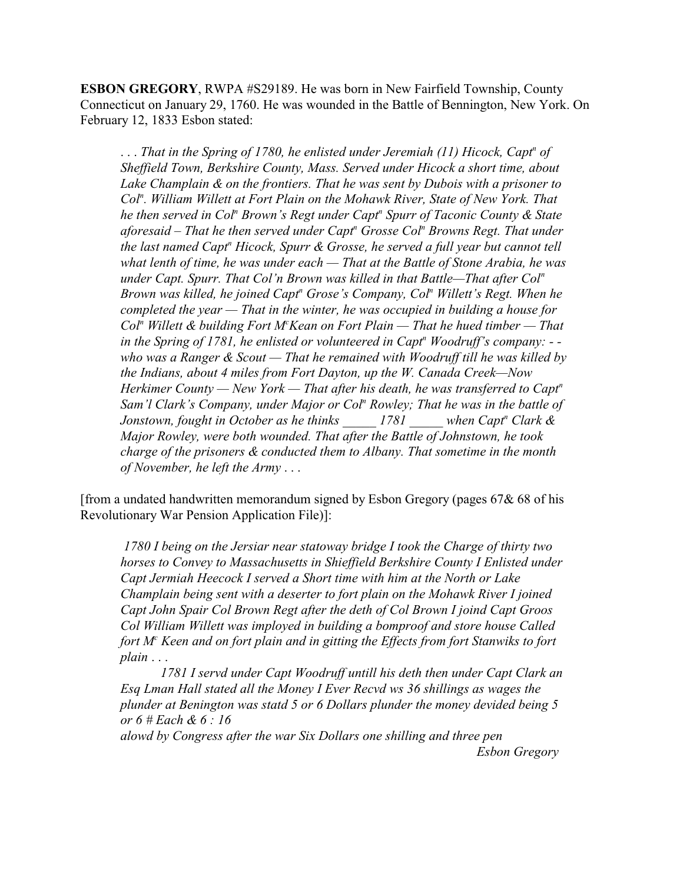**ESBON GREGORY**, RWPA #S29189. He was born in New Fairfield Township, County Connecticut on January 29, 1760. He was wounded in the Battle of Bennington, New York. On February 12, 1833 Esbon stated:

... That in the Spring of 1780, he enlisted under Jeremiah (11) Hicock, Capt<sup>*n*</sup> of *Sheffield Town, Berkshire County, Mass. Served under Hicock a short time, about Lake Champlain & on the frontiers. That he was sent by Dubois with a prisoner to Col<sup>n</sup> . William Willett at Fort Plain on the Mohawk River, State of New York. That he then served in Col<sup>n</sup> Brown's Regt under Capt<sup>n</sup> Spurr of Taconic County & State aforesaid – That he then served under Capt<sup>n</sup> Grosse Col<sup>n</sup> Browns Regt. That under the last named Capt<sup>n</sup> Hicock, Spurr & Grosse, he served a full year but cannot tell what lenth of time, he was under each — That at the Battle of Stone Arabia, he was under Capt. Spurr. That Col'n Brown was killed in that Battle—That after Col<sup>n</sup> Brown was killed, he joined Capt<sup>n</sup> Grose's Company, Col<sup>n</sup> Willett's Regt. When he completed the year — That in the winter, he was occupied in building a house for Col<sup>n</sup> Willett & building Fort M<sup>c</sup>Kean on Fort Plain — That he hued timber — That in the Spring of 1781, he enlisted or volunteered in Capt<sup>n</sup> Woodruff's company: - who was a Ranger & Scout — That he remained with Woodruff till he was killed by the Indians, about 4 miles from Fort Dayton, up the W. Canada Creek—Now Herkimer County — New York — That after his death, he was transferred to Capt<sup>n</sup> Sam'l Clark's Company, under Major or Col<sup>n</sup> Rowley; That he was in the battle of Jonstown, fought in October as he thinks* \_\_\_\_\_ 1781 \_\_\_\_\_ when Capt<sup>*n*</sup> Clark & *Major Rowley, were both wounded. That after the Battle of Johnstown, he took charge of the prisoners & conducted them to Albany. That sometime in the month of November, he left the Army* . . .

[from a undated handwritten memorandum signed by Esbon Gregory (pages 67& 68 of his Revolutionary War Pension Application File)]:

*1780 I being on the Jersiar near statoway bridge I took the Charge of thirty two horses to Convey to Massachusetts in Shieffield Berkshire County I Enlisted under Capt Jermiah Heecock I served a Short time with him at the North or Lake Champlain being sent with a deserter to fort plain on the Mohawk River I joined Capt John Spair Col Brown Regt after the deth of Col Brown I joind Capt Groos Col William Willett was imployed in building a bomproof and store house Called fort M<sup>c</sup> Keen and on fort plain and in gitting the Effects from fort Stanwiks to fort plain* . . .

*1781 I servd under Capt Woodruff untill his deth then under Capt Clark an Esq Lman Hall stated all the Money I Ever Recvd ws 36 shillings as wages the plunder at Benington was statd 5 or 6 Dollars plunder the money devided being 5 or 6 # Each & 6 : 16*

*alowd by Congress after the war Six Dollars one shilling and three pen Esbon Gregory*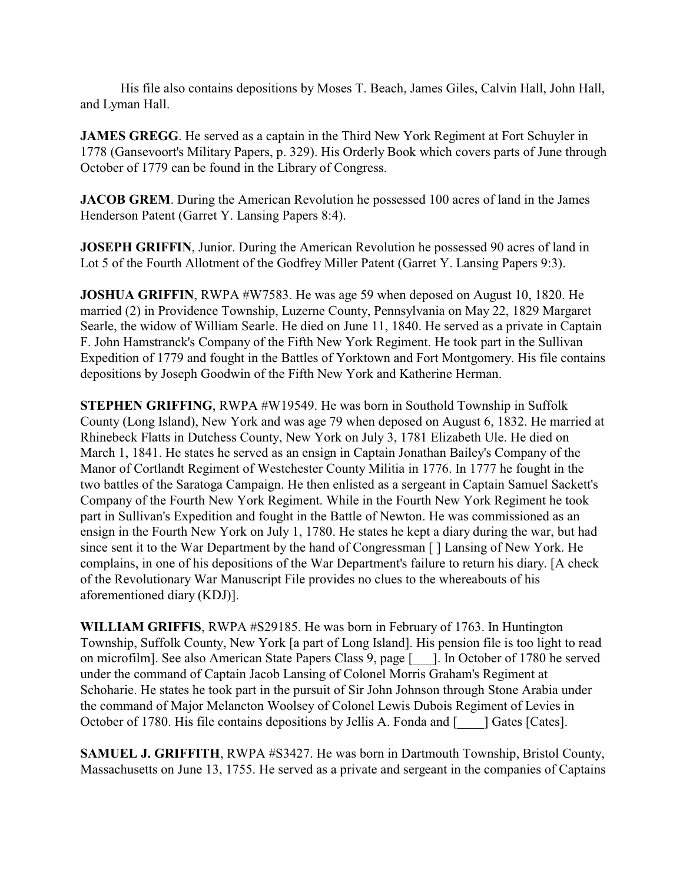His file also contains depositions by Moses T. Beach, James Giles, Calvin Hall, John Hall, and Lyman Hall.

**JAMES GREGG**. He served as a captain in the Third New York Regiment at Fort Schuyler in 1778 (Gansevoort's Military Papers, p. 329). His Orderly Book which covers parts of June through October of 1779 can be found in the Library of Congress.

**JACOB GREM.** During the American Revolution he possessed 100 acres of land in the James Henderson Patent (Garret Y. Lansing Papers 8:4).

**JOSEPH GRIFFIN**, Junior. During the American Revolution he possessed 90 acres of land in Lot 5 of the Fourth Allotment of the Godfrey Miller Patent (Garret Y. Lansing Papers 9:3).

**JOSHUA GRIFFIN**, RWPA #W7583. He was age 59 when deposed on August 10, 1820. He married (2) in Providence Township, Luzerne County, Pennsylvania on May 22, 1829 Margaret Searle, the widow of William Searle. He died on June 11, 1840. He served as a private in Captain F. John Hamstranck's Company of the Fifth New York Regiment. He took part in the Sullivan Expedition of 1779 and fought in the Battles of Yorktown and Fort Montgomery. His file contains depositions by Joseph Goodwin of the Fifth New York and Katherine Herman.

**STEPHEN GRIFFING**, RWPA #W19549. He was born in Southold Township in Suffolk County (Long Island), New York and was age 79 when deposed on August 6, 1832. He married at Rhinebeck Flatts in Dutchess County, New York on July 3, 1781 Elizabeth Ule. He died on March 1, 1841. He states he served as an ensign in Captain Jonathan Bailey's Company of the Manor of Cortlandt Regiment of Westchester County Militia in 1776. In 1777 he fought in the two battles of the Saratoga Campaign. He then enlisted as a sergeant in Captain Samuel Sackett's Company of the Fourth New York Regiment. While in the Fourth New York Regiment he took part in Sullivan's Expedition and fought in the Battle of Newton. He was commissioned as an ensign in the Fourth New York on July 1, 1780. He states he kept a diary during the war, but had since sent it to the War Department by the hand of Congressman [ ] Lansing of New York. He complains, in one of his depositions of the War Department's failure to return his diary. [A check of the Revolutionary War Manuscript File provides no clues to the whereabouts of his aforementioned diary (KDJ)].

**WILLIAM GRIFFIS**, RWPA #S29185. He was born in February of 1763. In Huntington Township, Suffolk County, New York [a part of Long Island]. His pension file is too light to read on microfilm]. See also American State Papers Class 9, page [\_\_\_]. In October of 1780 he served under the command of Captain Jacob Lansing of Colonel Morris Graham's Regiment at Schoharie. He states he took part in the pursuit of Sir John Johnson through Stone Arabia under the command of Major Melancton Woolsey of Colonel Lewis Dubois Regiment of Levies in October of 1780. His file contains depositions by Jellis A. Fonda and [ \_\_\_] Gates [Cates].

**SAMUEL J. GRIFFITH**, RWPA #S3427. He was born in Dartmouth Township, Bristol County, Massachusetts on June 13, 1755. He served as a private and sergeant in the companies of Captains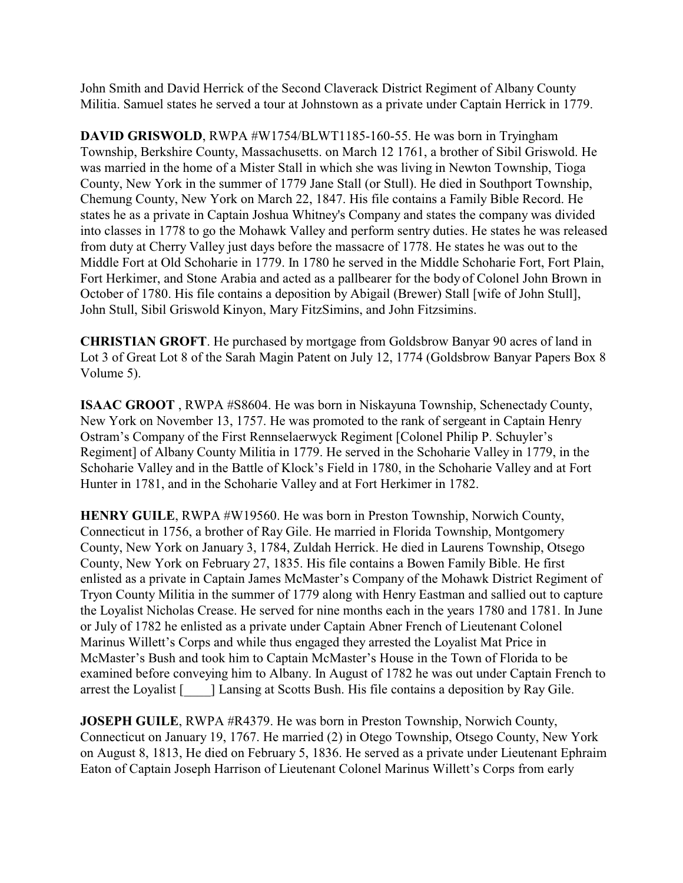John Smith and David Herrick of the Second Claverack District Regiment of Albany County Militia. Samuel states he served a tour at Johnstown as a private under Captain Herrick in 1779.

**DAVID GRISWOLD**, RWPA #W1754/BLWT1185-160-55. He was born in Tryingham Township, Berkshire County, Massachusetts. on March 12 1761, a brother of Sibil Griswold. He was married in the home of a Mister Stall in which she was living in Newton Township, Tioga County, New York in the summer of 1779 Jane Stall (or Stull). He died in Southport Township, Chemung County, New York on March 22, 1847. His file contains a Family Bible Record. He states he as a private in Captain Joshua Whitney's Company and states the company was divided into classes in 1778 to go the Mohawk Valley and perform sentry duties. He states he was released from duty at Cherry Valley just days before the massacre of 1778. He states he was out to the Middle Fort at Old Schoharie in 1779. In 1780 he served in the Middle Schoharie Fort, Fort Plain, Fort Herkimer, and Stone Arabia and acted as a pallbearer for the body of Colonel John Brown in October of 1780. His file contains a deposition by Abigail (Brewer) Stall [wife of John Stull], John Stull, Sibil Griswold Kinyon, Mary FitzSimins, and John Fitzsimins.

**CHRISTIAN GROFT**. He purchased by mortgage from Goldsbrow Banyar 90 acres of land in Lot 3 of Great Lot 8 of the Sarah Magin Patent on July 12, 1774 (Goldsbrow Banyar Papers Box 8 Volume 5).

**ISAAC GROOT** , RWPA #S8604. He was born in Niskayuna Township, Schenectady County, New York on November 13, 1757. He was promoted to the rank of sergeant in Captain Henry Ostram's Company of the First Rennselaerwyck Regiment [Colonel Philip P. Schuyler's Regiment] of Albany County Militia in 1779. He served in the Schoharie Valley in 1779, in the Schoharie Valley and in the Battle of Klock's Field in 1780, in the Schoharie Valley and at Fort Hunter in 1781, and in the Schoharie Valley and at Fort Herkimer in 1782.

**HENRY GUILE**, RWPA #W19560. He was born in Preston Township, Norwich County, Connecticut in 1756, a brother of Ray Gile. He married in Florida Township, Montgomery County, New York on January 3, 1784, Zuldah Herrick. He died in Laurens Township, Otsego County, New York on February 27, 1835. His file contains a Bowen Family Bible. He first enlisted as a private in Captain James McMaster's Company of the Mohawk District Regiment of Tryon County Militia in the summer of 1779 along with Henry Eastman and sallied out to capture the Loyalist Nicholas Crease. He served for nine months each in the years 1780 and 1781. In June or July of 1782 he enlisted as a private under Captain Abner French of Lieutenant Colonel Marinus Willett's Corps and while thus engaged they arrested the Loyalist Mat Price in McMaster's Bush and took him to Captain McMaster's House in the Town of Florida to be examined before conveying him to Albany. In August of 1782 he was out under Captain French to arrest the Loyalist [\_\_\_\_] Lansing at Scotts Bush. His file contains a deposition by Ray Gile.

**JOSEPH GUILE**, RWPA #R4379. He was born in Preston Township, Norwich County, Connecticut on January 19, 1767. He married (2) in Otego Township, Otsego County, New York on August 8, 1813, He died on February 5, 1836. He served as a private under Lieutenant Ephraim Eaton of Captain Joseph Harrison of Lieutenant Colonel Marinus Willett's Corps from early